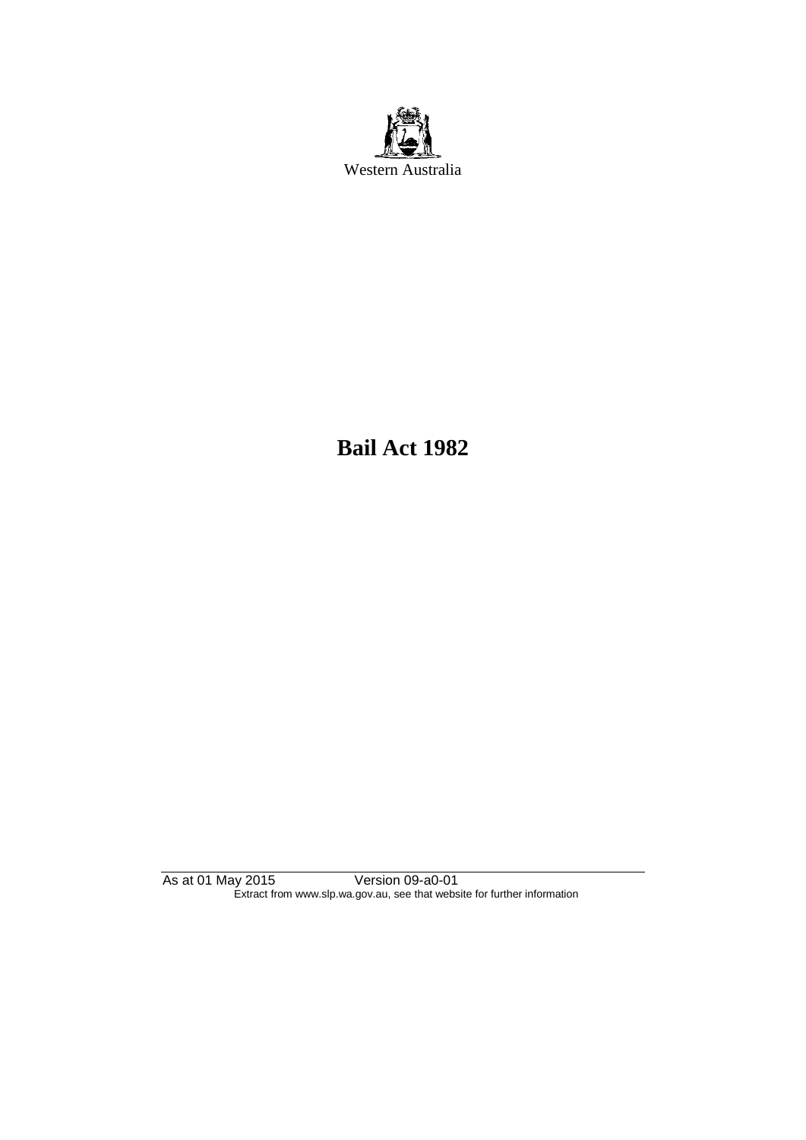

**Bail Act 1982**

As at 01 May 2015 Version 09-a0-01 Extract from www.slp.wa.gov.au, see that website for further information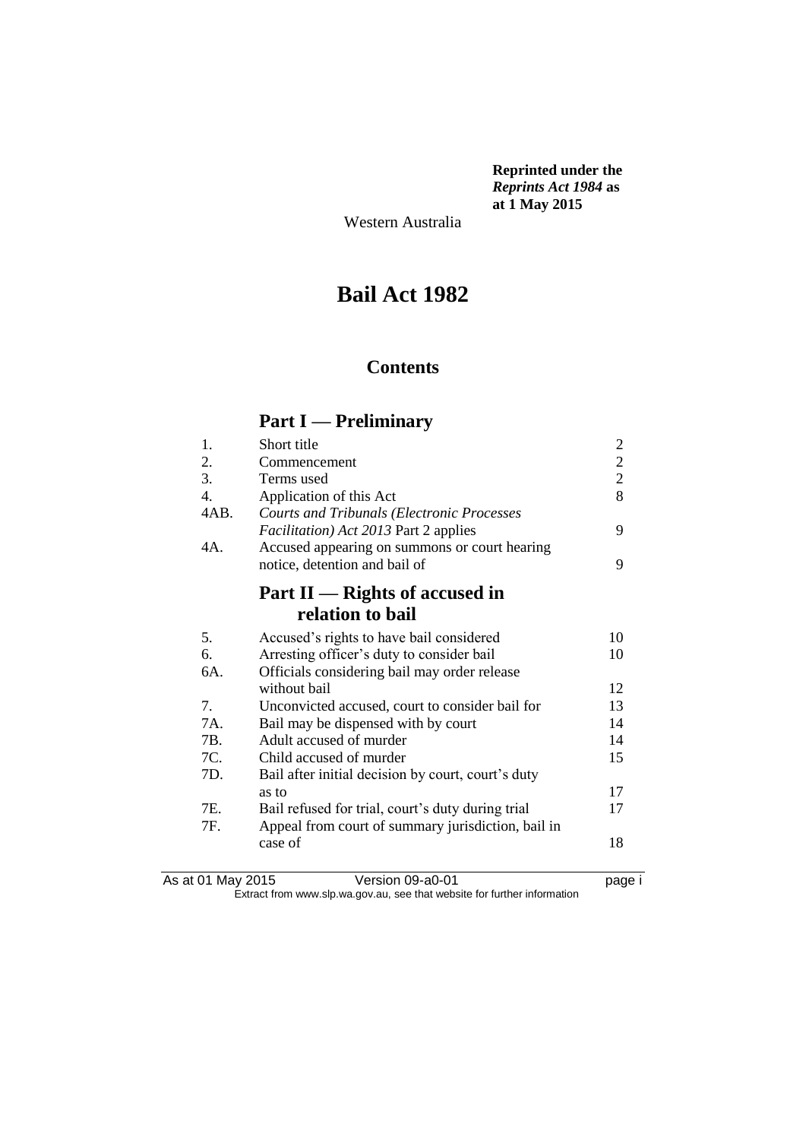**Reprinted under the**  *Reprints Act 1984* **as at 1 May 2015**

Western Australia

# **Bail Act 1982**

# **Contents**

## **Part I — Preliminary**

| 1.               | Short title                                          |                                                 |
|------------------|------------------------------------------------------|-------------------------------------------------|
| 2.               | Commencement                                         |                                                 |
| 3.               | Terms used                                           | $\begin{array}{c} 2 \\ 2 \\ 2 \\ 8 \end{array}$ |
| $\overline{4}$ . | Application of this Act                              |                                                 |
| 4AB.             | <b>Courts and Tribunals (Electronic Processes</b>    |                                                 |
|                  | <i>Facilitation</i> ) <i>Act 2013</i> Part 2 applies | 9                                               |
| 4A.              | Accused appearing on summons or court hearing        |                                                 |
|                  | notice, detention and bail of                        | 9                                               |
|                  |                                                      |                                                 |
|                  | Part $II$ — Rights of accused in                     |                                                 |
|                  | relation to bail                                     |                                                 |
| 5.               | Accused's rights to have bail considered             | 10                                              |
| 6.               | Arresting officer's duty to consider bail            | 10                                              |
| 6A.              | Officials considering bail may order release         |                                                 |
|                  | without bail                                         | 12                                              |
| 7.               | Unconvicted accused, court to consider bail for      | 13                                              |
| 7A.              | Bail may be dispensed with by court                  | 14                                              |
| 7B.              | Adult accused of murder                              | 14                                              |
| 7C.              | Child accused of murder                              | 15                                              |
| 7D.              | Bail after initial decision by court, court's duty   |                                                 |
|                  | as to                                                | 17                                              |
| 7E.              | Bail refused for trial, court's duty during trial    | 17                                              |
| 7F.              | Appeal from court of summary jurisdiction, bail in   |                                                 |
|                  | case of                                              | 18                                              |
|                  |                                                      |                                                 |
|                  |                                                      |                                                 |

As at 01 May 2015 Version 09-a0-01 page i Extract from www.slp.wa.gov.au, see that website for further information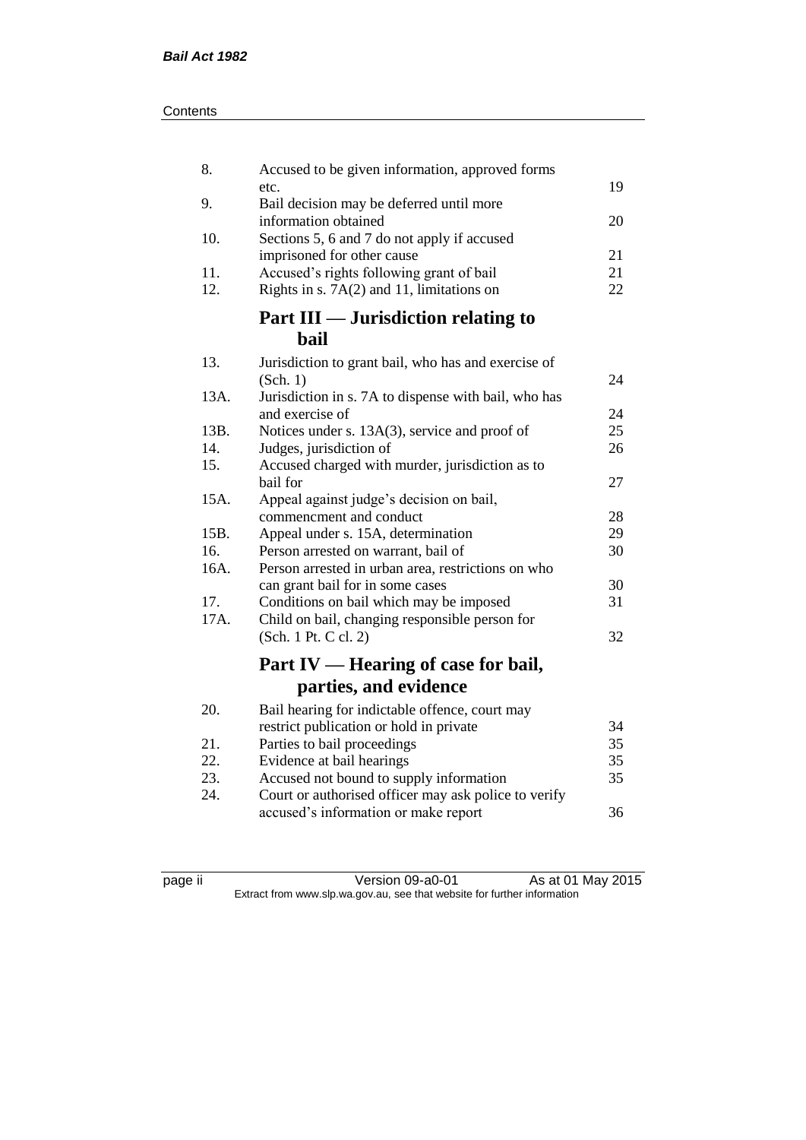| Contents |
|----------|
|----------|

| 8.         | Accused to be given information, approved forms             |    |
|------------|-------------------------------------------------------------|----|
| 9.         | etc.<br>Bail decision may be deferred until more            | 19 |
|            | information obtained                                        | 20 |
| 10.        | Sections 5, 6 and 7 do not apply if accused                 |    |
|            | imprisoned for other cause                                  | 21 |
| 11.<br>12. | Accused's rights following grant of bail                    | 21 |
|            | Rights in s. $7A(2)$ and 11, limitations on                 | 22 |
|            | <b>Part III — Jurisdiction relating to</b>                  |    |
|            | <b>bail</b>                                                 |    |
| 13.        | Jurisdiction to grant bail, who has and exercise of         |    |
|            | (Sch. 1)                                                    | 24 |
| 13A.       | Jurisdiction in s. 7A to dispense with bail, who has        |    |
|            | and exercise of                                             | 24 |
| 13B.       | Notices under s. 13A(3), service and proof of               | 25 |
| 14.        | Judges, jurisdiction of                                     | 26 |
| 15.        | Accused charged with murder, jurisdiction as to<br>bail for | 27 |
| 15A.       | Appeal against judge's decision on bail,                    |    |
|            | commencment and conduct                                     | 28 |
| 15B.       | Appeal under s. 15A, determination                          | 29 |
| 16.        | Person arrested on warrant, bail of                         | 30 |
| 16A.       | Person arrested in urban area, restrictions on who          |    |
|            | can grant bail for in some cases                            | 30 |
| 17.        | Conditions on bail which may be imposed                     | 31 |
| 17A.       | Child on bail, changing responsible person for              |    |
|            | (Sch. 1 Pt. C cl. 2)                                        | 32 |
|            | Part IV — Hearing of case for bail,                         |    |
|            | parties, and evidence                                       |    |
| 20.        | Bail hearing for indictable offence, court may              |    |
|            | restrict publication or hold in private                     | 34 |
| 21.        | Parties to bail proceedings                                 | 35 |
| 22.        | Evidence at bail hearings                                   | 35 |
| 23.        | Accused not bound to supply information                     | 35 |
| 24.        | Court or authorised officer may ask police to verify        |    |
|            | accused's information or make report                        | 36 |

page ii Version 09-a0-01 As at 01 May 2015 Extract from www.slp.wa.gov.au, see that website for further information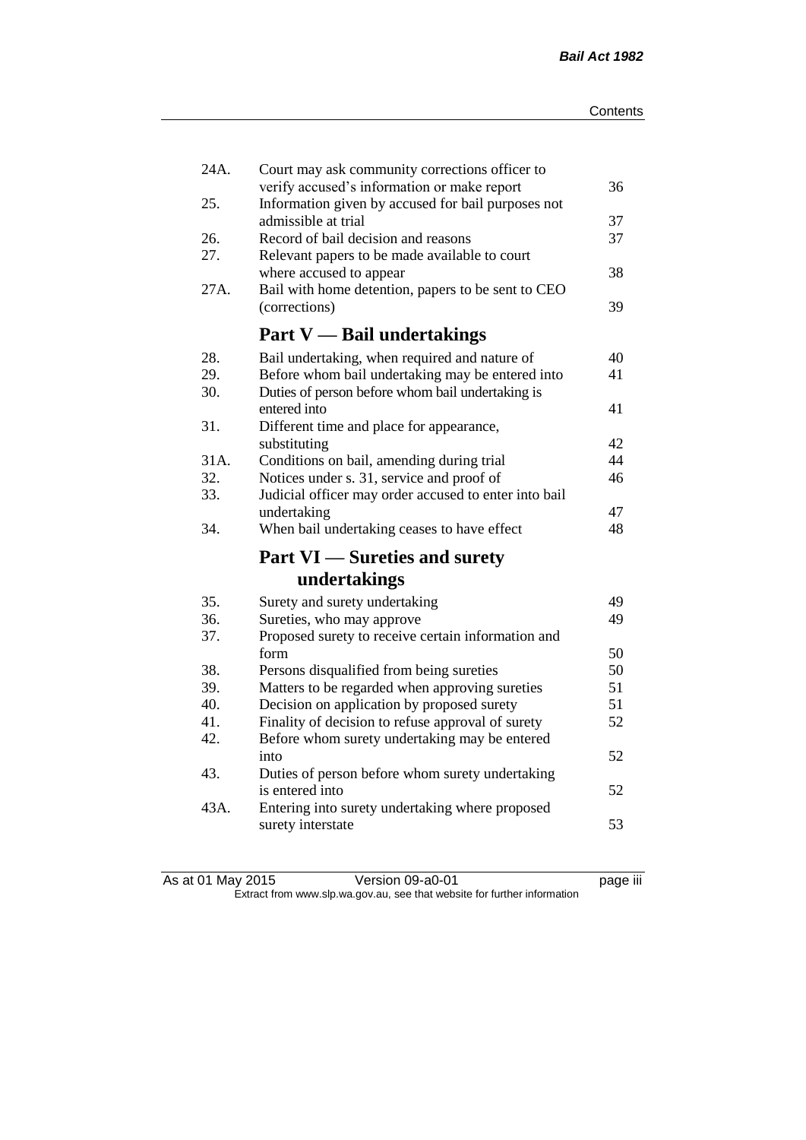| 24A.<br>25. | Court may ask community corrections officer to<br>verify accused's information or make report<br>Information given by accused for bail purposes not | 36 |
|-------------|-----------------------------------------------------------------------------------------------------------------------------------------------------|----|
|             | admissible at trial                                                                                                                                 | 37 |
| 26.         | Record of bail decision and reasons                                                                                                                 | 37 |
| 27.         | Relevant papers to be made available to court                                                                                                       |    |
|             | where accused to appear                                                                                                                             | 38 |
| 27A.        | Bail with home detention, papers to be sent to CEO                                                                                                  |    |
|             | (corrections)                                                                                                                                       | 39 |
|             | <b>Part V</b> — Bail undertakings                                                                                                                   |    |
| 28.         | Bail undertaking, when required and nature of                                                                                                       | 40 |
| 29.         | Before whom bail undertaking may be entered into                                                                                                    | 41 |
| 30.         | Duties of person before whom bail undertaking is                                                                                                    |    |
|             | entered into                                                                                                                                        | 41 |
| 31.         | Different time and place for appearance,                                                                                                            |    |
|             | substituting                                                                                                                                        | 42 |
| 31A.        | Conditions on bail, amending during trial                                                                                                           | 44 |
| 32.         | Notices under s. 31, service and proof of                                                                                                           | 46 |
| 33.         | Judicial officer may order accused to enter into bail                                                                                               |    |
|             | undertaking                                                                                                                                         | 47 |
| 34.         | When bail undertaking ceases to have effect                                                                                                         | 48 |
|             | <b>Part VI</b> — Sureties and surety                                                                                                                |    |
|             | undertakings                                                                                                                                        |    |
| 35.         | Surety and surety undertaking                                                                                                                       | 49 |
| 36.         | Sureties, who may approve                                                                                                                           | 49 |
| 37.         | Proposed surety to receive certain information and                                                                                                  |    |
|             | form                                                                                                                                                | 50 |
| 38.         | Persons disqualified from being sureties                                                                                                            | 50 |
| 39.         | Matters to be regarded when approving sureties                                                                                                      | 51 |
| 40.         | Decision on application by proposed surety                                                                                                          | 51 |
| 41.         | Finality of decision to refuse approval of surety                                                                                                   | 52 |
| 42.         | Before whom surety undertaking may be entered                                                                                                       |    |
|             | into                                                                                                                                                | 52 |
| 43.         | Duties of person before whom surety undertaking                                                                                                     |    |
|             | is entered into                                                                                                                                     | 52 |
| 43A.        | Entering into surety undertaking where proposed                                                                                                     |    |
|             | surety interstate                                                                                                                                   | 53 |

| As at 01 May 2015 | Version 09-a0-01                                                         | <br>page iii |
|-------------------|--------------------------------------------------------------------------|--------------|
|                   | Extract from www.slp.wa.gov.au, see that website for further information |              |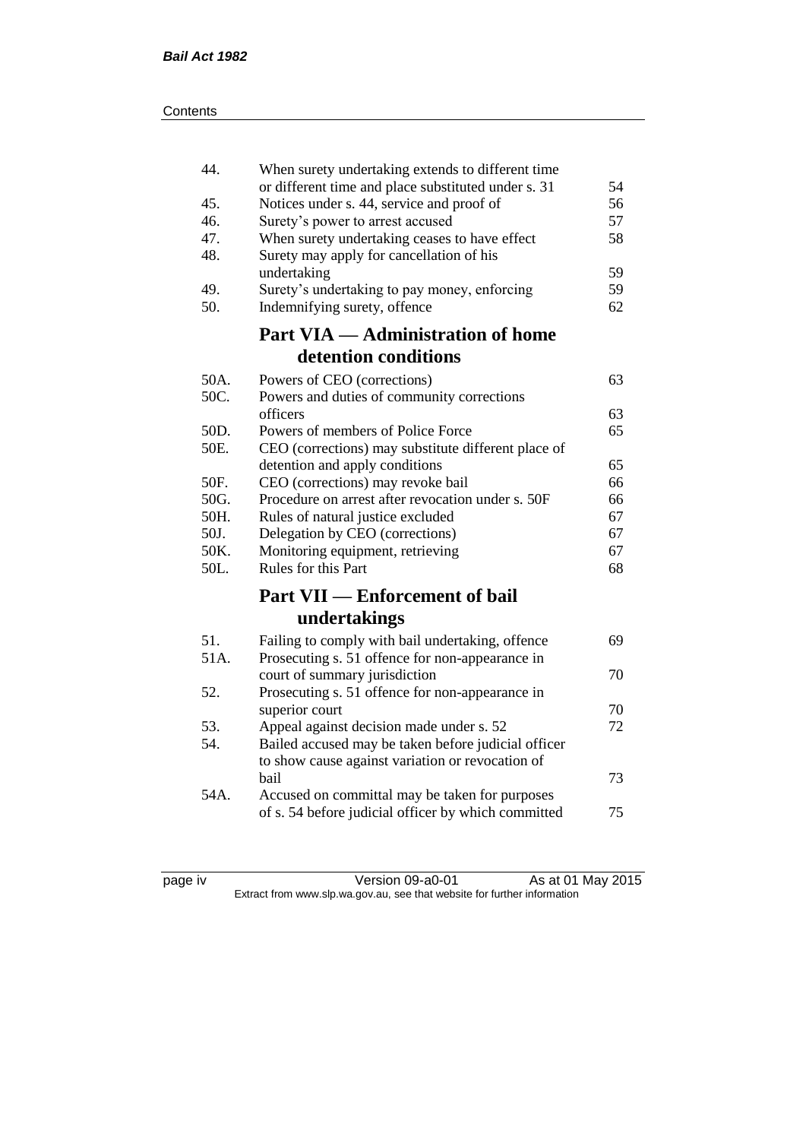| 44.  | When surety undertaking extends to different time<br>or different time and place substituted under s. 31 | 54 |
|------|----------------------------------------------------------------------------------------------------------|----|
| 45.  | Notices under s. 44, service and proof of                                                                | 56 |
| 46.  | Surety's power to arrest accused                                                                         | 57 |
| 47.  | When surety undertaking ceases to have effect                                                            | 58 |
| 48.  | Surety may apply for cancellation of his                                                                 |    |
|      | undertaking                                                                                              | 59 |
| 49.  | Surety's undertaking to pay money, enforcing                                                             | 59 |
| 50.  | Indemnifying surety, offence                                                                             | 62 |
|      | <b>Part VIA — Administration of home</b>                                                                 |    |
|      | detention conditions                                                                                     |    |
| 50A. | Powers of CEO (corrections)                                                                              | 63 |
| 50C. | Powers and duties of community corrections                                                               |    |
|      | officers                                                                                                 | 63 |
| 50D. | Powers of members of Police Force                                                                        | 65 |
| 50E. | CEO (corrections) may substitute different place of                                                      |    |
|      | detention and apply conditions                                                                           | 65 |
| 50F. | CEO (corrections) may revoke bail                                                                        | 66 |
| 50G. | Procedure on arrest after revocation under s. 50F                                                        | 66 |
| 50H. | Rules of natural justice excluded                                                                        | 67 |
| 50J. | Delegation by CEO (corrections)                                                                          | 67 |
| 50K. | Monitoring equipment, retrieving                                                                         | 67 |
| 50L. | Rules for this Part                                                                                      | 68 |
|      | <b>Part VII — Enforcement of bail</b>                                                                    |    |
|      | undertakings                                                                                             |    |
| 51.  | Failing to comply with bail undertaking, offence                                                         | 69 |
| 51A. | Prosecuting s. 51 offence for non-appearance in                                                          |    |
|      | court of summary jurisdiction                                                                            | 70 |
| 52.  | Prosecuting s. 51 offence for non-appearance in                                                          |    |
|      | superior court                                                                                           | 70 |
| 53.  | Appeal against decision made under s. 52                                                                 | 72 |
| 54.  | Bailed accused may be taken before judicial officer                                                      |    |
|      | to show cause against variation or revocation of                                                         |    |
|      | bail                                                                                                     | 73 |
| 54A. | Accused on committal may be taken for purposes                                                           |    |
|      | of s. 54 before judicial officer by which committed                                                      | 75 |
|      |                                                                                                          |    |

page iv Version 09-a0-01 As at 01 May 2015 Extract from www.slp.wa.gov.au, see that website for further information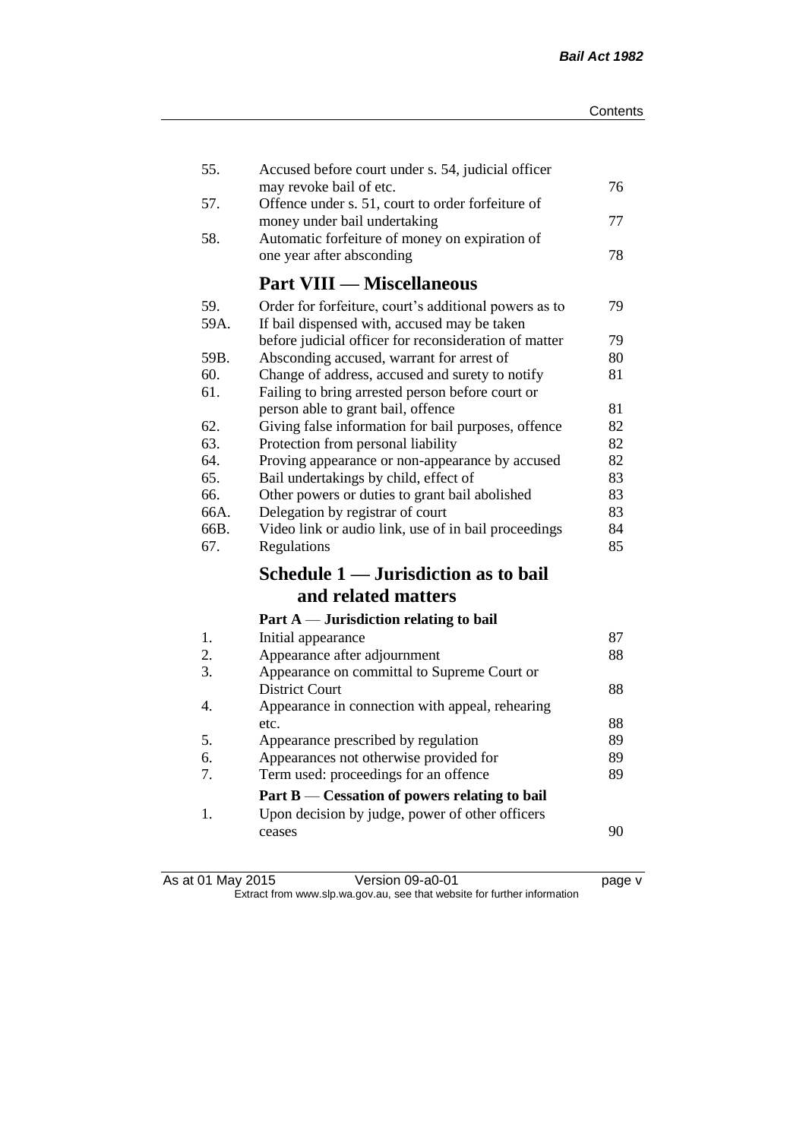| 55.          | Accused before court under s. 54, judicial officer                           |          |
|--------------|------------------------------------------------------------------------------|----------|
| 57.          | may revoke bail of etc.<br>Offence under s. 51, court to order forfeiture of | 76       |
|              | money under bail undertaking                                                 | 77       |
| 58.          | Automatic forfeiture of money on expiration of                               |          |
|              | one year after absconding                                                    | 78       |
|              | <b>Part VIII — Miscellaneous</b>                                             |          |
| 59.          | Order for forfeiture, court's additional powers as to                        | 79       |
| 59A.         | If bail dispensed with, accused may be taken                                 |          |
|              | before judicial officer for reconsideration of matter                        | 79       |
| 59B.         | Absconding accused, warrant for arrest of                                    | 80       |
| 60.          | Change of address, accused and surety to notify                              | 81       |
| 61.          | Failing to bring arrested person before court or                             |          |
|              | person able to grant bail, offence                                           | 81       |
| 62.          | Giving false information for bail purposes, offence                          | 82       |
| 63.          | Protection from personal liability                                           | 82       |
| 64.          | Proving appearance or non-appearance by accused                              | 82       |
| 65.          | Bail undertakings by child, effect of                                        | 83       |
| 66.          | Other powers or duties to grant bail abolished                               | 83       |
| 66A.<br>66B. | Delegation by registrar of court                                             | 83<br>84 |
| 67.          | Video link or audio link, use of in bail proceedings<br>Regulations          | 85       |
|              |                                                                              |          |
|              | Schedule 1 — Jurisdiction as to bail                                         |          |
|              | and related matters                                                          |          |
|              | Part $A$ — Jurisdiction relating to bail                                     |          |
| 1.           | Initial appearance                                                           | 87       |
| 2.           | Appearance after adjournment                                                 | 88       |
| 3.           | Appearance on committal to Supreme Court or                                  |          |
|              | <b>District Court</b>                                                        | 88       |
| 4.           | Appearance in connection with appeal, rehearing                              |          |
|              | etc.                                                                         | 88       |
| 5.           | Appearance prescribed by regulation                                          | 89       |
| 6.           | Appearances not otherwise provided for                                       | 89       |
| 7.           | Term used: proceedings for an offence                                        | 89       |
|              | Part B — Cessation of powers relating to bail                                |          |
| 1.           | Upon decision by judge, power of other officers                              |          |
|              | ceases                                                                       | 90       |
|              |                                                                              |          |

As at 01 May 2015 Version 09-a0-01 page v Extract from www.slp.wa.gov.au, see that website for further information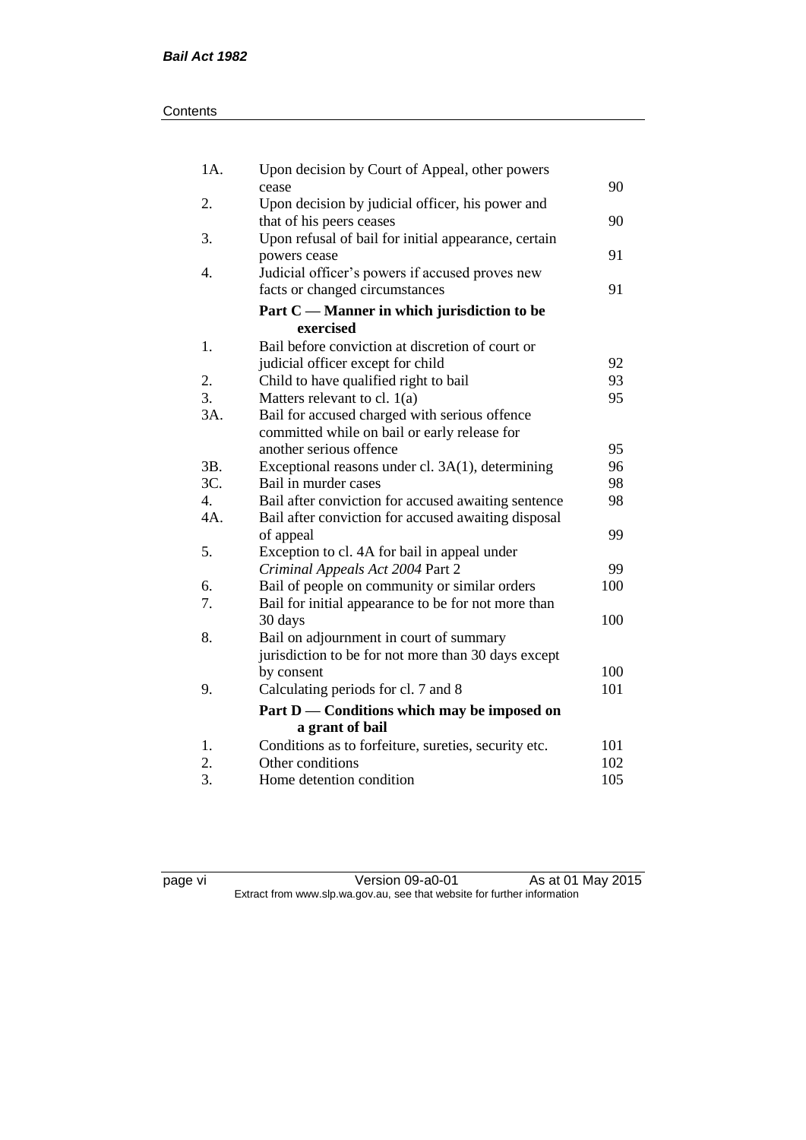| Contents |
|----------|
|----------|

| 1A.    | Upon decision by Court of Appeal, other powers                  |     |
|--------|-----------------------------------------------------------------|-----|
|        | cease                                                           | 90  |
| 2.     | Upon decision by judicial officer, his power and                |     |
|        | that of his peers ceases                                        | 90  |
| 3.     | Upon refusal of bail for initial appearance, certain            | 91  |
| 4.     | powers cease<br>Judicial officer's powers if accused proves new |     |
|        | facts or changed circumstances                                  | 91  |
|        |                                                                 |     |
|        | Part $C$ — Manner in which jurisdiction to be                   |     |
|        | exercised                                                       |     |
| 1.     | Bail before conviction at discretion of court or                |     |
|        | judicial officer except for child                               | 92  |
| 2.     | Child to have qualified right to bail                           | 93  |
| 3.     | Matters relevant to cl. $1(a)$                                  | 95  |
| 3A.    | Bail for accused charged with serious offence                   |     |
|        | committed while on bail or early release for                    |     |
|        | another serious offence                                         | 95  |
| 3B.    | Exceptional reasons under cl. 3A(1), determining                | 96  |
| 3C.    | Bail in murder cases                                            | 98  |
| 4.     | Bail after conviction for accused awaiting sentence             | 98  |
| $4A$ . | Bail after conviction for accused awaiting disposal             |     |
|        | of appeal                                                       | 99  |
| 5.     | Exception to cl. 4A for bail in appeal under                    |     |
|        | Criminal Appeals Act 2004 Part 2                                | 99  |
| 6.     | Bail of people on community or similar orders                   | 100 |
| 7.     | Bail for initial appearance to be for not more than             |     |
|        | 30 days                                                         | 100 |
| 8.     | Bail on adjournment in court of summary                         |     |
|        | jurisdiction to be for not more than 30 days except             |     |
|        | by consent                                                      | 100 |
| 9.     | Calculating periods for cl. 7 and 8                             | 101 |
|        | Part D — Conditions which may be imposed on                     |     |
|        | a grant of bail                                                 |     |
| 1.     | Conditions as to forfeiture, sureties, security etc.            | 101 |
| 2.     | Other conditions                                                | 102 |
| 3.     | Home detention condition                                        | 105 |

page vi Version 09-a0-01 As at 01 May 2015 Extract from www.slp.wa.gov.au, see that website for further information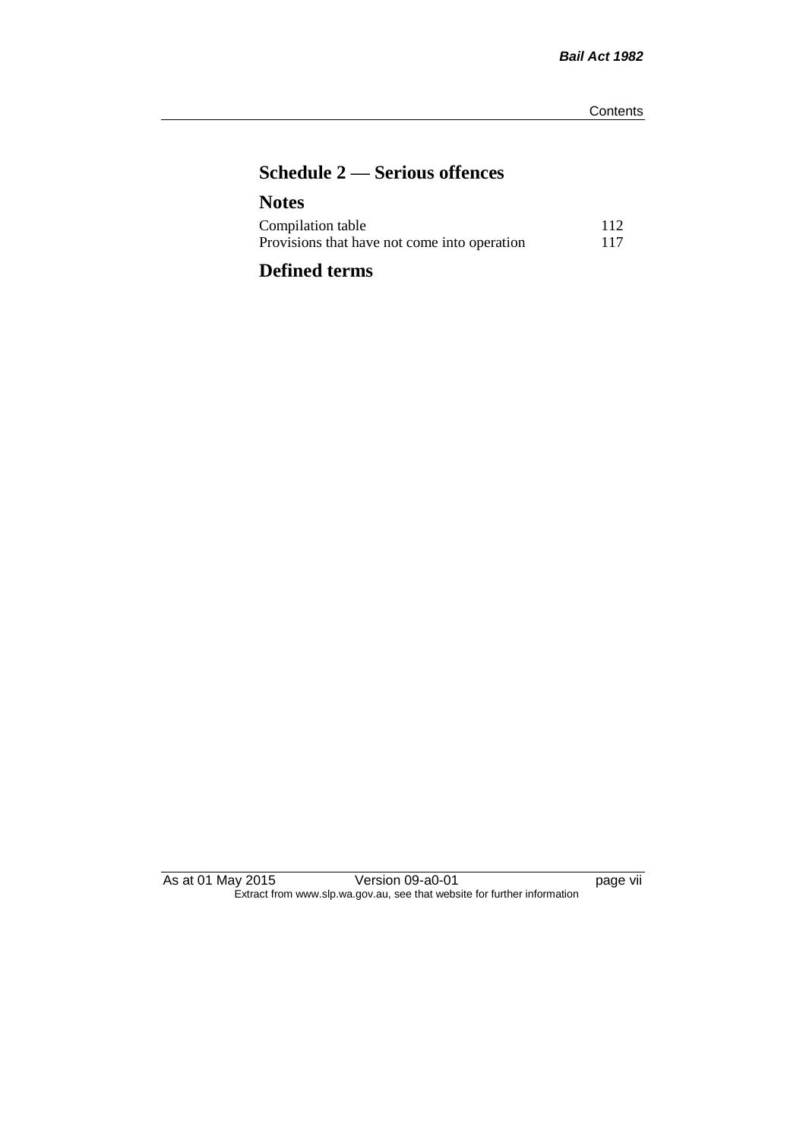# **Schedule 2 — Serious offences**

| <b>Notes</b>                                 |     |
|----------------------------------------------|-----|
| Compilation table                            | 112 |
| Provisions that have not come into operation | 117 |
|                                              |     |

# **Defined terms**

As at 01 May 2015 Version 09-a0-01 page vii Extract from www.slp.wa.gov.au, see that website for further information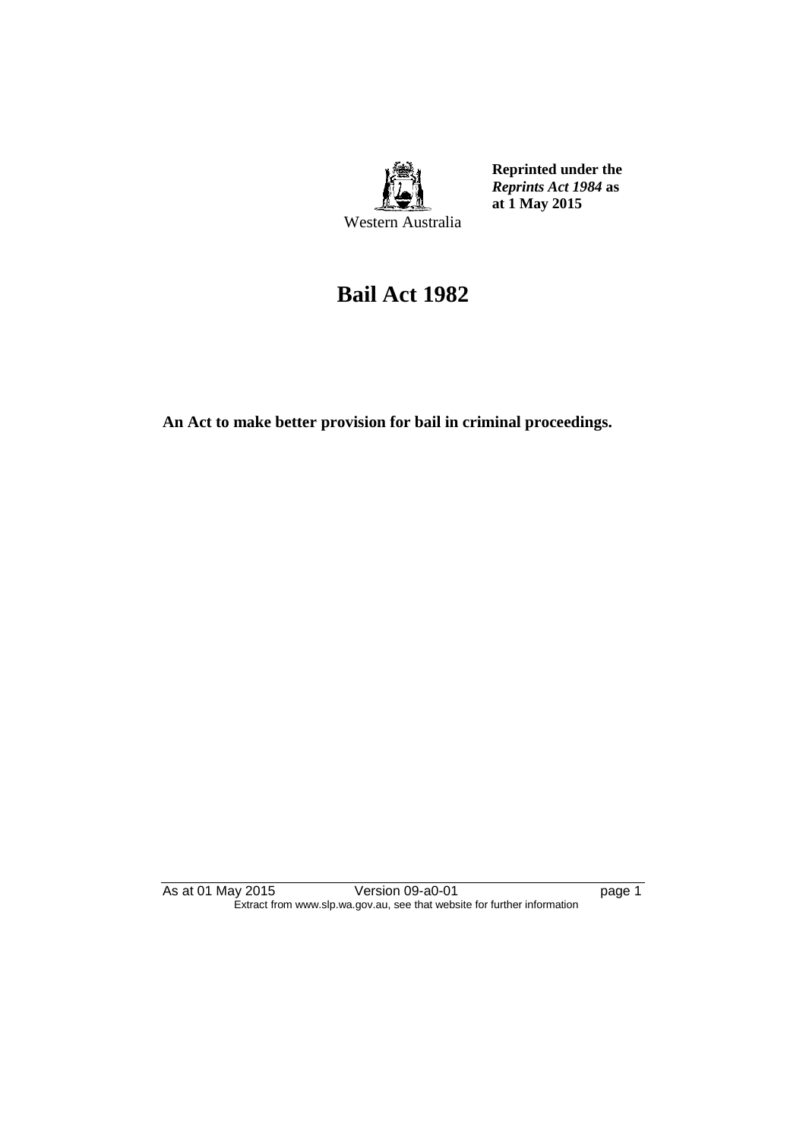

**Reprinted under the**  *Reprints Act 1984* **as at 1 May 2015**

# **Bail Act 1982**

**An Act to make better provision for bail in criminal proceedings.** 

As at 01 May 2015 **Version 09-a0-01 Page 1** page 1 Extract from www.slp.wa.gov.au, see that website for further information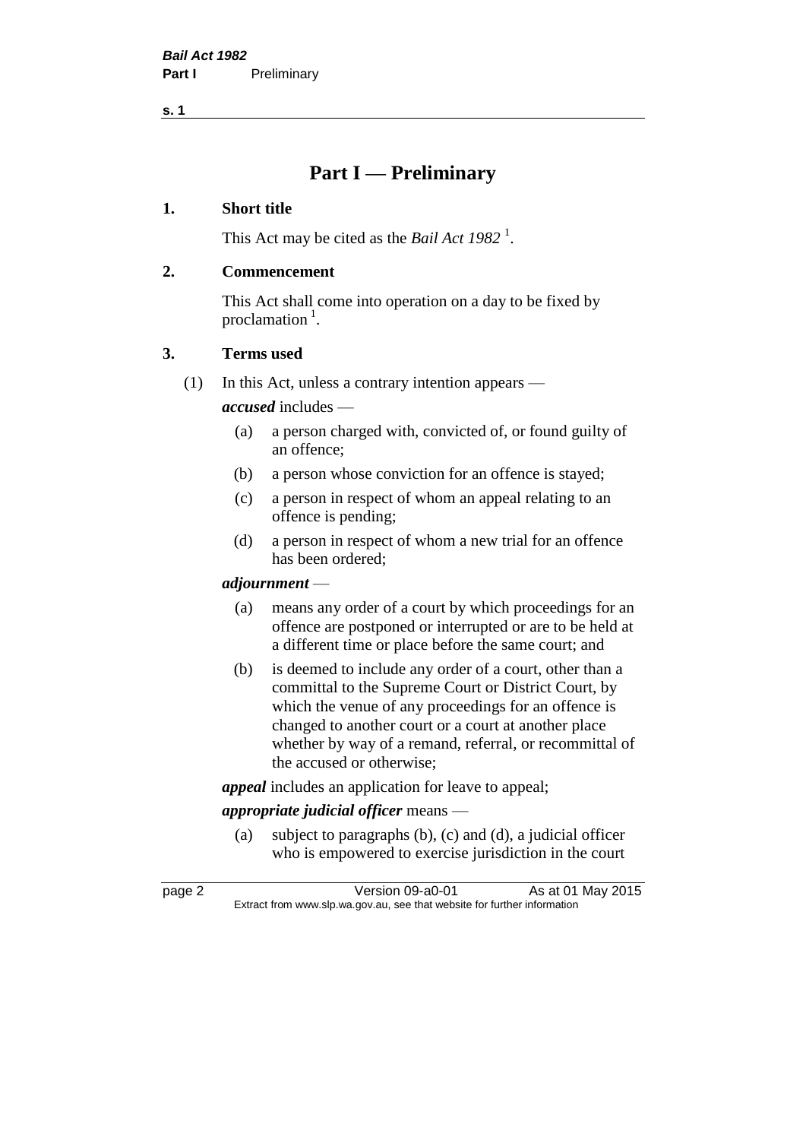# **Part I — Preliminary**

#### **1. Short title**

This Act may be cited as the *Bail Act* 1982<sup>1</sup>.

#### **2. Commencement**

This Act shall come into operation on a day to be fixed by proclamation<sup>1</sup>.

#### **3. Terms used**

(1) In this Act, unless a contrary intention appears —

*accused* includes —

- (a) a person charged with, convicted of, or found guilty of an offence;
- (b) a person whose conviction for an offence is stayed;
- (c) a person in respect of whom an appeal relating to an offence is pending;
- (d) a person in respect of whom a new trial for an offence has been ordered;

#### *adjournment* —

- (a) means any order of a court by which proceedings for an offence are postponed or interrupted or are to be held at a different time or place before the same court; and
- (b) is deemed to include any order of a court, other than a committal to the Supreme Court or District Court, by which the venue of any proceedings for an offence is changed to another court or a court at another place whether by way of a remand, referral, or recommittal of the accused or otherwise;

*appeal* includes an application for leave to appeal;

## *appropriate judicial officer* means —

(a) subject to paragraphs (b), (c) and (d), a judicial officer who is empowered to exercise jurisdiction in the court

page 2 Version 09-a0-01 As at 01 May 2015 Extract from www.slp.wa.gov.au, see that website for further information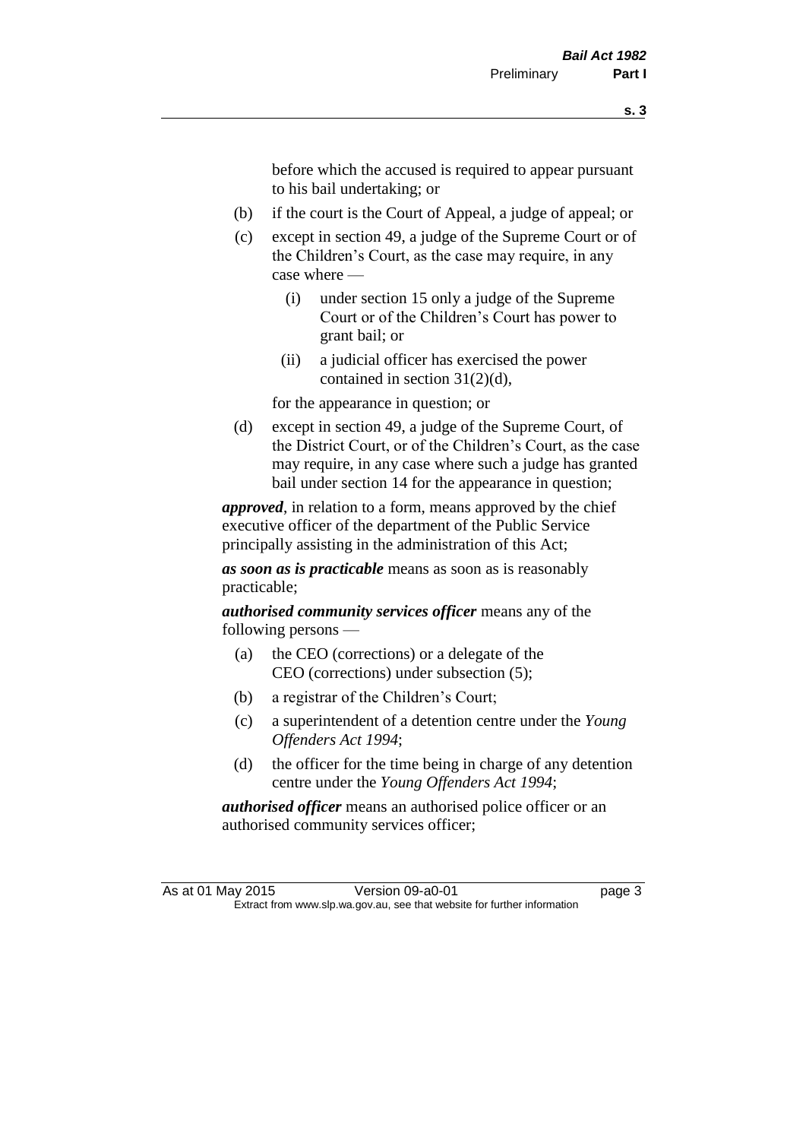before which the accused is required to appear pursuant to his bail undertaking; or

- (b) if the court is the Court of Appeal, a judge of appeal; or
- (c) except in section 49, a judge of the Supreme Court or of the Children's Court, as the case may require, in any case where —
	- (i) under section 15 only a judge of the Supreme Court or of the Children's Court has power to grant bail; or
	- (ii) a judicial officer has exercised the power contained in section 31(2)(d),

for the appearance in question; or

(d) except in section 49, a judge of the Supreme Court, of the District Court, or of the Children's Court, as the case may require, in any case where such a judge has granted bail under section 14 for the appearance in question;

*approved*, in relation to a form, means approved by the chief executive officer of the department of the Public Service principally assisting in the administration of this Act;

*as soon as is practicable* means as soon as is reasonably practicable;

*authorised community services officer* means any of the following persons —

- (a) the CEO (corrections) or a delegate of the CEO (corrections) under subsection (5);
- (b) a registrar of the Children's Court;
- (c) a superintendent of a detention centre under the *Young Offenders Act 1994*;
- (d) the officer for the time being in charge of any detention centre under the *Young Offenders Act 1994*;

*authorised officer* means an authorised police officer or an authorised community services officer;

As at 01 May 2015 Version 09-a0-01 Page 3 Extract from www.slp.wa.gov.au, see that website for further information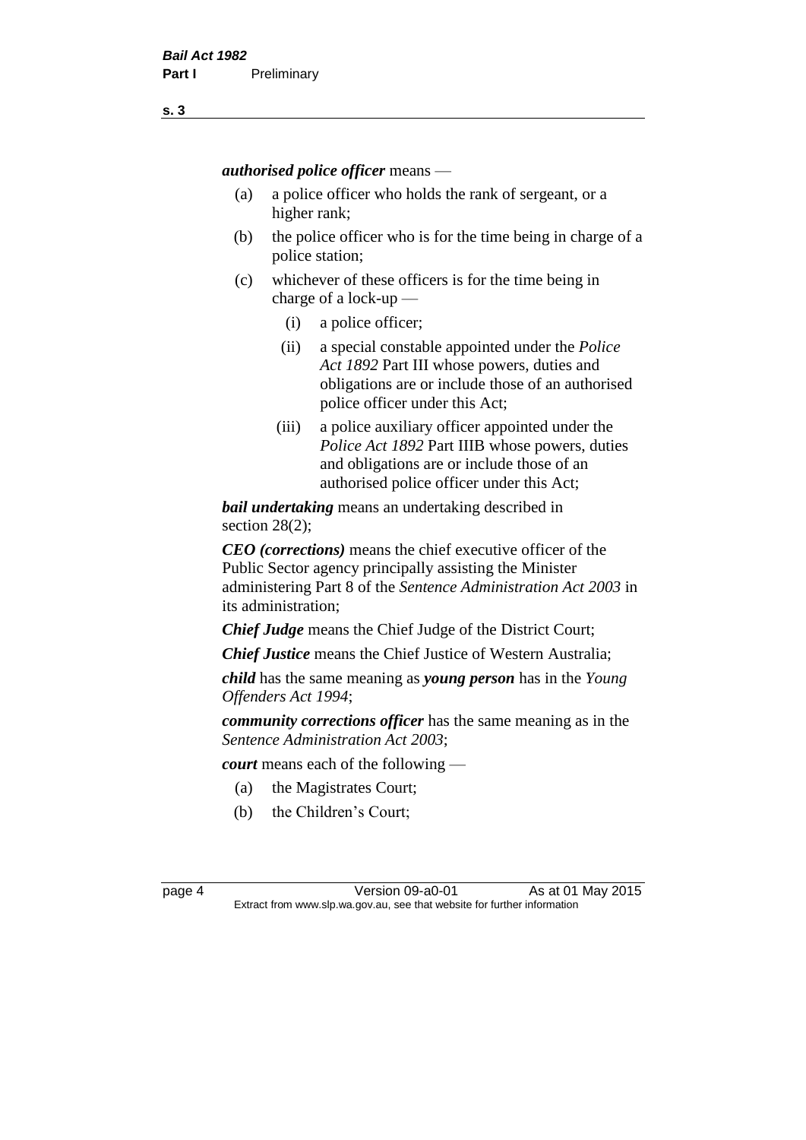*authorised police officer* means —

- (a) a police officer who holds the rank of sergeant, or a higher rank;
- (b) the police officer who is for the time being in charge of a police station;
- (c) whichever of these officers is for the time being in charge of a lock-up —
	- (i) a police officer;
	- (ii) a special constable appointed under the *Police Act 1892* Part III whose powers, duties and obligations are or include those of an authorised police officer under this Act;
	- (iii) a police auxiliary officer appointed under the *Police Act 1892* Part IIIB whose powers, duties and obligations are or include those of an authorised police officer under this Act;

*bail undertaking* means an undertaking described in section 28(2);

*CEO (corrections)* means the chief executive officer of the Public Sector agency principally assisting the Minister administering Part 8 of the *Sentence Administration Act 2003* in its administration;

*Chief Judge* means the Chief Judge of the District Court;

*Chief Justice* means the Chief Justice of Western Australia;

*child* has the same meaning as *young person* has in the *Young Offenders Act 1994*;

*community corrections officer* has the same meaning as in the *Sentence Administration Act 2003*;

*court* means each of the following —

- (a) the Magistrates Court;
- (b) the Children's Court;

page 4 Version 09-a0-01 As at 01 May 2015 Extract from www.slp.wa.gov.au, see that website for further information

**s. 3**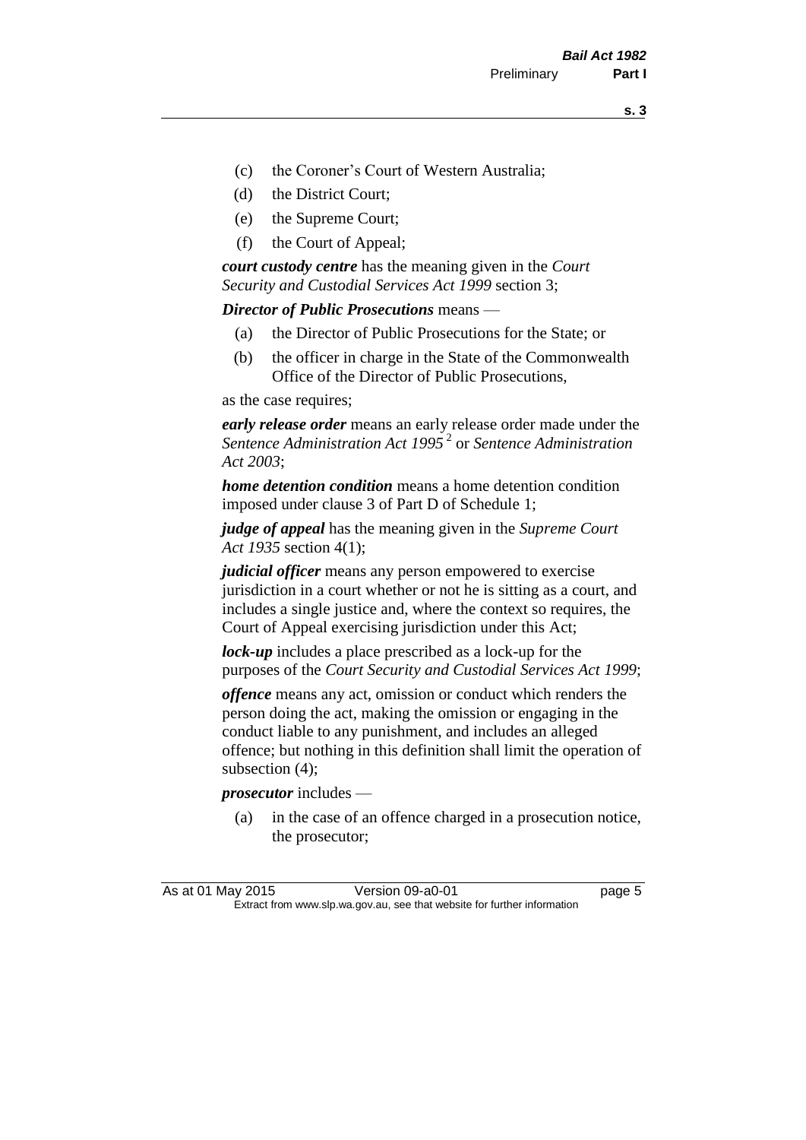- (c) the Coroner's Court of Western Australia;
- (d) the District Court;
- (e) the Supreme Court;
- (f) the Court of Appeal;

*court custody centre* has the meaning given in the *Court Security and Custodial Services Act 1999* section 3;

*Director of Public Prosecutions* means —

- (a) the Director of Public Prosecutions for the State; or
- (b) the officer in charge in the State of the Commonwealth Office of the Director of Public Prosecutions,

as the case requires;

*early release order* means an early release order made under the *Sentence Administration Act 1995* <sup>2</sup> or *Sentence Administration Act 2003*;

*home detention condition* means a home detention condition imposed under clause 3 of Part D of Schedule 1;

*judge of appeal* has the meaning given in the *Supreme Court Act 1935* section 4(1);

*judicial officer* means any person empowered to exercise jurisdiction in a court whether or not he is sitting as a court, and includes a single justice and, where the context so requires, the Court of Appeal exercising jurisdiction under this Act;

*lock-up* includes a place prescribed as a lock-up for the purposes of the *Court Security and Custodial Services Act 1999*;

*offence* means any act, omission or conduct which renders the person doing the act, making the omission or engaging in the conduct liable to any punishment, and includes an alleged offence; but nothing in this definition shall limit the operation of subsection (4);

*prosecutor* includes —

(a) in the case of an offence charged in a prosecution notice, the prosecutor;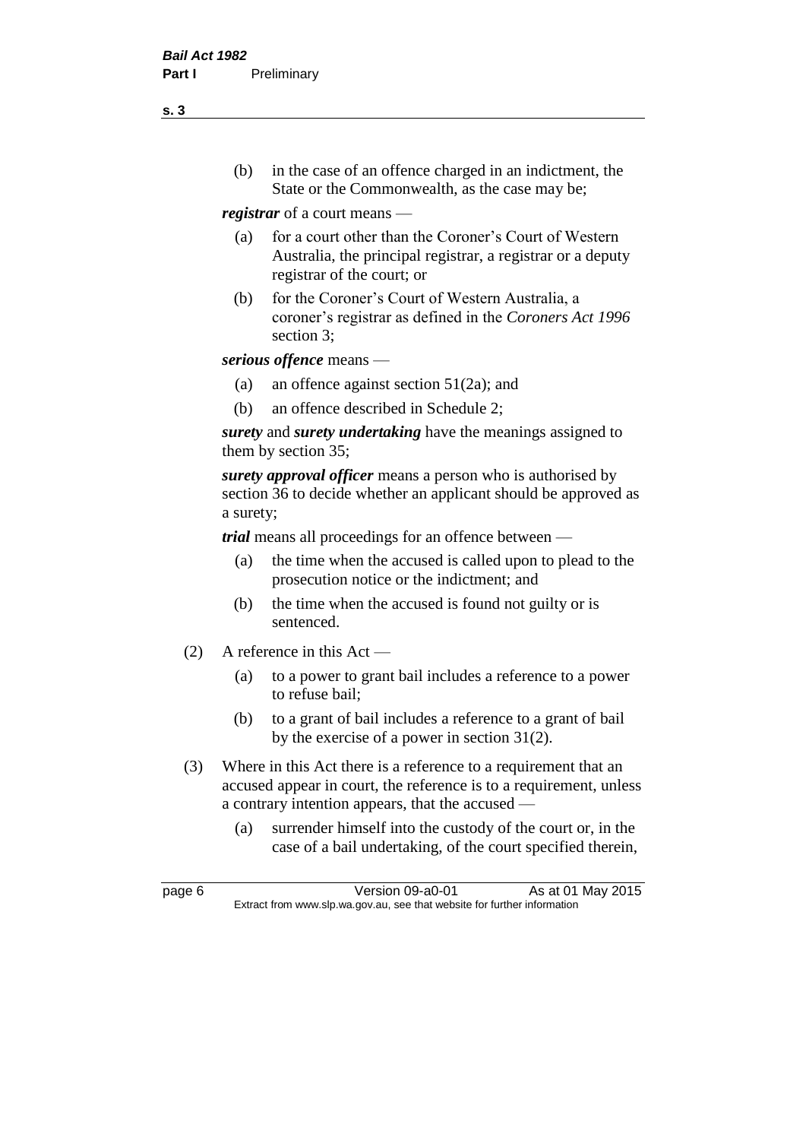(b) in the case of an offence charged in an indictment, the State or the Commonwealth, as the case may be;

*registrar* of a court means —

- (a) for a court other than the Coroner's Court of Western Australia, the principal registrar, a registrar or a deputy registrar of the court; or
- (b) for the Coroner's Court of Western Australia, a coroner's registrar as defined in the *Coroners Act 1996* section 3;

*serious offence* means —

- (a) an offence against section 51(2a); and
- (b) an offence described in Schedule 2;

*surety* and *surety undertaking* have the meanings assigned to them by section 35;

*surety approval officer* means a person who is authorised by section 36 to decide whether an applicant should be approved as a surety;

*trial* means all proceedings for an offence between —

- (a) the time when the accused is called upon to plead to the prosecution notice or the indictment; and
- (b) the time when the accused is found not guilty or is sentenced.
- (2) A reference in this Act
	- (a) to a power to grant bail includes a reference to a power to refuse bail;
	- (b) to a grant of bail includes a reference to a grant of bail by the exercise of a power in section 31(2).
- (3) Where in this Act there is a reference to a requirement that an accused appear in court, the reference is to a requirement, unless a contrary intention appears, that the accused —
	- (a) surrender himself into the custody of the court or, in the case of a bail undertaking, of the court specified therein,

**s. 3**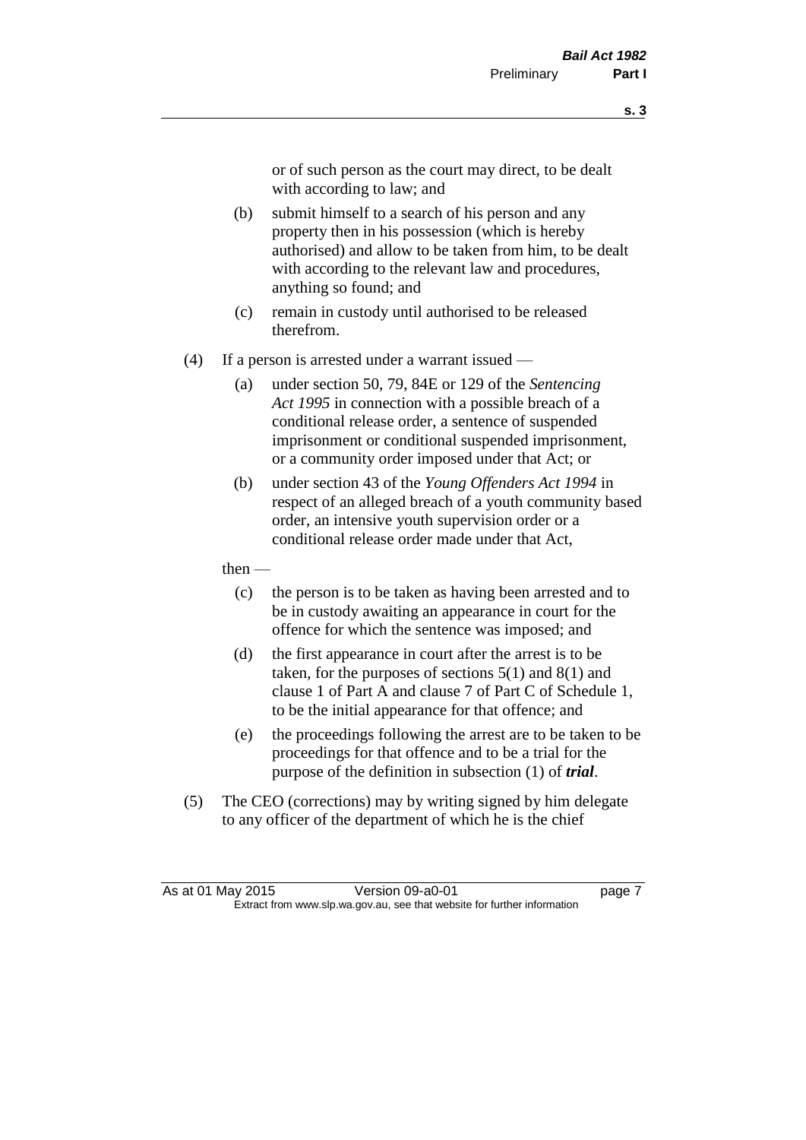or of such person as the court may direct, to be dealt with according to law; and

- (b) submit himself to a search of his person and any property then in his possession (which is hereby authorised) and allow to be taken from him, to be dealt with according to the relevant law and procedures, anything so found; and
- (c) remain in custody until authorised to be released therefrom.
- (4) If a person is arrested under a warrant issued
	- (a) under section 50, 79, 84E or 129 of the *Sentencing Act 1995* in connection with a possible breach of a conditional release order, a sentence of suspended imprisonment or conditional suspended imprisonment, or a community order imposed under that Act; or
	- (b) under section 43 of the *Young Offenders Act 1994* in respect of an alleged breach of a youth community based order, an intensive youth supervision order or a conditional release order made under that Act,
	- then
		- (c) the person is to be taken as having been arrested and to be in custody awaiting an appearance in court for the offence for which the sentence was imposed; and
		- (d) the first appearance in court after the arrest is to be taken, for the purposes of sections  $5(1)$  and  $8(1)$  and clause 1 of Part A and clause 7 of Part C of Schedule 1, to be the initial appearance for that offence; and
		- (e) the proceedings following the arrest are to be taken to be proceedings for that offence and to be a trial for the purpose of the definition in subsection (1) of *trial*.
- (5) The CEO (corrections) may by writing signed by him delegate to any officer of the department of which he is the chief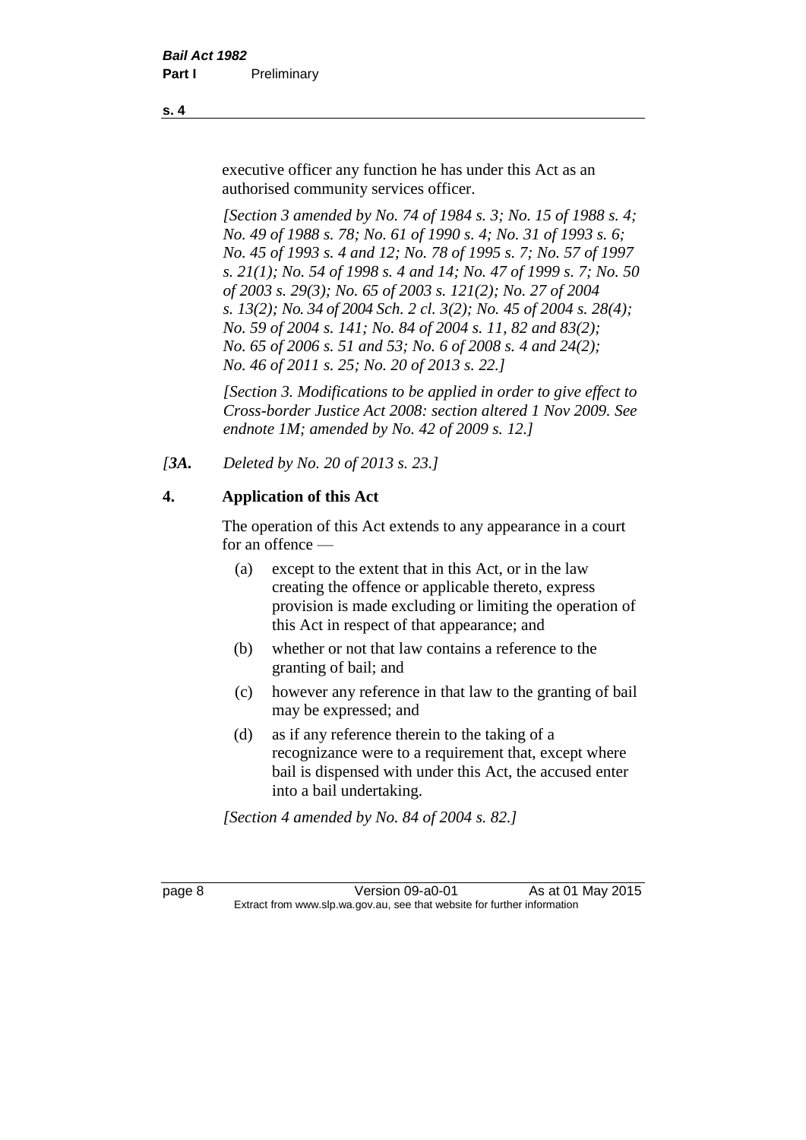executive officer any function he has under this Act as an authorised community services officer.

*[Section 3 amended by No. 74 of 1984 s. 3; No. 15 of 1988 s. 4; No. 49 of 1988 s. 78; No. 61 of 1990 s. 4; No. 31 of 1993 s. 6; No. 45 of 1993 s. 4 and 12; No. 78 of 1995 s. 7; No. 57 of 1997 s. 21(1); No. 54 of 1998 s. 4 and 14; No. 47 of 1999 s. 7; No. 50 of 2003 s. 29(3); No. 65 of 2003 s. 121(2); No. 27 of 2004 s. 13(2); No. 34 of 2004 Sch. 2 cl. 3(2); No. 45 of 2004 s. 28(4); No. 59 of 2004 s. 141; No. 84 of 2004 s. 11, 82 and 83(2); No. 65 of 2006 s. 51 and 53; No. 6 of 2008 s. 4 and 24(2); No. 46 of 2011 s. 25; No. 20 of 2013 s. 22.]* 

*[Section 3. Modifications to be applied in order to give effect to Cross-border Justice Act 2008: section altered 1 Nov 2009. See endnote 1M; amended by No. 42 of 2009 s. 12.]*

*[3A. Deleted by No. 20 of 2013 s. 23.]*

## **4. Application of this Act**

The operation of this Act extends to any appearance in a court for an offence —

- (a) except to the extent that in this Act, or in the law creating the offence or applicable thereto, express provision is made excluding or limiting the operation of this Act in respect of that appearance; and
- (b) whether or not that law contains a reference to the granting of bail; and
- (c) however any reference in that law to the granting of bail may be expressed; and
- (d) as if any reference therein to the taking of a recognizance were to a requirement that, except where bail is dispensed with under this Act, the accused enter into a bail undertaking.

*[Section 4 amended by No. 84 of 2004 s. 82.]*

page 8 Version 09-a0-01 As at 01 May 2015 Extract from www.slp.wa.gov.au, see that website for further information

**s. 4**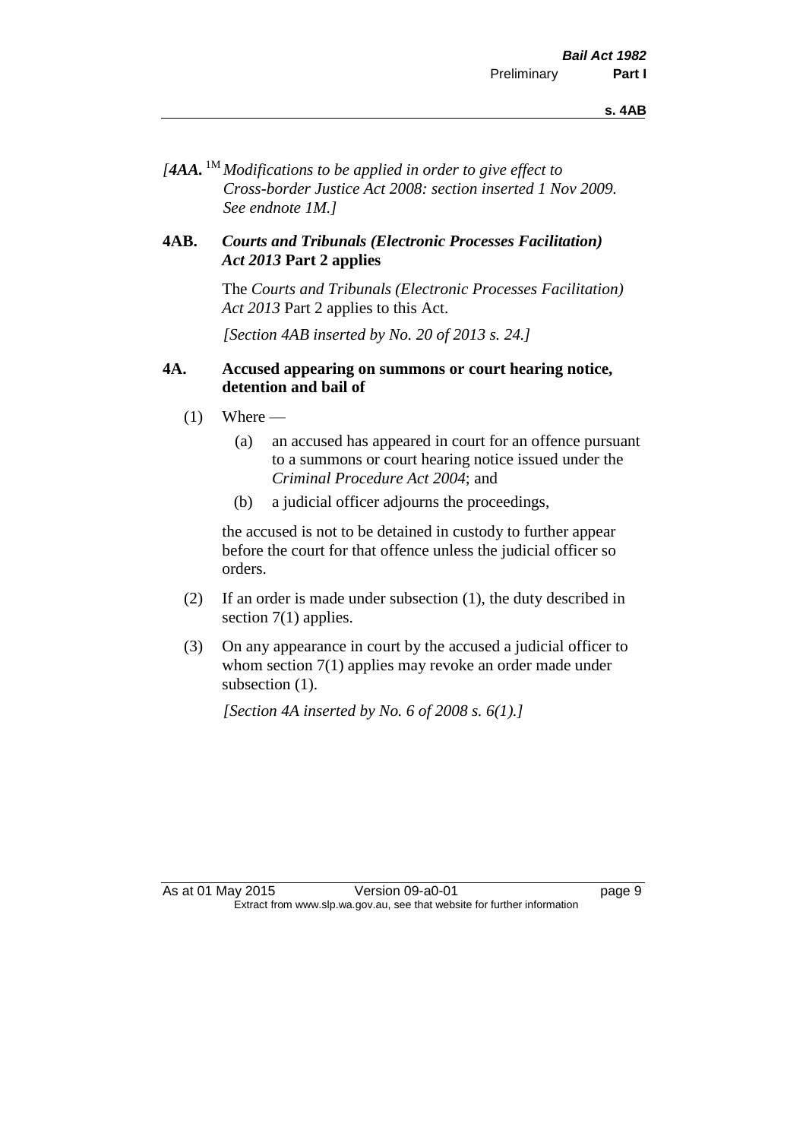*[4AA.* 1M *Modifications to be applied in order to give effect to Cross-border Justice Act 2008: section inserted 1 Nov 2009. See endnote 1M.]*

#### **4AB.** *Courts and Tribunals (Electronic Processes Facilitation) Act 2013* **Part 2 applies**

The *Courts and Tribunals (Electronic Processes Facilitation) Act 2013* Part 2 applies to this Act.

*[Section 4AB inserted by No. 20 of 2013 s. 24.]*

#### **4A. Accused appearing on summons or court hearing notice, detention and bail of**

- $(1)$  Where
	- (a) an accused has appeared in court for an offence pursuant to a summons or court hearing notice issued under the *Criminal Procedure Act 2004*; and
	- (b) a judicial officer adjourns the proceedings,

the accused is not to be detained in custody to further appear before the court for that offence unless the judicial officer so orders.

- (2) If an order is made under subsection (1), the duty described in section 7(1) applies.
- (3) On any appearance in court by the accused a judicial officer to whom section 7(1) applies may revoke an order made under subsection  $(1)$ .

*[Section 4A inserted by No. 6 of 2008 s. 6(1).]*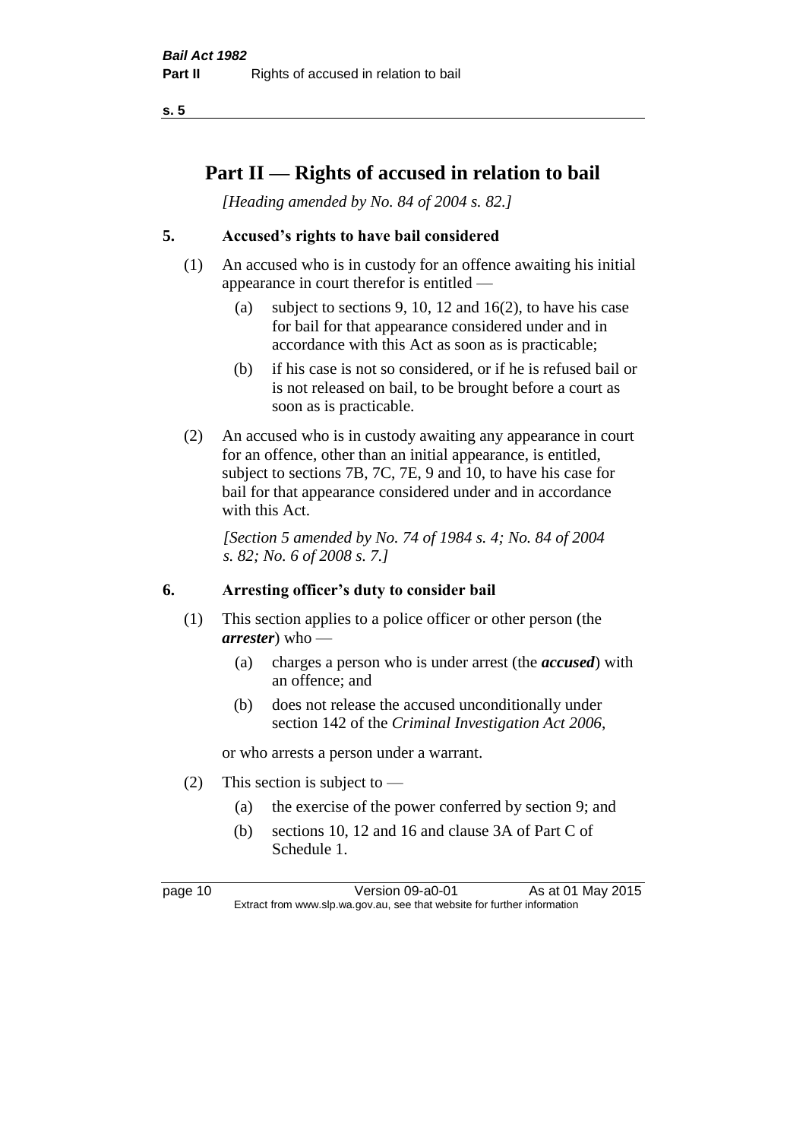# **Part II — Rights of accused in relation to bail**

*[Heading amended by No. 84 of 2004 s. 82.]* 

## **5. Accused's rights to have bail considered**

- (1) An accused who is in custody for an offence awaiting his initial appearance in court therefor is entitled —
	- (a) subject to sections 9, 10, 12 and 16(2), to have his case for bail for that appearance considered under and in accordance with this Act as soon as is practicable;
	- (b) if his case is not so considered, or if he is refused bail or is not released on bail, to be brought before a court as soon as is practicable.
- (2) An accused who is in custody awaiting any appearance in court for an offence, other than an initial appearance, is entitled, subject to sections 7B, 7C, 7E, 9 and 10, to have his case for bail for that appearance considered under and in accordance with this Act.

*[Section 5 amended by No. 74 of 1984 s. 4; No. 84 of 2004 s. 82; No. 6 of 2008 s. 7.]* 

## **6. Arresting officer's duty to consider bail**

- (1) This section applies to a police officer or other person (the *arrester*) who —
	- (a) charges a person who is under arrest (the *accused*) with an offence; and
	- (b) does not release the accused unconditionally under section 142 of the *Criminal Investigation Act 2006*,

or who arrests a person under a warrant.

- (2) This section is subject to  $-$ 
	- (a) the exercise of the power conferred by section 9; and
	- (b) sections 10, 12 and 16 and clause 3A of Part C of Schedule 1.

page 10 Version 09-a0-01 As at 01 May 2015 Extract from www.slp.wa.gov.au, see that website for further information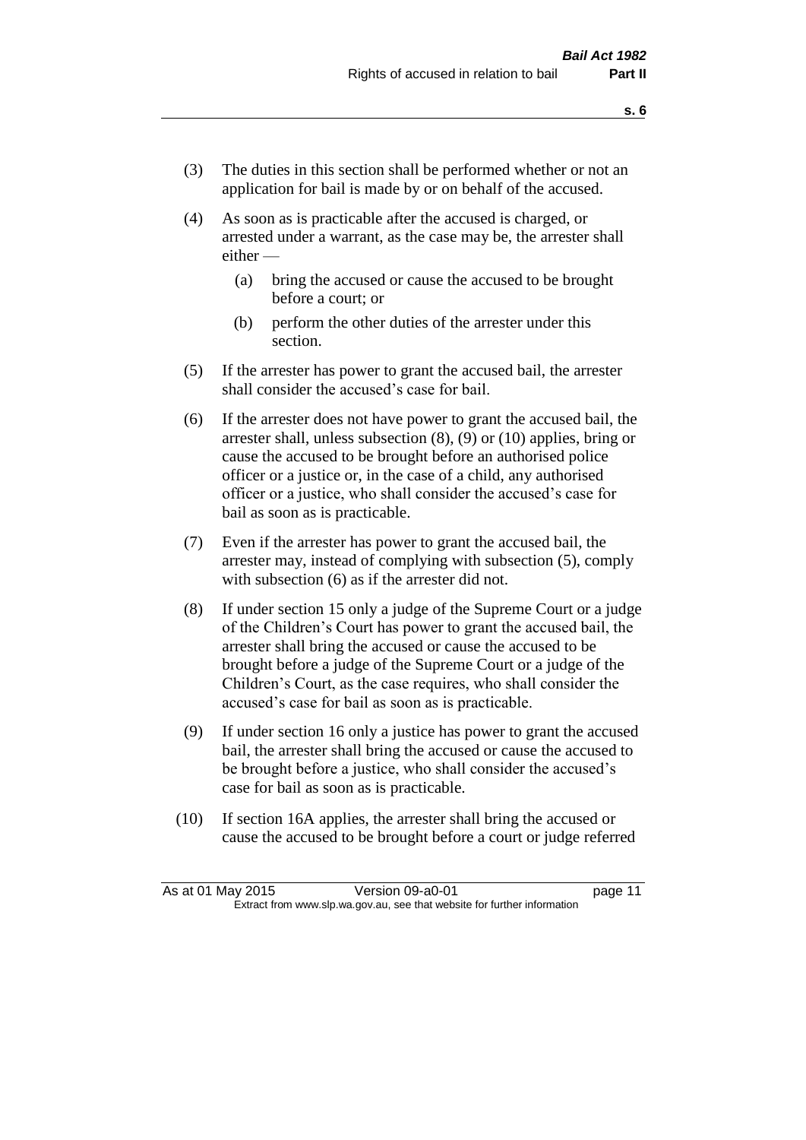- (3) The duties in this section shall be performed whether or not an application for bail is made by or on behalf of the accused.
- (4) As soon as is practicable after the accused is charged, or arrested under a warrant, as the case may be, the arrester shall either —
	- (a) bring the accused or cause the accused to be brought before a court; or
	- (b) perform the other duties of the arrester under this section.
- (5) If the arrester has power to grant the accused bail, the arrester shall consider the accused's case for bail.
- (6) If the arrester does not have power to grant the accused bail, the arrester shall, unless subsection (8), (9) or (10) applies, bring or cause the accused to be brought before an authorised police officer or a justice or, in the case of a child, any authorised officer or a justice, who shall consider the accused's case for bail as soon as is practicable.
- (7) Even if the arrester has power to grant the accused bail, the arrester may, instead of complying with subsection (5), comply with subsection  $(6)$  as if the arrester did not.
- (8) If under section 15 only a judge of the Supreme Court or a judge of the Children's Court has power to grant the accused bail, the arrester shall bring the accused or cause the accused to be brought before a judge of the Supreme Court or a judge of the Children's Court, as the case requires, who shall consider the accused's case for bail as soon as is practicable.
- (9) If under section 16 only a justice has power to grant the accused bail, the arrester shall bring the accused or cause the accused to be brought before a justice, who shall consider the accused's case for bail as soon as is practicable.
- (10) If section 16A applies, the arrester shall bring the accused or cause the accused to be brought before a court or judge referred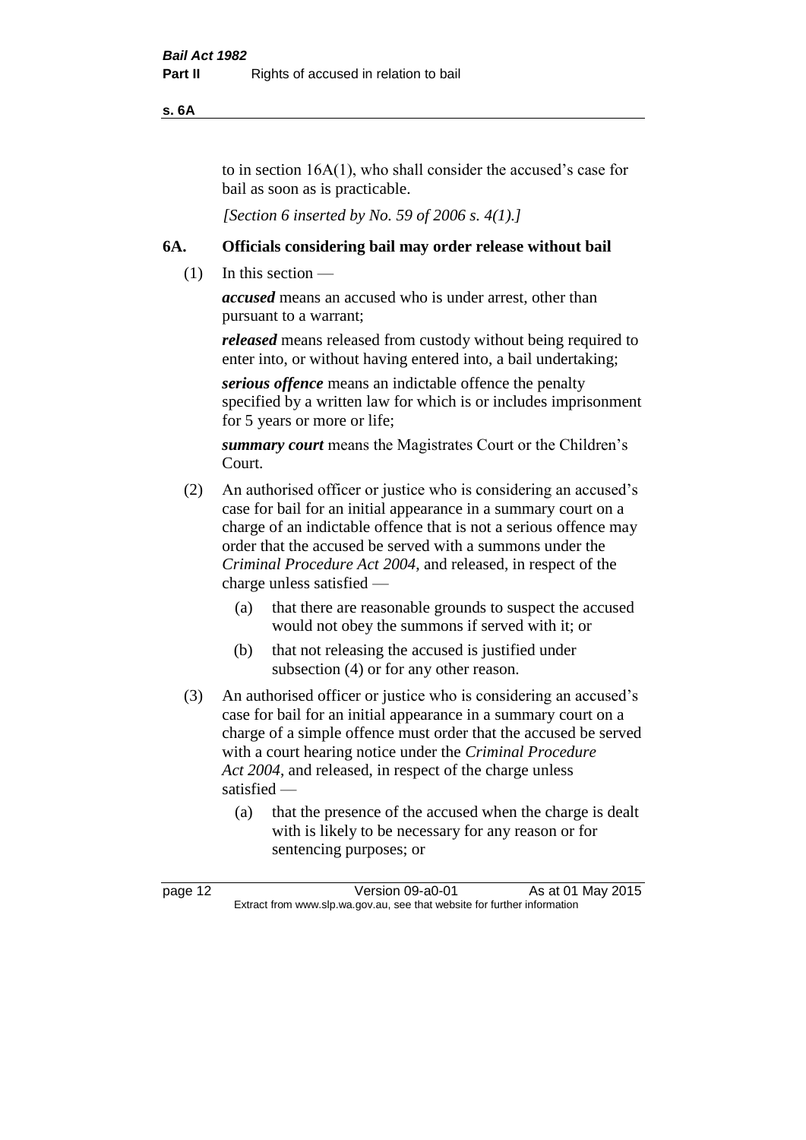**s. 6A**

to in section 16A(1), who shall consider the accused's case for bail as soon as is practicable.

*[Section 6 inserted by No. 59 of 2006 s. 4(1).]* 

#### **6A. Officials considering bail may order release without bail**

(1) In this section —

*accused* means an accused who is under arrest, other than pursuant to a warrant;

*released* means released from custody without being required to enter into, or without having entered into, a bail undertaking;

*serious offence* means an indictable offence the penalty specified by a written law for which is or includes imprisonment for 5 years or more or life;

*summary court* means the Magistrates Court or the Children's Court.

- (2) An authorised officer or justice who is considering an accused's case for bail for an initial appearance in a summary court on a charge of an indictable offence that is not a serious offence may order that the accused be served with a summons under the *Criminal Procedure Act 2004*, and released, in respect of the charge unless satisfied —
	- (a) that there are reasonable grounds to suspect the accused would not obey the summons if served with it; or
	- (b) that not releasing the accused is justified under subsection (4) or for any other reason.
- (3) An authorised officer or justice who is considering an accused's case for bail for an initial appearance in a summary court on a charge of a simple offence must order that the accused be served with a court hearing notice under the *Criminal Procedure Act 2004*, and released, in respect of the charge unless satisfied —
	- (a) that the presence of the accused when the charge is dealt with is likely to be necessary for any reason or for sentencing purposes; or

page 12 Version 09-a0-01 As at 01 May 2015 Extract from www.slp.wa.gov.au, see that website for further information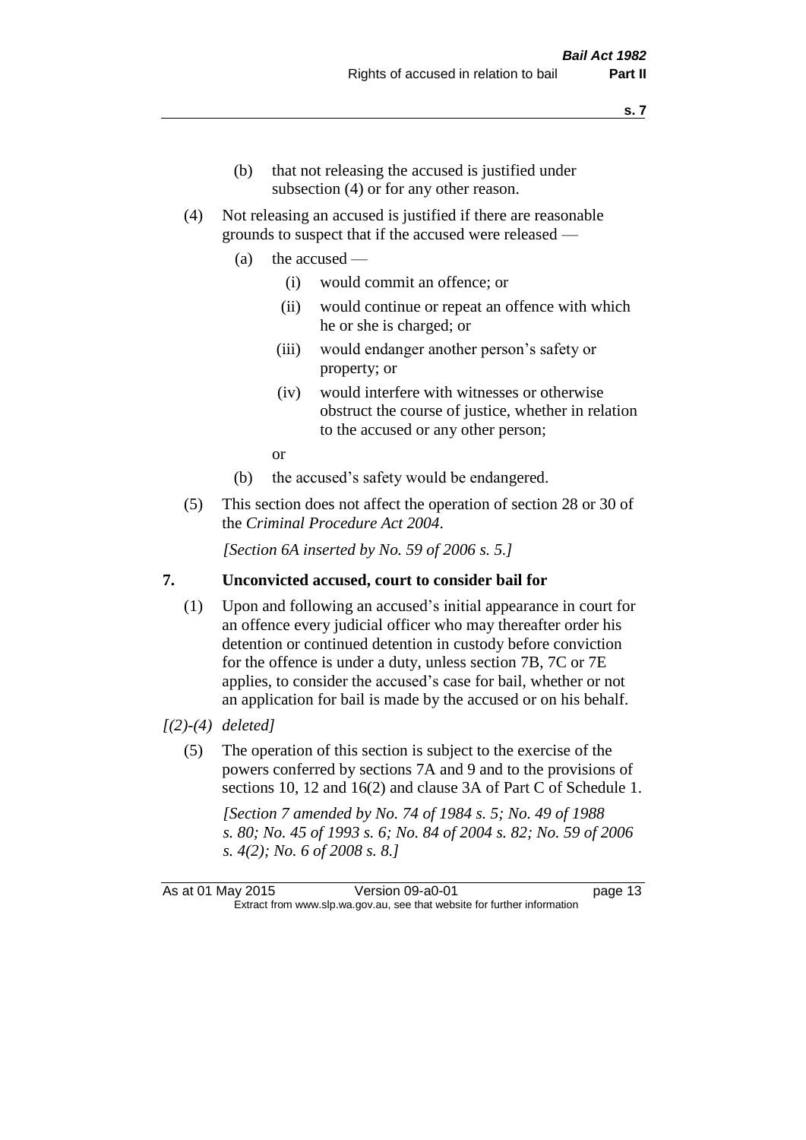- (b) that not releasing the accused is justified under subsection (4) or for any other reason.
- (4) Not releasing an accused is justified if there are reasonable grounds to suspect that if the accused were released —
	- (a) the accused
		- (i) would commit an offence; or
		- (ii) would continue or repeat an offence with which he or she is charged; or
		- (iii) would endanger another person's safety or property; or
		- (iv) would interfere with witnesses or otherwise obstruct the course of justice, whether in relation to the accused or any other person;

or

- (b) the accused's safety would be endangered.
- (5) This section does not affect the operation of section 28 or 30 of the *Criminal Procedure Act 2004*.

*[Section 6A inserted by No. 59 of 2006 s. 5.]* 

#### **7. Unconvicted accused, court to consider bail for**

(1) Upon and following an accused's initial appearance in court for an offence every judicial officer who may thereafter order his detention or continued detention in custody before conviction for the offence is under a duty, unless section 7B, 7C or 7E applies, to consider the accused's case for bail, whether or not an application for bail is made by the accused or on his behalf.

#### *[(2)-(4) deleted]*

(5) The operation of this section is subject to the exercise of the powers conferred by sections 7A and 9 and to the provisions of sections 10, 12 and 16(2) and clause 3A of Part C of Schedule 1.

*[Section 7 amended by No. 74 of 1984 s. 5; No. 49 of 1988 s. 80; No. 45 of 1993 s. 6; No. 84 of 2004 s. 82; No. 59 of 2006 s. 4(2); No. 6 of 2008 s. 8.]* 

As at 01 May 2015 Version 09-a0-01 page 13 Extract from www.slp.wa.gov.au, see that website for further information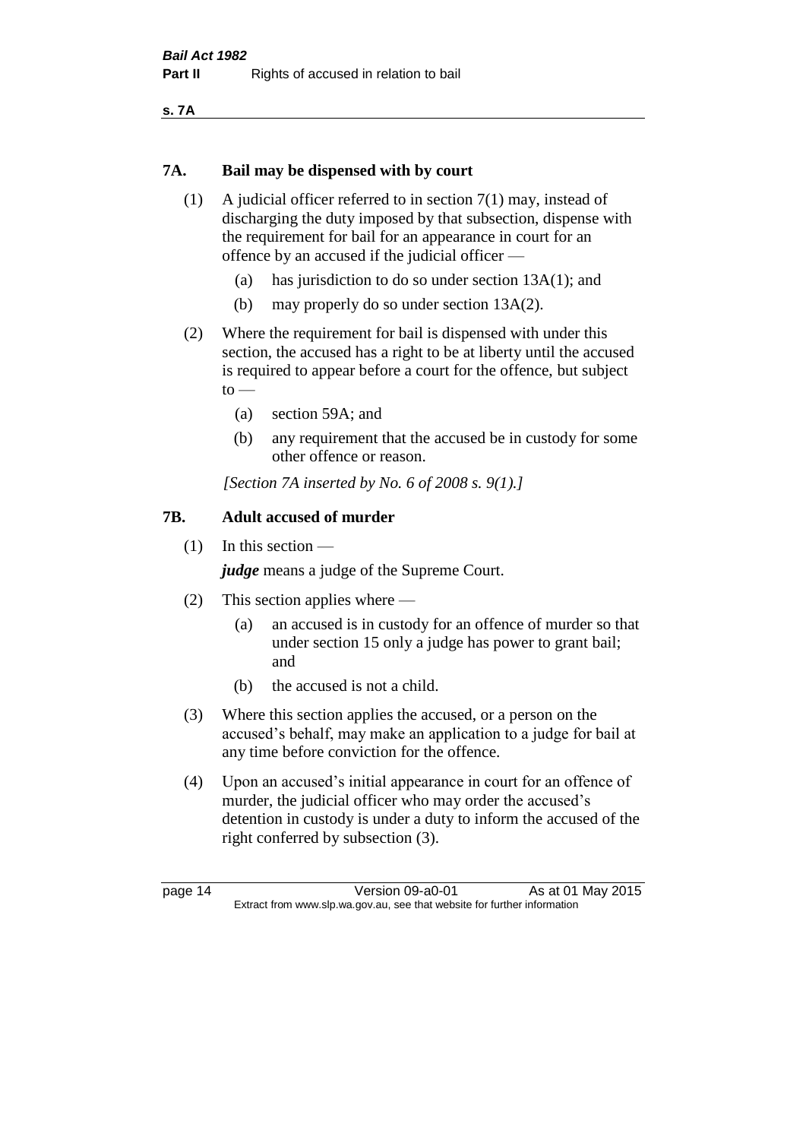**s. 7A**

#### **7A. Bail may be dispensed with by court**

- (1) A judicial officer referred to in section 7(1) may, instead of discharging the duty imposed by that subsection, dispense with the requirement for bail for an appearance in court for an offence by an accused if the judicial officer —
	- (a) has jurisdiction to do so under section 13A(1); and
	- (b) may properly do so under section 13A(2).
- (2) Where the requirement for bail is dispensed with under this section, the accused has a right to be at liberty until the accused is required to appear before a court for the offence, but subject  $to$ 
	- (a) section 59A; and
	- (b) any requirement that the accused be in custody for some other offence or reason.

*[Section 7A inserted by No. 6 of 2008 s. 9(1).]*

#### **7B. Adult accused of murder**

(1) In this section —

*judge* means a judge of the Supreme Court.

- (2) This section applies where
	- (a) an accused is in custody for an offence of murder so that under section 15 only a judge has power to grant bail; and
	- (b) the accused is not a child.
- (3) Where this section applies the accused, or a person on the accused's behalf, may make an application to a judge for bail at any time before conviction for the offence.
- (4) Upon an accused's initial appearance in court for an offence of murder, the judicial officer who may order the accused's detention in custody is under a duty to inform the accused of the right conferred by subsection (3).

page 14 Version 09-a0-01 As at 01 May 2015 Extract from www.slp.wa.gov.au, see that website for further information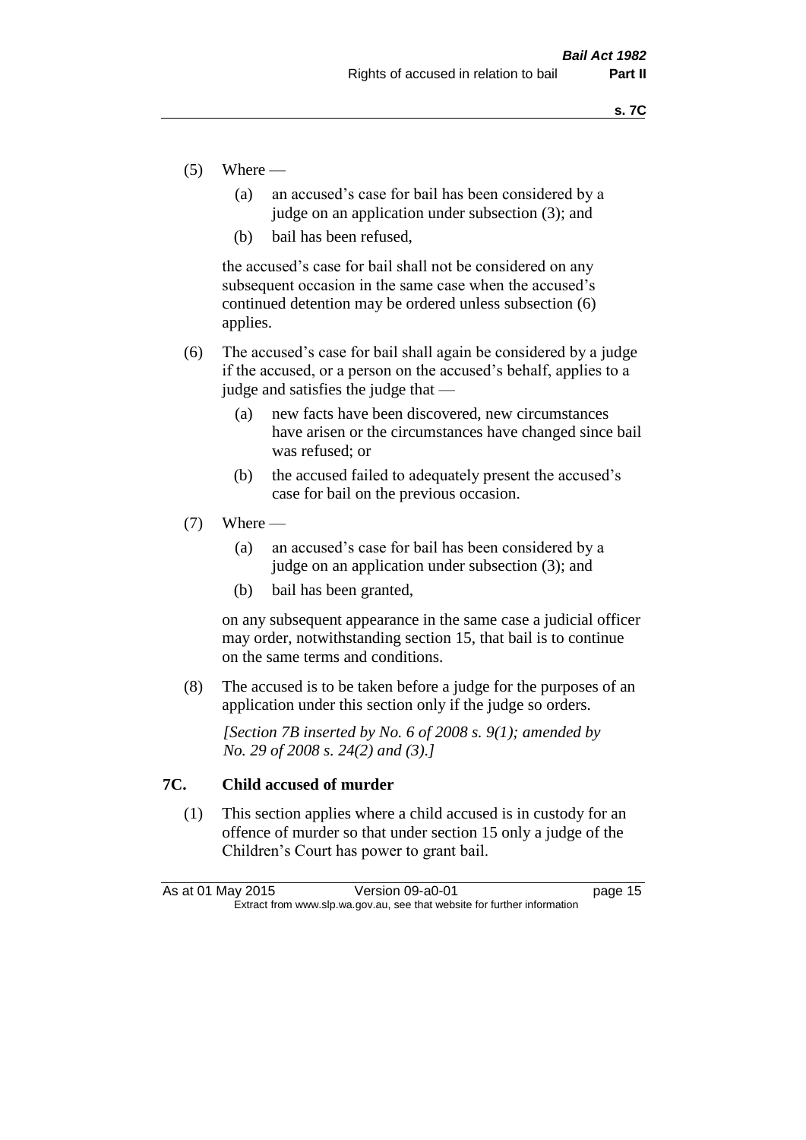- $(5)$  Where
	- (a) an accused's case for bail has been considered by a judge on an application under subsection (3); and
	- (b) bail has been refused,

the accused's case for bail shall not be considered on any subsequent occasion in the same case when the accused's continued detention may be ordered unless subsection (6) applies.

- (6) The accused's case for bail shall again be considered by a judge if the accused, or a person on the accused's behalf, applies to a judge and satisfies the judge that —
	- (a) new facts have been discovered, new circumstances have arisen or the circumstances have changed since bail was refused; or
	- (b) the accused failed to adequately present the accused's case for bail on the previous occasion.
- $(7)$  Where
	- (a) an accused's case for bail has been considered by a judge on an application under subsection (3); and
	- (b) bail has been granted,

on any subsequent appearance in the same case a judicial officer may order, notwithstanding section 15, that bail is to continue on the same terms and conditions.

(8) The accused is to be taken before a judge for the purposes of an application under this section only if the judge so orders.

*[Section 7B inserted by No. 6 of 2008 s. 9(1); amended by No. 29 of 2008 s. 24(2) and (3).]*

#### **7C. Child accused of murder**

(1) This section applies where a child accused is in custody for an offence of murder so that under section 15 only a judge of the Children's Court has power to grant bail.

| As at 01 May 2015 | Version 09-a0-01                                                         | page 15 |
|-------------------|--------------------------------------------------------------------------|---------|
|                   | Extract from www.slp.wa.gov.au, see that website for further information |         |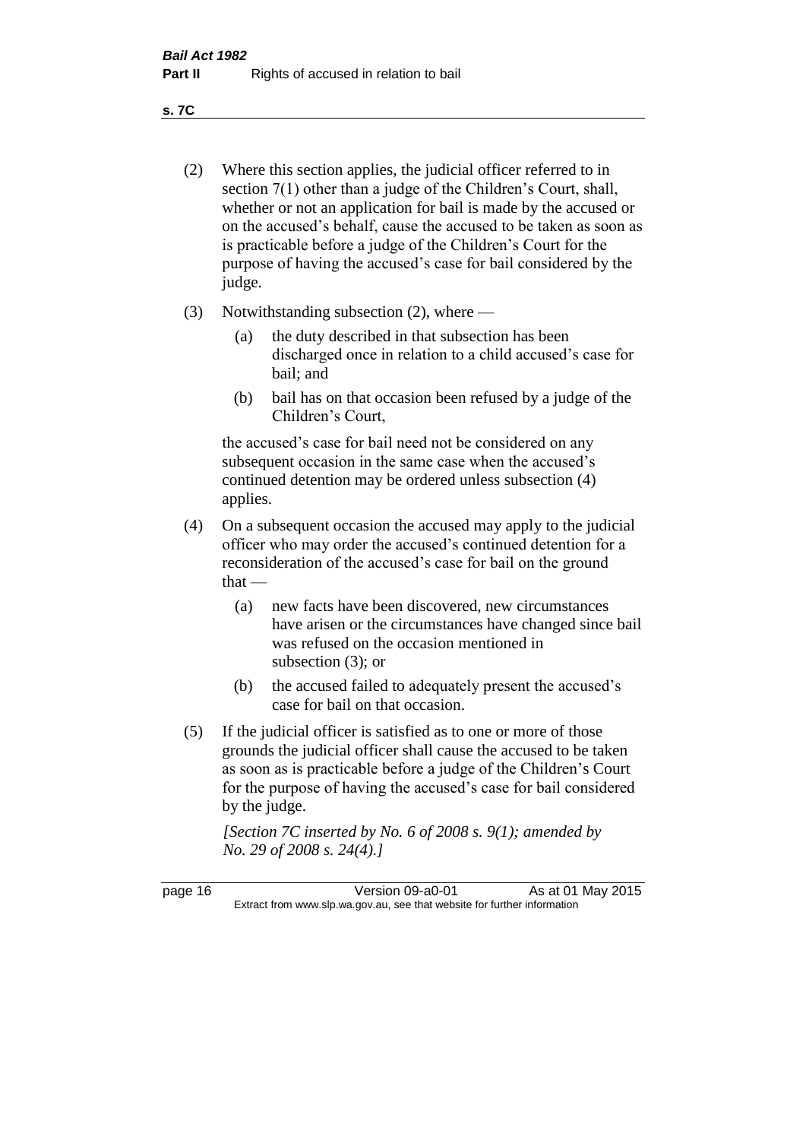**s. 7C**

- (2) Where this section applies, the judicial officer referred to in section 7(1) other than a judge of the Children's Court, shall, whether or not an application for bail is made by the accused or on the accused's behalf, cause the accused to be taken as soon as is practicable before a judge of the Children's Court for the purpose of having the accused's case for bail considered by the judge.
- (3) Notwithstanding subsection (2), where
	- (a) the duty described in that subsection has been discharged once in relation to a child accused's case for bail; and
	- (b) bail has on that occasion been refused by a judge of the Children's Court,

the accused's case for bail need not be considered on any subsequent occasion in the same case when the accused's continued detention may be ordered unless subsection (4) applies.

- (4) On a subsequent occasion the accused may apply to the judicial officer who may order the accused's continued detention for a reconsideration of the accused's case for bail on the ground  $that -$ 
	- (a) new facts have been discovered, new circumstances have arisen or the circumstances have changed since bail was refused on the occasion mentioned in subsection (3); or
	- (b) the accused failed to adequately present the accused's case for bail on that occasion.
- (5) If the judicial officer is satisfied as to one or more of those grounds the judicial officer shall cause the accused to be taken as soon as is practicable before a judge of the Children's Court for the purpose of having the accused's case for bail considered by the judge.

*[Section 7C inserted by No. 6 of 2008 s. 9(1); amended by No. 29 of 2008 s. 24(4).]*

page 16 Version 09-a0-01 As at 01 May 2015 Extract from www.slp.wa.gov.au, see that website for further information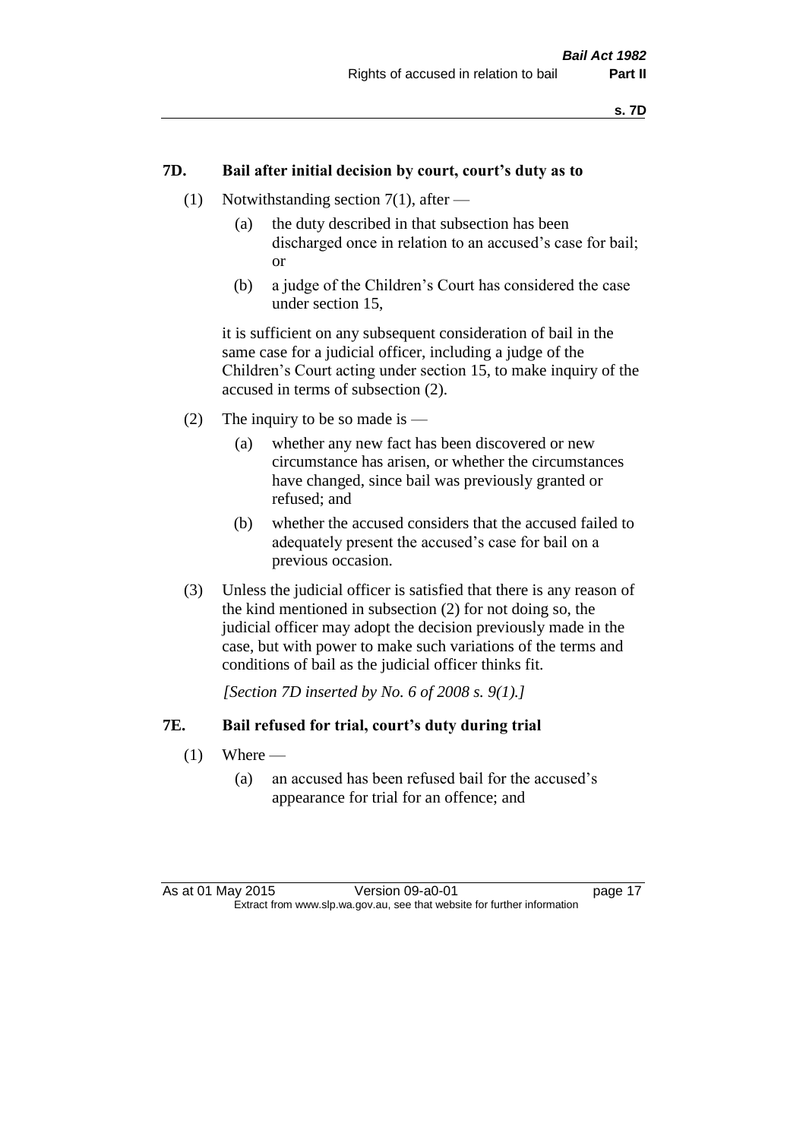#### **7D. Bail after initial decision by court, court's duty as to**

- (1) Notwithstanding section 7(1), after
	- (a) the duty described in that subsection has been discharged once in relation to an accused's case for bail; or
	- (b) a judge of the Children's Court has considered the case under section 15,

it is sufficient on any subsequent consideration of bail in the same case for a judicial officer, including a judge of the Children's Court acting under section 15, to make inquiry of the accused in terms of subsection (2).

- (2) The inquiry to be so made is  $-$ 
	- (a) whether any new fact has been discovered or new circumstance has arisen, or whether the circumstances have changed, since bail was previously granted or refused; and
	- (b) whether the accused considers that the accused failed to adequately present the accused's case for bail on a previous occasion.
- (3) Unless the judicial officer is satisfied that there is any reason of the kind mentioned in subsection (2) for not doing so, the judicial officer may adopt the decision previously made in the case, but with power to make such variations of the terms and conditions of bail as the judicial officer thinks fit.

*[Section 7D inserted by No. 6 of 2008 s. 9(1).]*

#### **7E. Bail refused for trial, court's duty during trial**

- $(1)$  Where
	- (a) an accused has been refused bail for the accused's appearance for trial for an offence; and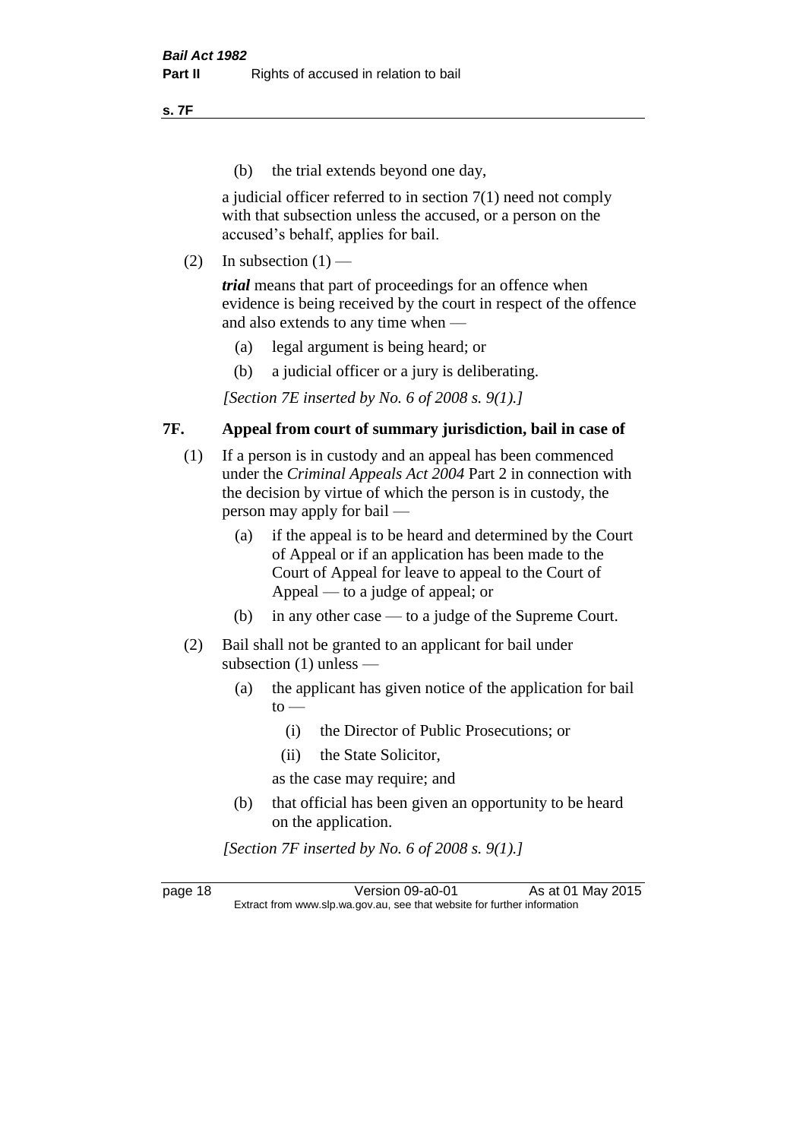**s. 7F**

(b) the trial extends beyond one day,

a judicial officer referred to in section 7(1) need not comply with that subsection unless the accused, or a person on the accused's behalf, applies for bail.

(2) In subsection  $(1)$  —

*trial* means that part of proceedings for an offence when evidence is being received by the court in respect of the offence and also extends to any time when —

- (a) legal argument is being heard; or
- (b) a judicial officer or a jury is deliberating.

*[Section 7E inserted by No. 6 of 2008 s. 9(1).]*

#### **7F. Appeal from court of summary jurisdiction, bail in case of**

- (1) If a person is in custody and an appeal has been commenced under the *Criminal Appeals Act 2004* Part 2 in connection with the decision by virtue of which the person is in custody, the person may apply for bail —
	- (a) if the appeal is to be heard and determined by the Court of Appeal or if an application has been made to the Court of Appeal for leave to appeal to the Court of Appeal — to a judge of appeal; or
	- (b) in any other case to a judge of the Supreme Court.
- (2) Bail shall not be granted to an applicant for bail under subsection (1) unless —
	- (a) the applicant has given notice of the application for bail  $to -$ 
		- (i) the Director of Public Prosecutions; or
		- (ii) the State Solicitor,
		- as the case may require; and
	- (b) that official has been given an opportunity to be heard on the application.

*[Section 7F inserted by No. 6 of 2008 s. 9(1).]*

page 18 Version 09-a0-01 As at 01 May 2015 Extract from www.slp.wa.gov.au, see that website for further information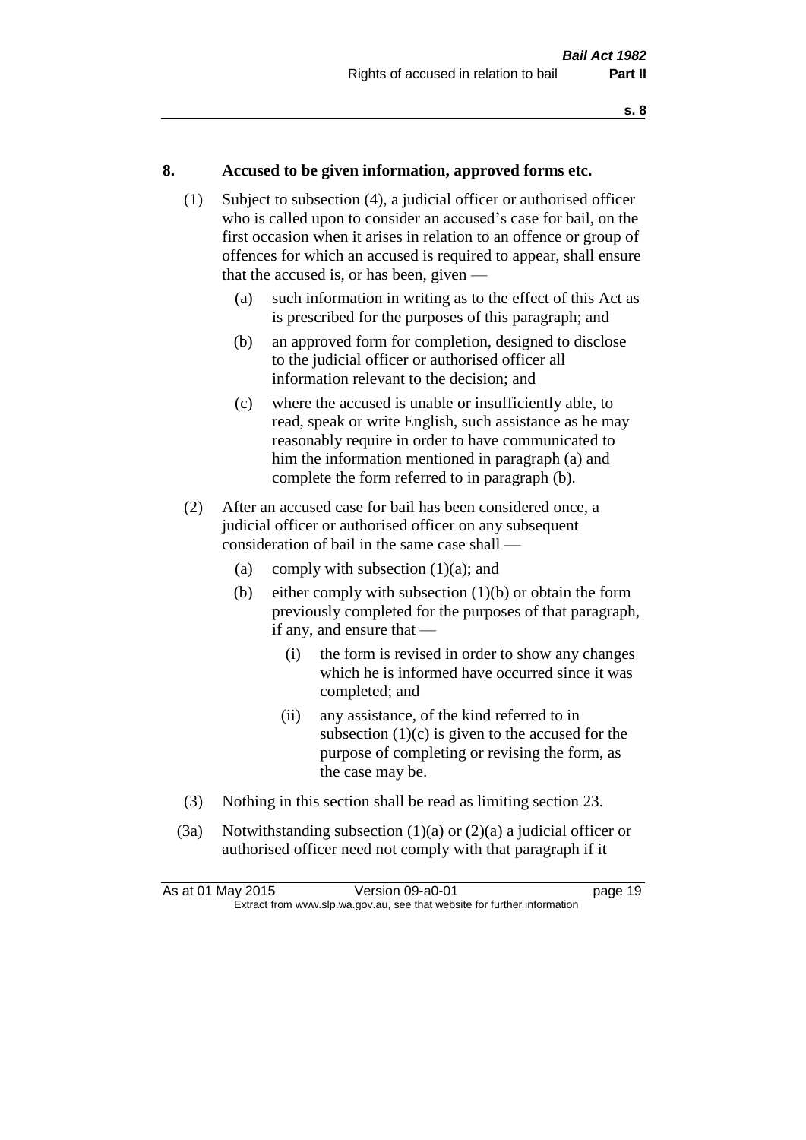#### **8. Accused to be given information, approved forms etc.**

- (1) Subject to subsection (4), a judicial officer or authorised officer who is called upon to consider an accused's case for bail, on the first occasion when it arises in relation to an offence or group of offences for which an accused is required to appear, shall ensure that the accused is, or has been, given —
	- (a) such information in writing as to the effect of this Act as is prescribed for the purposes of this paragraph; and
	- (b) an approved form for completion, designed to disclose to the judicial officer or authorised officer all information relevant to the decision; and
	- (c) where the accused is unable or insufficiently able, to read, speak or write English, such assistance as he may reasonably require in order to have communicated to him the information mentioned in paragraph (a) and complete the form referred to in paragraph (b).
- (2) After an accused case for bail has been considered once, a judicial officer or authorised officer on any subsequent consideration of bail in the same case shall —
	- (a) comply with subsection  $(1)(a)$ ; and
	- (b) either comply with subsection  $(1)(b)$  or obtain the form previously completed for the purposes of that paragraph, if any, and ensure that —
		- (i) the form is revised in order to show any changes which he is informed have occurred since it was completed; and
		- (ii) any assistance, of the kind referred to in subsection  $(1)(c)$  is given to the accused for the purpose of completing or revising the form, as the case may be.
- (3) Nothing in this section shall be read as limiting section 23.
- (3a) Notwithstanding subsection  $(1)(a)$  or  $(2)(a)$  a judicial officer or authorised officer need not comply with that paragraph if it

| As at 01 May 2015 | Version 09-a0-01                                                         | page 19 |
|-------------------|--------------------------------------------------------------------------|---------|
|                   | Extract from www.slp.wa.gov.au, see that website for further information |         |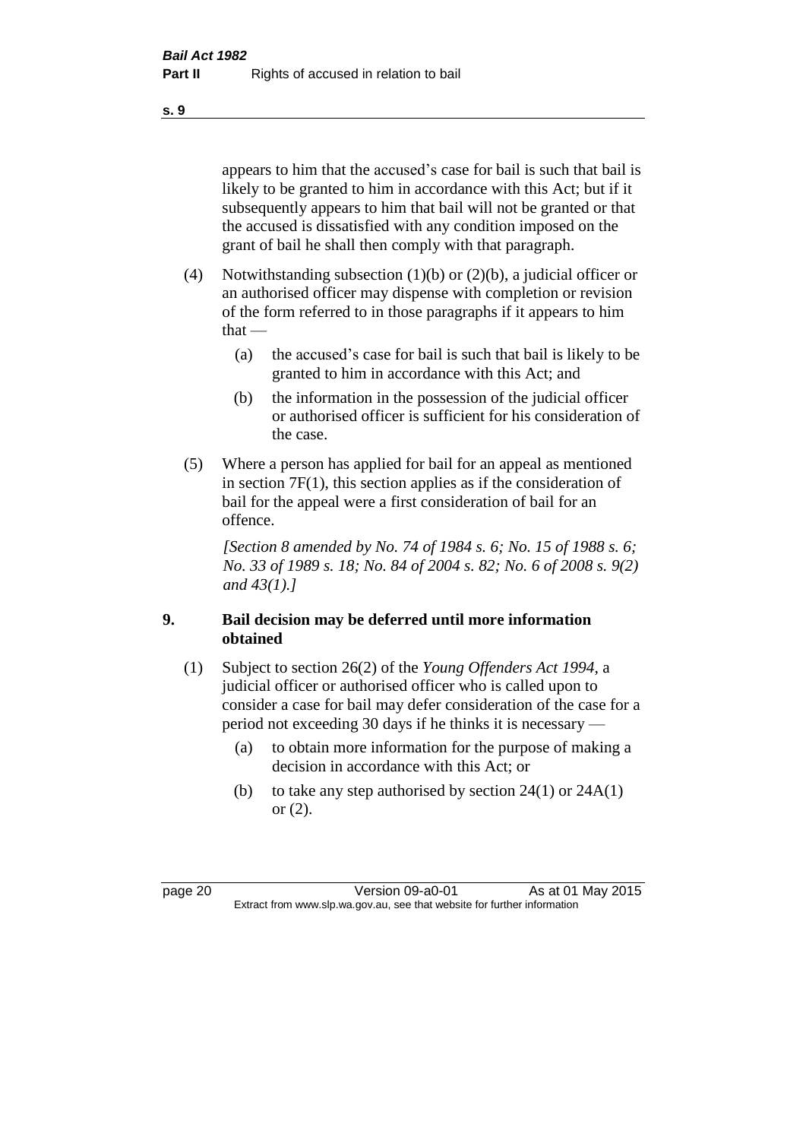appears to him that the accused's case for bail is such that bail is likely to be granted to him in accordance with this Act; but if it subsequently appears to him that bail will not be granted or that the accused is dissatisfied with any condition imposed on the grant of bail he shall then comply with that paragraph.

- (4) Notwithstanding subsection (1)(b) or (2)(b), a judicial officer or an authorised officer may dispense with completion or revision of the form referred to in those paragraphs if it appears to him  $that -$ 
	- (a) the accused's case for bail is such that bail is likely to be granted to him in accordance with this Act; and
	- (b) the information in the possession of the judicial officer or authorised officer is sufficient for his consideration of the case.
- (5) Where a person has applied for bail for an appeal as mentioned in section 7F(1), this section applies as if the consideration of bail for the appeal were a first consideration of bail for an offence.

*[Section 8 amended by No. 74 of 1984 s. 6; No. 15 of 1988 s. 6; No. 33 of 1989 s. 18; No. 84 of 2004 s. 82; No. 6 of 2008 s. 9(2) and 43(1).]* 

#### **9. Bail decision may be deferred until more information obtained**

- (1) Subject to section 26(2) of the *Young Offenders Act 1994*, a judicial officer or authorised officer who is called upon to consider a case for bail may defer consideration of the case for a period not exceeding 30 days if he thinks it is necessary —
	- (a) to obtain more information for the purpose of making a decision in accordance with this Act; or
	- (b) to take any step authorised by section  $24(1)$  or  $24A(1)$ or (2).

page 20 Version 09-a0-01 As at 01 May 2015 Extract from www.slp.wa.gov.au, see that website for further information

**s. 9**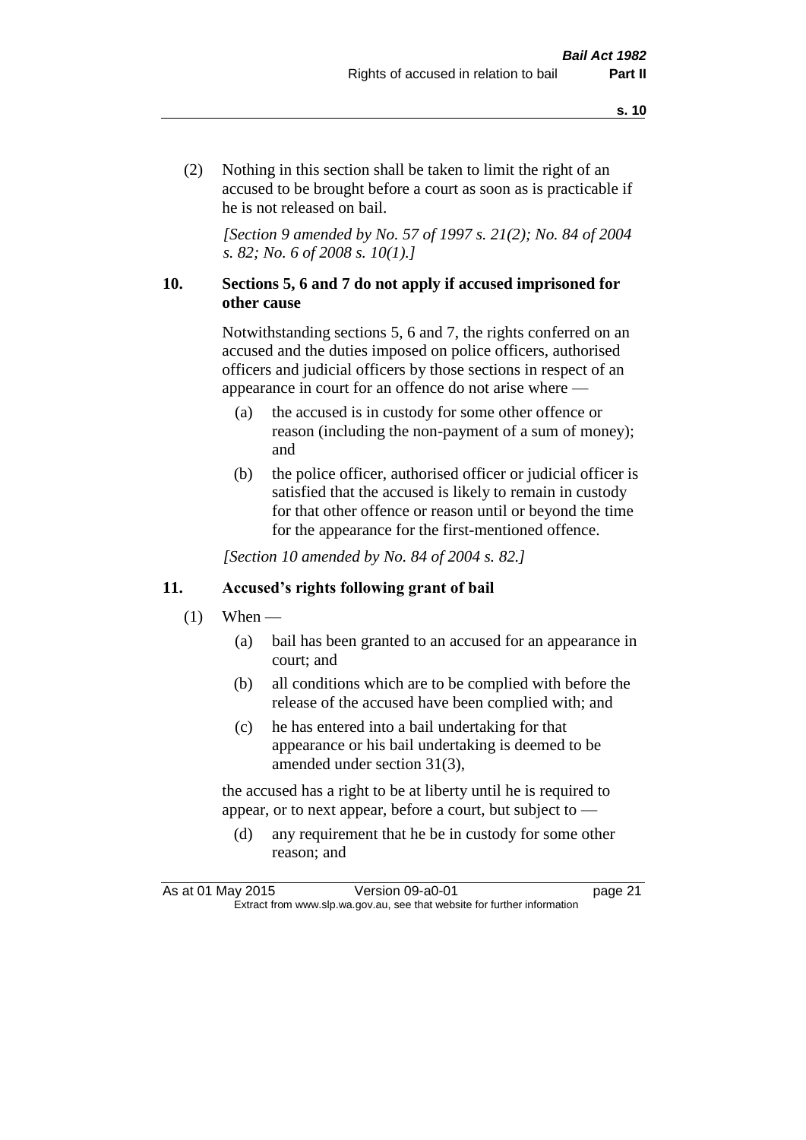(2) Nothing in this section shall be taken to limit the right of an accused to be brought before a court as soon as is practicable if he is not released on bail.

*[Section 9 amended by No. 57 of 1997 s. 21(2); No. 84 of 2004 s. 82; No. 6 of 2008 s. 10(1).]*

#### **10. Sections 5, 6 and 7 do not apply if accused imprisoned for other cause**

Notwithstanding sections 5, 6 and 7, the rights conferred on an accused and the duties imposed on police officers, authorised officers and judicial officers by those sections in respect of an appearance in court for an offence do not arise where —

- (a) the accused is in custody for some other offence or reason (including the non-payment of a sum of money); and
- (b) the police officer, authorised officer or judicial officer is satisfied that the accused is likely to remain in custody for that other offence or reason until or beyond the time for the appearance for the first-mentioned offence.

*[Section 10 amended by No. 84 of 2004 s. 82.]*

#### **11. Accused's rights following grant of bail**

- $(1)$  When
	- (a) bail has been granted to an accused for an appearance in court; and
	- (b) all conditions which are to be complied with before the release of the accused have been complied with; and
	- (c) he has entered into a bail undertaking for that appearance or his bail undertaking is deemed to be amended under section 31(3),

the accused has a right to be at liberty until he is required to appear, or to next appear, before a court, but subject to —

(d) any requirement that he be in custody for some other reason; and

As at 01 May 2015 Version 09-a0-01 Page 21 Extract from www.slp.wa.gov.au, see that website for further information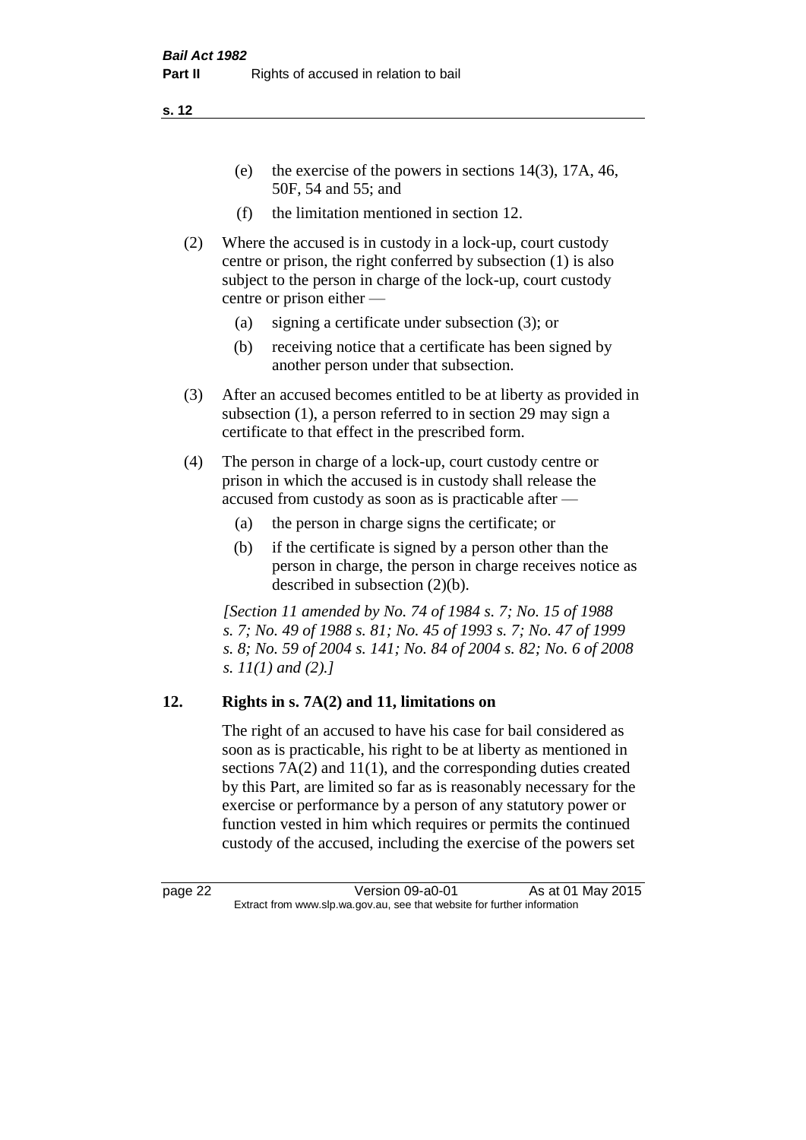- (e) the exercise of the powers in sections 14(3), 17A, 46, 50F, 54 and 55; and
- (f) the limitation mentioned in section 12.
- (2) Where the accused is in custody in a lock-up, court custody centre or prison, the right conferred by subsection (1) is also subject to the person in charge of the lock-up, court custody centre or prison either —
	- (a) signing a certificate under subsection (3); or
	- (b) receiving notice that a certificate has been signed by another person under that subsection.
- (3) After an accused becomes entitled to be at liberty as provided in subsection (1), a person referred to in section 29 may sign a certificate to that effect in the prescribed form.
- (4) The person in charge of a lock-up, court custody centre or prison in which the accused is in custody shall release the accused from custody as soon as is practicable after —
	- (a) the person in charge signs the certificate; or
	- (b) if the certificate is signed by a person other than the person in charge, the person in charge receives notice as described in subsection (2)(b).

*[Section 11 amended by No. 74 of 1984 s. 7; No. 15 of 1988 s. 7; No. 49 of 1988 s. 81; No. 45 of 1993 s. 7; No. 47 of 1999 s. 8; No. 59 of 2004 s. 141; No. 84 of 2004 s. 82; No. 6 of 2008 s. 11(1) and (2).]* 

## **12. Rights in s. 7A(2) and 11, limitations on**

The right of an accused to have his case for bail considered as soon as is practicable, his right to be at liberty as mentioned in sections 7A(2) and 11(1), and the corresponding duties created by this Part, are limited so far as is reasonably necessary for the exercise or performance by a person of any statutory power or function vested in him which requires or permits the continued custody of the accused, including the exercise of the powers set

page 22 Version 09-a0-01 As at 01 May 2015 Extract from www.slp.wa.gov.au, see that website for further information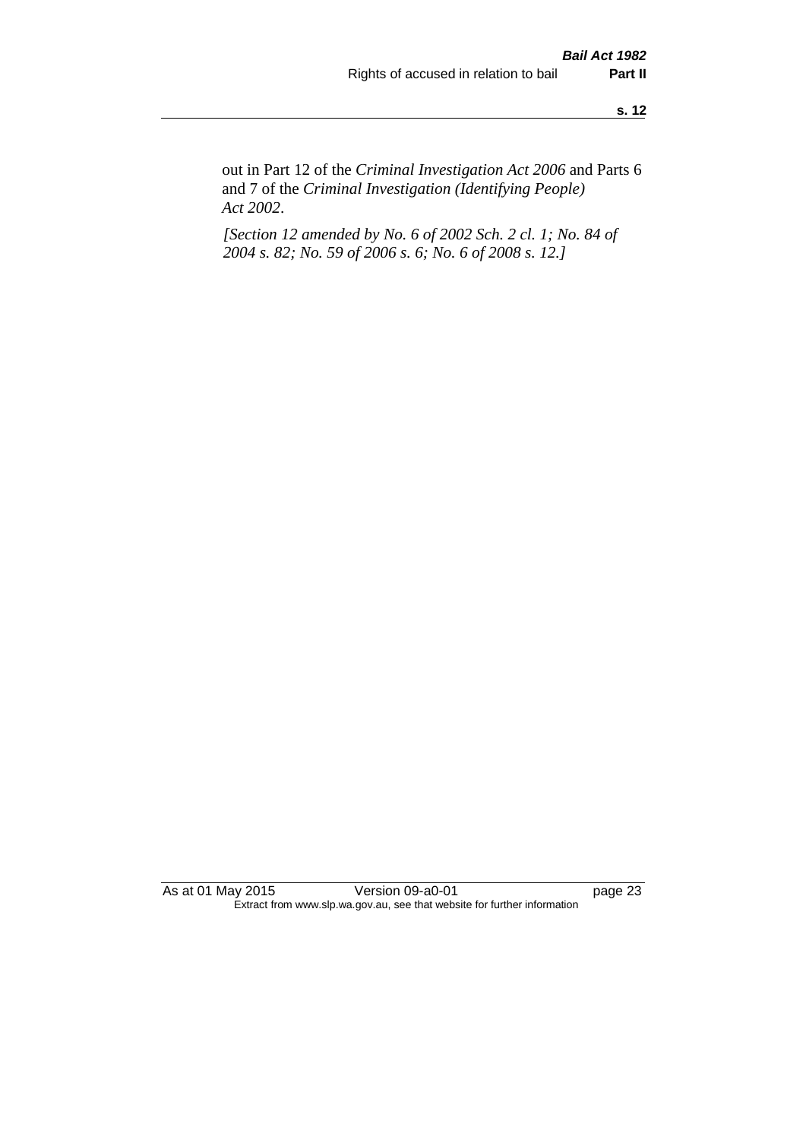out in Part 12 of the *Criminal Investigation Act 2006* and Parts 6 and 7 of the *Criminal Investigation (Identifying People) Act 2002*.

*[Section 12 amended by No. 6 of 2002 Sch. 2 cl. 1; No. 84 of 2004 s. 82; No. 59 of 2006 s. 6; No. 6 of 2008 s. 12.]*

As at 01 May 2015 Version 09-a0-01 Page 23 Extract from www.slp.wa.gov.au, see that website for further information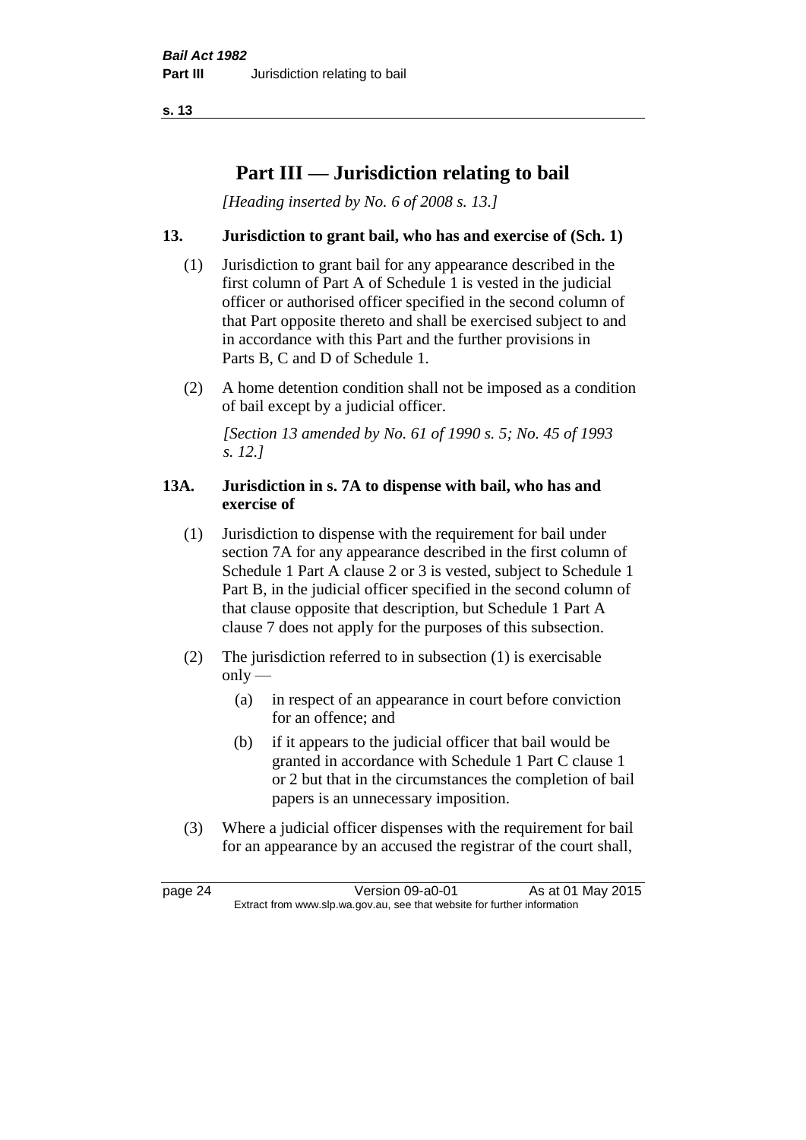# **Part III — Jurisdiction relating to bail**

*[Heading inserted by No. 6 of 2008 s. 13.]*

### **13. Jurisdiction to grant bail, who has and exercise of (Sch. 1)**

- (1) Jurisdiction to grant bail for any appearance described in the first column of Part A of Schedule 1 is vested in the judicial officer or authorised officer specified in the second column of that Part opposite thereto and shall be exercised subject to and in accordance with this Part and the further provisions in Parts B, C and D of Schedule 1.
- (2) A home detention condition shall not be imposed as a condition of bail except by a judicial officer.

*[Section 13 amended by No. 61 of 1990 s. 5; No. 45 of 1993 s. 12.]* 

#### **13A. Jurisdiction in s. 7A to dispense with bail, who has and exercise of**

- (1) Jurisdiction to dispense with the requirement for bail under section 7A for any appearance described in the first column of Schedule 1 Part A clause 2 or 3 is vested, subject to Schedule 1 Part B, in the judicial officer specified in the second column of that clause opposite that description, but Schedule 1 Part A clause 7 does not apply for the purposes of this subsection.
- (2) The jurisdiction referred to in subsection (1) is exercisable  $only$ —
	- (a) in respect of an appearance in court before conviction for an offence; and
	- (b) if it appears to the judicial officer that bail would be granted in accordance with Schedule 1 Part C clause 1 or 2 but that in the circumstances the completion of bail papers is an unnecessary imposition.
- (3) Where a judicial officer dispenses with the requirement for bail for an appearance by an accused the registrar of the court shall,

page 24 Version 09-a0-01 As at 01 May 2015 Extract from www.slp.wa.gov.au, see that website for further information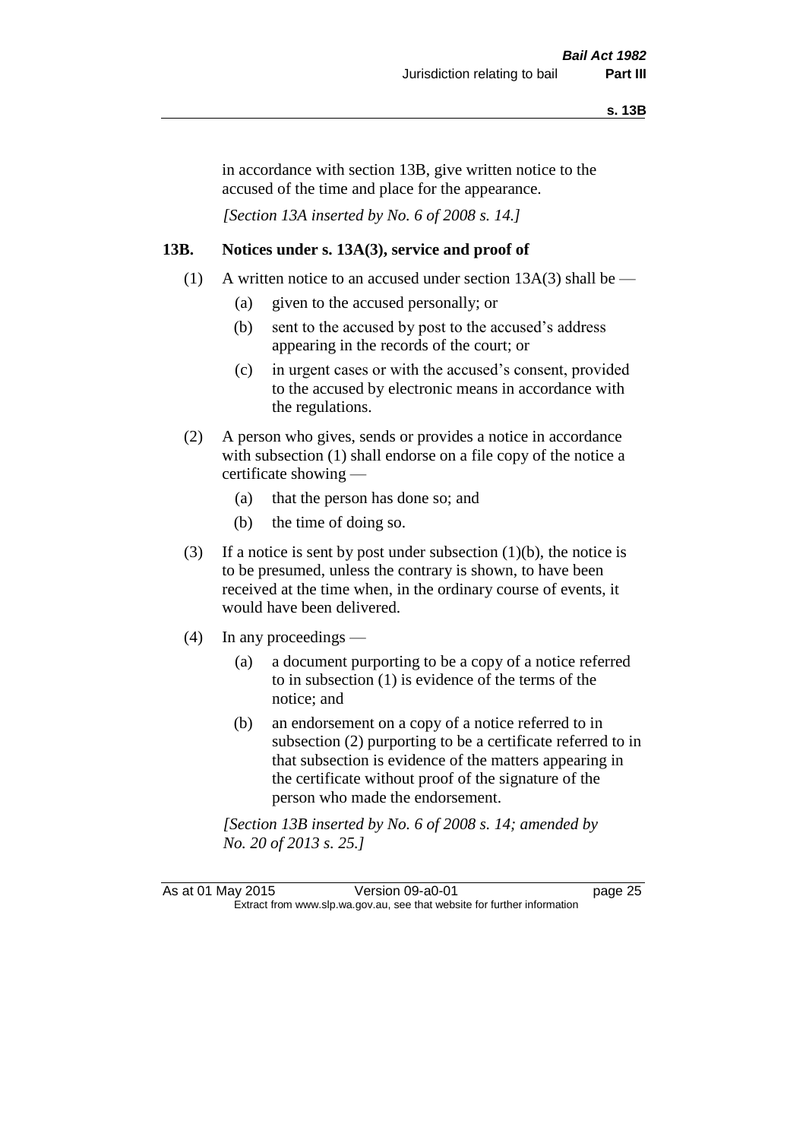in accordance with section 13B, give written notice to the accused of the time and place for the appearance.

*[Section 13A inserted by No. 6 of 2008 s. 14.]*

#### **13B. Notices under s. 13A(3), service and proof of**

- (1) A written notice to an accused under section  $13A(3)$  shall be
	- (a) given to the accused personally; or
	- (b) sent to the accused by post to the accused's address appearing in the records of the court; or
	- (c) in urgent cases or with the accused's consent, provided to the accused by electronic means in accordance with the regulations.
- (2) A person who gives, sends or provides a notice in accordance with subsection (1) shall endorse on a file copy of the notice a certificate showing —
	- (a) that the person has done so; and
	- (b) the time of doing so.
- (3) If a notice is sent by post under subsection  $(1)(b)$ , the notice is to be presumed, unless the contrary is shown, to have been received at the time when, in the ordinary course of events, it would have been delivered.
- (4) In any proceedings
	- (a) a document purporting to be a copy of a notice referred to in subsection (1) is evidence of the terms of the notice; and
	- (b) an endorsement on a copy of a notice referred to in subsection (2) purporting to be a certificate referred to in that subsection is evidence of the matters appearing in the certificate without proof of the signature of the person who made the endorsement.

*[Section 13B inserted by No. 6 of 2008 s. 14; amended by No. 20 of 2013 s. 25.]*

As at 01 May 2015 Version 09-a0-01 Page 25 Extract from www.slp.wa.gov.au, see that website for further information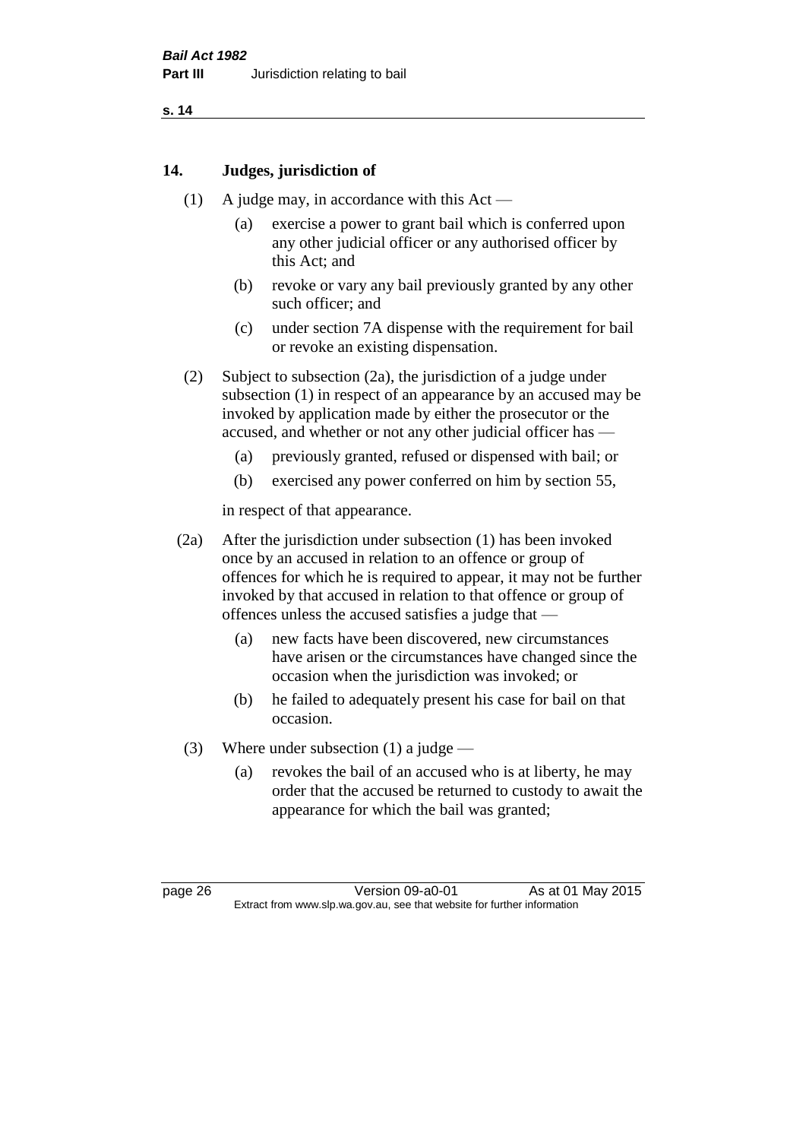#### **14. Judges, jurisdiction of**

- (1) A judge may, in accordance with this Act
	- (a) exercise a power to grant bail which is conferred upon any other judicial officer or any authorised officer by this Act; and
	- (b) revoke or vary any bail previously granted by any other such officer; and
	- (c) under section 7A dispense with the requirement for bail or revoke an existing dispensation.
- (2) Subject to subsection (2a), the jurisdiction of a judge under subsection (1) in respect of an appearance by an accused may be invoked by application made by either the prosecutor or the accused, and whether or not any other judicial officer has —
	- (a) previously granted, refused or dispensed with bail; or
	- (b) exercised any power conferred on him by section 55,

in respect of that appearance.

- (2a) After the jurisdiction under subsection (1) has been invoked once by an accused in relation to an offence or group of offences for which he is required to appear, it may not be further invoked by that accused in relation to that offence or group of offences unless the accused satisfies a judge that —
	- (a) new facts have been discovered, new circumstances have arisen or the circumstances have changed since the occasion when the jurisdiction was invoked; or
	- (b) he failed to adequately present his case for bail on that occasion.
- (3) Where under subsection (1) a judge
	- (a) revokes the bail of an accused who is at liberty, he may order that the accused be returned to custody to await the appearance for which the bail was granted;

page 26 Version 09-a0-01 As at 01 May 2015 Extract from www.slp.wa.gov.au, see that website for further information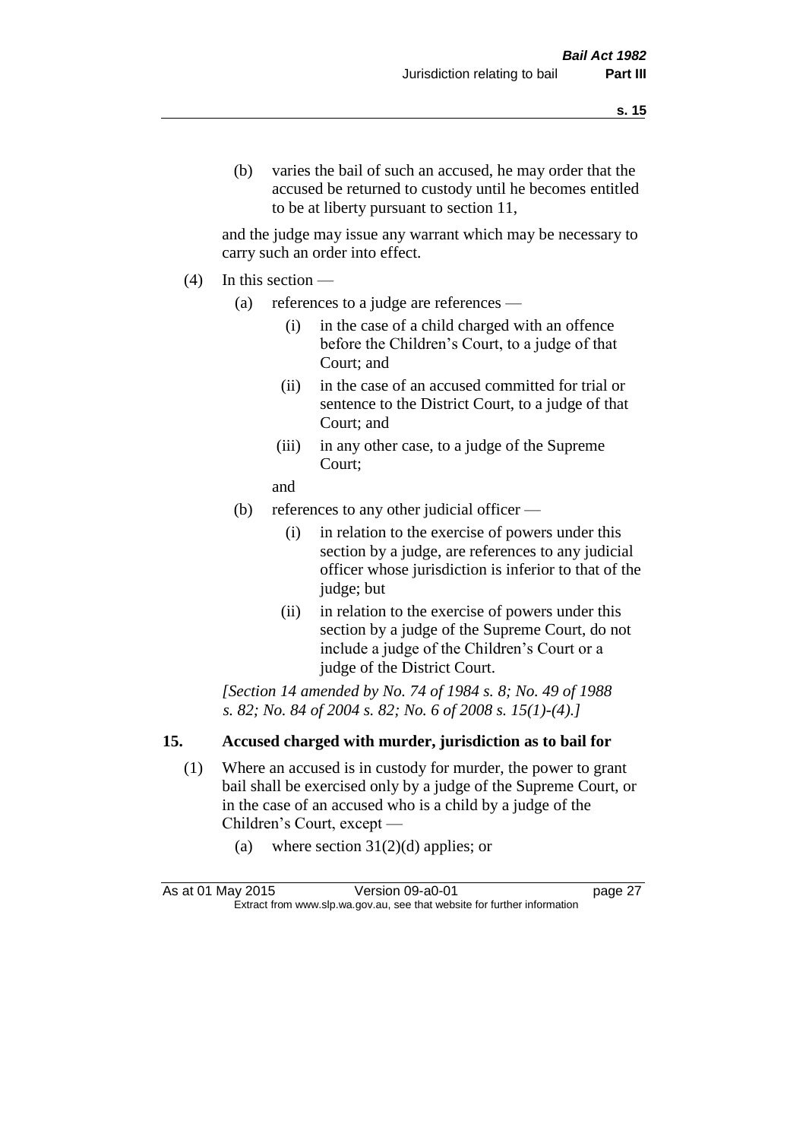and the judge may issue any warrant which may be necessary to carry such an order into effect.

- (4) In this section
	- (a) references to a judge are references
		- (i) in the case of a child charged with an offence before the Children's Court, to a judge of that Court; and
		- (ii) in the case of an accused committed for trial or sentence to the District Court, to a judge of that Court; and
		- (iii) in any other case, to a judge of the Supreme Court;
		- and
	- (b) references to any other judicial officer
		- (i) in relation to the exercise of powers under this section by a judge, are references to any judicial officer whose jurisdiction is inferior to that of the judge; but
		- (ii) in relation to the exercise of powers under this section by a judge of the Supreme Court, do not include a judge of the Children's Court or a judge of the District Court.

*[Section 14 amended by No. 74 of 1984 s. 8; No. 49 of 1988 s. 82; No. 84 of 2004 s. 82; No. 6 of 2008 s. 15(1)-(4).]* 

# **15. Accused charged with murder, jurisdiction as to bail for**

- (1) Where an accused is in custody for murder, the power to grant bail shall be exercised only by a judge of the Supreme Court, or in the case of an accused who is a child by a judge of the Children's Court, except —
	- (a) where section  $31(2)(d)$  applies; or

| As at 01 May 2015                                                        | Version 09-a0-01 | page 27 |
|--------------------------------------------------------------------------|------------------|---------|
| Extract from www.slp.wa.gov.au, see that website for further information |                  |         |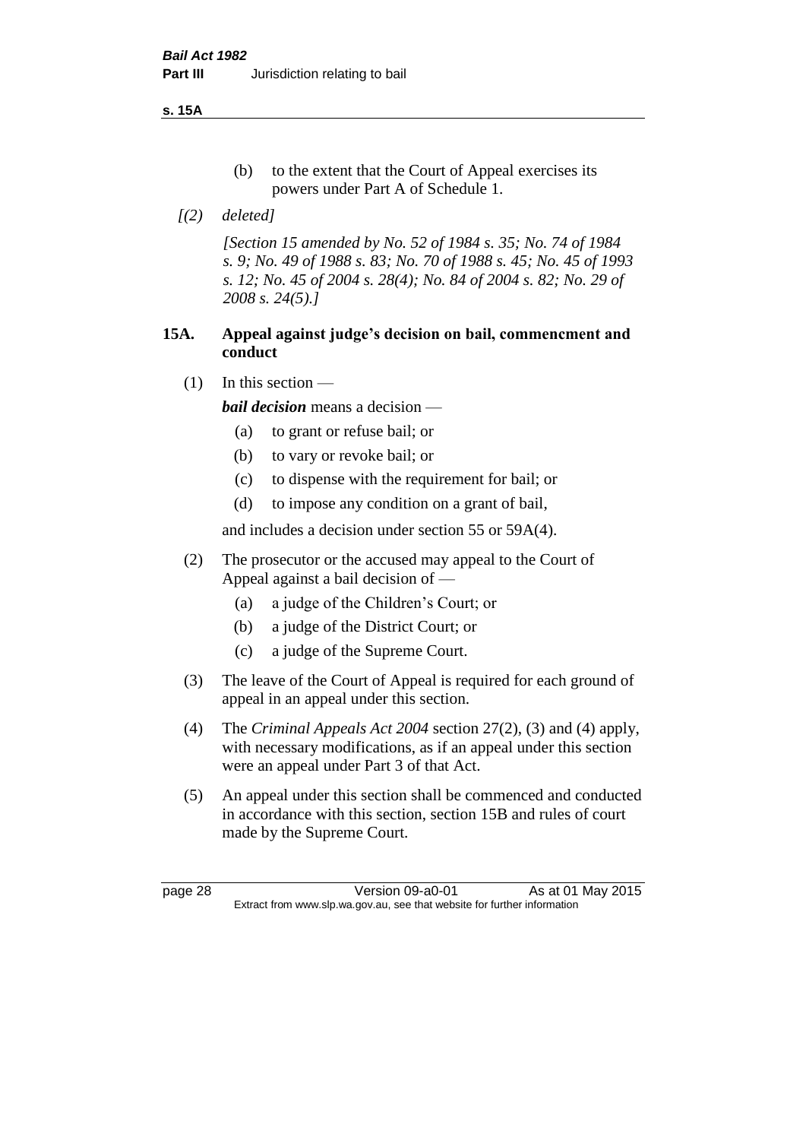**s. 15A**

- (b) to the extent that the Court of Appeal exercises its powers under Part A of Schedule 1.
- *[(2) deleted]*

*[Section 15 amended by No. 52 of 1984 s. 35; No. 74 of 1984 s. 9; No. 49 of 1988 s. 83; No. 70 of 1988 s. 45; No. 45 of 1993 s. 12; No. 45 of 2004 s. 28(4); No. 84 of 2004 s. 82; No. 29 of 2008 s. 24(5).]* 

### **15A. Appeal against judge's decision on bail, commencment and conduct**

 $(1)$  In this section —

*bail decision* means a decision —

- (a) to grant or refuse bail; or
- (b) to vary or revoke bail; or
- (c) to dispense with the requirement for bail; or
- (d) to impose any condition on a grant of bail,

and includes a decision under section 55 or 59A(4).

- (2) The prosecutor or the accused may appeal to the Court of Appeal against a bail decision of —
	- (a) a judge of the Children's Court; or
	- (b) a judge of the District Court; or
	- (c) a judge of the Supreme Court.
- (3) The leave of the Court of Appeal is required for each ground of appeal in an appeal under this section.
- (4) The *Criminal Appeals Act 2004* section 27(2), (3) and (4) apply, with necessary modifications, as if an appeal under this section were an appeal under Part 3 of that Act.
- (5) An appeal under this section shall be commenced and conducted in accordance with this section, section 15B and rules of court made by the Supreme Court.

page 28 Version 09-a0-01 As at 01 May 2015 Extract from www.slp.wa.gov.au, see that website for further information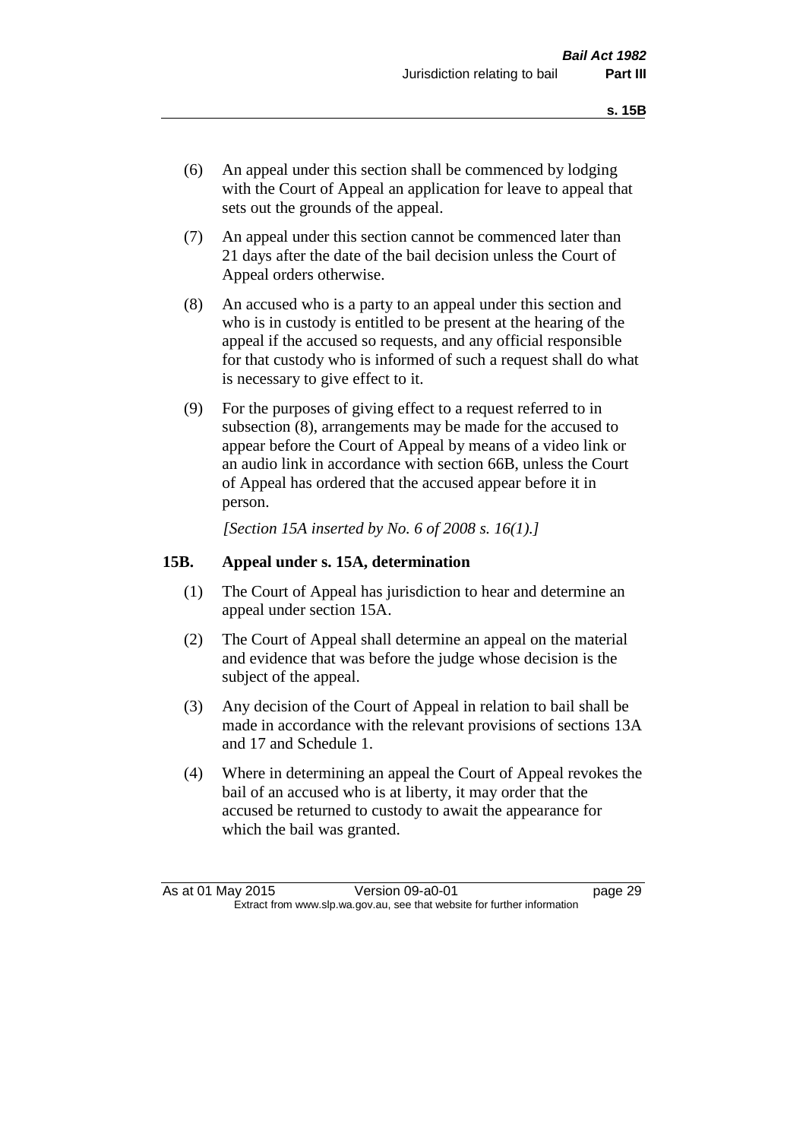- (6) An appeal under this section shall be commenced by lodging with the Court of Appeal an application for leave to appeal that sets out the grounds of the appeal.
- (7) An appeal under this section cannot be commenced later than 21 days after the date of the bail decision unless the Court of Appeal orders otherwise.
- (8) An accused who is a party to an appeal under this section and who is in custody is entitled to be present at the hearing of the appeal if the accused so requests, and any official responsible for that custody who is informed of such a request shall do what is necessary to give effect to it.
- (9) For the purposes of giving effect to a request referred to in subsection (8), arrangements may be made for the accused to appear before the Court of Appeal by means of a video link or an audio link in accordance with section 66B, unless the Court of Appeal has ordered that the accused appear before it in person.

*[Section 15A inserted by No. 6 of 2008 s. 16(1).]*

#### **15B. Appeal under s. 15A, determination**

- (1) The Court of Appeal has jurisdiction to hear and determine an appeal under section 15A.
- (2) The Court of Appeal shall determine an appeal on the material and evidence that was before the judge whose decision is the subject of the appeal.
- (3) Any decision of the Court of Appeal in relation to bail shall be made in accordance with the relevant provisions of sections 13A and 17 and Schedule 1.
- (4) Where in determining an appeal the Court of Appeal revokes the bail of an accused who is at liberty, it may order that the accused be returned to custody to await the appearance for which the bail was granted.

As at 01 May 2015 Version 09-a0-01 Page 29 Extract from www.slp.wa.gov.au, see that website for further information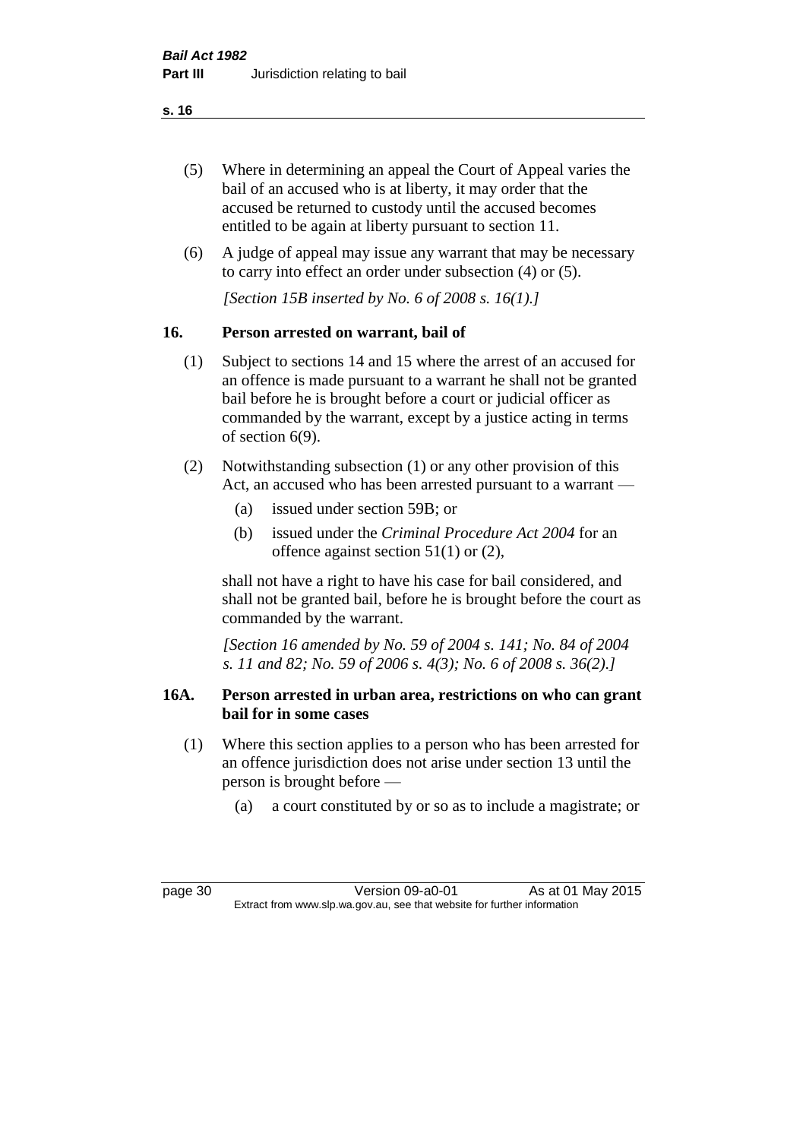- (5) Where in determining an appeal the Court of Appeal varies the bail of an accused who is at liberty, it may order that the accused be returned to custody until the accused becomes entitled to be again at liberty pursuant to section 11.
- (6) A judge of appeal may issue any warrant that may be necessary to carry into effect an order under subsection (4) or (5).

*[Section 15B inserted by No. 6 of 2008 s. 16(1).]*

### **16. Person arrested on warrant, bail of**

- (1) Subject to sections 14 and 15 where the arrest of an accused for an offence is made pursuant to a warrant he shall not be granted bail before he is brought before a court or judicial officer as commanded by the warrant, except by a justice acting in terms of section 6(9).
- (2) Notwithstanding subsection (1) or any other provision of this Act, an accused who has been arrested pursuant to a warrant —
	- (a) issued under section 59B; or
	- (b) issued under the *Criminal Procedure Act 2004* for an offence against section 51(1) or (2),

shall not have a right to have his case for bail considered, and shall not be granted bail, before he is brought before the court as commanded by the warrant.

*[Section 16 amended by No. 59 of 2004 s. 141; No. 84 of 2004 s. 11 and 82; No. 59 of 2006 s. 4(3); No. 6 of 2008 s. 36(2).]*

#### **16A. Person arrested in urban area, restrictions on who can grant bail for in some cases**

- (1) Where this section applies to a person who has been arrested for an offence jurisdiction does not arise under section 13 until the person is brought before —
	- (a) a court constituted by or so as to include a magistrate; or

page 30 Version 09-a0-01 As at 01 May 2015 Extract from www.slp.wa.gov.au, see that website for further information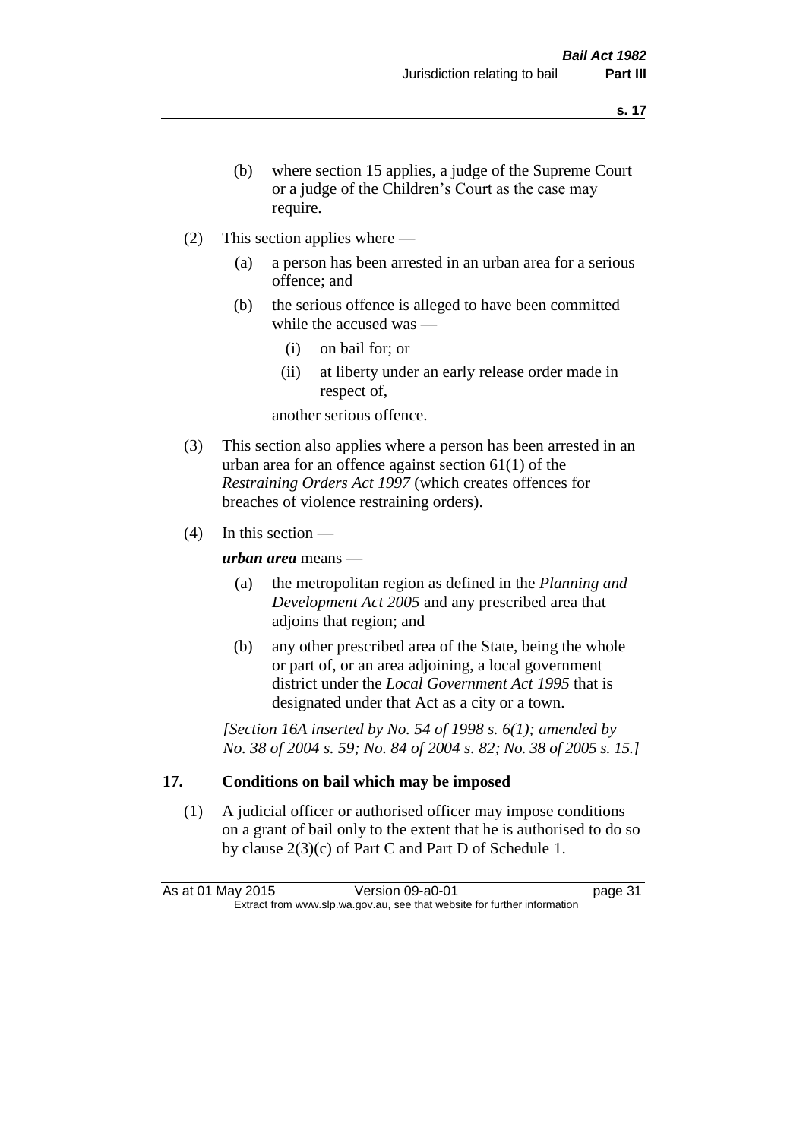- (b) where section 15 applies, a judge of the Supreme Court or a judge of the Children's Court as the case may require.
- (2) This section applies where
	- (a) a person has been arrested in an urban area for a serious offence; and
	- (b) the serious offence is alleged to have been committed while the accused was —
		- (i) on bail for; or
		- (ii) at liberty under an early release order made in respect of,

another serious offence.

- (3) This section also applies where a person has been arrested in an urban area for an offence against section 61(1) of the *Restraining Orders Act 1997* (which creates offences for breaches of violence restraining orders).
- (4) In this section —

*urban area* means —

- (a) the metropolitan region as defined in the *Planning and Development Act 2005* and any prescribed area that adjoins that region; and
- (b) any other prescribed area of the State, being the whole or part of, or an area adjoining, a local government district under the *Local Government Act 1995* that is designated under that Act as a city or a town.

*[Section 16A inserted by No. 54 of 1998 s. 6(1); amended by No. 38 of 2004 s. 59; No. 84 of 2004 s. 82; No. 38 of 2005 s. 15.]*

# **17. Conditions on bail which may be imposed**

(1) A judicial officer or authorised officer may impose conditions on a grant of bail only to the extent that he is authorised to do so by clause 2(3)(c) of Part C and Part D of Schedule 1.

As at 01 May 2015 Version 09-a0-01 page 31 Extract from www.slp.wa.gov.au, see that website for further information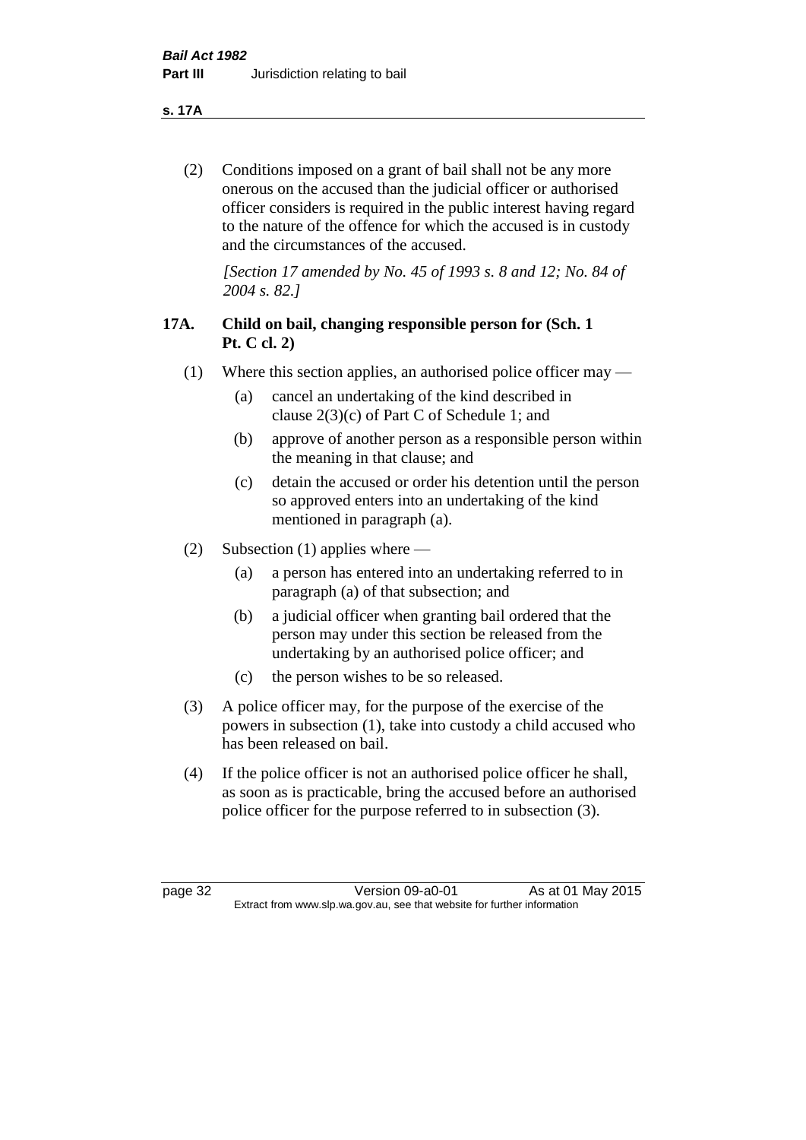**s. 17A**

(2) Conditions imposed on a grant of bail shall not be any more onerous on the accused than the judicial officer or authorised officer considers is required in the public interest having regard to the nature of the offence for which the accused is in custody and the circumstances of the accused.

*[Section 17 amended by No. 45 of 1993 s. 8 and 12; No. 84 of 2004 s. 82.]* 

# **17A. Child on bail, changing responsible person for (Sch. 1 Pt. C cl. 2)**

- (1) Where this section applies, an authorised police officer may
	- (a) cancel an undertaking of the kind described in clause 2(3)(c) of Part C of Schedule 1; and
	- (b) approve of another person as a responsible person within the meaning in that clause; and
	- (c) detain the accused or order his detention until the person so approved enters into an undertaking of the kind mentioned in paragraph (a).
- (2) Subsection (1) applies where
	- (a) a person has entered into an undertaking referred to in paragraph (a) of that subsection; and
	- (b) a judicial officer when granting bail ordered that the person may under this section be released from the undertaking by an authorised police officer; and
	- (c) the person wishes to be so released.
- (3) A police officer may, for the purpose of the exercise of the powers in subsection (1), take into custody a child accused who has been released on bail.
- (4) If the police officer is not an authorised police officer he shall, as soon as is practicable, bring the accused before an authorised police officer for the purpose referred to in subsection (3).

page 32 Version 09-a0-01 As at 01 May 2015 Extract from www.slp.wa.gov.au, see that website for further information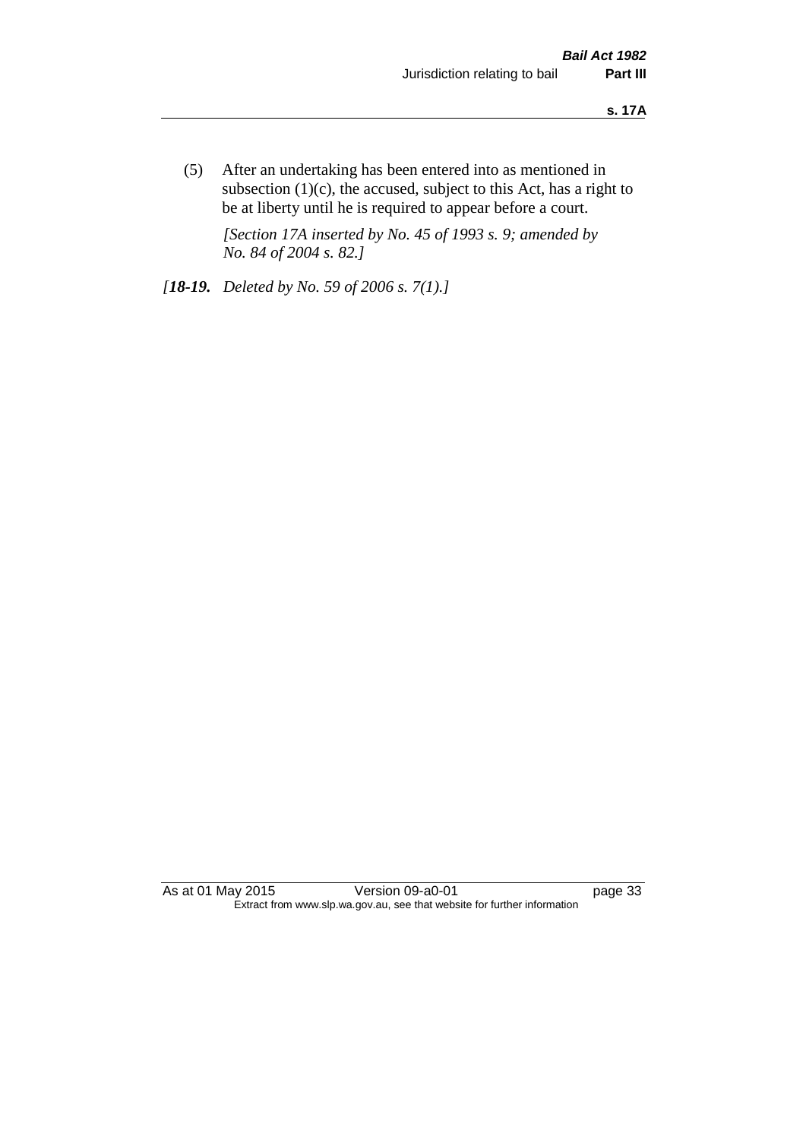(5) After an undertaking has been entered into as mentioned in subsection  $(1)(c)$ , the accused, subject to this Act, has a right to be at liberty until he is required to appear before a court.

*[Section 17A inserted by No. 45 of 1993 s. 9; amended by No. 84 of 2004 s. 82.]* 

*[18-19. Deleted by No. 59 of 2006 s. 7(1).]*

As at 01 May 2015 Version 09-a0-01 Page 33 Extract from www.slp.wa.gov.au, see that website for further information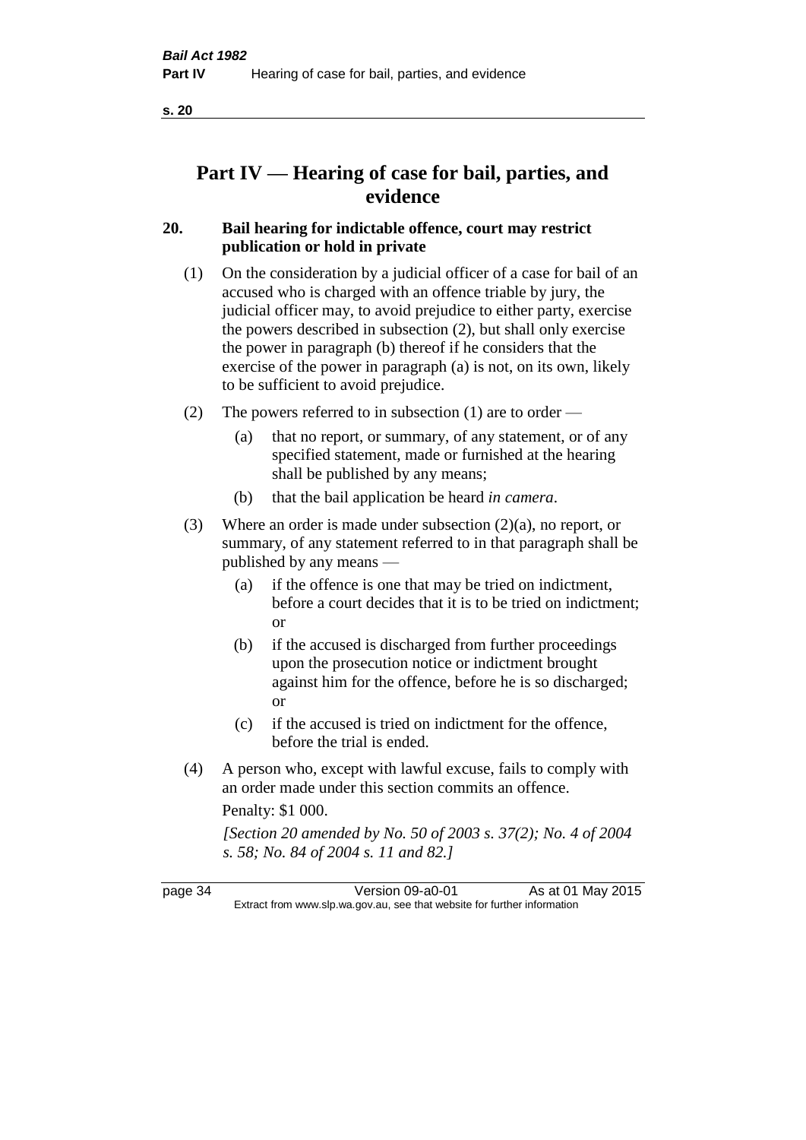# **Part IV — Hearing of case for bail, parties, and evidence**

# **20. Bail hearing for indictable offence, court may restrict publication or hold in private**

- (1) On the consideration by a judicial officer of a case for bail of an accused who is charged with an offence triable by jury, the judicial officer may, to avoid prejudice to either party, exercise the powers described in subsection (2), but shall only exercise the power in paragraph (b) thereof if he considers that the exercise of the power in paragraph (a) is not, on its own, likely to be sufficient to avoid prejudice.
- (2) The powers referred to in subsection (1) are to order
	- (a) that no report, or summary, of any statement, or of any specified statement, made or furnished at the hearing shall be published by any means;
	- (b) that the bail application be heard *in camera*.
- (3) Where an order is made under subsection (2)(a), no report, or summary, of any statement referred to in that paragraph shall be published by any means —
	- (a) if the offence is one that may be tried on indictment, before a court decides that it is to be tried on indictment; or
	- (b) if the accused is discharged from further proceedings upon the prosecution notice or indictment brought against him for the offence, before he is so discharged; or
	- (c) if the accused is tried on indictment for the offence, before the trial is ended.
- (4) A person who, except with lawful excuse, fails to comply with an order made under this section commits an offence.

Penalty: \$1 000.

*[Section 20 amended by No. 50 of 2003 s. 37(2); No. 4 of 2004 s. 58; No. 84 of 2004 s. 11 and 82.]*

page 34 Version 09-a0-01 As at 01 May 2015 Extract from www.slp.wa.gov.au, see that website for further information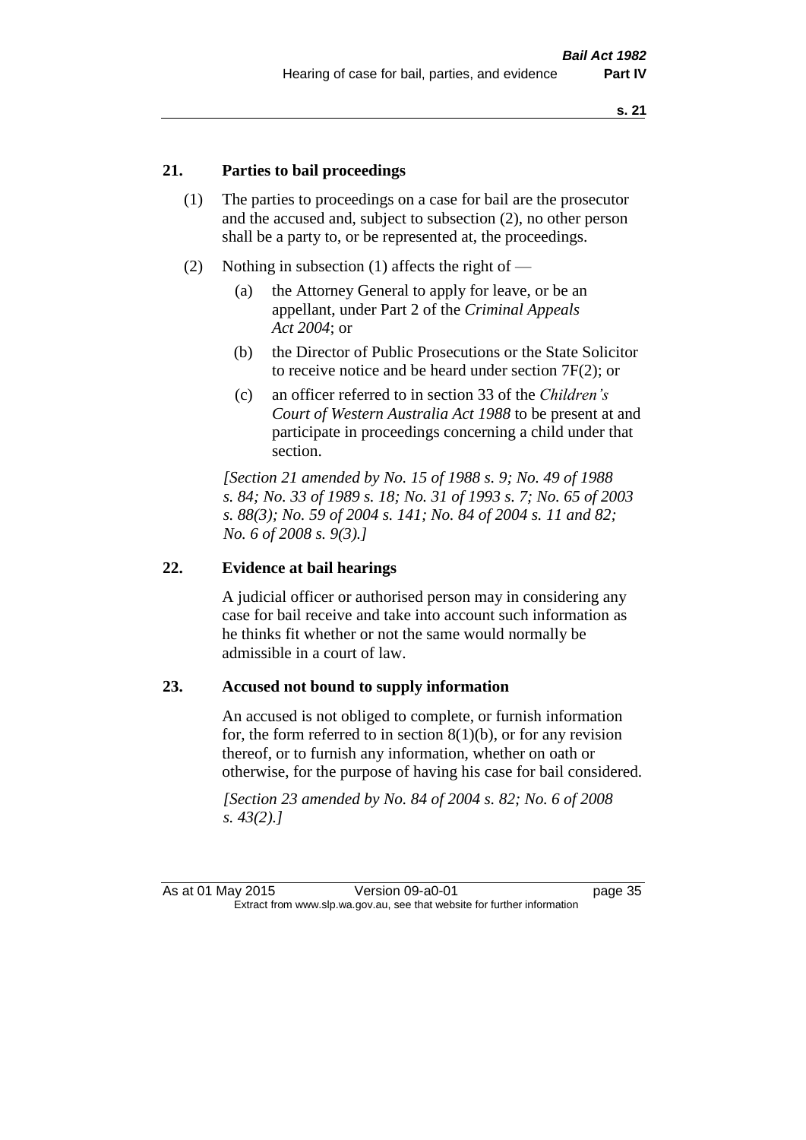#### **21. Parties to bail proceedings**

- (1) The parties to proceedings on a case for bail are the prosecutor and the accused and, subject to subsection (2), no other person shall be a party to, or be represented at, the proceedings.
- (2) Nothing in subsection (1) affects the right of
	- (a) the Attorney General to apply for leave, or be an appellant, under Part 2 of the *Criminal Appeals Act 2004*; or
	- (b) the Director of Public Prosecutions or the State Solicitor to receive notice and be heard under section 7F(2); or
	- (c) an officer referred to in section 33 of the *Children's Court of Western Australia Act 1988* to be present at and participate in proceedings concerning a child under that section.

*[Section 21 amended by No. 15 of 1988 s. 9; No. 49 of 1988 s. 84; No. 33 of 1989 s. 18; No. 31 of 1993 s. 7; No. 65 of 2003 s. 88(3); No. 59 of 2004 s. 141; No. 84 of 2004 s. 11 and 82; No. 6 of 2008 s. 9(3).]* 

#### **22. Evidence at bail hearings**

A judicial officer or authorised person may in considering any case for bail receive and take into account such information as he thinks fit whether or not the same would normally be admissible in a court of law.

#### **23. Accused not bound to supply information**

An accused is not obliged to complete, or furnish information for, the form referred to in section  $8(1)(b)$ , or for any revision thereof, or to furnish any information, whether on oath or otherwise, for the purpose of having his case for bail considered.

*[Section 23 amended by No. 84 of 2004 s. 82; No. 6 of 2008 s. 43(2).]*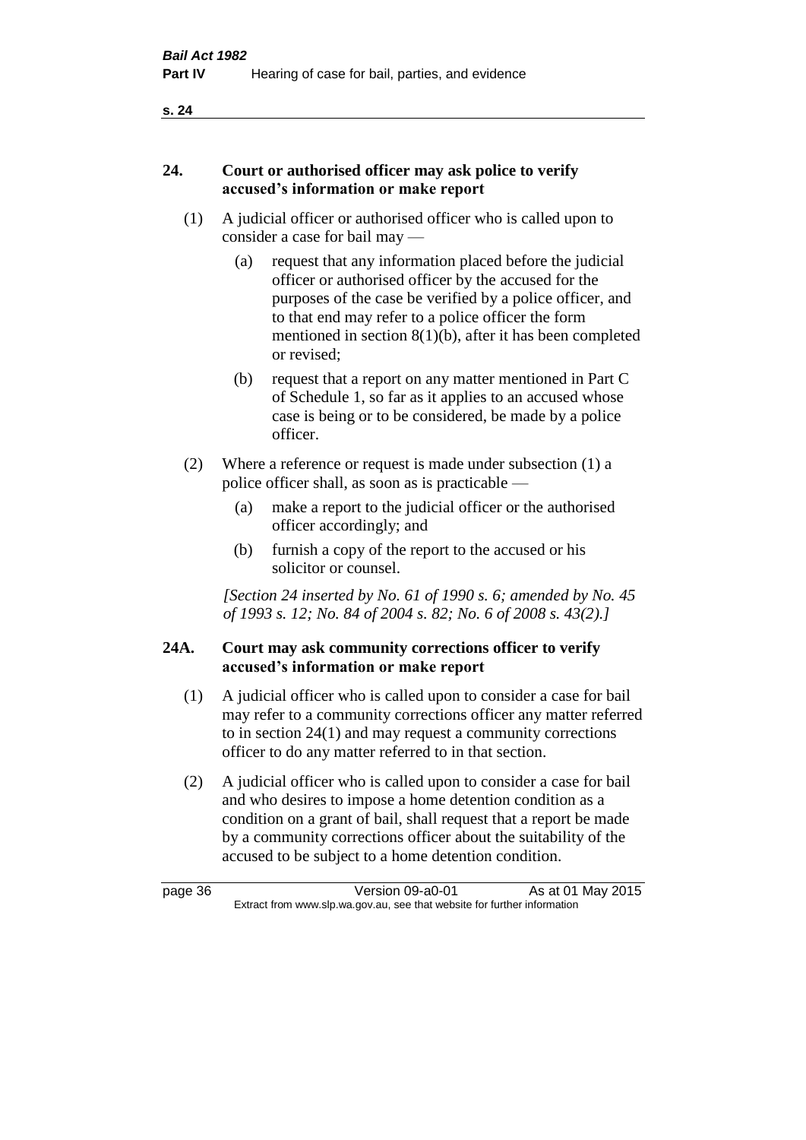#### **24. Court or authorised officer may ask police to verify accused's information or make report**

- (1) A judicial officer or authorised officer who is called upon to consider a case for bail may —
	- (a) request that any information placed before the judicial officer or authorised officer by the accused for the purposes of the case be verified by a police officer, and to that end may refer to a police officer the form mentioned in section 8(1)(b), after it has been completed or revised;
	- (b) request that a report on any matter mentioned in Part C of Schedule 1, so far as it applies to an accused whose case is being or to be considered, be made by a police officer.
- (2) Where a reference or request is made under subsection (1) a police officer shall, as soon as is practicable —
	- (a) make a report to the judicial officer or the authorised officer accordingly; and
	- (b) furnish a copy of the report to the accused or his solicitor or counsel.

*[Section 24 inserted by No. 61 of 1990 s. 6; amended by No. 45 of 1993 s. 12; No. 84 of 2004 s. 82; No. 6 of 2008 s. 43(2).]* 

### **24A. Court may ask community corrections officer to verify accused's information or make report**

- (1) A judicial officer who is called upon to consider a case for bail may refer to a community corrections officer any matter referred to in section 24(1) and may request a community corrections officer to do any matter referred to in that section.
- (2) A judicial officer who is called upon to consider a case for bail and who desires to impose a home detention condition as a condition on a grant of bail, shall request that a report be made by a community corrections officer about the suitability of the accused to be subject to a home detention condition.

page 36 Version 09-a0-01 As at 01 May 2015 Extract from www.slp.wa.gov.au, see that website for further information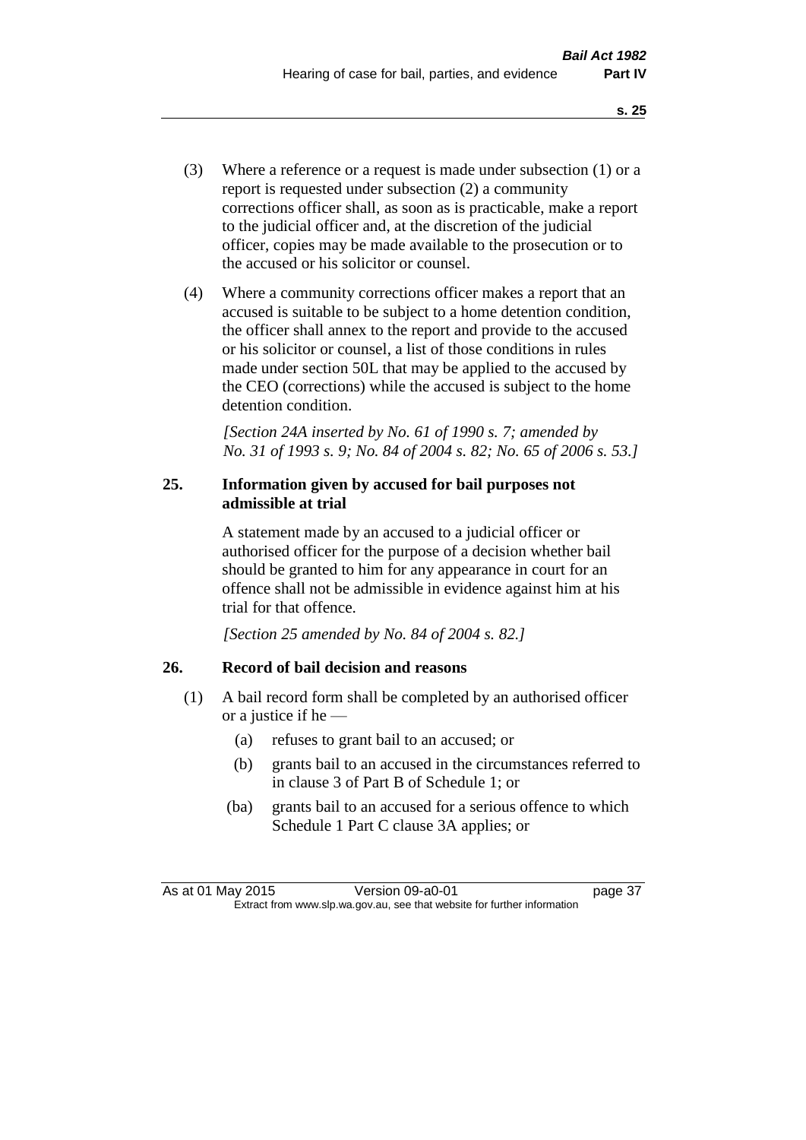- (3) Where a reference or a request is made under subsection (1) or a report is requested under subsection (2) a community corrections officer shall, as soon as is practicable, make a report to the judicial officer and, at the discretion of the judicial officer, copies may be made available to the prosecution or to the accused or his solicitor or counsel.
- (4) Where a community corrections officer makes a report that an accused is suitable to be subject to a home detention condition, the officer shall annex to the report and provide to the accused or his solicitor or counsel, a list of those conditions in rules made under section 50L that may be applied to the accused by the CEO (corrections) while the accused is subject to the home detention condition.

*[Section 24A inserted by No. 61 of 1990 s. 7; amended by No. 31 of 1993 s. 9; No. 84 of 2004 s. 82; No. 65 of 2006 s. 53.]* 

### **25. Information given by accused for bail purposes not admissible at trial**

A statement made by an accused to a judicial officer or authorised officer for the purpose of a decision whether bail should be granted to him for any appearance in court for an offence shall not be admissible in evidence against him at his trial for that offence.

*[Section 25 amended by No. 84 of 2004 s. 82.]* 

# **26. Record of bail decision and reasons**

- (1) A bail record form shall be completed by an authorised officer or a justice if he —
	- (a) refuses to grant bail to an accused; or
	- (b) grants bail to an accused in the circumstances referred to in clause 3 of Part B of Schedule 1; or
	- (ba) grants bail to an accused for a serious offence to which Schedule 1 Part C clause 3A applies; or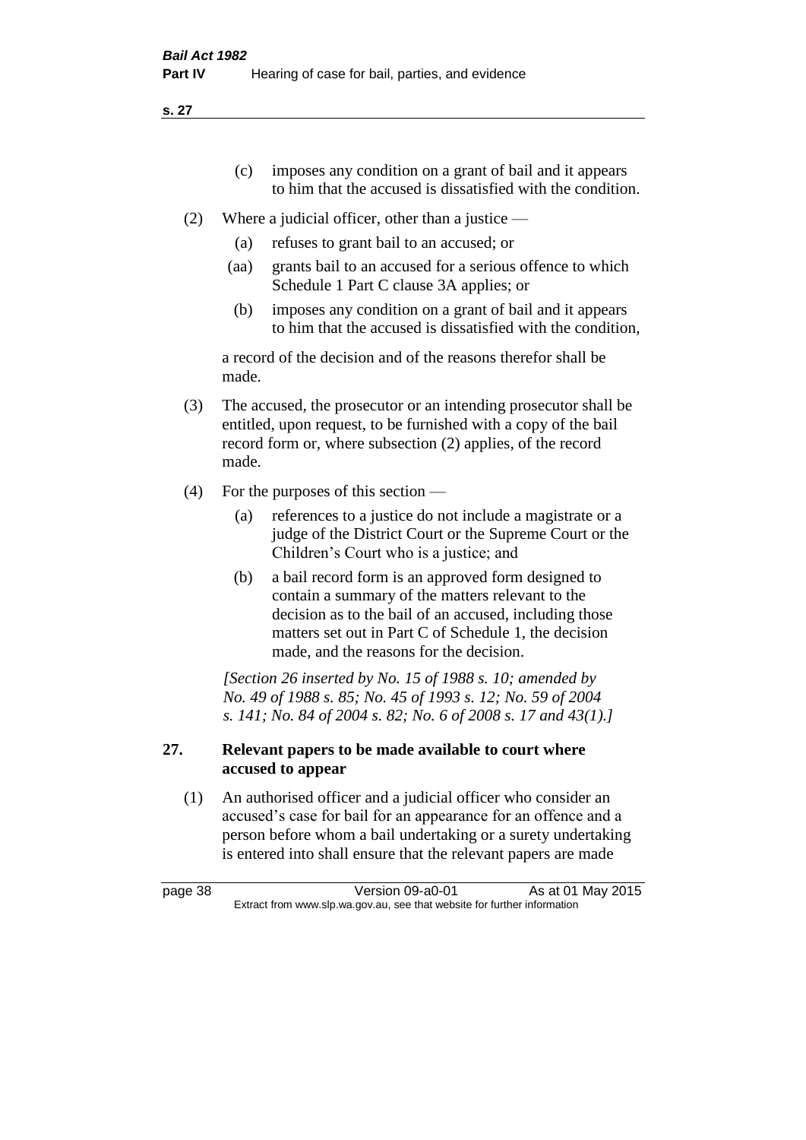- (c) imposes any condition on a grant of bail and it appears to him that the accused is dissatisfied with the condition.
- (2) Where a judicial officer, other than a justice
	- (a) refuses to grant bail to an accused; or
	- (aa) grants bail to an accused for a serious offence to which Schedule 1 Part C clause 3A applies; or
	- (b) imposes any condition on a grant of bail and it appears to him that the accused is dissatisfied with the condition,

a record of the decision and of the reasons therefor shall be made.

- (3) The accused, the prosecutor or an intending prosecutor shall be entitled, upon request, to be furnished with a copy of the bail record form or, where subsection (2) applies, of the record made.
- (4) For the purposes of this section
	- (a) references to a justice do not include a magistrate or a judge of the District Court or the Supreme Court or the Children's Court who is a justice; and
	- (b) a bail record form is an approved form designed to contain a summary of the matters relevant to the decision as to the bail of an accused, including those matters set out in Part C of Schedule 1, the decision made, and the reasons for the decision.

*[Section 26 inserted by No. 15 of 1988 s. 10; amended by No. 49 of 1988 s. 85; No. 45 of 1993 s. 12; No. 59 of 2004 s. 141; No. 84 of 2004 s. 82; No. 6 of 2008 s. 17 and 43(1).]* 

### **27. Relevant papers to be made available to court where accused to appear**

(1) An authorised officer and a judicial officer who consider an accused's case for bail for an appearance for an offence and a person before whom a bail undertaking or a surety undertaking is entered into shall ensure that the relevant papers are made

page 38 Version 09-a0-01 As at 01 May 2015 Extract from www.slp.wa.gov.au, see that website for further information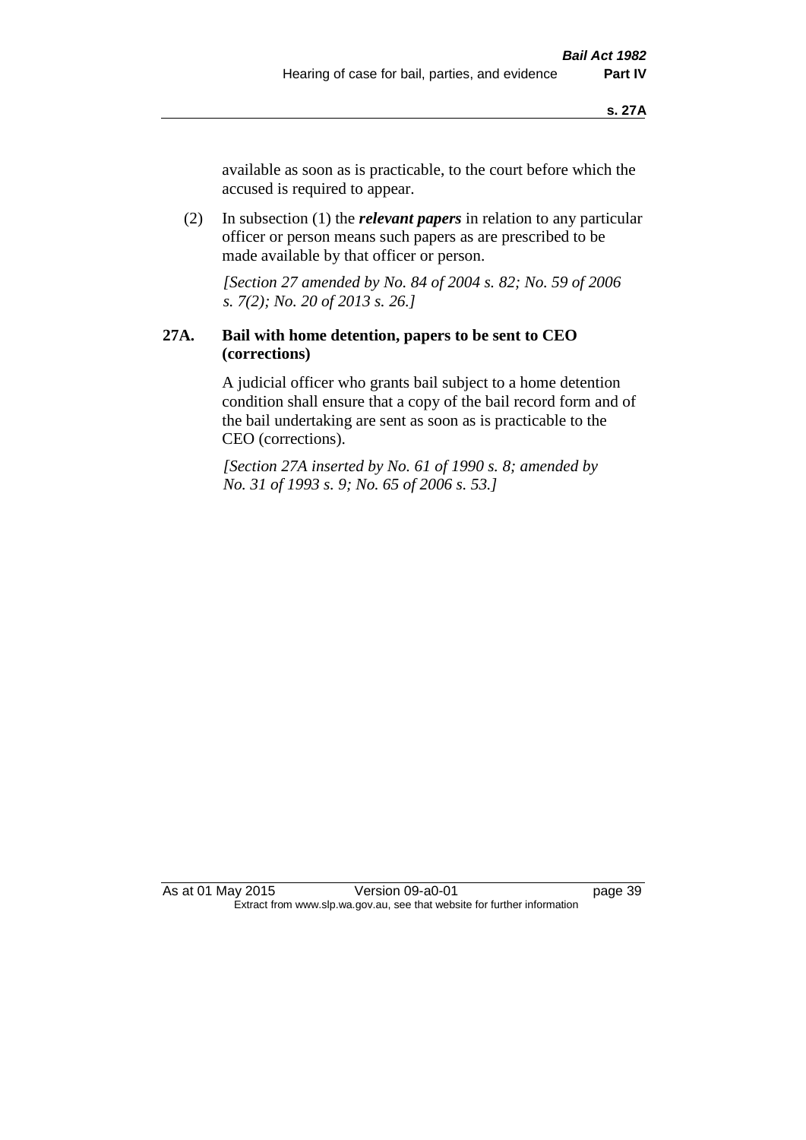available as soon as is practicable, to the court before which the accused is required to appear.

(2) In subsection (1) the *relevant papers* in relation to any particular officer or person means such papers as are prescribed to be made available by that officer or person.

*[Section 27 amended by No. 84 of 2004 s. 82; No. 59 of 2006 s. 7(2); No. 20 of 2013 s. 26.]* 

## **27A. Bail with home detention, papers to be sent to CEO (corrections)**

A judicial officer who grants bail subject to a home detention condition shall ensure that a copy of the bail record form and of the bail undertaking are sent as soon as is practicable to the CEO (corrections).

*[Section 27A inserted by No. 61 of 1990 s. 8; amended by No. 31 of 1993 s. 9; No. 65 of 2006 s. 53.]*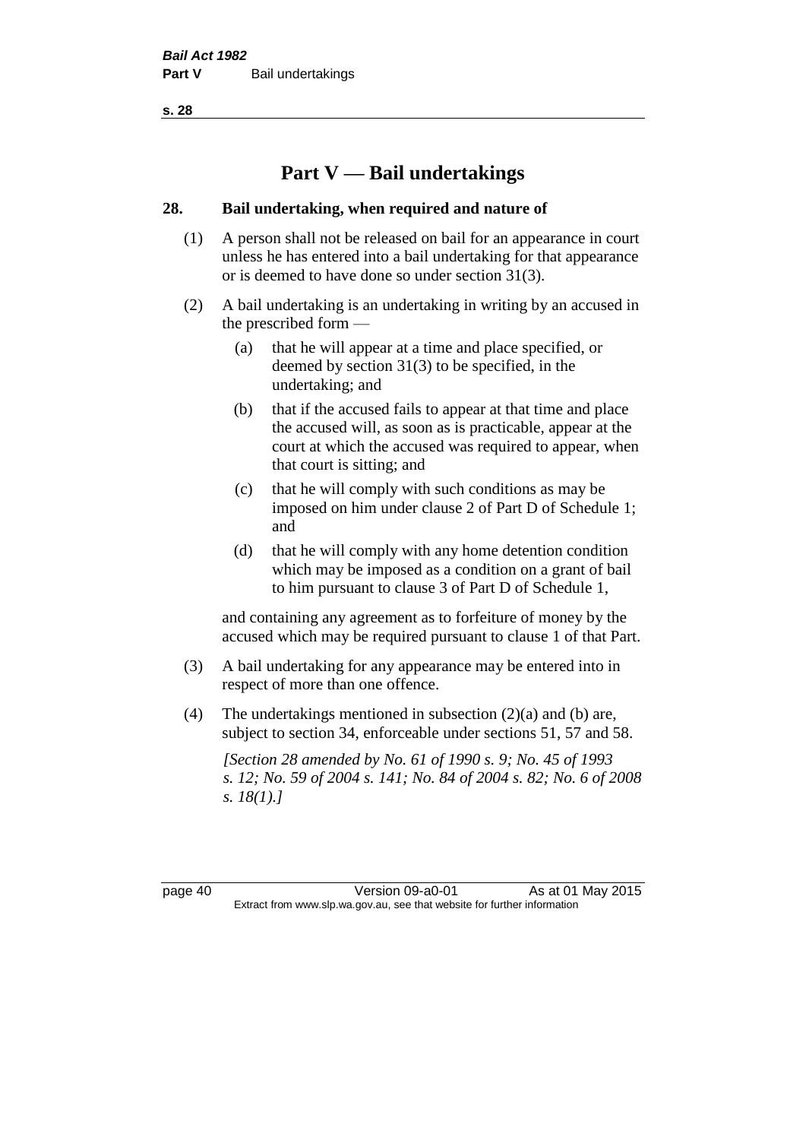# **Part V — Bail undertakings**

#### **28. Bail undertaking, when required and nature of**

- (1) A person shall not be released on bail for an appearance in court unless he has entered into a bail undertaking for that appearance or is deemed to have done so under section 31(3).
- (2) A bail undertaking is an undertaking in writing by an accused in the prescribed form —
	- (a) that he will appear at a time and place specified, or deemed by section 31(3) to be specified, in the undertaking; and
	- (b) that if the accused fails to appear at that time and place the accused will, as soon as is practicable, appear at the court at which the accused was required to appear, when that court is sitting; and
	- (c) that he will comply with such conditions as may be imposed on him under clause 2 of Part D of Schedule 1; and
	- (d) that he will comply with any home detention condition which may be imposed as a condition on a grant of bail to him pursuant to clause 3 of Part D of Schedule 1,

and containing any agreement as to forfeiture of money by the accused which may be required pursuant to clause 1 of that Part.

- (3) A bail undertaking for any appearance may be entered into in respect of more than one offence.
- (4) The undertakings mentioned in subsection (2)(a) and (b) are, subject to section 34, enforceable under sections 51, 57 and 58.

*[Section 28 amended by No. 61 of 1990 s. 9; No. 45 of 1993 s. 12; No. 59 of 2004 s. 141; No. 84 of 2004 s. 82; No. 6 of 2008 s. 18(1).]* 

page 40 Version 09-a0-01 As at 01 May 2015 Extract from www.slp.wa.gov.au, see that website for further information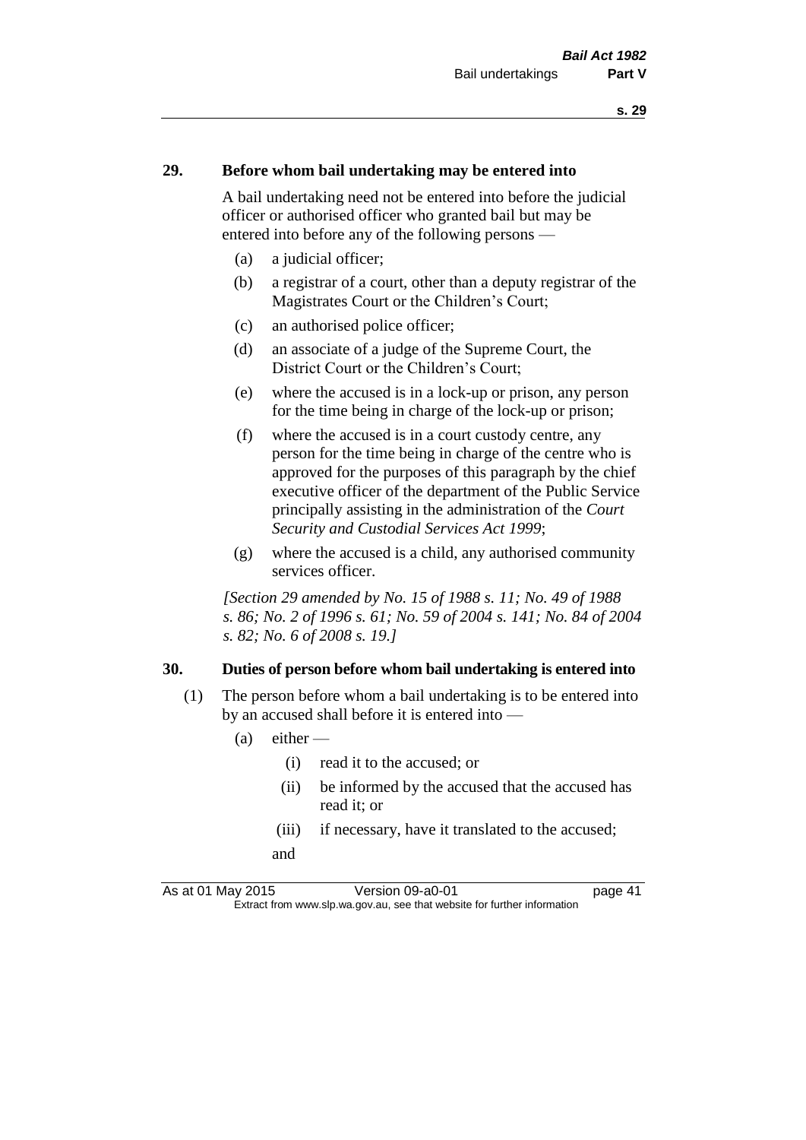#### **29. Before whom bail undertaking may be entered into**

A bail undertaking need not be entered into before the judicial officer or authorised officer who granted bail but may be entered into before any of the following persons —

- (a) a judicial officer;
- (b) a registrar of a court, other than a deputy registrar of the Magistrates Court or the Children's Court;
- (c) an authorised police officer;
- (d) an associate of a judge of the Supreme Court, the District Court or the Children's Court;
- (e) where the accused is in a lock-up or prison, any person for the time being in charge of the lock-up or prison;
- (f) where the accused is in a court custody centre, any person for the time being in charge of the centre who is approved for the purposes of this paragraph by the chief executive officer of the department of the Public Service principally assisting in the administration of the *Court Security and Custodial Services Act 1999*;
- (g) where the accused is a child, any authorised community services officer.

*[Section 29 amended by No. 15 of 1988 s. 11; No. 49 of 1988 s. 86; No. 2 of 1996 s. 61; No. 59 of 2004 s. 141; No. 84 of 2004 s. 82; No. 6 of 2008 s. 19.]* 

#### **30. Duties of person before whom bail undertaking is entered into**

- (1) The person before whom a bail undertaking is to be entered into by an accused shall before it is entered into —
	- $(a)$  either
		- (i) read it to the accused; or
		- (ii) be informed by the accused that the accused has read it; or
		- (iii) if necessary, have it translated to the accused; and

As at 01 May 2015 Version 09-a0-01 page 41 Extract from www.slp.wa.gov.au, see that website for further information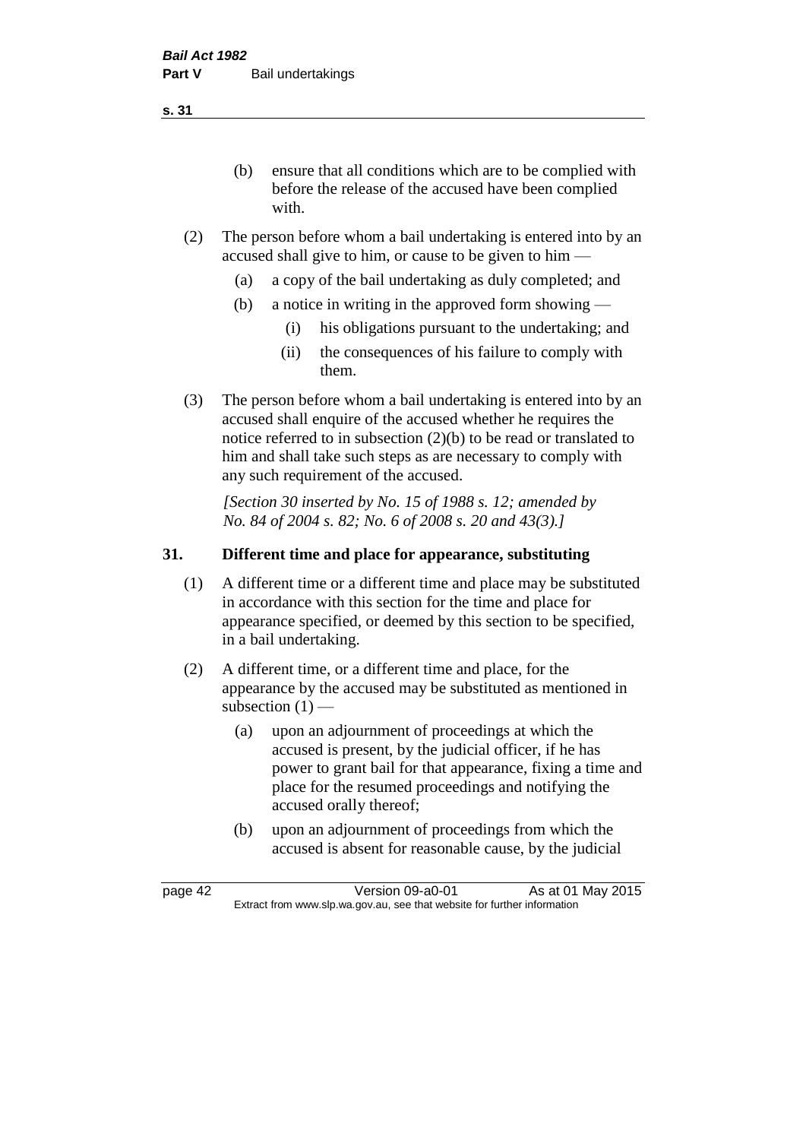(b) ensure that all conditions which are to be complied with before the release of the accused have been complied with.

- (2) The person before whom a bail undertaking is entered into by an accused shall give to him, or cause to be given to him —
	- (a) a copy of the bail undertaking as duly completed; and
	- (b) a notice in writing in the approved form showing
		- (i) his obligations pursuant to the undertaking; and
		- (ii) the consequences of his failure to comply with them.
- (3) The person before whom a bail undertaking is entered into by an accused shall enquire of the accused whether he requires the notice referred to in subsection (2)(b) to be read or translated to him and shall take such steps as are necessary to comply with any such requirement of the accused.

*[Section 30 inserted by No. 15 of 1988 s. 12; amended by No. 84 of 2004 s. 82; No. 6 of 2008 s. 20 and 43(3).]* 

### **31. Different time and place for appearance, substituting**

- (1) A different time or a different time and place may be substituted in accordance with this section for the time and place for appearance specified, or deemed by this section to be specified, in a bail undertaking.
- (2) A different time, or a different time and place, for the appearance by the accused may be substituted as mentioned in subsection  $(1)$  —
	- (a) upon an adjournment of proceedings at which the accused is present, by the judicial officer, if he has power to grant bail for that appearance, fixing a time and place for the resumed proceedings and notifying the accused orally thereof;
	- (b) upon an adjournment of proceedings from which the accused is absent for reasonable cause, by the judicial

page 42 Version 09-a0-01 As at 01 May 2015 Extract from www.slp.wa.gov.au, see that website for further information

**s. 31**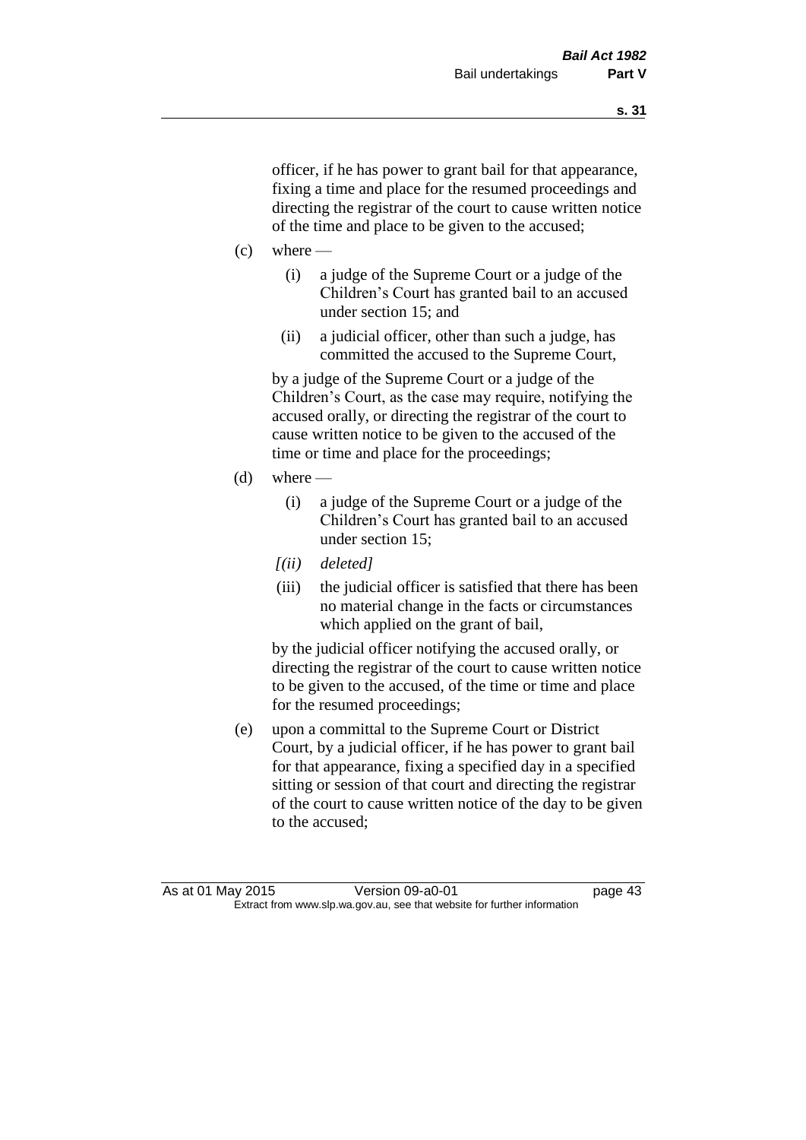officer, if he has power to grant bail for that appearance, fixing a time and place for the resumed proceedings and directing the registrar of the court to cause written notice of the time and place to be given to the accused;

- $(c)$  where
	- (i) a judge of the Supreme Court or a judge of the Children's Court has granted bail to an accused under section 15; and
	- (ii) a judicial officer, other than such a judge, has committed the accused to the Supreme Court,

by a judge of the Supreme Court or a judge of the Children's Court, as the case may require, notifying the accused orally, or directing the registrar of the court to cause written notice to be given to the accused of the time or time and place for the proceedings;

- (d) where  $-$ 
	- (i) a judge of the Supreme Court or a judge of the Children's Court has granted bail to an accused under section 15;
	- *[(ii) deleted]*
	- (iii) the judicial officer is satisfied that there has been no material change in the facts or circumstances which applied on the grant of bail,

by the judicial officer notifying the accused orally, or directing the registrar of the court to cause written notice to be given to the accused, of the time or time and place for the resumed proceedings;

(e) upon a committal to the Supreme Court or District Court, by a judicial officer, if he has power to grant bail for that appearance, fixing a specified day in a specified sitting or session of that court and directing the registrar of the court to cause written notice of the day to be given to the accused;

As at 01 May 2015 Version 09-a0-01 page 43 Extract from www.slp.wa.gov.au, see that website for further information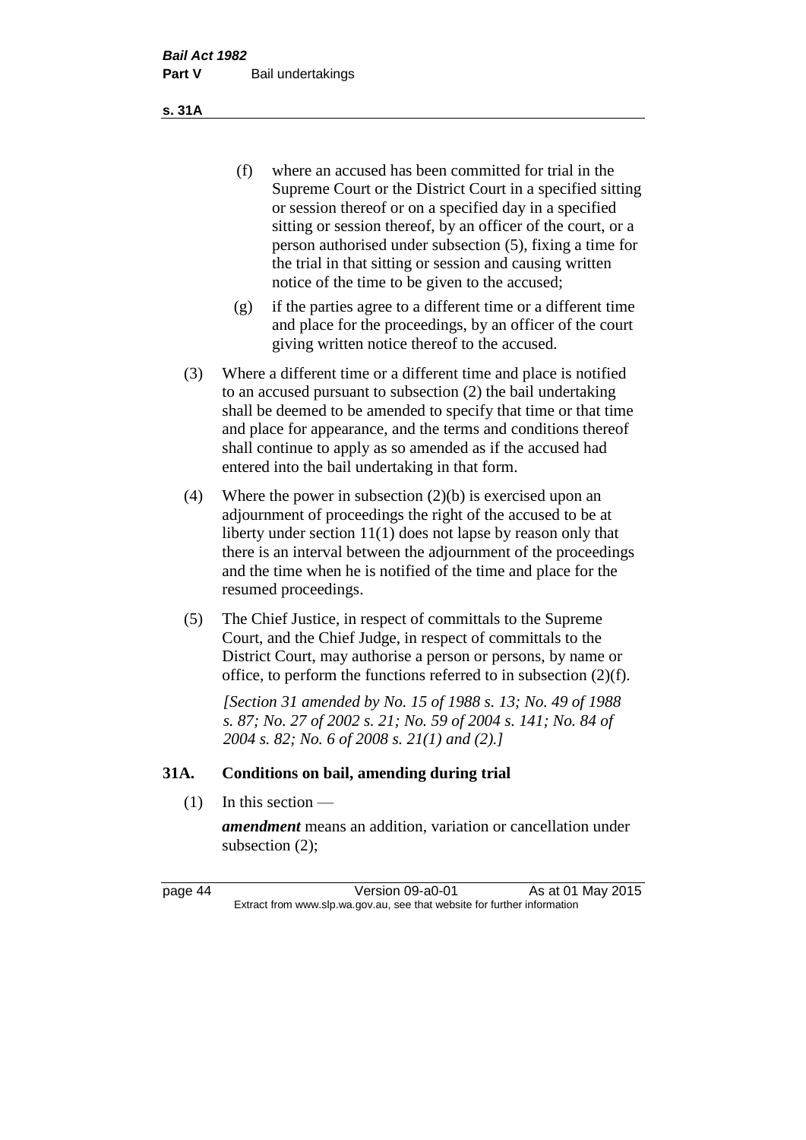(f) where an accused has been committed for trial in the Supreme Court or the District Court in a specified sitting or session thereof or on a specified day in a specified sitting or session thereof, by an officer of the court, or a person authorised under subsection (5), fixing a time for the trial in that sitting or session and causing written notice of the time to be given to the accused;

- (g) if the parties agree to a different time or a different time and place for the proceedings, by an officer of the court giving written notice thereof to the accused.
- (3) Where a different time or a different time and place is notified to an accused pursuant to subsection (2) the bail undertaking shall be deemed to be amended to specify that time or that time and place for appearance, and the terms and conditions thereof shall continue to apply as so amended as if the accused had entered into the bail undertaking in that form.
- (4) Where the power in subsection (2)(b) is exercised upon an adjournment of proceedings the right of the accused to be at liberty under section 11(1) does not lapse by reason only that there is an interval between the adjournment of the proceedings and the time when he is notified of the time and place for the resumed proceedings.
- (5) The Chief Justice, in respect of committals to the Supreme Court, and the Chief Judge, in respect of committals to the District Court, may authorise a person or persons, by name or office, to perform the functions referred to in subsection (2)(f).

*[Section 31 amended by No. 15 of 1988 s. 13; No. 49 of 1988 s. 87; No. 27 of 2002 s. 21; No. 59 of 2004 s. 141; No. 84 of 2004 s. 82; No. 6 of 2008 s. 21(1) and (2).]* 

#### **31A. Conditions on bail, amending during trial**

 $(1)$  In this section —

*amendment* means an addition, variation or cancellation under subsection (2);

page 44 Version 09-a0-01 As at 01 May 2015 Extract from www.slp.wa.gov.au, see that website for further information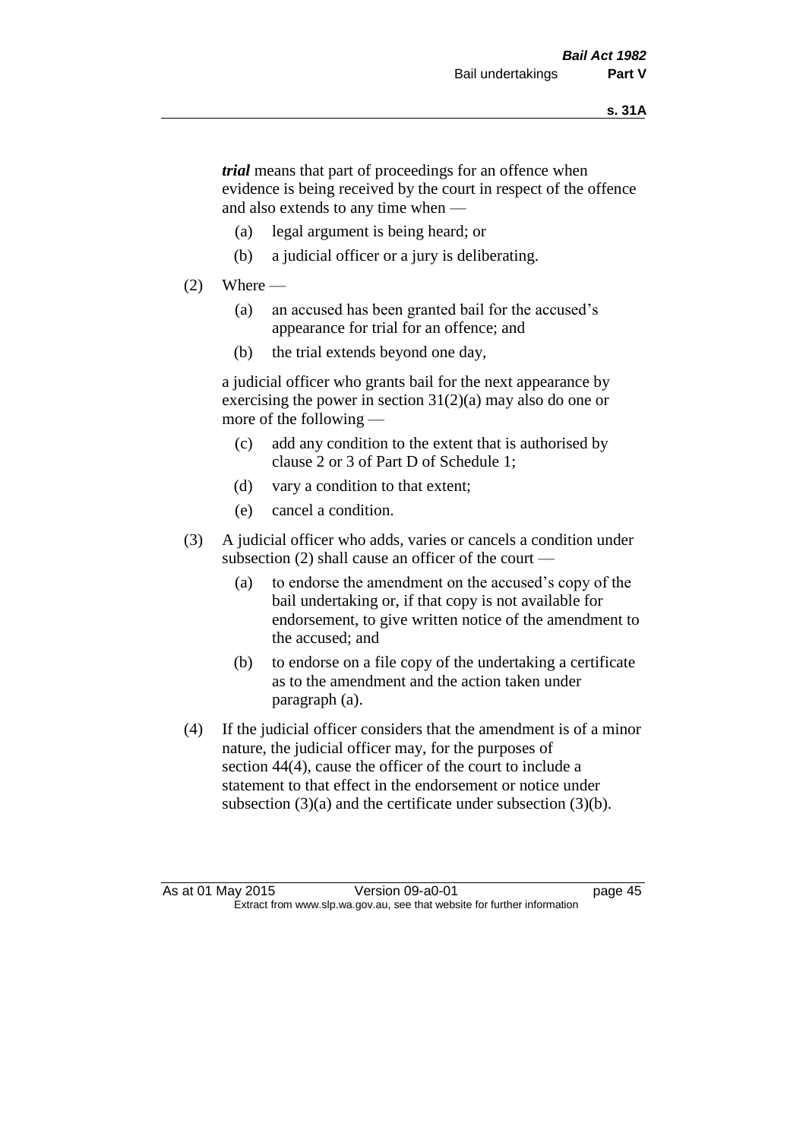*trial* means that part of proceedings for an offence when evidence is being received by the court in respect of the offence and also extends to any time when —

- (a) legal argument is being heard; or
- (b) a judicial officer or a jury is deliberating.

#### $(2)$  Where —

- (a) an accused has been granted bail for the accused's appearance for trial for an offence; and
- (b) the trial extends beyond one day,

a judicial officer who grants bail for the next appearance by exercising the power in section  $31(2)(a)$  may also do one or more of the following —

- (c) add any condition to the extent that is authorised by clause 2 or 3 of Part D of Schedule 1;
- (d) vary a condition to that extent;
- (e) cancel a condition.
- (3) A judicial officer who adds, varies or cancels a condition under subsection (2) shall cause an officer of the court —
	- (a) to endorse the amendment on the accused's copy of the bail undertaking or, if that copy is not available for endorsement, to give written notice of the amendment to the accused; and
	- (b) to endorse on a file copy of the undertaking a certificate as to the amendment and the action taken under paragraph (a).
- (4) If the judicial officer considers that the amendment is of a minor nature, the judicial officer may, for the purposes of section 44(4), cause the officer of the court to include a statement to that effect in the endorsement or notice under subsection (3)(a) and the certificate under subsection (3)(b).

As at 01 May 2015 Version 09-a0-01 page 45 Extract from www.slp.wa.gov.au, see that website for further information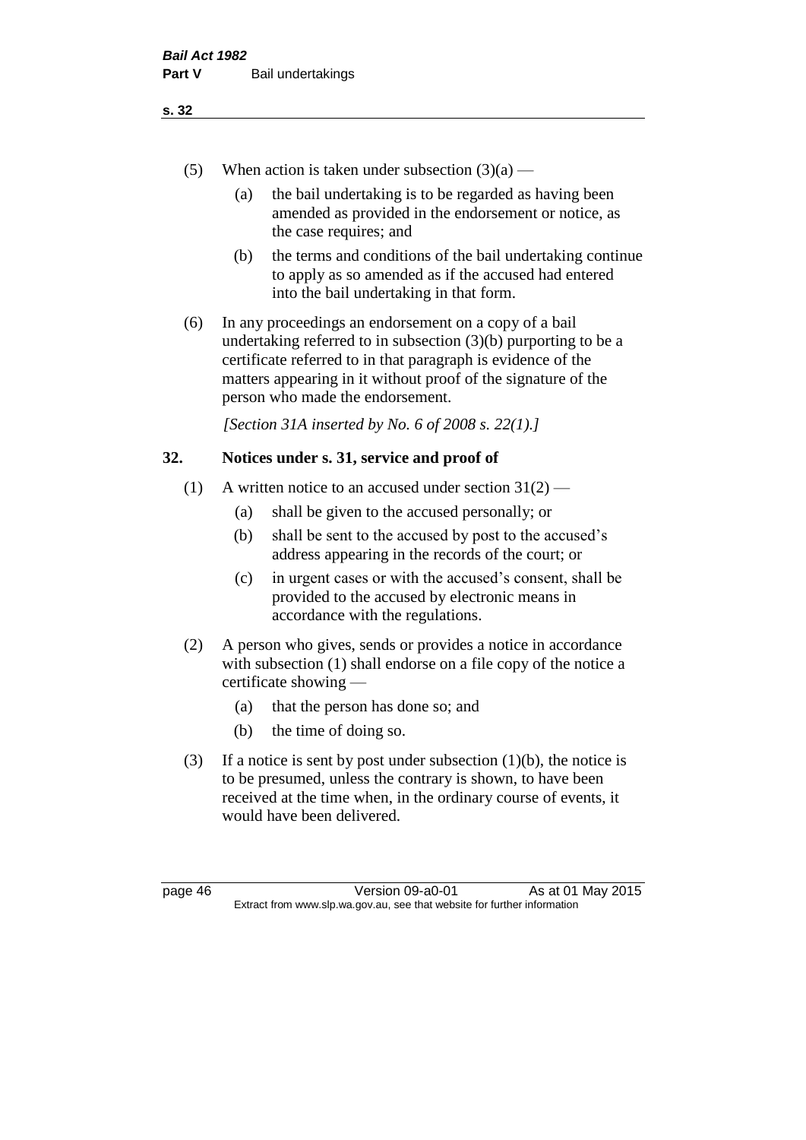- (5) When action is taken under subsection  $(3)(a)$ 
	- (a) the bail undertaking is to be regarded as having been amended as provided in the endorsement or notice, as the case requires; and
	- (b) the terms and conditions of the bail undertaking continue to apply as so amended as if the accused had entered into the bail undertaking in that form.
- (6) In any proceedings an endorsement on a copy of a bail undertaking referred to in subsection (3)(b) purporting to be a certificate referred to in that paragraph is evidence of the matters appearing in it without proof of the signature of the person who made the endorsement.

*[Section 31A inserted by No. 6 of 2008 s. 22(1).]*

#### **32. Notices under s. 31, service and proof of**

- (1) A written notice to an accused under section  $31(2)$ 
	- (a) shall be given to the accused personally; or
	- (b) shall be sent to the accused by post to the accused's address appearing in the records of the court; or
	- (c) in urgent cases or with the accused's consent, shall be provided to the accused by electronic means in accordance with the regulations.
- (2) A person who gives, sends or provides a notice in accordance with subsection (1) shall endorse on a file copy of the notice a certificate showing —
	- (a) that the person has done so; and
	- (b) the time of doing so.
- (3) If a notice is sent by post under subsection  $(1)(b)$ , the notice is to be presumed, unless the contrary is shown, to have been received at the time when, in the ordinary course of events, it would have been delivered.

page 46 Version 09-a0-01 As at 01 May 2015 Extract from www.slp.wa.gov.au, see that website for further information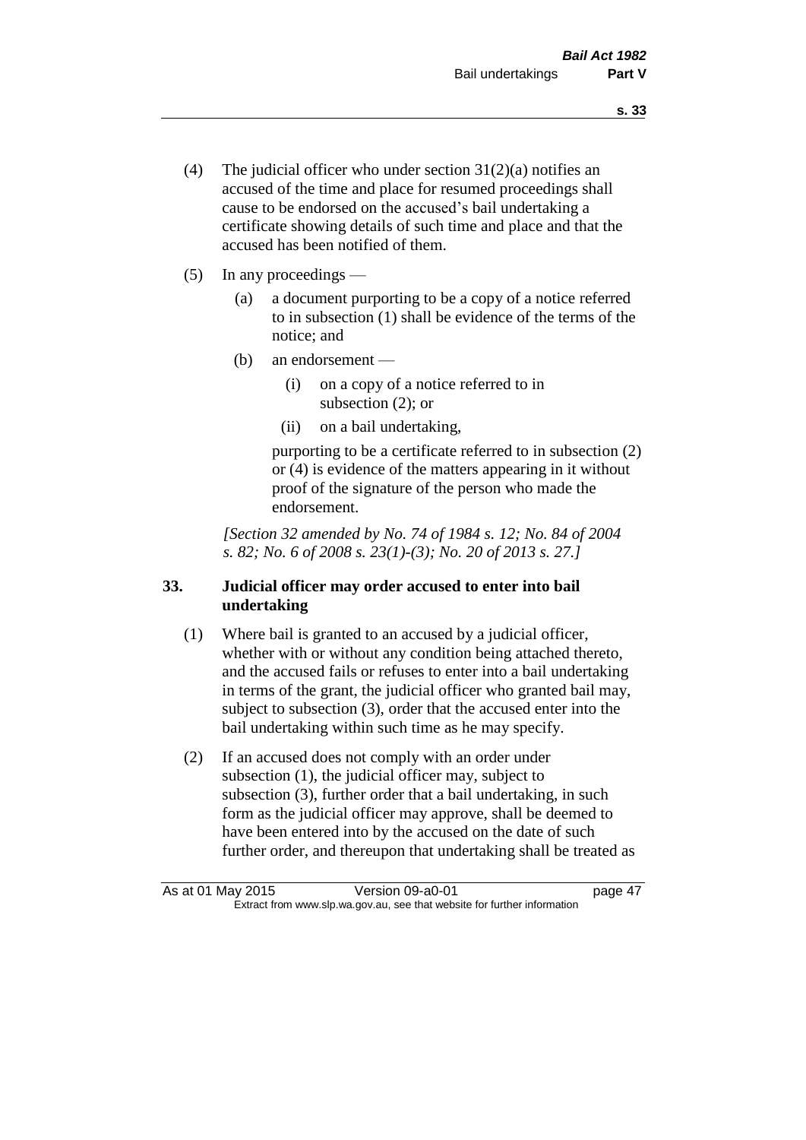- (4) The judicial officer who under section  $31(2)(a)$  notifies an accused of the time and place for resumed proceedings shall cause to be endorsed on the accused's bail undertaking a certificate showing details of such time and place and that the accused has been notified of them.
- (5) In any proceedings
	- (a) a document purporting to be a copy of a notice referred to in subsection (1) shall be evidence of the terms of the notice; and
	- (b) an endorsement
		- (i) on a copy of a notice referred to in subsection (2); or
		- (ii) on a bail undertaking,

purporting to be a certificate referred to in subsection (2) or (4) is evidence of the matters appearing in it without proof of the signature of the person who made the endorsement.

*[Section 32 amended by No. 74 of 1984 s. 12; No. 84 of 2004 s. 82; No. 6 of 2008 s. 23(1)-(3); No. 20 of 2013 s. 27.]* 

### **33. Judicial officer may order accused to enter into bail undertaking**

- (1) Where bail is granted to an accused by a judicial officer, whether with or without any condition being attached thereto, and the accused fails or refuses to enter into a bail undertaking in terms of the grant, the judicial officer who granted bail may, subject to subsection (3), order that the accused enter into the bail undertaking within such time as he may specify.
- (2) If an accused does not comply with an order under subsection (1), the judicial officer may, subject to subsection (3), further order that a bail undertaking, in such form as the judicial officer may approve, shall be deemed to have been entered into by the accused on the date of such further order, and thereupon that undertaking shall be treated as

As at 01 May 2015 Version 09-a0-01 Page 47 Extract from www.slp.wa.gov.au, see that website for further information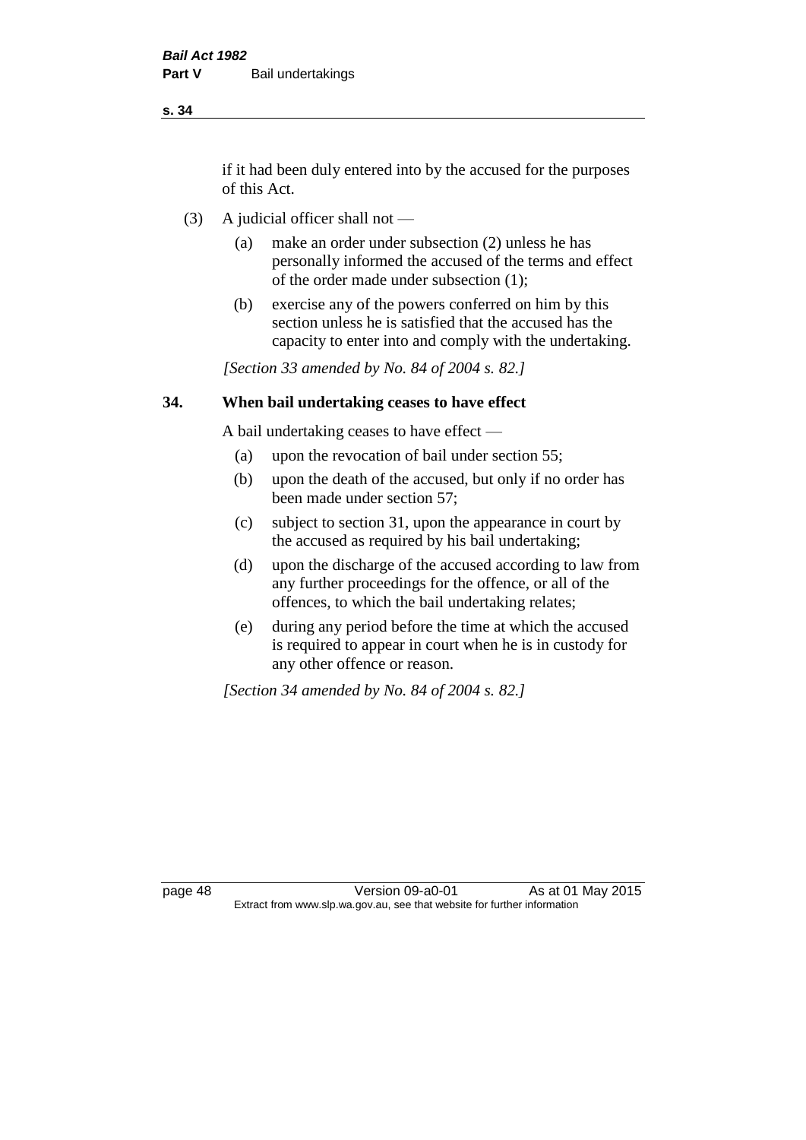if it had been duly entered into by the accused for the purposes of this Act.

- (3) A judicial officer shall not
	- (a) make an order under subsection (2) unless he has personally informed the accused of the terms and effect of the order made under subsection (1);
	- (b) exercise any of the powers conferred on him by this section unless he is satisfied that the accused has the capacity to enter into and comply with the undertaking.

*[Section 33 amended by No. 84 of 2004 s. 82.]* 

#### **34. When bail undertaking ceases to have effect**

A bail undertaking ceases to have effect —

- (a) upon the revocation of bail under section 55;
- (b) upon the death of the accused, but only if no order has been made under section 57;
- (c) subject to section 31, upon the appearance in court by the accused as required by his bail undertaking;
- (d) upon the discharge of the accused according to law from any further proceedings for the offence, or all of the offences, to which the bail undertaking relates;
- (e) during any period before the time at which the accused is required to appear in court when he is in custody for any other offence or reason.

*[Section 34 amended by No. 84 of 2004 s. 82.]* 

page 48 Version 09-a0-01 As at 01 May 2015 Extract from www.slp.wa.gov.au, see that website for further information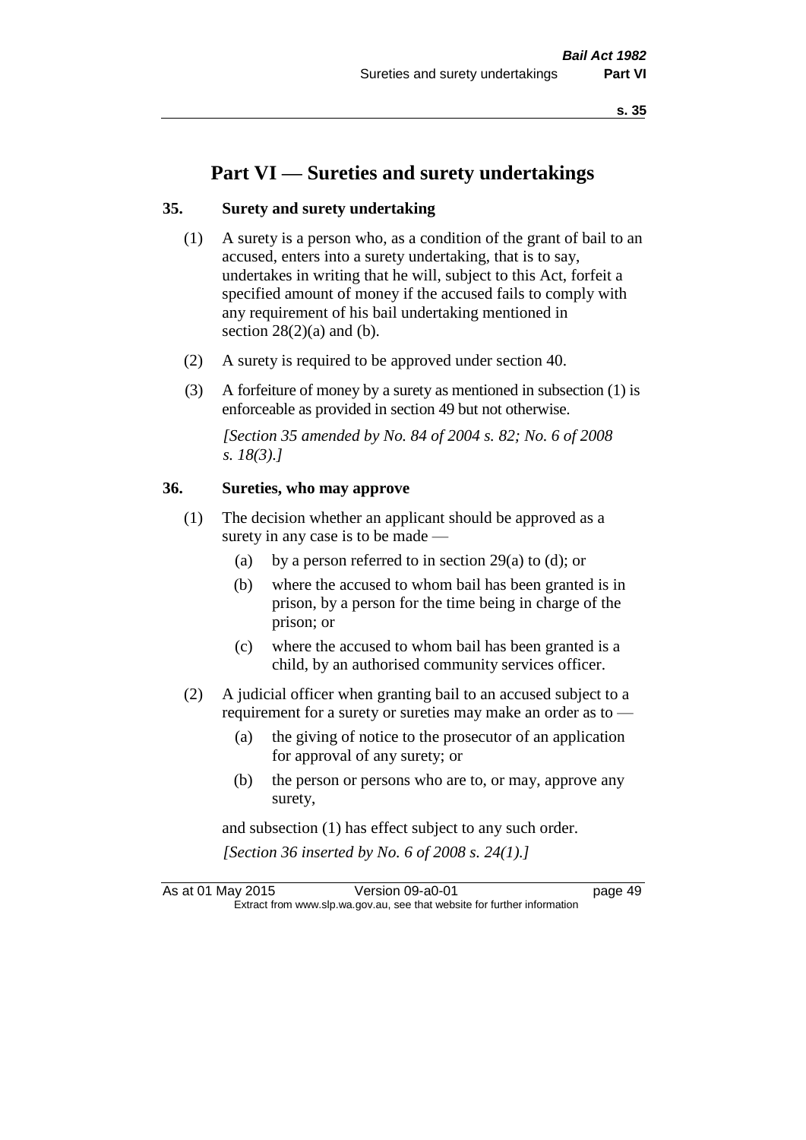# **Part VI — Sureties and surety undertakings**

#### **35. Surety and surety undertaking**

- (1) A surety is a person who, as a condition of the grant of bail to an accused, enters into a surety undertaking, that is to say, undertakes in writing that he will, subject to this Act, forfeit a specified amount of money if the accused fails to comply with any requirement of his bail undertaking mentioned in section  $28(2)(a)$  and (b).
- (2) A surety is required to be approved under section 40.
- (3) A forfeiture of money by a surety as mentioned in subsection (1) is enforceable as provided in section 49 but not otherwise.

*[Section 35 amended by No. 84 of 2004 s. 82; No. 6 of 2008 s. 18(3).]* 

#### **36. Sureties, who may approve**

- (1) The decision whether an applicant should be approved as a surety in any case is to be made —
	- (a) by a person referred to in section 29(a) to (d); or
	- (b) where the accused to whom bail has been granted is in prison, by a person for the time being in charge of the prison; or
	- (c) where the accused to whom bail has been granted is a child, by an authorised community services officer.
- (2) A judicial officer when granting bail to an accused subject to a requirement for a surety or sureties may make an order as to -
	- (a) the giving of notice to the prosecutor of an application for approval of any surety; or
	- (b) the person or persons who are to, or may, approve any surety,

and subsection (1) has effect subject to any such order. *[Section 36 inserted by No. 6 of 2008 s. 24(1).]*

As at 01 May 2015 Version 09-a0-01 Page 49 Extract from www.slp.wa.gov.au, see that website for further information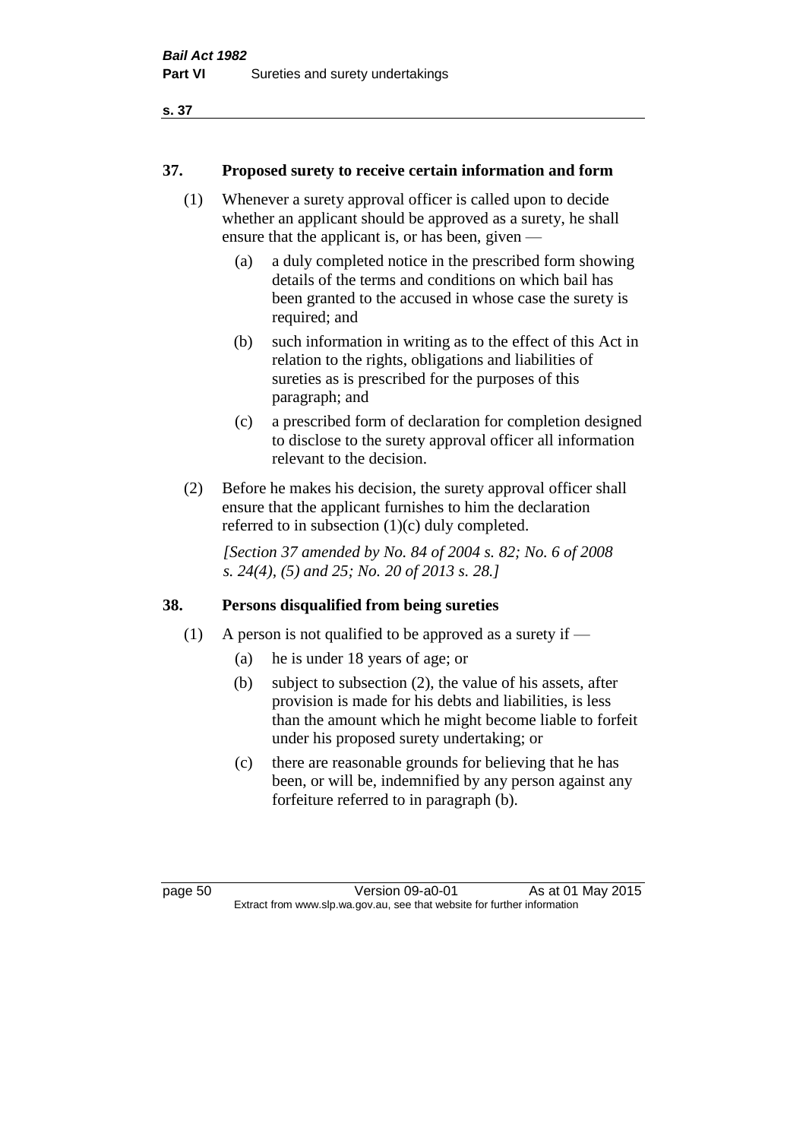#### **37. Proposed surety to receive certain information and form**

- (1) Whenever a surety approval officer is called upon to decide whether an applicant should be approved as a surety, he shall ensure that the applicant is, or has been, given —
	- (a) a duly completed notice in the prescribed form showing details of the terms and conditions on which bail has been granted to the accused in whose case the surety is required; and
	- (b) such information in writing as to the effect of this Act in relation to the rights, obligations and liabilities of sureties as is prescribed for the purposes of this paragraph; and
	- (c) a prescribed form of declaration for completion designed to disclose to the surety approval officer all information relevant to the decision.
- (2) Before he makes his decision, the surety approval officer shall ensure that the applicant furnishes to him the declaration referred to in subsection (1)(c) duly completed.

*[Section 37 amended by No. 84 of 2004 s. 82; No. 6 of 2008 s. 24(4), (5) and 25; No. 20 of 2013 s. 28.]* 

#### **38. Persons disqualified from being sureties**

- (1) A person is not qualified to be approved as a surety if  $-$ 
	- (a) he is under 18 years of age; or
	- (b) subject to subsection (2), the value of his assets, after provision is made for his debts and liabilities, is less than the amount which he might become liable to forfeit under his proposed surety undertaking; or
	- (c) there are reasonable grounds for believing that he has been, or will be, indemnified by any person against any forfeiture referred to in paragraph (b).

page 50 Version 09-a0-01 As at 01 May 2015 Extract from www.slp.wa.gov.au, see that website for further information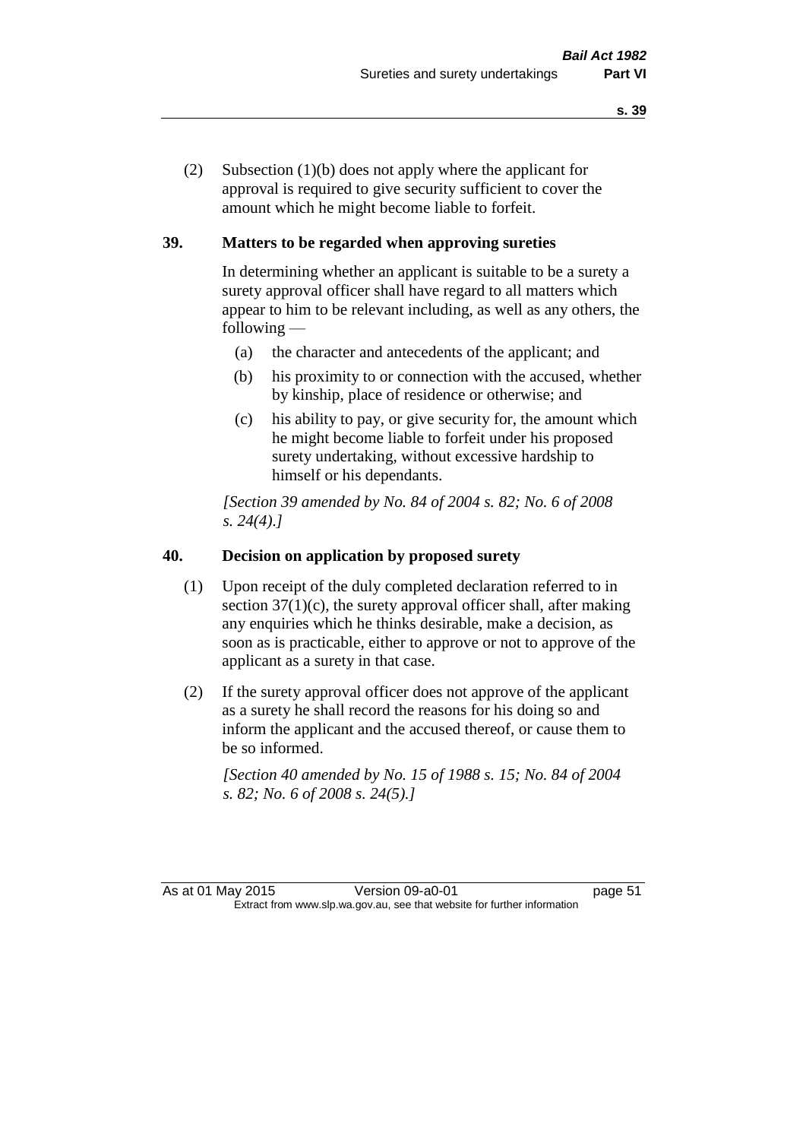(2) Subsection (1)(b) does not apply where the applicant for approval is required to give security sufficient to cover the amount which he might become liable to forfeit.

### **39. Matters to be regarded when approving sureties**

In determining whether an applicant is suitable to be a surety a surety approval officer shall have regard to all matters which appear to him to be relevant including, as well as any others, the following —

- (a) the character and antecedents of the applicant; and
- (b) his proximity to or connection with the accused, whether by kinship, place of residence or otherwise; and
- (c) his ability to pay, or give security for, the amount which he might become liable to forfeit under his proposed surety undertaking, without excessive hardship to himself or his dependants.

*[Section 39 amended by No. 84 of 2004 s. 82; No. 6 of 2008 s. 24(4).]* 

### **40. Decision on application by proposed surety**

- (1) Upon receipt of the duly completed declaration referred to in section  $37(1)(c)$ , the surety approval officer shall, after making any enquiries which he thinks desirable, make a decision, as soon as is practicable, either to approve or not to approve of the applicant as a surety in that case.
- (2) If the surety approval officer does not approve of the applicant as a surety he shall record the reasons for his doing so and inform the applicant and the accused thereof, or cause them to be so informed.

*[Section 40 amended by No. 15 of 1988 s. 15; No. 84 of 2004 s. 82; No. 6 of 2008 s. 24(5).]*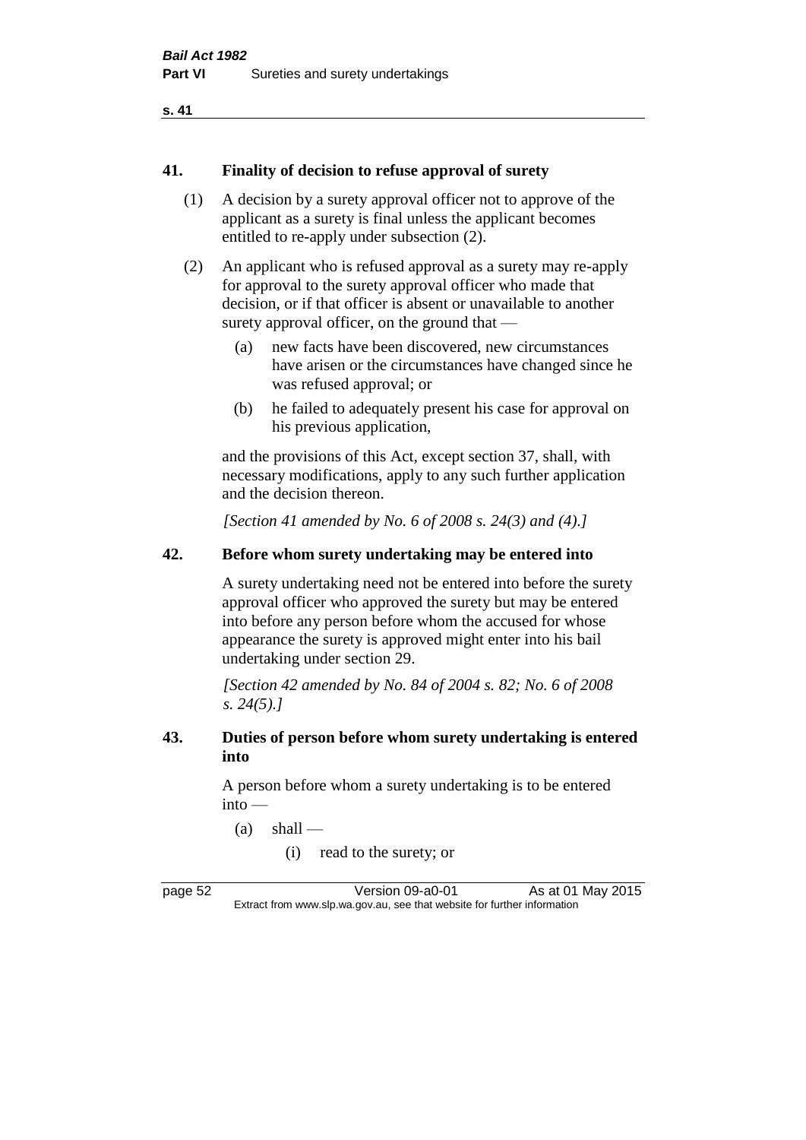```
s. 41
```
#### **41. Finality of decision to refuse approval of surety**

- (1) A decision by a surety approval officer not to approve of the applicant as a surety is final unless the applicant becomes entitled to re-apply under subsection (2).
- (2) An applicant who is refused approval as a surety may re-apply for approval to the surety approval officer who made that decision, or if that officer is absent or unavailable to another surety approval officer, on the ground that —
	- (a) new facts have been discovered, new circumstances have arisen or the circumstances have changed since he was refused approval; or
	- (b) he failed to adequately present his case for approval on his previous application,

and the provisions of this Act, except section 37, shall, with necessary modifications, apply to any such further application and the decision thereon.

*[Section 41 amended by No. 6 of 2008 s. 24(3) and (4).]*

#### **42. Before whom surety undertaking may be entered into**

A surety undertaking need not be entered into before the surety approval officer who approved the surety but may be entered into before any person before whom the accused for whose appearance the surety is approved might enter into his bail undertaking under section 29.

*[Section 42 amended by No. 84 of 2004 s. 82; No. 6 of 2008 s. 24(5).]* 

#### **43. Duties of person before whom surety undertaking is entered into**

A person before whom a surety undertaking is to be entered into —

- $(a)$  shall
	- (i) read to the surety; or

page 52 Version 09-a0-01 As at 01 May 2015 Extract from www.slp.wa.gov.au, see that website for further information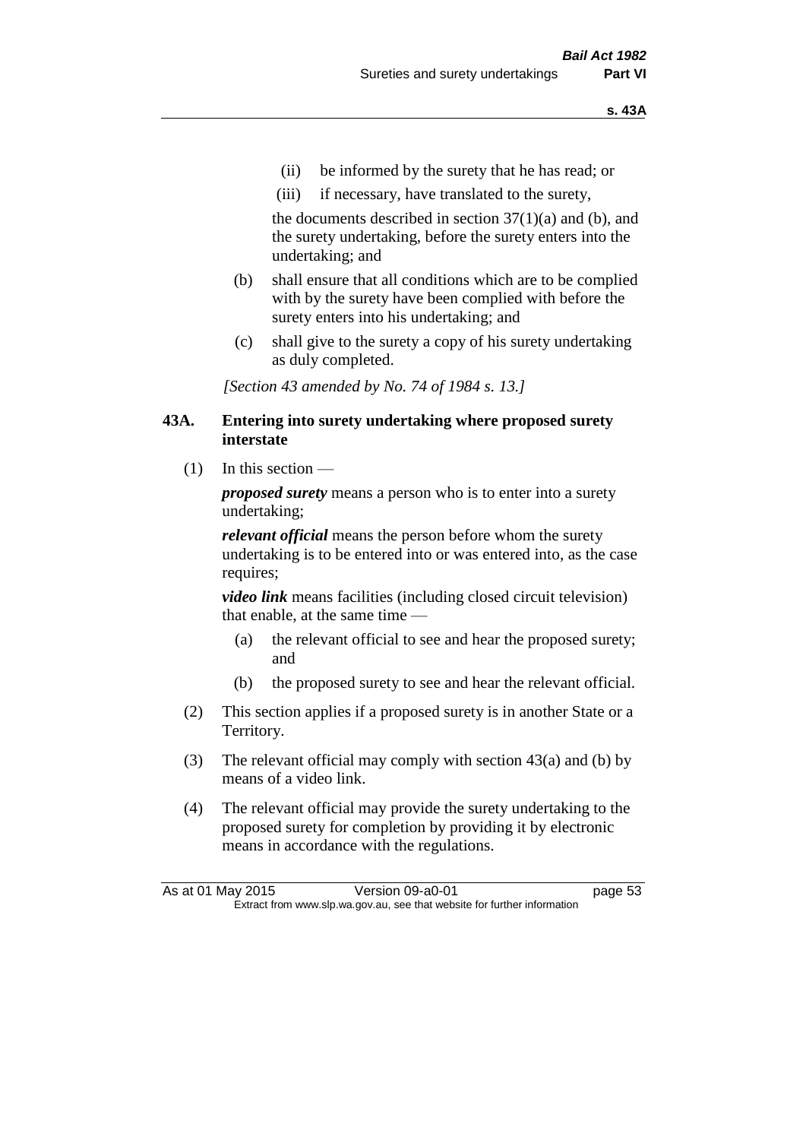- (ii) be informed by the surety that he has read; or
- (iii) if necessary, have translated to the surety,

the documents described in section  $37(1)(a)$  and (b), and the surety undertaking, before the surety enters into the undertaking; and

- (b) shall ensure that all conditions which are to be complied with by the surety have been complied with before the surety enters into his undertaking; and
- (c) shall give to the surety a copy of his surety undertaking as duly completed.

*[Section 43 amended by No. 74 of 1984 s. 13.]* 

#### **43A. Entering into surety undertaking where proposed surety interstate**

 $(1)$  In this section —

*proposed surety* means a person who is to enter into a surety undertaking;

*relevant official* means the person before whom the surety undertaking is to be entered into or was entered into, as the case requires;

*video link* means facilities (including closed circuit television) that enable, at the same time —

- (a) the relevant official to see and hear the proposed surety; and
- (b) the proposed surety to see and hear the relevant official.
- (2) This section applies if a proposed surety is in another State or a Territory.
- (3) The relevant official may comply with section 43(a) and (b) by means of a video link.
- (4) The relevant official may provide the surety undertaking to the proposed surety for completion by providing it by electronic means in accordance with the regulations.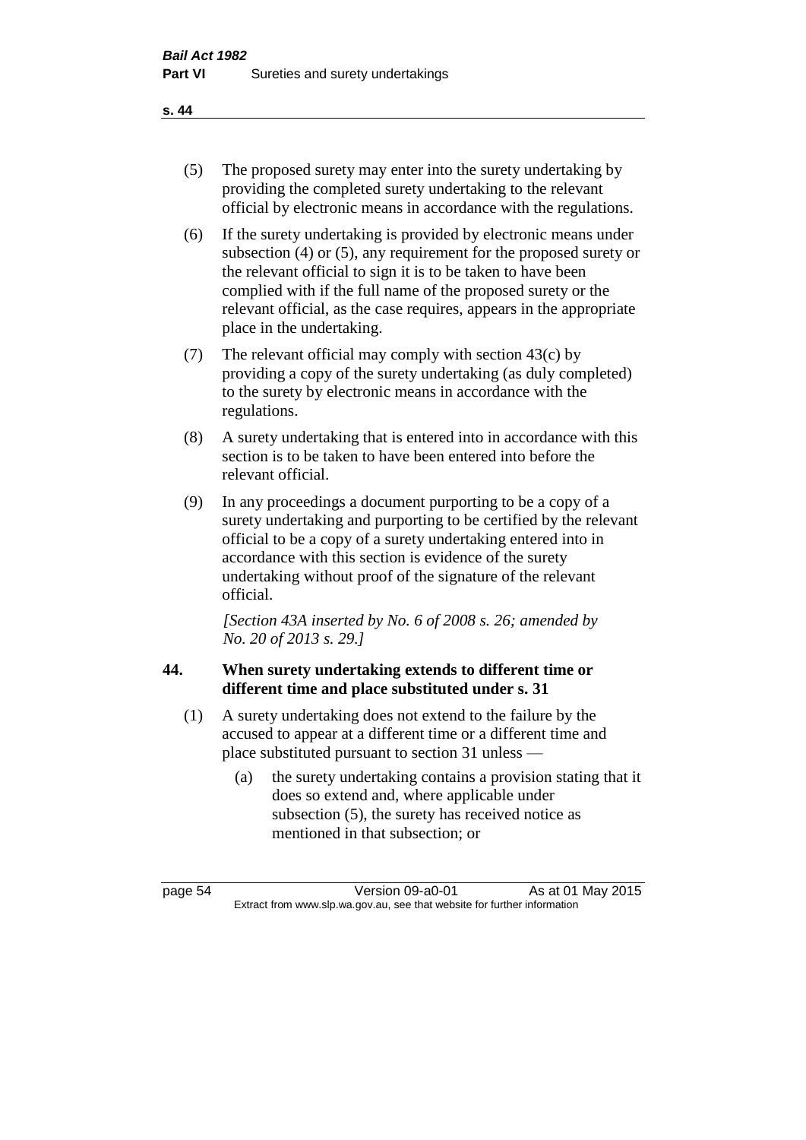- (5) The proposed surety may enter into the surety undertaking by providing the completed surety undertaking to the relevant official by electronic means in accordance with the regulations.
- (6) If the surety undertaking is provided by electronic means under subsection (4) or (5), any requirement for the proposed surety or the relevant official to sign it is to be taken to have been complied with if the full name of the proposed surety or the relevant official, as the case requires, appears in the appropriate place in the undertaking.
- (7) The relevant official may comply with section 43(c) by providing a copy of the surety undertaking (as duly completed) to the surety by electronic means in accordance with the regulations.
- (8) A surety undertaking that is entered into in accordance with this section is to be taken to have been entered into before the relevant official.
- (9) In any proceedings a document purporting to be a copy of a surety undertaking and purporting to be certified by the relevant official to be a copy of a surety undertaking entered into in accordance with this section is evidence of the surety undertaking without proof of the signature of the relevant official.

*[Section 43A inserted by No. 6 of 2008 s. 26; amended by No. 20 of 2013 s. 29.]*

# **44. When surety undertaking extends to different time or different time and place substituted under s. 31**

- (1) A surety undertaking does not extend to the failure by the accused to appear at a different time or a different time and place substituted pursuant to section 31 unless —
	- (a) the surety undertaking contains a provision stating that it does so extend and, where applicable under subsection (5), the surety has received notice as mentioned in that subsection; or

page 54 Version 09-a0-01 As at 01 May 2015 Extract from www.slp.wa.gov.au, see that website for further information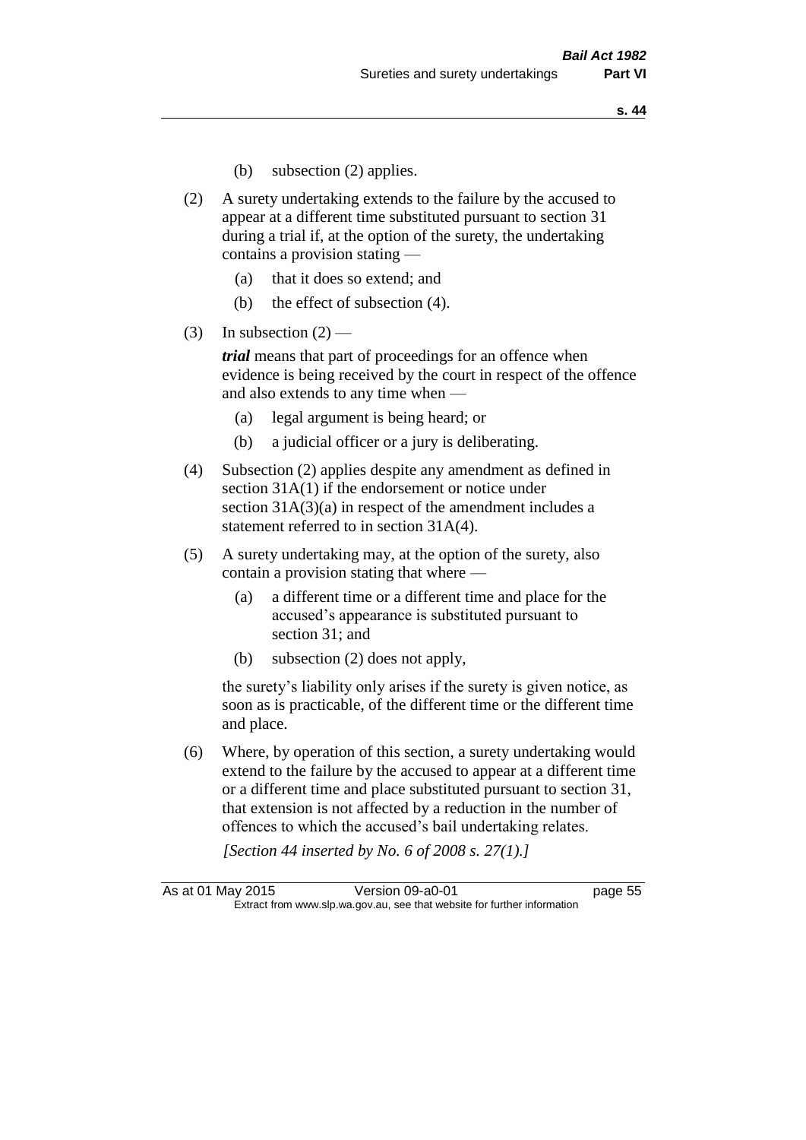- (b) subsection (2) applies.
- (2) A surety undertaking extends to the failure by the accused to appear at a different time substituted pursuant to section 31 during a trial if, at the option of the surety, the undertaking contains a provision stating —
	- (a) that it does so extend; and
	- (b) the effect of subsection (4).
- (3) In subsection  $(2)$  —

*trial* means that part of proceedings for an offence when evidence is being received by the court in respect of the offence and also extends to any time when —

- (a) legal argument is being heard; or
- (b) a judicial officer or a jury is deliberating.
- (4) Subsection (2) applies despite any amendment as defined in section 31A(1) if the endorsement or notice under section 31A(3)(a) in respect of the amendment includes a statement referred to in section 31A(4).
- (5) A surety undertaking may, at the option of the surety, also contain a provision stating that where —
	- (a) a different time or a different time and place for the accused's appearance is substituted pursuant to section 31; and
	- (b) subsection (2) does not apply,

the surety's liability only arises if the surety is given notice, as soon as is practicable, of the different time or the different time and place.

(6) Where, by operation of this section, a surety undertaking would extend to the failure by the accused to appear at a different time or a different time and place substituted pursuant to section 31, that extension is not affected by a reduction in the number of offences to which the accused's bail undertaking relates.

*[Section 44 inserted by No. 6 of 2008 s. 27(1).]*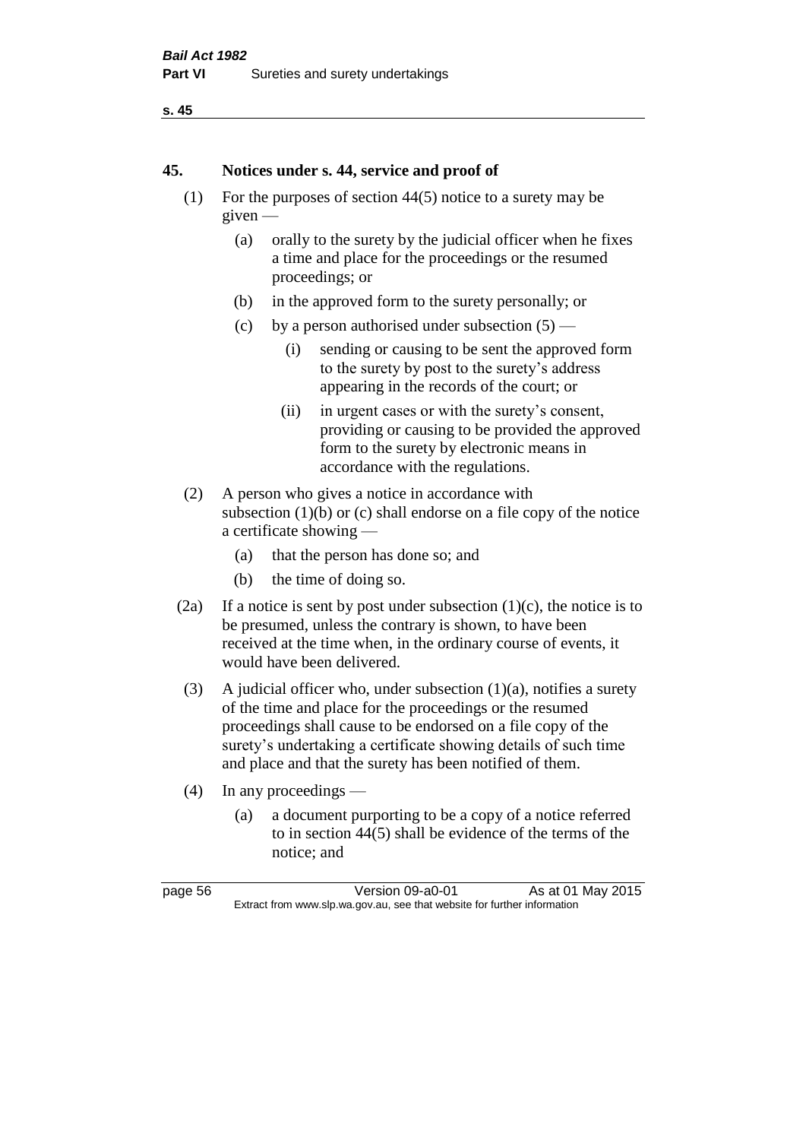```
s. 45
```
#### **45. Notices under s. 44, service and proof of**

- (1) For the purposes of section 44(5) notice to a surety may be given —
	- (a) orally to the surety by the judicial officer when he fixes a time and place for the proceedings or the resumed proceedings; or
	- (b) in the approved form to the surety personally; or
	- (c) by a person authorised under subsection  $(5)$ 
		- (i) sending or causing to be sent the approved form to the surety by post to the surety's address appearing in the records of the court; or
		- (ii) in urgent cases or with the surety's consent, providing or causing to be provided the approved form to the surety by electronic means in accordance with the regulations.
- (2) A person who gives a notice in accordance with subsection  $(1)(b)$  or  $(c)$  shall endorse on a file copy of the notice a certificate showing —
	- (a) that the person has done so; and
	- (b) the time of doing so.
- (2a) If a notice is sent by post under subsection  $(1)(c)$ , the notice is to be presumed, unless the contrary is shown, to have been received at the time when, in the ordinary course of events, it would have been delivered.
- (3) A judicial officer who, under subsection  $(1)(a)$ , notifies a surety of the time and place for the proceedings or the resumed proceedings shall cause to be endorsed on a file copy of the surety's undertaking a certificate showing details of such time and place and that the surety has been notified of them.
- (4) In any proceedings
	- (a) a document purporting to be a copy of a notice referred to in section 44(5) shall be evidence of the terms of the notice; and

| page 56 |  |
|---------|--|
|---------|--|

Version 09-a0-01 As at 01 May 2015 Extract from www.slp.wa.gov.au, see that website for further information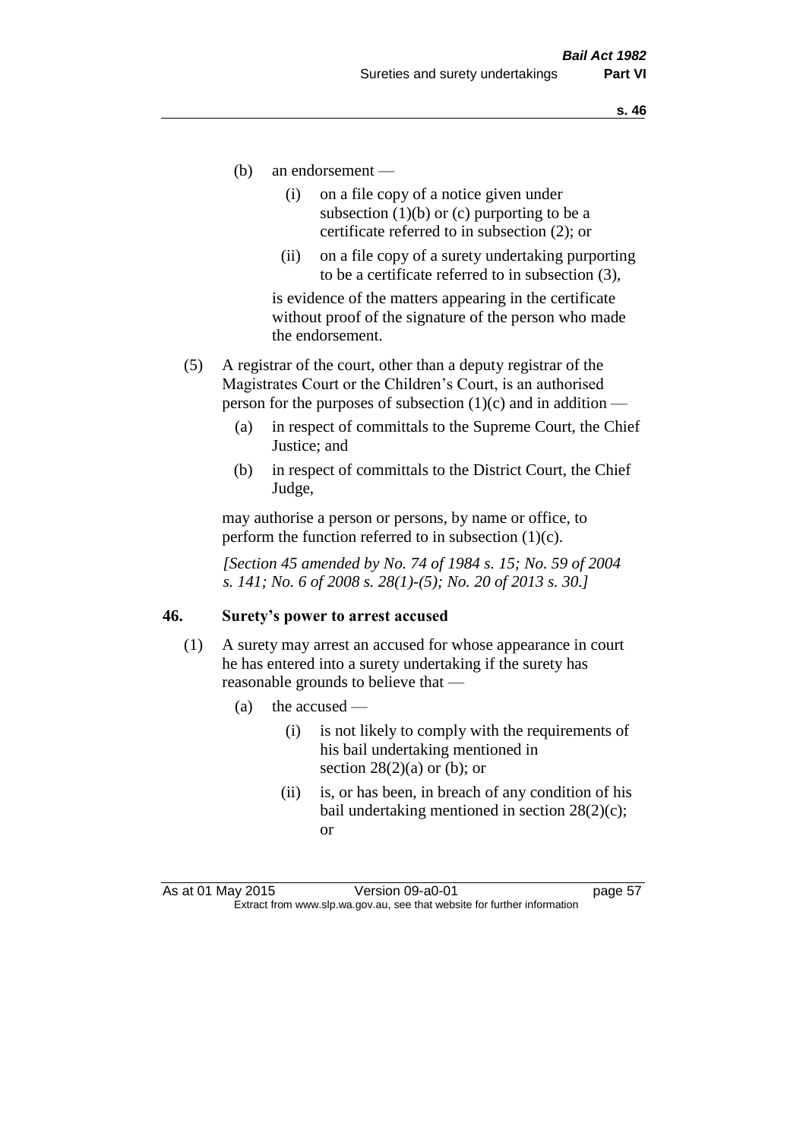- (b) an endorsement
	- (i) on a file copy of a notice given under subsection  $(1)(b)$  or  $(c)$  purporting to be a certificate referred to in subsection (2); or
	- (ii) on a file copy of a surety undertaking purporting to be a certificate referred to in subsection (3),

is evidence of the matters appearing in the certificate without proof of the signature of the person who made the endorsement.

- (5) A registrar of the court, other than a deputy registrar of the Magistrates Court or the Children's Court, is an authorised person for the purposes of subsection  $(1)(c)$  and in addition —
	- (a) in respect of committals to the Supreme Court, the Chief Justice; and
	- (b) in respect of committals to the District Court, the Chief Judge,

may authorise a person or persons, by name or office, to perform the function referred to in subsection  $(1)(c)$ .

*[Section 45 amended by No. 74 of 1984 s. 15; No. 59 of 2004 s. 141; No. 6 of 2008 s. 28(1)-(5); No. 20 of 2013 s. 30.]* 

#### **46. Surety's power to arrest accused**

- (1) A surety may arrest an accused for whose appearance in court he has entered into a surety undertaking if the surety has reasonable grounds to believe that —
	- (a) the accused
		- (i) is not likely to comply with the requirements of his bail undertaking mentioned in section  $28(2)(a)$  or (b); or
		- (ii) is, or has been, in breach of any condition of his bail undertaking mentioned in section 28(2)(c); or

As at 01 May 2015 Version 09-a0-01 Page 57 Extract from www.slp.wa.gov.au, see that website for further information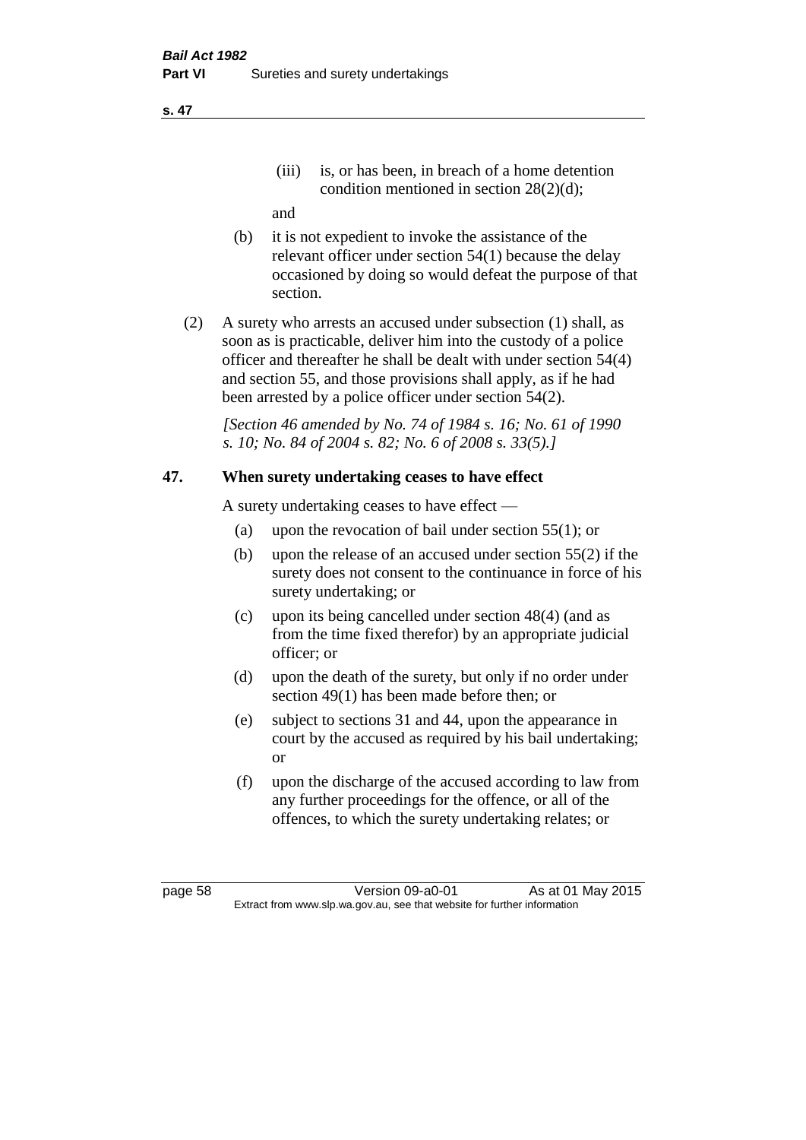(iii) is, or has been, in breach of a home detention condition mentioned in section 28(2)(d);

and

- (b) it is not expedient to invoke the assistance of the relevant officer under section 54(1) because the delay occasioned by doing so would defeat the purpose of that section.
- (2) A surety who arrests an accused under subsection (1) shall, as soon as is practicable, deliver him into the custody of a police officer and thereafter he shall be dealt with under section 54(4) and section 55, and those provisions shall apply, as if he had been arrested by a police officer under section 54(2).

*[Section 46 amended by No. 74 of 1984 s. 16; No. 61 of 1990 s. 10; No. 84 of 2004 s. 82; No. 6 of 2008 s. 33(5).]* 

### **47. When surety undertaking ceases to have effect**

A surety undertaking ceases to have effect —

- (a) upon the revocation of bail under section 55(1); or
- (b) upon the release of an accused under section 55(2) if the surety does not consent to the continuance in force of his surety undertaking; or
- (c) upon its being cancelled under section 48(4) (and as from the time fixed therefor) by an appropriate judicial officer; or
- (d) upon the death of the surety, but only if no order under section 49(1) has been made before then; or
- (e) subject to sections 31 and 44, upon the appearance in court by the accused as required by his bail undertaking; or
- (f) upon the discharge of the accused according to law from any further proceedings for the offence, or all of the offences, to which the surety undertaking relates; or

page 58 Version 09-a0-01 As at 01 May 2015 Extract from www.slp.wa.gov.au, see that website for further information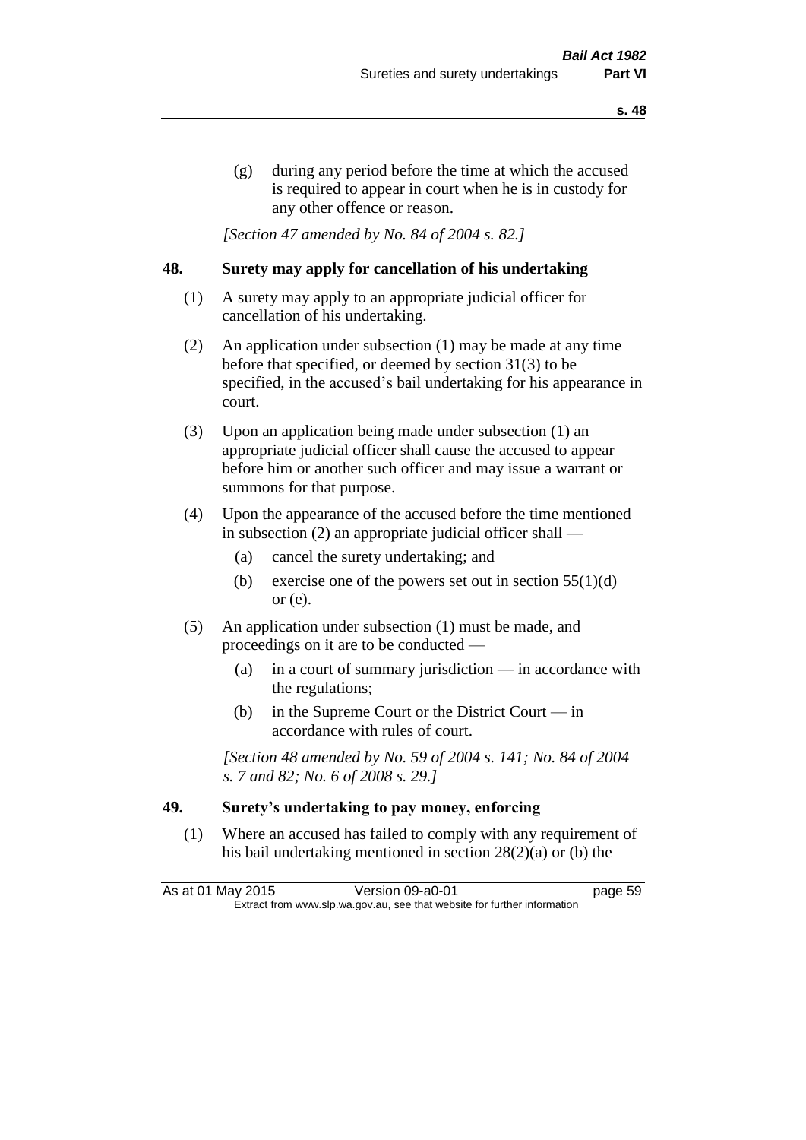(g) during any period before the time at which the accused is required to appear in court when he is in custody for any other offence or reason.

*[Section 47 amended by No. 84 of 2004 s. 82.]* 

#### **48. Surety may apply for cancellation of his undertaking**

- (1) A surety may apply to an appropriate judicial officer for cancellation of his undertaking.
- (2) An application under subsection (1) may be made at any time before that specified, or deemed by section 31(3) to be specified, in the accused's bail undertaking for his appearance in court.
- (3) Upon an application being made under subsection (1) an appropriate judicial officer shall cause the accused to appear before him or another such officer and may issue a warrant or summons for that purpose.
- (4) Upon the appearance of the accused before the time mentioned in subsection (2) an appropriate judicial officer shall —
	- (a) cancel the surety undertaking; and
	- (b) exercise one of the powers set out in section  $55(1)(d)$ or (e).
- (5) An application under subsection (1) must be made, and proceedings on it are to be conducted —
	- (a) in a court of summary jurisdiction in accordance with the regulations;
	- (b) in the Supreme Court or the District Court  $-\text{in}$ accordance with rules of court.

*[Section 48 amended by No. 59 of 2004 s. 141; No. 84 of 2004 s. 7 and 82; No. 6 of 2008 s. 29.]* 

#### **49. Surety's undertaking to pay money, enforcing**

(1) Where an accused has failed to comply with any requirement of his bail undertaking mentioned in section 28(2)(a) or (b) the

As at 01 May 2015 Version 09-a0-01 Page 59 Extract from www.slp.wa.gov.au, see that website for further information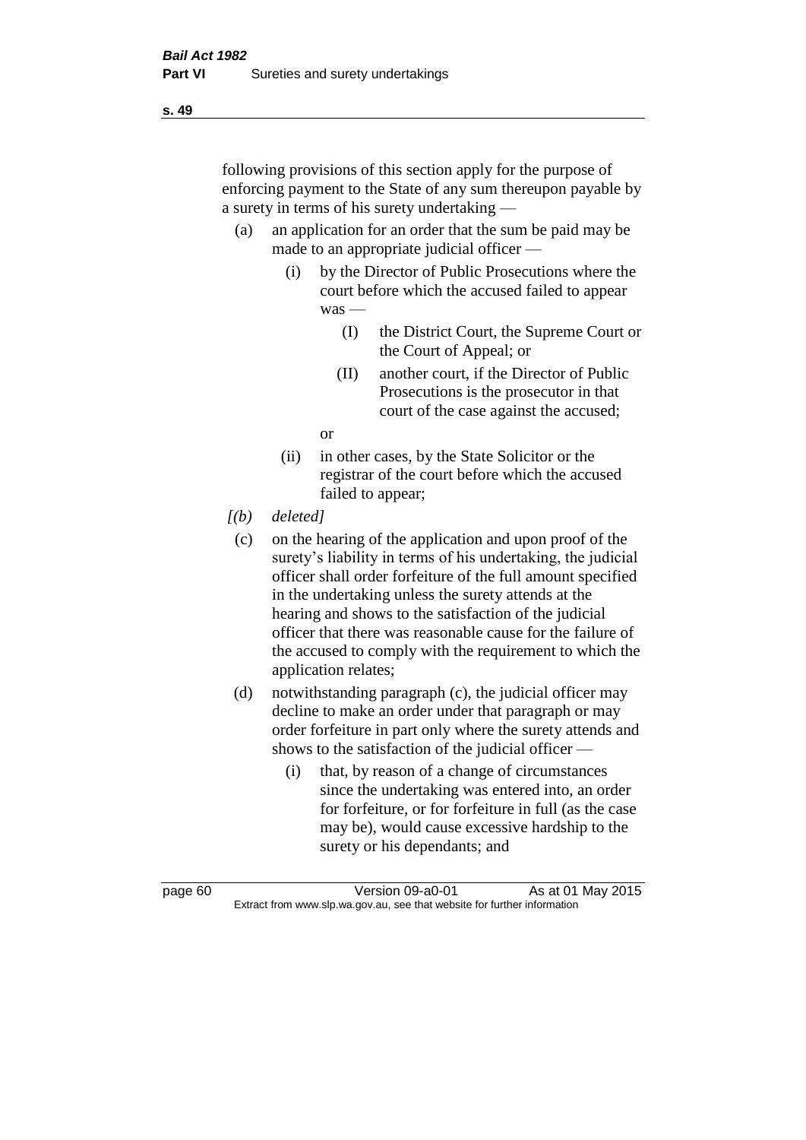following provisions of this section apply for the purpose of enforcing payment to the State of any sum thereupon payable by a surety in terms of his surety undertaking —

- (a) an application for an order that the sum be paid may be made to an appropriate judicial officer —
	- (i) by the Director of Public Prosecutions where the court before which the accused failed to appear was —
		- (I) the District Court, the Supreme Court or the Court of Appeal; or
		- (II) another court, if the Director of Public Prosecutions is the prosecutor in that court of the case against the accused;

or

- (ii) in other cases, by the State Solicitor or the registrar of the court before which the accused failed to appear;
- *[(b) deleted]*
	- (c) on the hearing of the application and upon proof of the surety's liability in terms of his undertaking, the judicial officer shall order forfeiture of the full amount specified in the undertaking unless the surety attends at the hearing and shows to the satisfaction of the judicial officer that there was reasonable cause for the failure of the accused to comply with the requirement to which the application relates;
- (d) notwithstanding paragraph (c), the judicial officer may decline to make an order under that paragraph or may order forfeiture in part only where the surety attends and shows to the satisfaction of the judicial officer —
	- (i) that, by reason of a change of circumstances since the undertaking was entered into, an order for forfeiture, or for forfeiture in full (as the case may be), would cause excessive hardship to the surety or his dependants; and

page 60 Version 09-a0-01 As at 01 May 2015 Extract from www.slp.wa.gov.au, see that website for further information

**s. 49**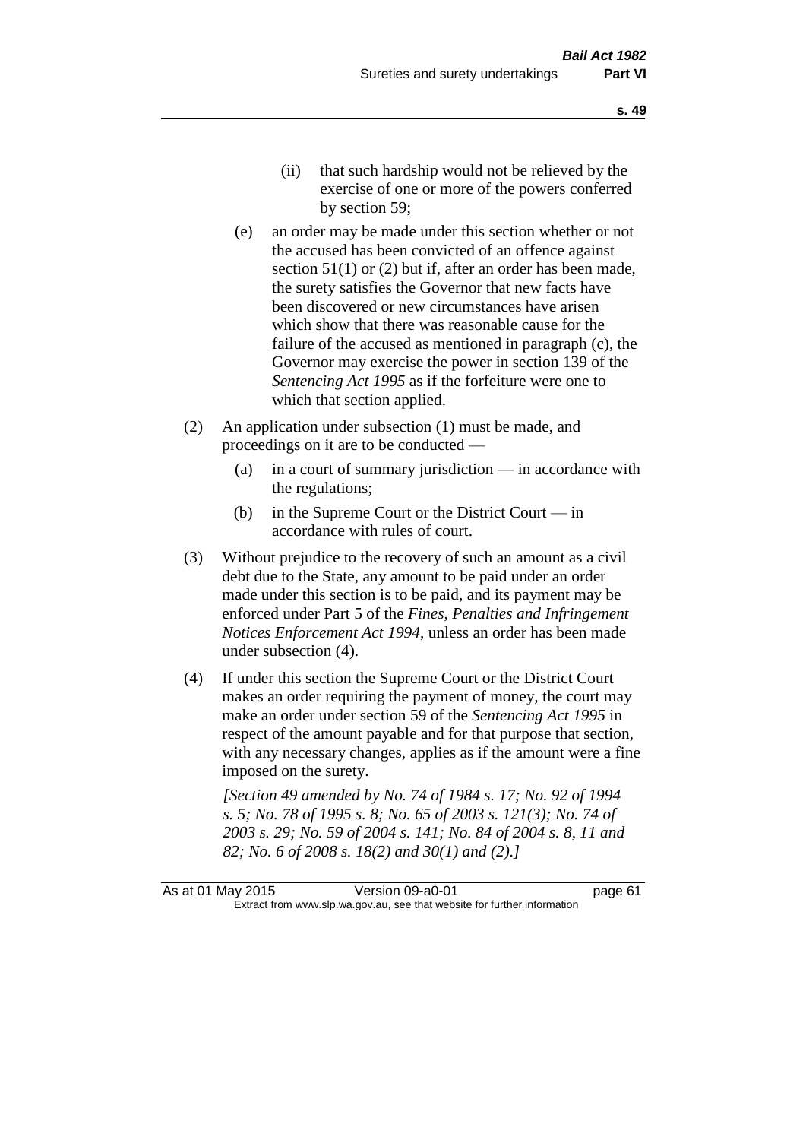- (ii) that such hardship would not be relieved by the exercise of one or more of the powers conferred by section 59;
- (e) an order may be made under this section whether or not the accused has been convicted of an offence against section 51(1) or (2) but if, after an order has been made, the surety satisfies the Governor that new facts have been discovered or new circumstances have arisen which show that there was reasonable cause for the failure of the accused as mentioned in paragraph (c), the Governor may exercise the power in section 139 of the *Sentencing Act 1995* as if the forfeiture were one to which that section applied.
- (2) An application under subsection (1) must be made, and proceedings on it are to be conducted —
	- (a) in a court of summary jurisdiction in accordance with the regulations;
	- (b) in the Supreme Court or the District Court  $-\text{in}$ accordance with rules of court.
- (3) Without prejudice to the recovery of such an amount as a civil debt due to the State, any amount to be paid under an order made under this section is to be paid, and its payment may be enforced under Part 5 of the *Fines, Penalties and Infringement Notices Enforcement Act 1994*, unless an order has been made under subsection (4).
- (4) If under this section the Supreme Court or the District Court makes an order requiring the payment of money, the court may make an order under section 59 of the *Sentencing Act 1995* in respect of the amount payable and for that purpose that section, with any necessary changes, applies as if the amount were a fine imposed on the surety.

*[Section 49 amended by No. 74 of 1984 s. 17; No. 92 of 1994 s. 5; No. 78 of 1995 s. 8; No. 65 of 2003 s. 121(3); No. 74 of 2003 s. 29; No. 59 of 2004 s. 141; No. 84 of 2004 s. 8, 11 and 82; No. 6 of 2008 s. 18(2) and 30(1) and (2).]*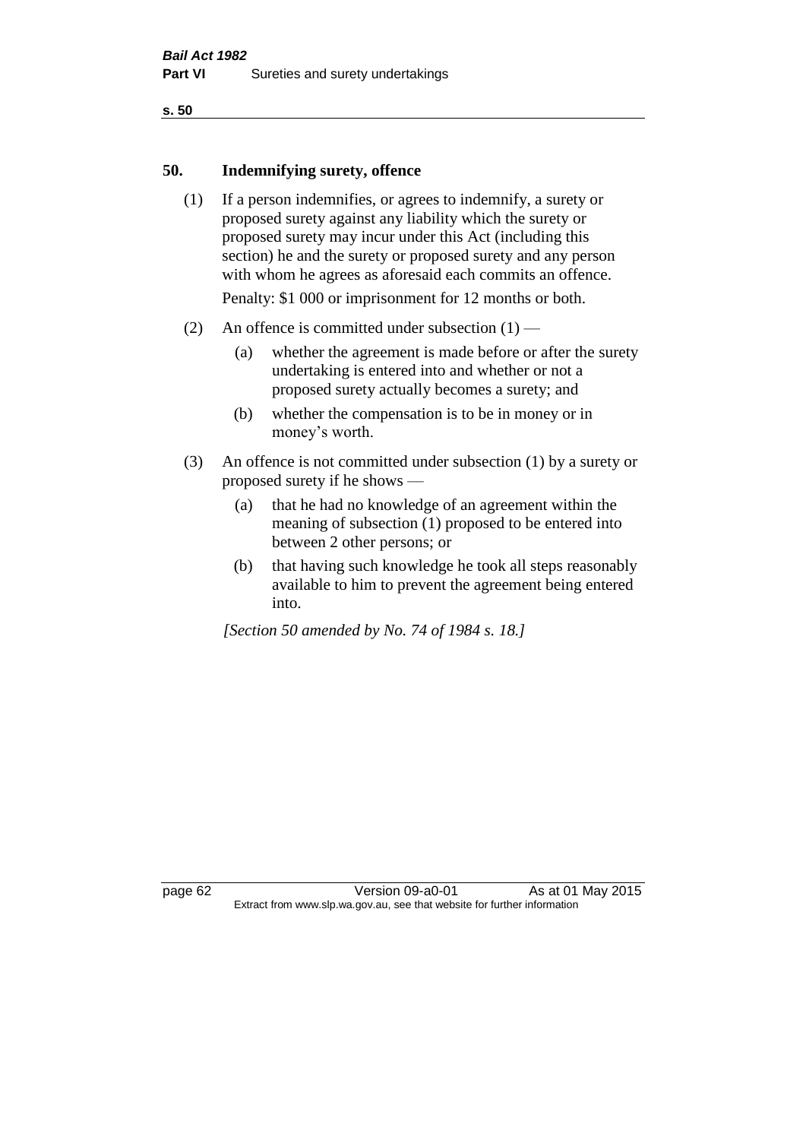#### **50. Indemnifying surety, offence**

- (1) If a person indemnifies, or agrees to indemnify, a surety or proposed surety against any liability which the surety or proposed surety may incur under this Act (including this section) he and the surety or proposed surety and any person with whom he agrees as aforesaid each commits an offence. Penalty: \$1 000 or imprisonment for 12 months or both.
- (2) An offence is committed under subsection  $(1)$ 
	- (a) whether the agreement is made before or after the surety undertaking is entered into and whether or not a proposed surety actually becomes a surety; and
	- (b) whether the compensation is to be in money or in money's worth.
- (3) An offence is not committed under subsection (1) by a surety or proposed surety if he shows —
	- (a) that he had no knowledge of an agreement within the meaning of subsection (1) proposed to be entered into between 2 other persons; or
	- (b) that having such knowledge he took all steps reasonably available to him to prevent the agreement being entered into.

*[Section 50 amended by No. 74 of 1984 s. 18.]* 

page 62 Version 09-a0-01 As at 01 May 2015 Extract from www.slp.wa.gov.au, see that website for further information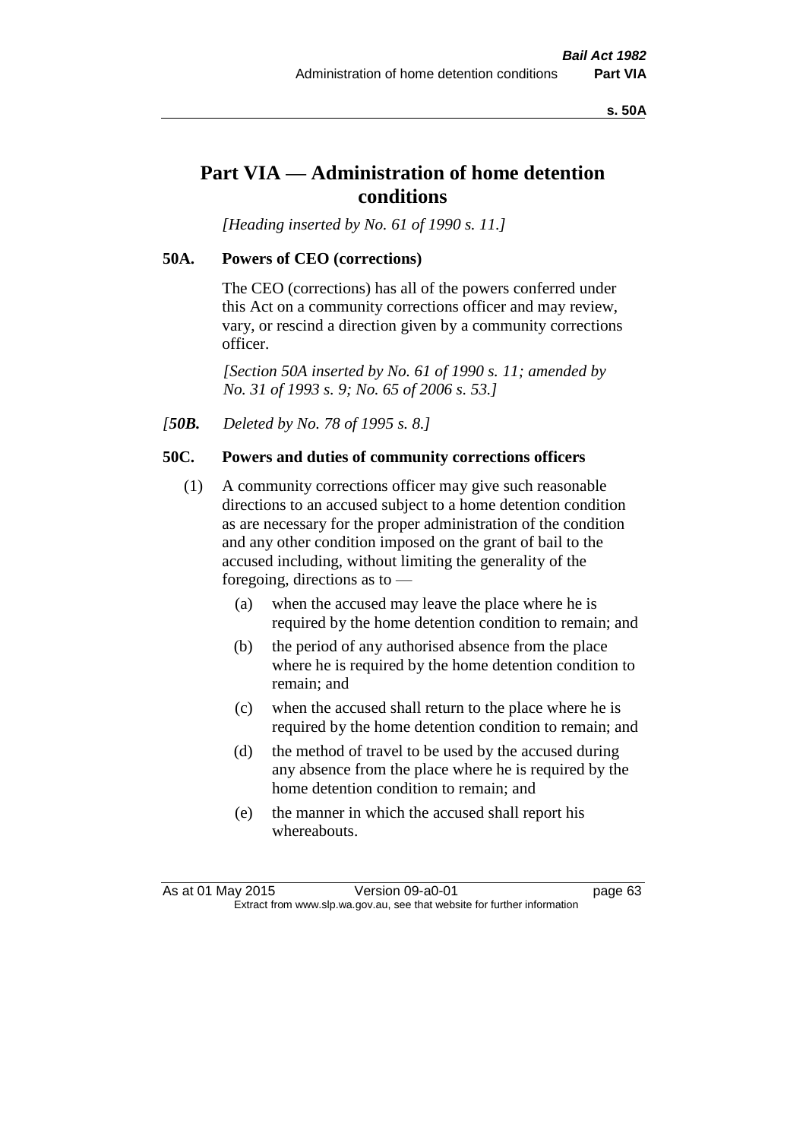**s. 50A**

# **Part VIA — Administration of home detention conditions**

*[Heading inserted by No. 61 of 1990 s. 11.]* 

# **50A. Powers of CEO (corrections)**

The CEO (corrections) has all of the powers conferred under this Act on a community corrections officer and may review, vary, or rescind a direction given by a community corrections officer.

*[Section 50A inserted by No. 61 of 1990 s. 11; amended by No. 31 of 1993 s. 9; No. 65 of 2006 s. 53.]* 

*[50B. Deleted by No. 78 of 1995 s. 8.]* 

# **50C. Powers and duties of community corrections officers**

- (1) A community corrections officer may give such reasonable directions to an accused subject to a home detention condition as are necessary for the proper administration of the condition and any other condition imposed on the grant of bail to the accused including, without limiting the generality of the foregoing, directions as to —
	- (a) when the accused may leave the place where he is required by the home detention condition to remain; and
	- (b) the period of any authorised absence from the place where he is required by the home detention condition to remain; and
	- (c) when the accused shall return to the place where he is required by the home detention condition to remain; and
	- (d) the method of travel to be used by the accused during any absence from the place where he is required by the home detention condition to remain; and
	- (e) the manner in which the accused shall report his whereabouts.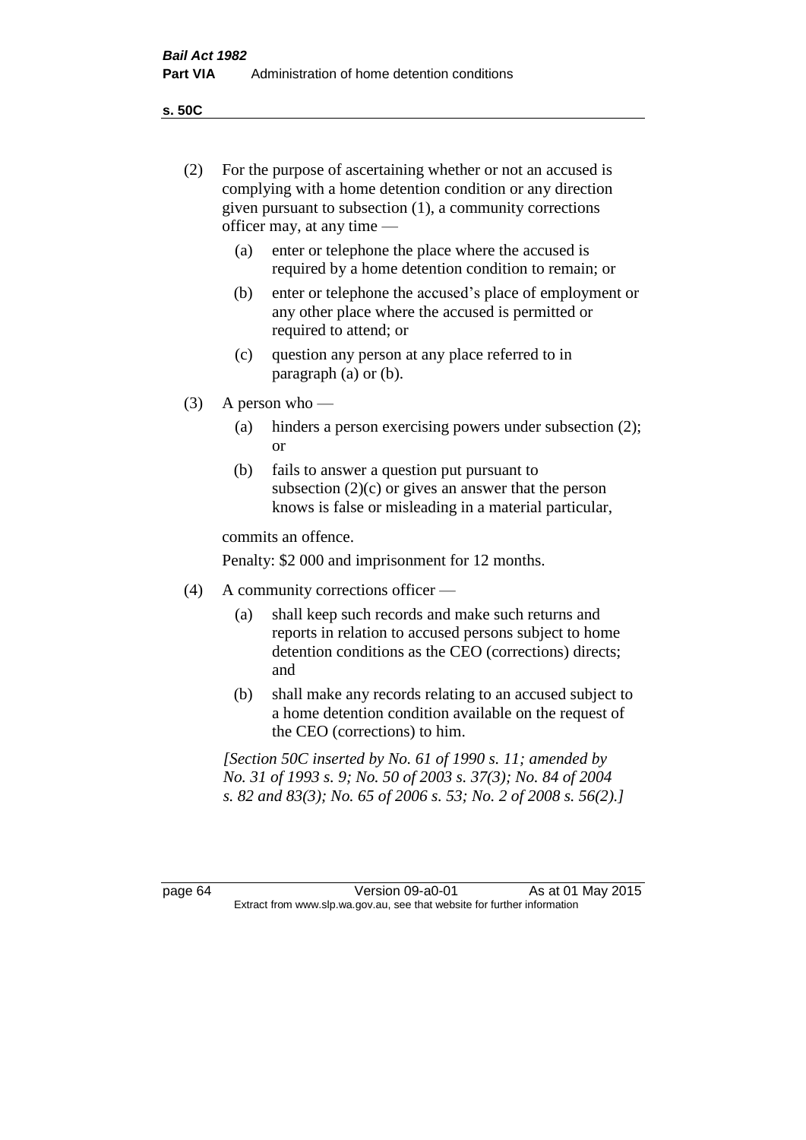**s. 50C**

| (2)     |                                                                                                                                                                                              | For the purpose of ascertaining whether or not an accused is<br>complying with a home detention condition or any direction<br>given pursuant to subsection (1), a community corrections<br>officer may, at any time $-$ |  |  |
|---------|----------------------------------------------------------------------------------------------------------------------------------------------------------------------------------------------|-------------------------------------------------------------------------------------------------------------------------------------------------------------------------------------------------------------------------|--|--|
|         | (a)                                                                                                                                                                                          | enter or telephone the place where the accused is<br>required by a home detention condition to remain; or                                                                                                               |  |  |
|         | (b)                                                                                                                                                                                          | enter or telephone the accused's place of employment or<br>any other place where the accused is permitted or<br>required to attend; or                                                                                  |  |  |
|         | (c)                                                                                                                                                                                          | question any person at any place referred to in<br>paragraph $(a)$ or $(b)$ .                                                                                                                                           |  |  |
| (3)     | A person who $-$                                                                                                                                                                             |                                                                                                                                                                                                                         |  |  |
|         | (a)                                                                                                                                                                                          | hinders a person exercising powers under subsection (2);<br><b>or</b>                                                                                                                                                   |  |  |
|         | (b)                                                                                                                                                                                          | fails to answer a question put pursuant to<br>subsection $(2)(c)$ or gives an answer that the person<br>knows is false or misleading in a material particular,                                                          |  |  |
|         |                                                                                                                                                                                              | commits an offence.                                                                                                                                                                                                     |  |  |
|         |                                                                                                                                                                                              | Penalty: \$2 000 and imprisonment for 12 months.                                                                                                                                                                        |  |  |
| (4)     | A community corrections officer -                                                                                                                                                            |                                                                                                                                                                                                                         |  |  |
|         | (a)                                                                                                                                                                                          | shall keep such records and make such returns and<br>reports in relation to accused persons subject to home<br>detention conditions as the CEO (corrections) directs;<br>and                                            |  |  |
|         | (b)                                                                                                                                                                                          | shall make any records relating to an accused subject to<br>a home detention condition available on the request of<br>the CEO (corrections) to him.                                                                     |  |  |
|         | [Section 50C inserted by No. 61 of 1990 s. 11; amended by<br>No. 31 of 1993 s. 9; No. 50 of 2003 s. 37(3); No. 84 of 2004<br>s. 82 and 83(3); No. 65 of 2006 s. 53; No. 2 of 2008 s. 56(2).] |                                                                                                                                                                                                                         |  |  |
| page 64 |                                                                                                                                                                                              | Version 09-a0-01<br>As at 01 May 2015                                                                                                                                                                                   |  |  |
|         |                                                                                                                                                                                              | Extract from www.slp.wa.gov.au, see that website for further information                                                                                                                                                |  |  |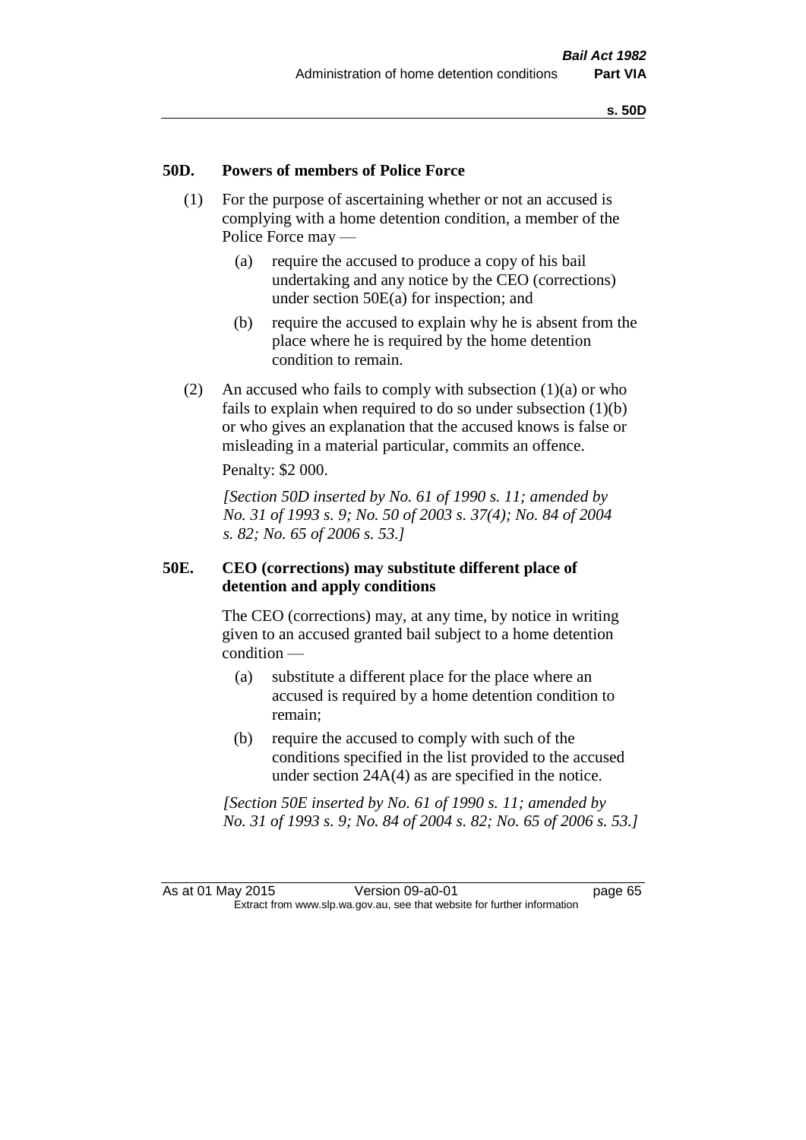### **50D. Powers of members of Police Force**

- (1) For the purpose of ascertaining whether or not an accused is complying with a home detention condition, a member of the Police Force may —
	- (a) require the accused to produce a copy of his bail undertaking and any notice by the CEO (corrections) under section 50E(a) for inspection; and
	- (b) require the accused to explain why he is absent from the place where he is required by the home detention condition to remain.
- (2) An accused who fails to comply with subsection  $(1)(a)$  or who fails to explain when required to do so under subsection (1)(b) or who gives an explanation that the accused knows is false or misleading in a material particular, commits an offence.

Penalty: \$2 000.

*[Section 50D inserted by No. 61 of 1990 s. 11; amended by No. 31 of 1993 s. 9; No. 50 of 2003 s. 37(4); No. 84 of 2004 s. 82; No. 65 of 2006 s. 53.]* 

# **50E. CEO (corrections) may substitute different place of detention and apply conditions**

The CEO (corrections) may, at any time, by notice in writing given to an accused granted bail subject to a home detention condition —

- (a) substitute a different place for the place where an accused is required by a home detention condition to remain;
- (b) require the accused to comply with such of the conditions specified in the list provided to the accused under section 24A(4) as are specified in the notice.

*[Section 50E inserted by No. 61 of 1990 s. 11; amended by No. 31 of 1993 s. 9; No. 84 of 2004 s. 82; No. 65 of 2006 s. 53.]*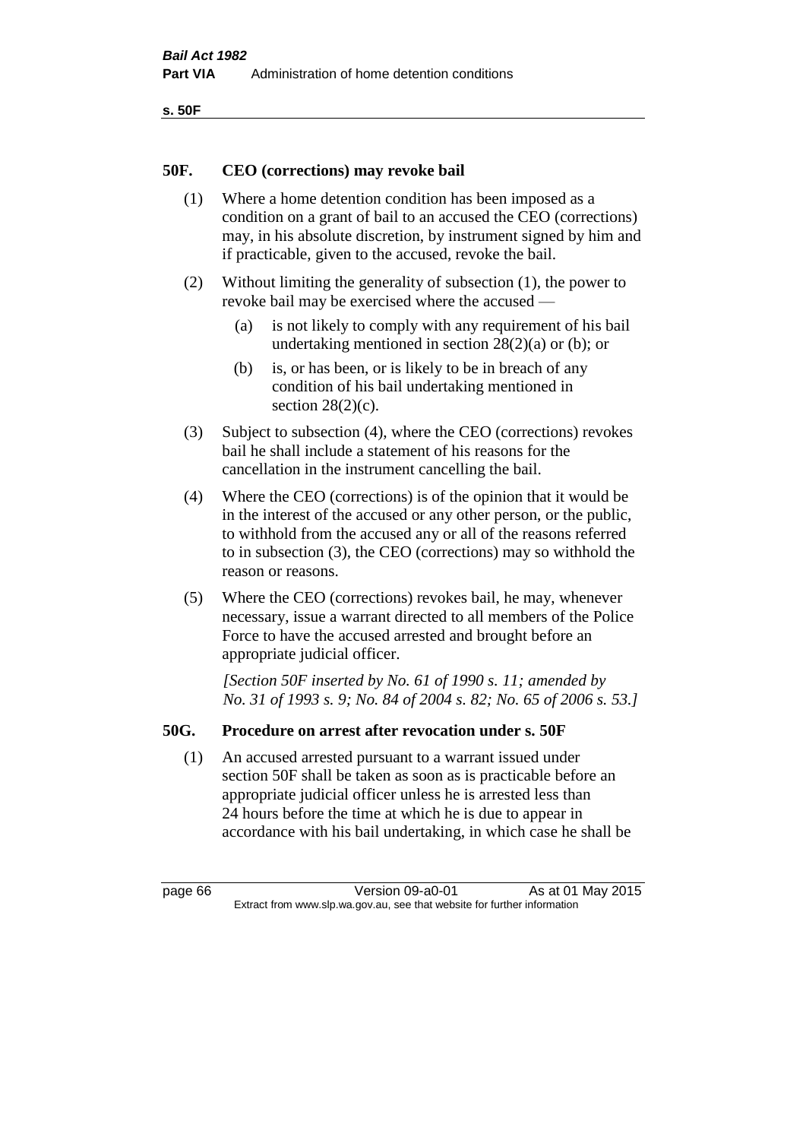```
s. 50F
```
# **50F. CEO (corrections) may revoke bail**

- (1) Where a home detention condition has been imposed as a condition on a grant of bail to an accused the CEO (corrections) may, in his absolute discretion, by instrument signed by him and if practicable, given to the accused, revoke the bail.
- (2) Without limiting the generality of subsection (1), the power to revoke bail may be exercised where the accused —
	- (a) is not likely to comply with any requirement of his bail undertaking mentioned in section 28(2)(a) or (b); or
	- (b) is, or has been, or is likely to be in breach of any condition of his bail undertaking mentioned in section  $28(2)(c)$ .
- (3) Subject to subsection (4), where the CEO (corrections) revokes bail he shall include a statement of his reasons for the cancellation in the instrument cancelling the bail.
- (4) Where the CEO (corrections) is of the opinion that it would be in the interest of the accused or any other person, or the public, to withhold from the accused any or all of the reasons referred to in subsection (3), the CEO (corrections) may so withhold the reason or reasons.
- (5) Where the CEO (corrections) revokes bail, he may, whenever necessary, issue a warrant directed to all members of the Police Force to have the accused arrested and brought before an appropriate judicial officer.

*[Section 50F inserted by No. 61 of 1990 s. 11; amended by No. 31 of 1993 s. 9; No. 84 of 2004 s. 82; No. 65 of 2006 s. 53.]* 

# **50G. Procedure on arrest after revocation under s. 50F**

(1) An accused arrested pursuant to a warrant issued under section 50F shall be taken as soon as is practicable before an appropriate judicial officer unless he is arrested less than 24 hours before the time at which he is due to appear in accordance with his bail undertaking, in which case he shall be

page 66 Version 09-a0-01 As at 01 May 2015 Extract from www.slp.wa.gov.au, see that website for further information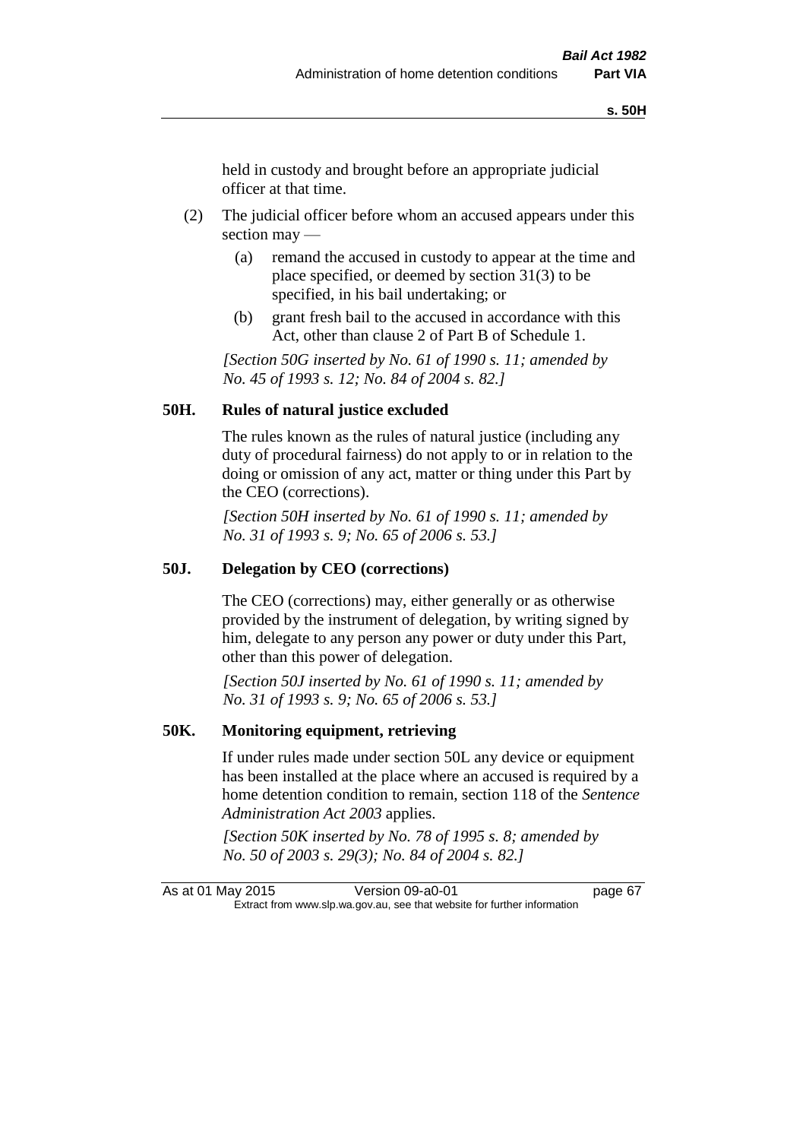held in custody and brought before an appropriate judicial officer at that time.

- (2) The judicial officer before whom an accused appears under this section may —
	- (a) remand the accused in custody to appear at the time and place specified, or deemed by section 31(3) to be specified, in his bail undertaking; or
	- (b) grant fresh bail to the accused in accordance with this Act, other than clause 2 of Part B of Schedule 1.

*[Section 50G inserted by No. 61 of 1990 s. 11; amended by No. 45 of 1993 s. 12; No. 84 of 2004 s. 82.]* 

# **50H. Rules of natural justice excluded**

The rules known as the rules of natural justice (including any duty of procedural fairness) do not apply to or in relation to the doing or omission of any act, matter or thing under this Part by the CEO (corrections).

*[Section 50H inserted by No. 61 of 1990 s. 11; amended by No. 31 of 1993 s. 9; No. 65 of 2006 s. 53.]* 

### **50J. Delegation by CEO (corrections)**

The CEO (corrections) may, either generally or as otherwise provided by the instrument of delegation, by writing signed by him, delegate to any person any power or duty under this Part, other than this power of delegation.

*[Section 50J inserted by No. 61 of 1990 s. 11; amended by No. 31 of 1993 s. 9; No. 65 of 2006 s. 53.]* 

### **50K. Monitoring equipment, retrieving**

If under rules made under section 50L any device or equipment has been installed at the place where an accused is required by a home detention condition to remain, section 118 of the *Sentence Administration Act 2003* applies.

*[Section 50K inserted by No. 78 of 1995 s. 8; amended by No. 50 of 2003 s. 29(3); No. 84 of 2004 s. 82.]* 

As at 01 May 2015 Version 09-a0-01 page 67 Extract from www.slp.wa.gov.au, see that website for further information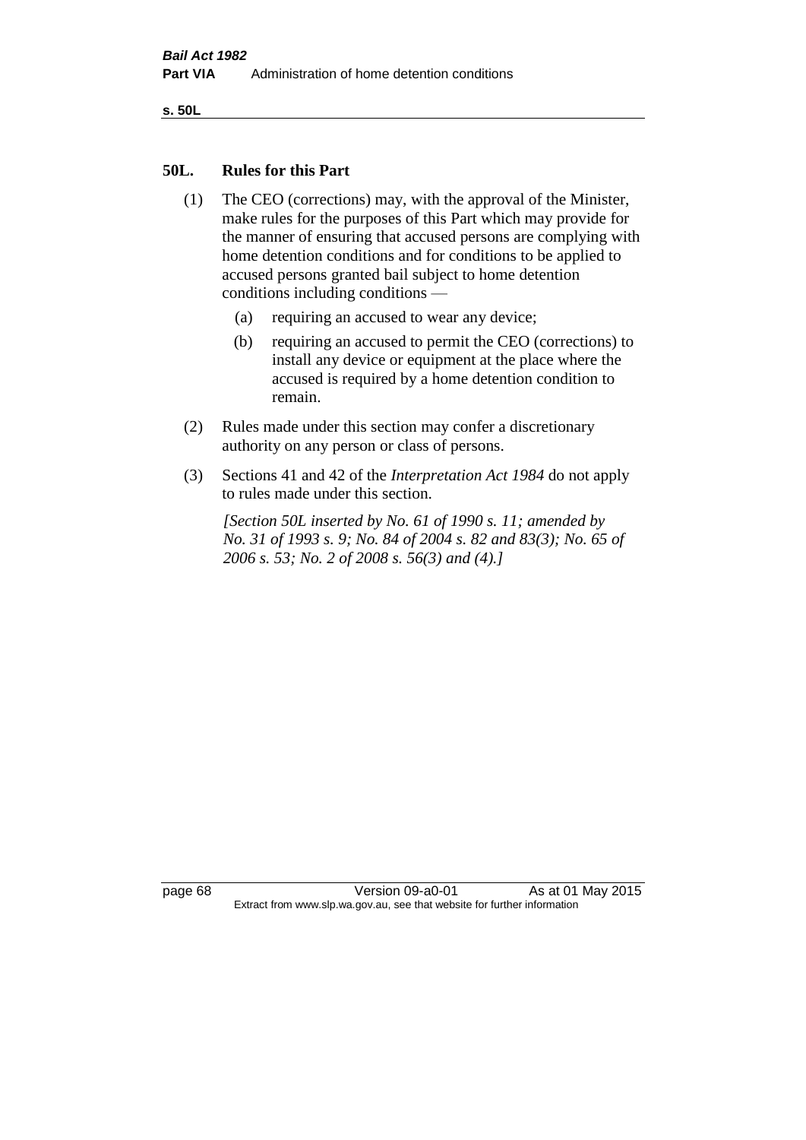**s. 50L**

### **50L. Rules for this Part**

- (1) The CEO (corrections) may, with the approval of the Minister, make rules for the purposes of this Part which may provide for the manner of ensuring that accused persons are complying with home detention conditions and for conditions to be applied to accused persons granted bail subject to home detention conditions including conditions —
	- (a) requiring an accused to wear any device;
	- (b) requiring an accused to permit the CEO (corrections) to install any device or equipment at the place where the accused is required by a home detention condition to remain.
- (2) Rules made under this section may confer a discretionary authority on any person or class of persons.
- (3) Sections 41 and 42 of the *Interpretation Act 1984* do not apply to rules made under this section.

*[Section 50L inserted by No. 61 of 1990 s. 11; amended by No. 31 of 1993 s. 9; No. 84 of 2004 s. 82 and 83(3); No. 65 of 2006 s. 53; No. 2 of 2008 s. 56(3) and (4).]* 

page 68 Version 09-a0-01 As at 01 May 2015 Extract from www.slp.wa.gov.au, see that website for further information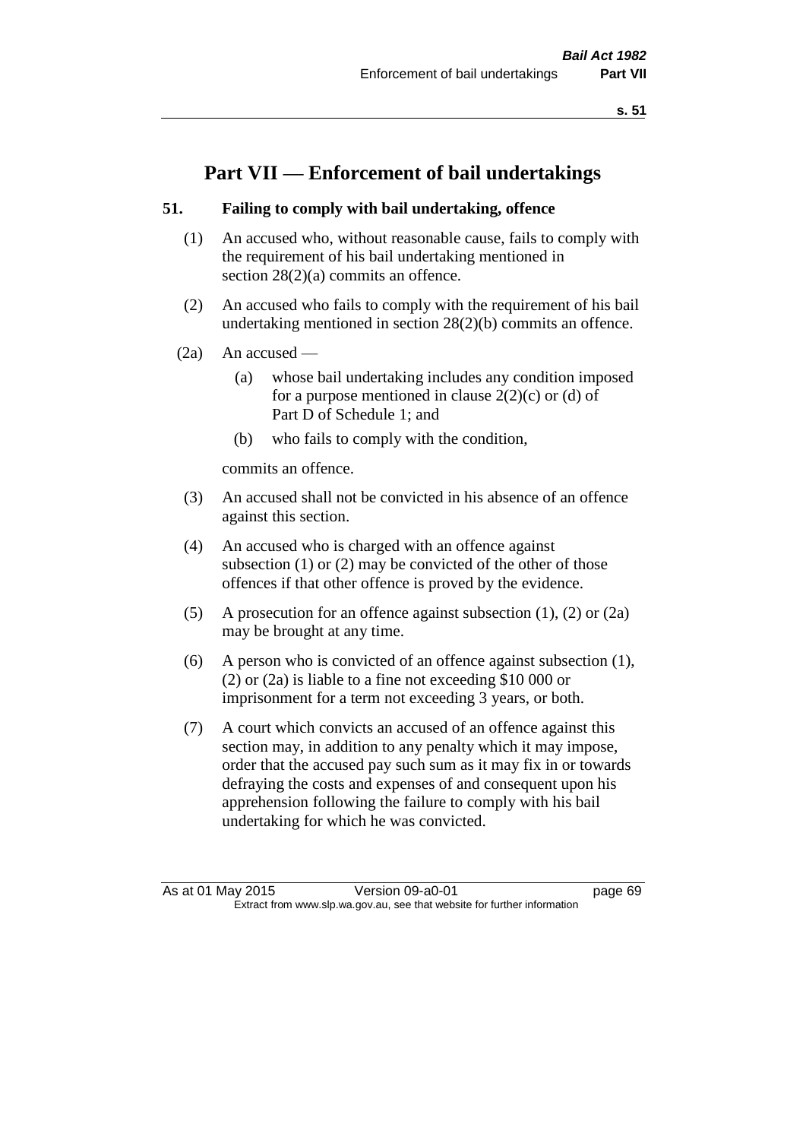**s. 51**

# **Part VII — Enforcement of bail undertakings**

# **51. Failing to comply with bail undertaking, offence**

- (1) An accused who, without reasonable cause, fails to comply with the requirement of his bail undertaking mentioned in section 28(2)(a) commits an offence.
- (2) An accused who fails to comply with the requirement of his bail undertaking mentioned in section 28(2)(b) commits an offence.
- (2a) An accused
	- (a) whose bail undertaking includes any condition imposed for a purpose mentioned in clause  $2(2)(c)$  or (d) of Part D of Schedule 1; and
	- (b) who fails to comply with the condition,

commits an offence.

- (3) An accused shall not be convicted in his absence of an offence against this section.
- (4) An accused who is charged with an offence against subsection (1) or (2) may be convicted of the other of those offences if that other offence is proved by the evidence.
- (5) A prosecution for an offence against subsection (1), (2) or (2a) may be brought at any time.
- (6) A person who is convicted of an offence against subsection (1), (2) or (2a) is liable to a fine not exceeding \$10 000 or imprisonment for a term not exceeding 3 years, or both.
- (7) A court which convicts an accused of an offence against this section may, in addition to any penalty which it may impose, order that the accused pay such sum as it may fix in or towards defraying the costs and expenses of and consequent upon his apprehension following the failure to comply with his bail undertaking for which he was convicted.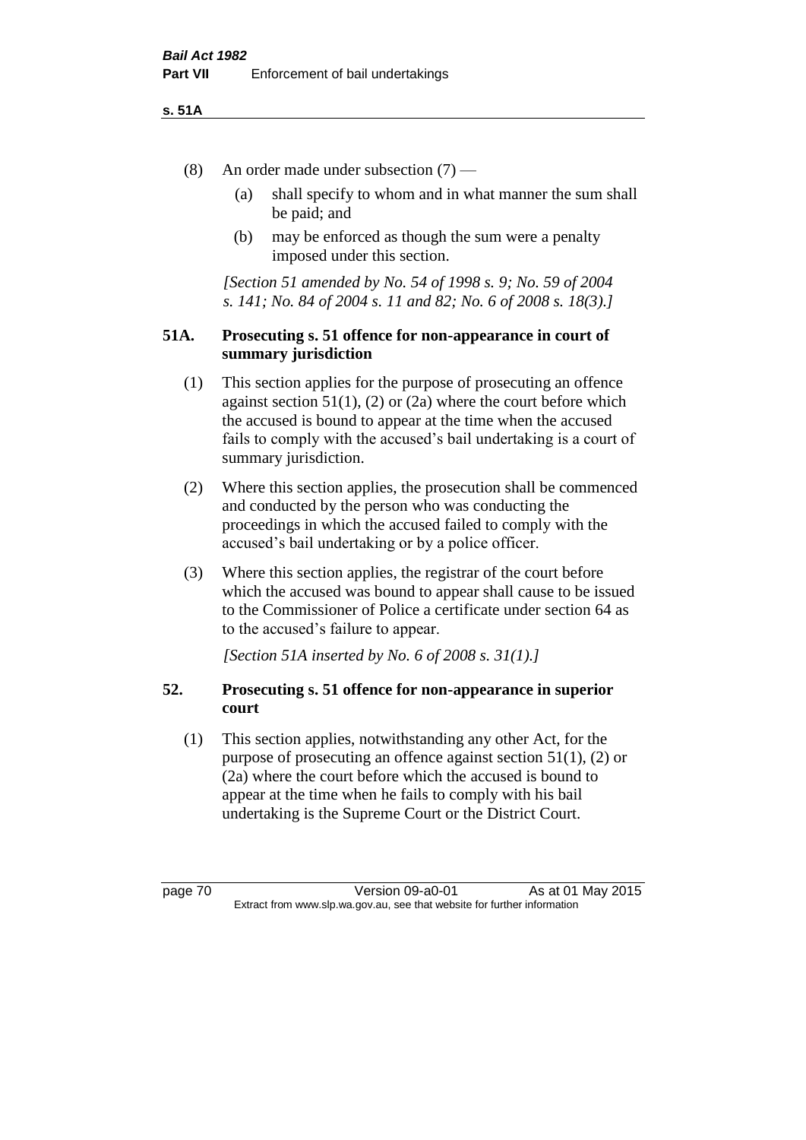### **s. 51A**

- (8) An order made under subsection (7)
	- (a) shall specify to whom and in what manner the sum shall be paid; and
	- (b) may be enforced as though the sum were a penalty imposed under this section.

*[Section 51 amended by No. 54 of 1998 s. 9; No. 59 of 2004 s. 141; No. 84 of 2004 s. 11 and 82; No. 6 of 2008 s. 18(3).]*

# **51A. Prosecuting s. 51 offence for non-appearance in court of summary jurisdiction**

- (1) This section applies for the purpose of prosecuting an offence against section  $51(1)$ ,  $(2)$  or  $(2a)$  where the court before which the accused is bound to appear at the time when the accused fails to comply with the accused's bail undertaking is a court of summary jurisdiction.
- (2) Where this section applies, the prosecution shall be commenced and conducted by the person who was conducting the proceedings in which the accused failed to comply with the accused's bail undertaking or by a police officer.
- (3) Where this section applies, the registrar of the court before which the accused was bound to appear shall cause to be issued to the Commissioner of Police a certificate under section 64 as to the accused's failure to appear.

*[Section 51A inserted by No. 6 of 2008 s. 31(1).]*

# **52. Prosecuting s. 51 offence for non-appearance in superior court**

(1) This section applies, notwithstanding any other Act, for the purpose of prosecuting an offence against section 51(1), (2) or (2a) where the court before which the accused is bound to appear at the time when he fails to comply with his bail undertaking is the Supreme Court or the District Court.

page 70 Version 09-a0-01 As at 01 May 2015 Extract from www.slp.wa.gov.au, see that website for further information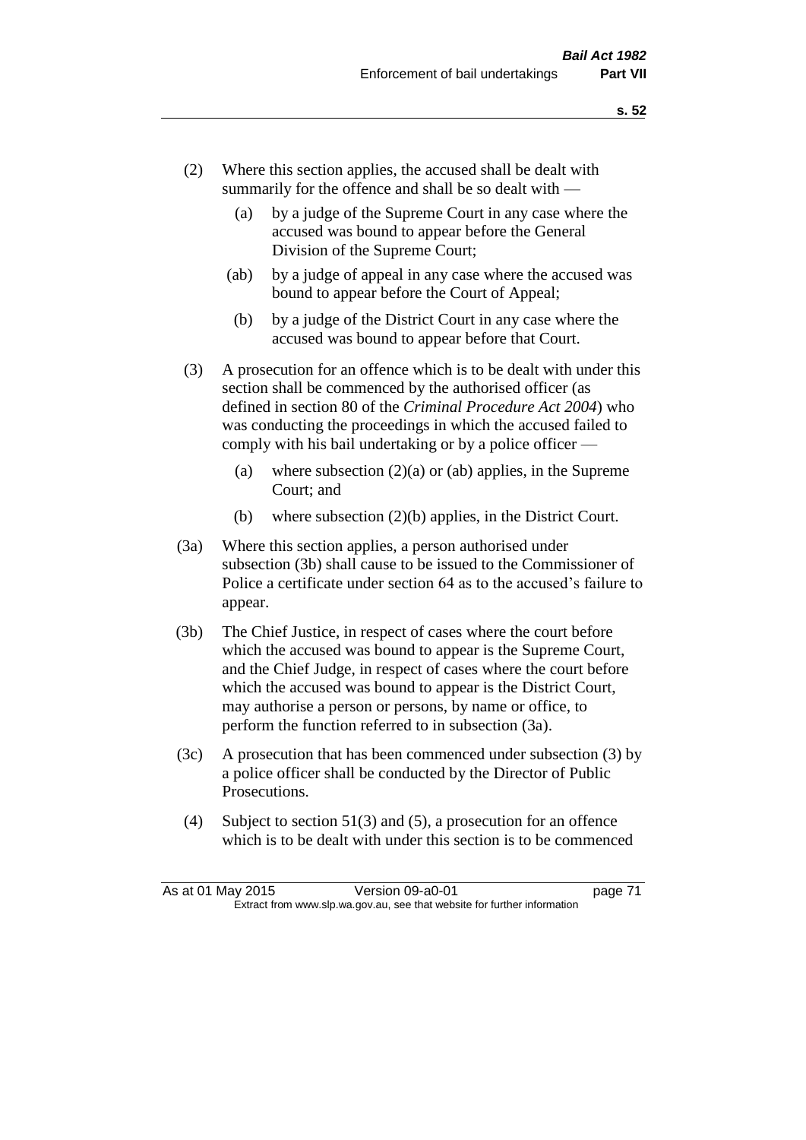- (2) Where this section applies, the accused shall be dealt with summarily for the offence and shall be so dealt with —
	- (a) by a judge of the Supreme Court in any case where the accused was bound to appear before the General Division of the Supreme Court;
	- (ab) by a judge of appeal in any case where the accused was bound to appear before the Court of Appeal;
	- (b) by a judge of the District Court in any case where the accused was bound to appear before that Court.
- (3) A prosecution for an offence which is to be dealt with under this section shall be commenced by the authorised officer (as defined in section 80 of the *Criminal Procedure Act 2004*) who was conducting the proceedings in which the accused failed to comply with his bail undertaking or by a police officer —
	- (a) where subsection  $(2)(a)$  or (ab) applies, in the Supreme Court; and
	- (b) where subsection (2)(b) applies, in the District Court.
- (3a) Where this section applies, a person authorised under subsection (3b) shall cause to be issued to the Commissioner of Police a certificate under section 64 as to the accused's failure to appear.
- (3b) The Chief Justice, in respect of cases where the court before which the accused was bound to appear is the Supreme Court, and the Chief Judge, in respect of cases where the court before which the accused was bound to appear is the District Court, may authorise a person or persons, by name or office, to perform the function referred to in subsection (3a).
- (3c) A prosecution that has been commenced under subsection (3) by a police officer shall be conducted by the Director of Public Prosecutions.
- (4) Subject to section 51(3) and (5), a prosecution for an offence which is to be dealt with under this section is to be commenced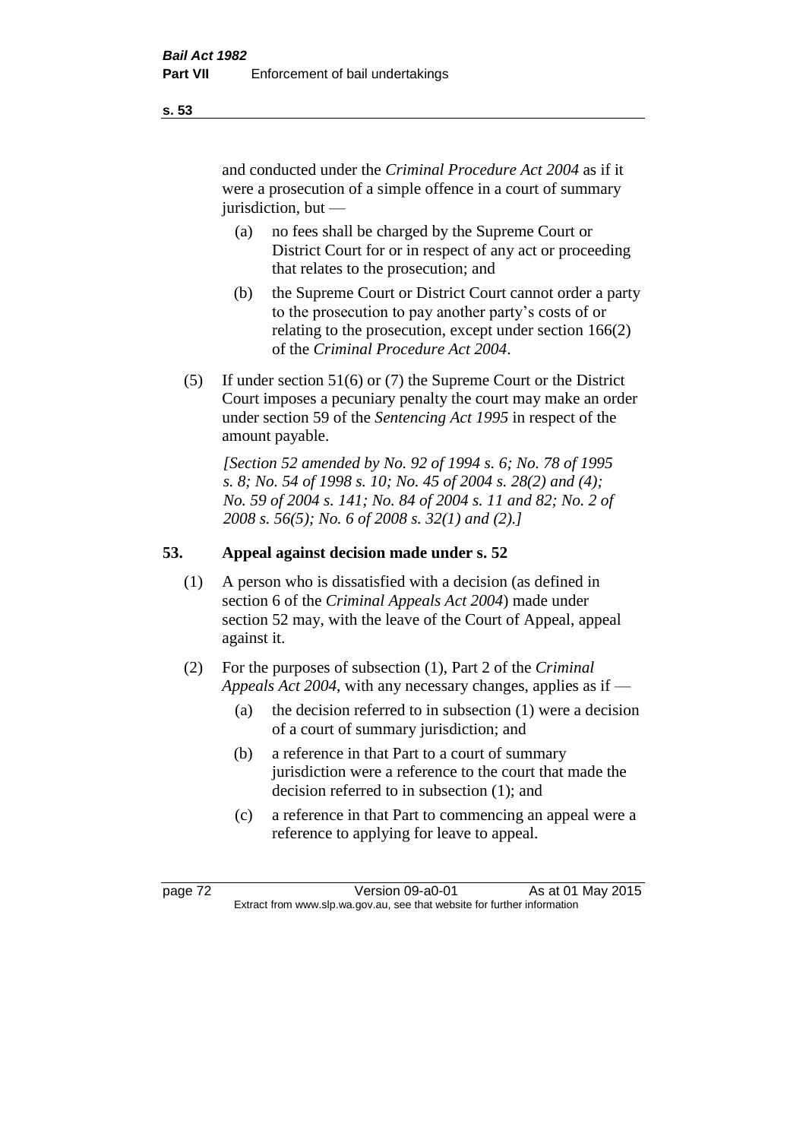and conducted under the *Criminal Procedure Act 2004* as if it were a prosecution of a simple offence in a court of summary jurisdiction, but —

- (a) no fees shall be charged by the Supreme Court or District Court for or in respect of any act or proceeding that relates to the prosecution; and
- (b) the Supreme Court or District Court cannot order a party to the prosecution to pay another party's costs of or relating to the prosecution, except under section 166(2) of the *Criminal Procedure Act 2004*.
- (5) If under section 51(6) or (7) the Supreme Court or the District Court imposes a pecuniary penalty the court may make an order under section 59 of the *Sentencing Act 1995* in respect of the amount payable.

*[Section 52 amended by No. 92 of 1994 s. 6; No. 78 of 1995 s. 8; No. 54 of 1998 s. 10; No. 45 of 2004 s. 28(2) and (4); No. 59 of 2004 s. 141; No. 84 of 2004 s. 11 and 82; No. 2 of 2008 s. 56(5); No. 6 of 2008 s. 32(1) and (2).]* 

# **53. Appeal against decision made under s. 52**

- (1) A person who is dissatisfied with a decision (as defined in section 6 of the *Criminal Appeals Act 2004*) made under section 52 may, with the leave of the Court of Appeal, appeal against it.
- (2) For the purposes of subsection (1), Part 2 of the *Criminal Appeals Act 2004*, with any necessary changes, applies as if —
	- (a) the decision referred to in subsection (1) were a decision of a court of summary jurisdiction; and
	- (b) a reference in that Part to a court of summary jurisdiction were a reference to the court that made the decision referred to in subsection (1); and
	- (c) a reference in that Part to commencing an appeal were a reference to applying for leave to appeal.

page 72 Version 09-a0-01 As at 01 May 2015 Extract from www.slp.wa.gov.au, see that website for further information

### **s. 53**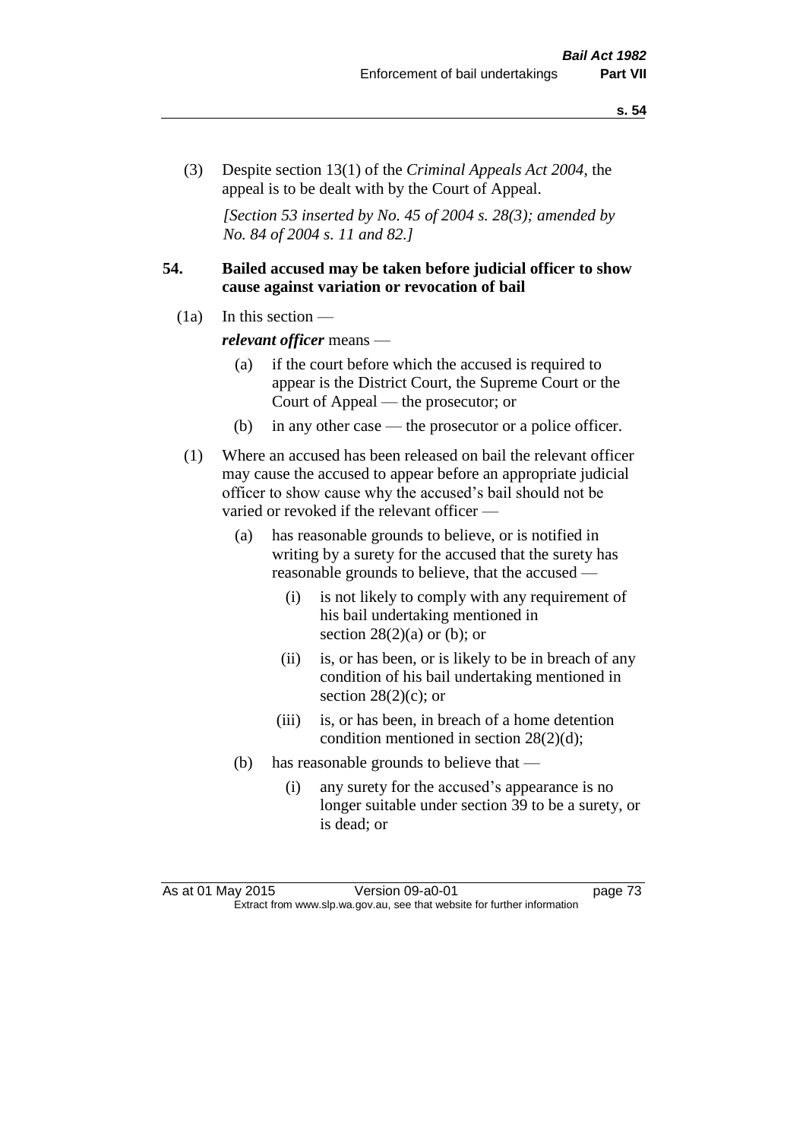(3) Despite section 13(1) of the *Criminal Appeals Act 2004*, the appeal is to be dealt with by the Court of Appeal.

*[Section 53 inserted by No. 45 of 2004 s. 28(3); amended by No. 84 of 2004 s. 11 and 82.]*

# **54. Bailed accused may be taken before judicial officer to show cause against variation or revocation of bail**

 $(1a)$  In this section —

*relevant officer* means —

- (a) if the court before which the accused is required to appear is the District Court, the Supreme Court or the Court of Appeal — the prosecutor; or
- (b) in any other case the prosecutor or a police officer.
- (1) Where an accused has been released on bail the relevant officer may cause the accused to appear before an appropriate judicial officer to show cause why the accused's bail should not be varied or revoked if the relevant officer —
	- (a) has reasonable grounds to believe, or is notified in writing by a surety for the accused that the surety has reasonable grounds to believe, that the accused —
		- (i) is not likely to comply with any requirement of his bail undertaking mentioned in section  $28(2)(a)$  or (b); or
		- (ii) is, or has been, or is likely to be in breach of any condition of his bail undertaking mentioned in section  $28(2)(c)$ ; or
		- (iii) is, or has been, in breach of a home detention condition mentioned in section 28(2)(d);
	- (b) has reasonable grounds to believe that
		- (i) any surety for the accused's appearance is no longer suitable under section 39 to be a surety, or is dead; or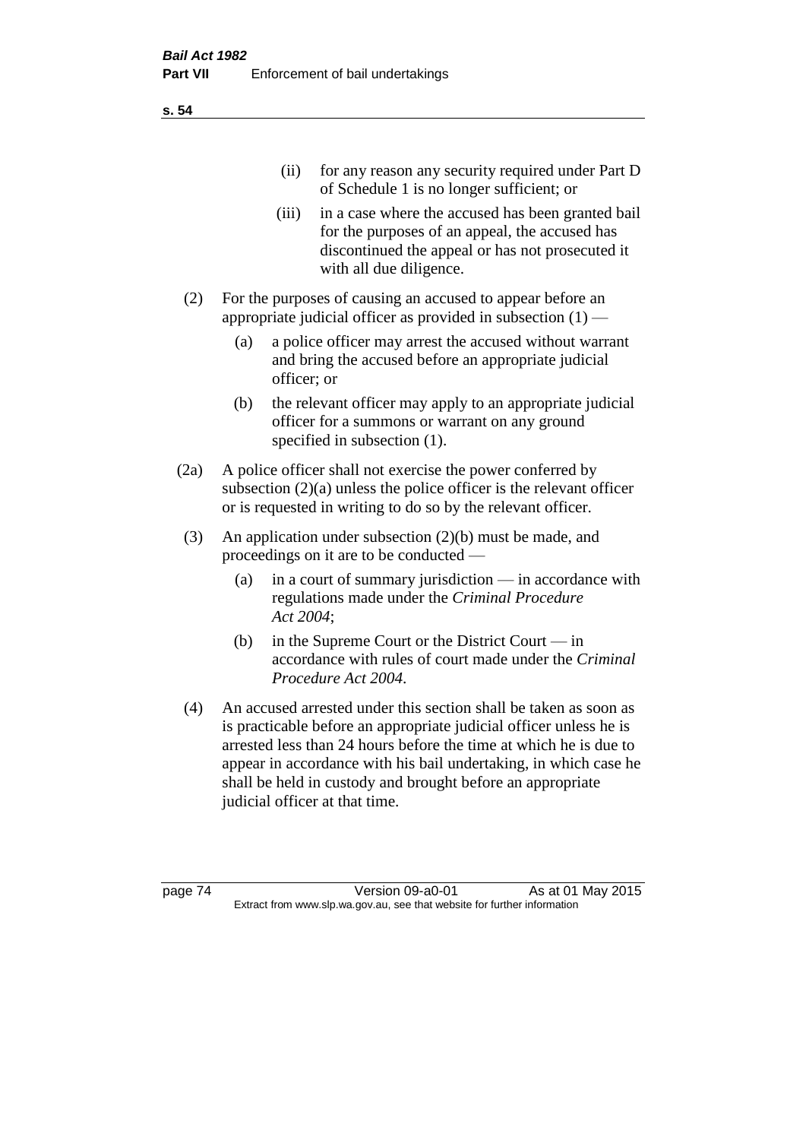(ii) for any reason any security required under Part D of Schedule 1 is no longer sufficient; or

- (iii) in a case where the accused has been granted bail for the purposes of an appeal, the accused has discontinued the appeal or has not prosecuted it with all due diligence.
- (2) For the purposes of causing an accused to appear before an appropriate judicial officer as provided in subsection (1) —
	- (a) a police officer may arrest the accused without warrant and bring the accused before an appropriate judicial officer; or
	- (b) the relevant officer may apply to an appropriate judicial officer for a summons or warrant on any ground specified in subsection (1).
- (2a) A police officer shall not exercise the power conferred by subsection  $(2)(a)$  unless the police officer is the relevant officer or is requested in writing to do so by the relevant officer.
- (3) An application under subsection (2)(b) must be made, and proceedings on it are to be conducted —
	- (a) in a court of summary jurisdiction in accordance with regulations made under the *Criminal Procedure Act 2004*;
	- (b) in the Supreme Court or the District Court  $-\text{in}$ accordance with rules of court made under the *Criminal Procedure Act 2004*.
- (4) An accused arrested under this section shall be taken as soon as is practicable before an appropriate judicial officer unless he is arrested less than 24 hours before the time at which he is due to appear in accordance with his bail undertaking, in which case he shall be held in custody and brought before an appropriate judicial officer at that time.

page 74 Version 09-a0-01 As at 01 May 2015 Extract from www.slp.wa.gov.au, see that website for further information

**s. 54**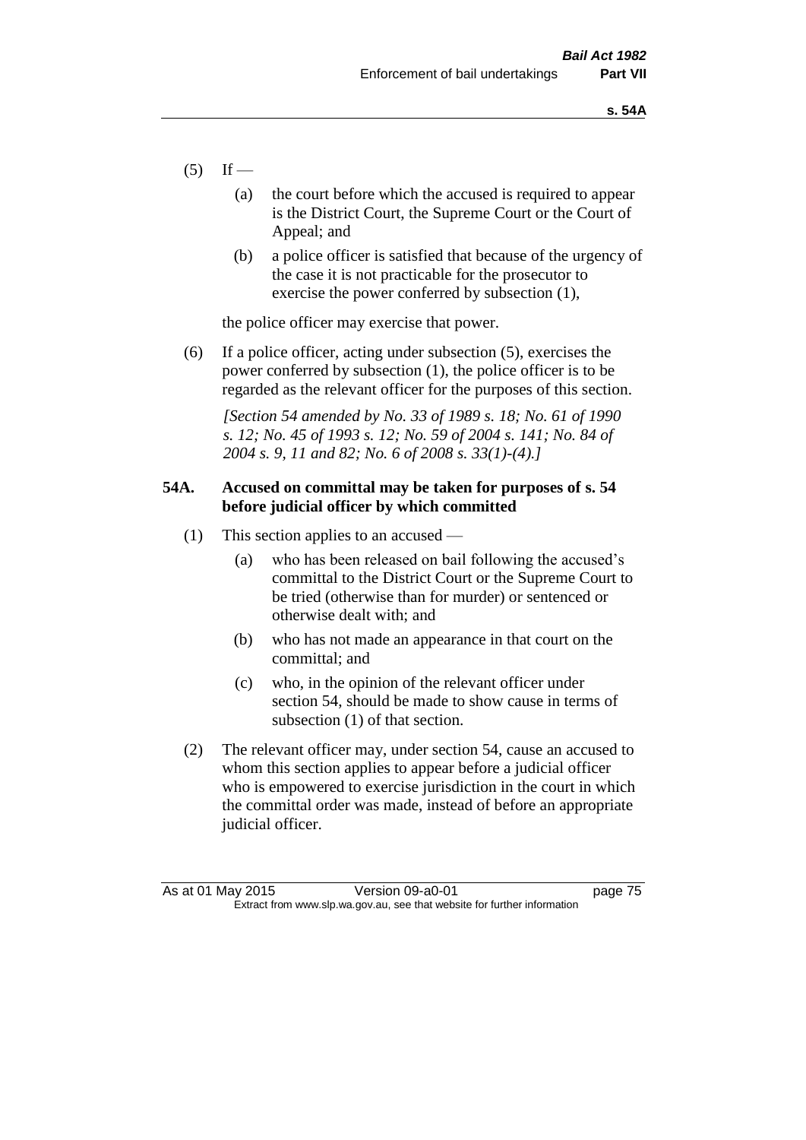- $(5)$  If
	- (a) the court before which the accused is required to appear is the District Court, the Supreme Court or the Court of Appeal; and
	- (b) a police officer is satisfied that because of the urgency of the case it is not practicable for the prosecutor to exercise the power conferred by subsection (1),

the police officer may exercise that power.

(6) If a police officer, acting under subsection (5), exercises the power conferred by subsection (1), the police officer is to be regarded as the relevant officer for the purposes of this section.

*[Section 54 amended by No. 33 of 1989 s. 18; No. 61 of 1990 s. 12; No. 45 of 1993 s. 12; No. 59 of 2004 s. 141; No. 84 of 2004 s. 9, 11 and 82; No. 6 of 2008 s. 33(1)-(4).]* 

# **54A. Accused on committal may be taken for purposes of s. 54 before judicial officer by which committed**

- (1) This section applies to an accused
	- (a) who has been released on bail following the accused's committal to the District Court or the Supreme Court to be tried (otherwise than for murder) or sentenced or otherwise dealt with; and
	- (b) who has not made an appearance in that court on the committal; and
	- (c) who, in the opinion of the relevant officer under section 54, should be made to show cause in terms of subsection (1) of that section.
- (2) The relevant officer may, under section 54, cause an accused to whom this section applies to appear before a judicial officer who is empowered to exercise jurisdiction in the court in which the committal order was made, instead of before an appropriate judicial officer.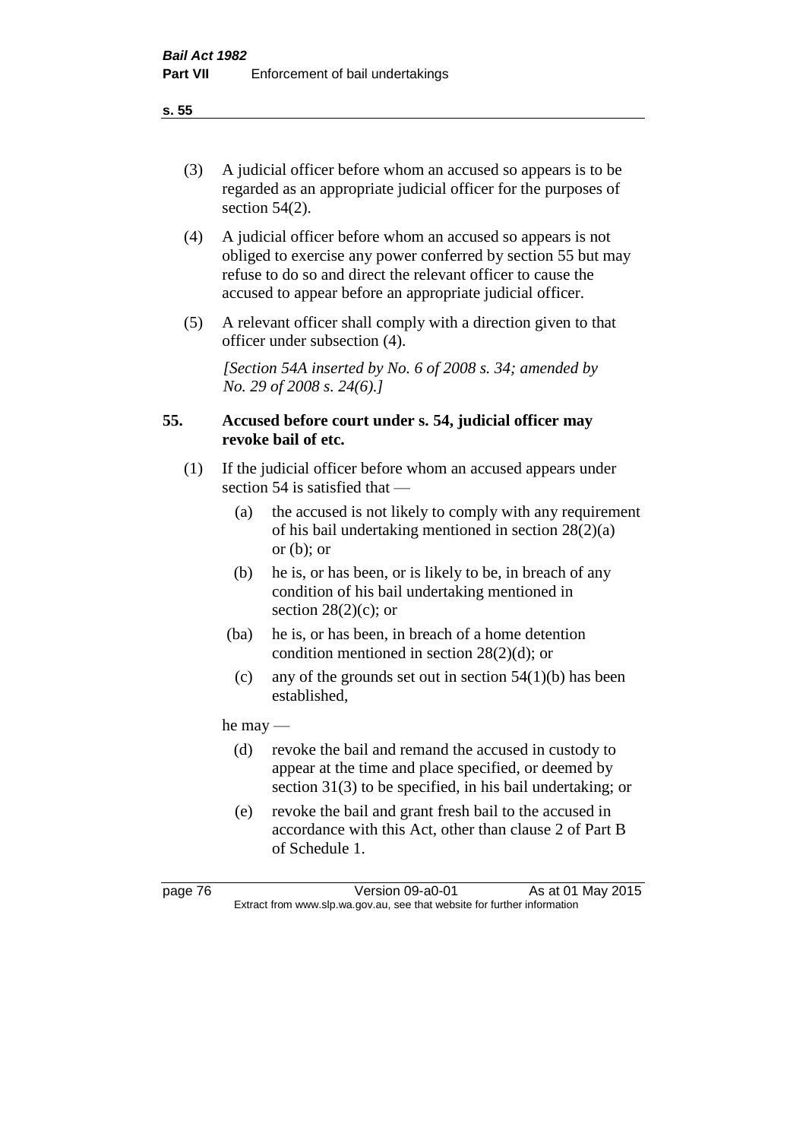(3) A judicial officer before whom an accused so appears is to be regarded as an appropriate judicial officer for the purposes of section 54(2).

- (4) A judicial officer before whom an accused so appears is not obliged to exercise any power conferred by section 55 but may refuse to do so and direct the relevant officer to cause the accused to appear before an appropriate judicial officer.
- (5) A relevant officer shall comply with a direction given to that officer under subsection (4).

*[Section 54A inserted by No. 6 of 2008 s. 34; amended by No. 29 of 2008 s. 24(6).]*

# **55. Accused before court under s. 54, judicial officer may revoke bail of etc.**

- (1) If the judicial officer before whom an accused appears under section 54 is satisfied that —
	- (a) the accused is not likely to comply with any requirement of his bail undertaking mentioned in section 28(2)(a) or  $(b)$ ; or
	- (b) he is, or has been, or is likely to be, in breach of any condition of his bail undertaking mentioned in section  $28(2)(c)$ ; or
	- (ba) he is, or has been, in breach of a home detention condition mentioned in section 28(2)(d); or
	- (c) any of the grounds set out in section  $54(1)(b)$  has been established,

he may —

- (d) revoke the bail and remand the accused in custody to appear at the time and place specified, or deemed by section 31(3) to be specified, in his bail undertaking; or
- (e) revoke the bail and grant fresh bail to the accused in accordance with this Act, other than clause 2 of Part B of Schedule 1.

page 76 Version 09-a0-01 As at 01 May 2015 Extract from www.slp.wa.gov.au, see that website for further information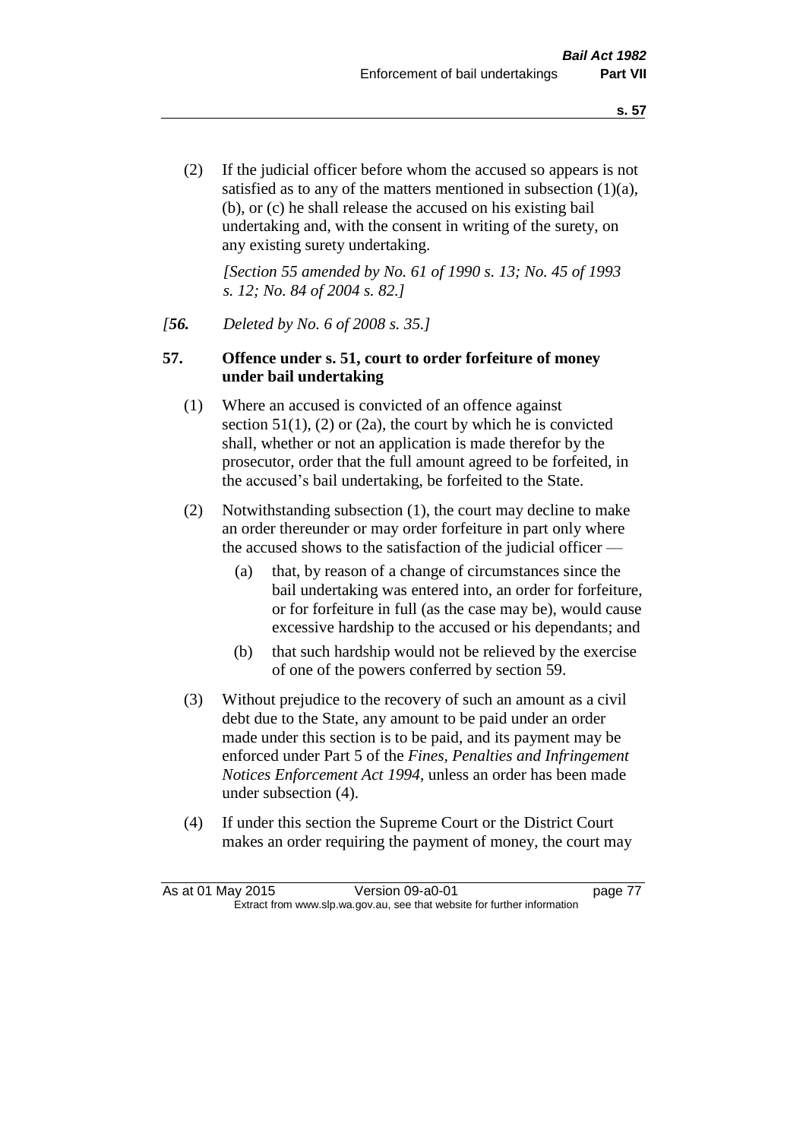(2) If the judicial officer before whom the accused so appears is not satisfied as to any of the matters mentioned in subsection (1)(a), (b), or (c) he shall release the accused on his existing bail undertaking and, with the consent in writing of the surety, on any existing surety undertaking.

*[Section 55 amended by No. 61 of 1990 s. 13; No. 45 of 1993 s. 12; No. 84 of 2004 s. 82.]* 

### *[56. Deleted by No. 6 of 2008 s. 35.]*

### **57. Offence under s. 51, court to order forfeiture of money under bail undertaking**

- (1) Where an accused is convicted of an offence against section  $51(1)$ ,  $(2)$  or  $(2a)$ , the court by which he is convicted shall, whether or not an application is made therefor by the prosecutor, order that the full amount agreed to be forfeited, in the accused's bail undertaking, be forfeited to the State.
- (2) Notwithstanding subsection (1), the court may decline to make an order thereunder or may order forfeiture in part only where the accused shows to the satisfaction of the judicial officer —
	- (a) that, by reason of a change of circumstances since the bail undertaking was entered into, an order for forfeiture, or for forfeiture in full (as the case may be), would cause excessive hardship to the accused or his dependants; and
	- (b) that such hardship would not be relieved by the exercise of one of the powers conferred by section 59.
- (3) Without prejudice to the recovery of such an amount as a civil debt due to the State, any amount to be paid under an order made under this section is to be paid, and its payment may be enforced under Part 5 of the *Fines, Penalties and Infringement Notices Enforcement Act 1994*, unless an order has been made under subsection (4).
- (4) If under this section the Supreme Court or the District Court makes an order requiring the payment of money, the court may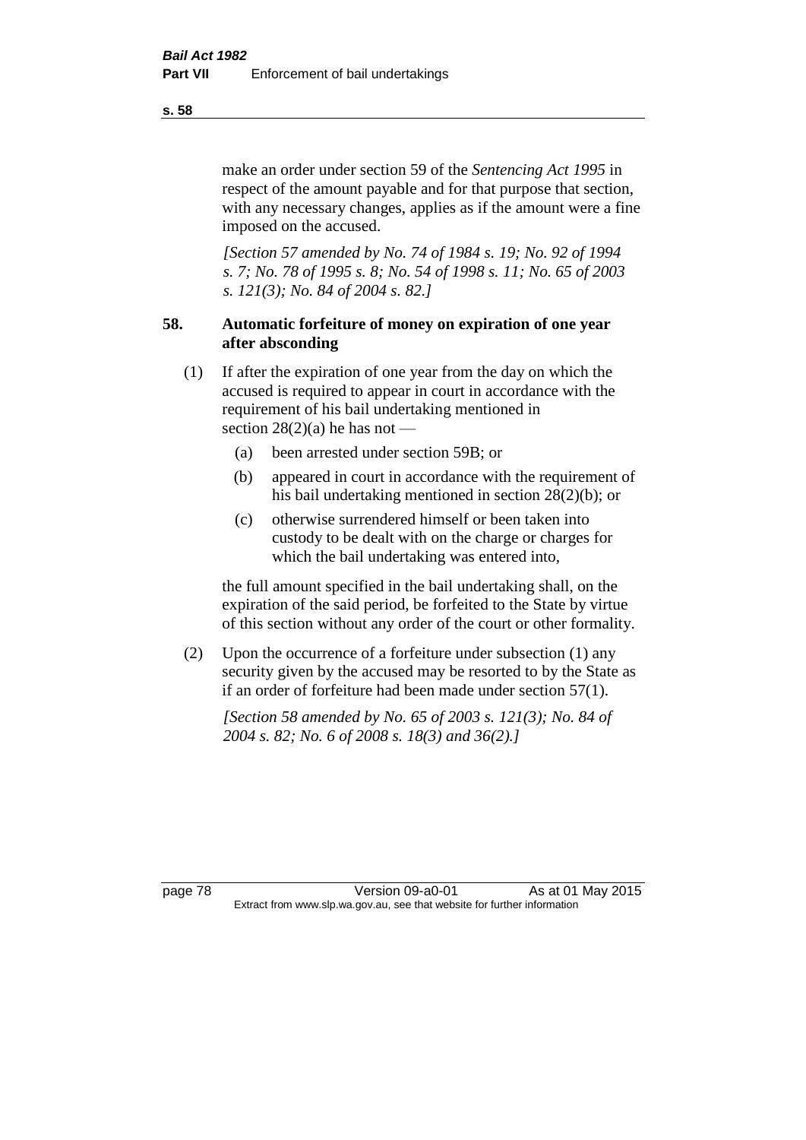make an order under section 59 of the *Sentencing Act 1995* in respect of the amount payable and for that purpose that section, with any necessary changes, applies as if the amount were a fine imposed on the accused.

*[Section 57 amended by No. 74 of 1984 s. 19; No. 92 of 1994 s. 7; No. 78 of 1995 s. 8; No. 54 of 1998 s. 11; No. 65 of 2003 s. 121(3); No. 84 of 2004 s. 82.]* 

# **58. Automatic forfeiture of money on expiration of one year after absconding**

- (1) If after the expiration of one year from the day on which the accused is required to appear in court in accordance with the requirement of his bail undertaking mentioned in section  $28(2)(a)$  he has not —
	- (a) been arrested under section 59B; or
	- (b) appeared in court in accordance with the requirement of his bail undertaking mentioned in section 28(2)(b); or
	- (c) otherwise surrendered himself or been taken into custody to be dealt with on the charge or charges for which the bail undertaking was entered into,

the full amount specified in the bail undertaking shall, on the expiration of the said period, be forfeited to the State by virtue of this section without any order of the court or other formality.

(2) Upon the occurrence of a forfeiture under subsection (1) any security given by the accused may be resorted to by the State as if an order of forfeiture had been made under section 57(1).

*[Section 58 amended by No. 65 of 2003 s. 121(3); No. 84 of 2004 s. 82; No. 6 of 2008 s. 18(3) and 36(2).]*

page 78 Version 09-a0-01 As at 01 May 2015 Extract from www.slp.wa.gov.au, see that website for further information

**s. 58**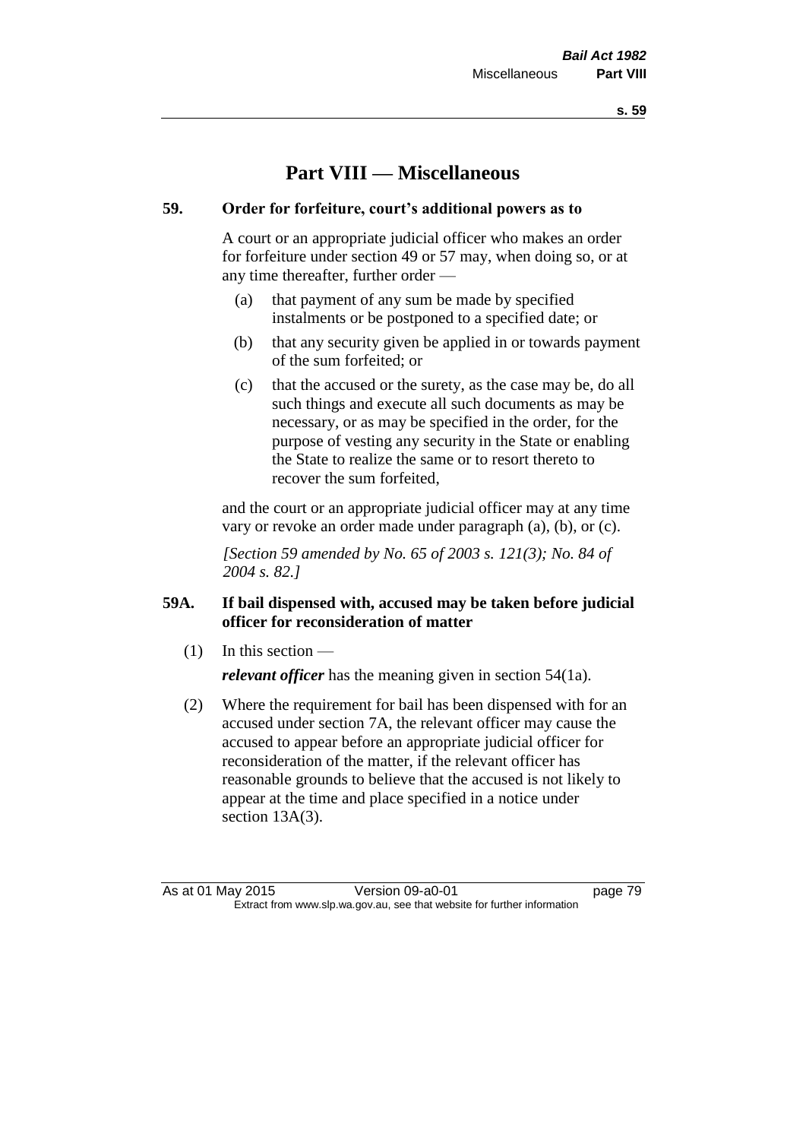**s. 59**

# **Part VIII — Miscellaneous**

# **59. Order for forfeiture, court's additional powers as to**

A court or an appropriate judicial officer who makes an order for forfeiture under section 49 or 57 may, when doing so, or at any time thereafter, further order —

- (a) that payment of any sum be made by specified instalments or be postponed to a specified date; or
- (b) that any security given be applied in or towards payment of the sum forfeited; or
- (c) that the accused or the surety, as the case may be, do all such things and execute all such documents as may be necessary, or as may be specified in the order, for the purpose of vesting any security in the State or enabling the State to realize the same or to resort thereto to recover the sum forfeited,

and the court or an appropriate judicial officer may at any time vary or revoke an order made under paragraph (a), (b), or (c).

*[Section 59 amended by No. 65 of 2003 s. 121(3); No. 84 of 2004 s. 82.]*

# **59A. If bail dispensed with, accused may be taken before judicial officer for reconsideration of matter**

 $(1)$  In this section —

*relevant officer* has the meaning given in section 54(1a).

(2) Where the requirement for bail has been dispensed with for an accused under section 7A, the relevant officer may cause the accused to appear before an appropriate judicial officer for reconsideration of the matter, if the relevant officer has reasonable grounds to believe that the accused is not likely to appear at the time and place specified in a notice under section 13A(3).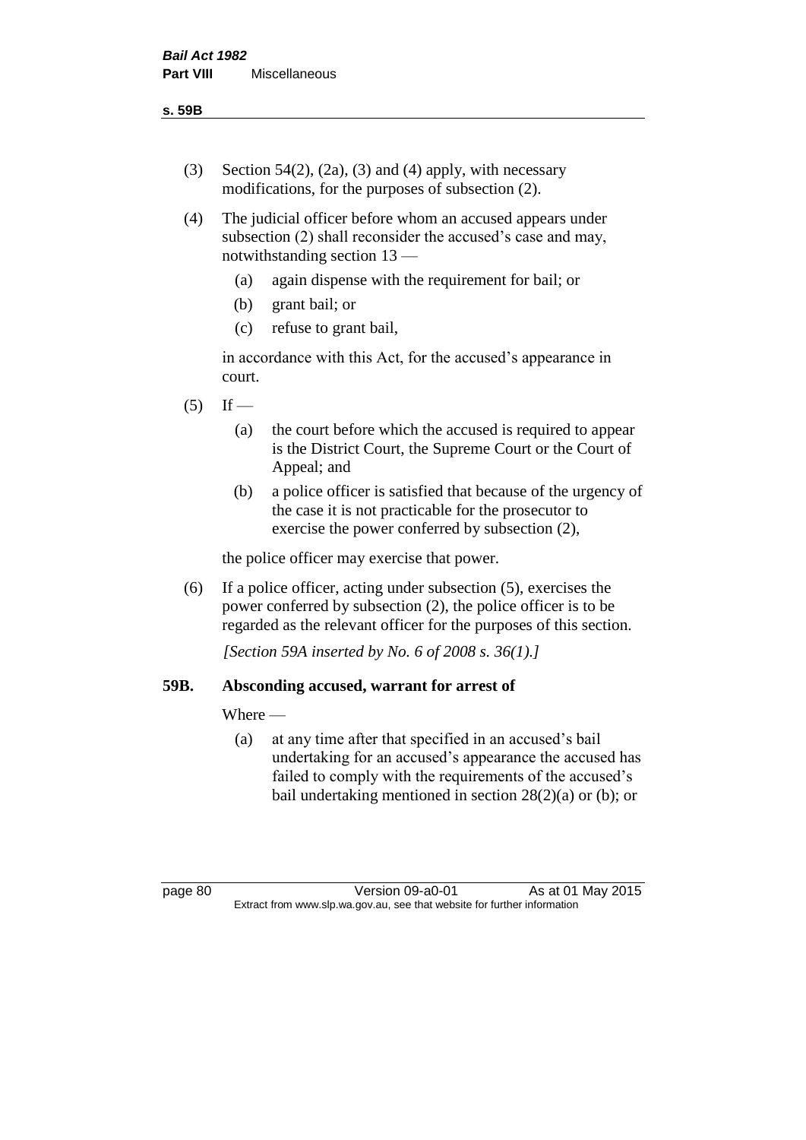**s. 59B**

- (3) Section 54(2), (2a), (3) and (4) apply, with necessary modifications, for the purposes of subsection (2).
- (4) The judicial officer before whom an accused appears under subsection (2) shall reconsider the accused's case and may, notwithstanding section 13 —
	- (a) again dispense with the requirement for bail; or
	- (b) grant bail; or
	- (c) refuse to grant bail,

in accordance with this Act, for the accused's appearance in court.

- $(5)$  If
	- (a) the court before which the accused is required to appear is the District Court, the Supreme Court or the Court of Appeal; and
	- (b) a police officer is satisfied that because of the urgency of the case it is not practicable for the prosecutor to exercise the power conferred by subsection (2),

the police officer may exercise that power.

(6) If a police officer, acting under subsection (5), exercises the power conferred by subsection (2), the police officer is to be regarded as the relevant officer for the purposes of this section.

*[Section 59A inserted by No. 6 of 2008 s. 36(1).]*

# **59B. Absconding accused, warrant for arrest of**

Where —

(a) at any time after that specified in an accused's bail undertaking for an accused's appearance the accused has failed to comply with the requirements of the accused's bail undertaking mentioned in section  $28(2)(a)$  or (b); or

page 80 Version 09-a0-01 As at 01 May 2015 Extract from www.slp.wa.gov.au, see that website for further information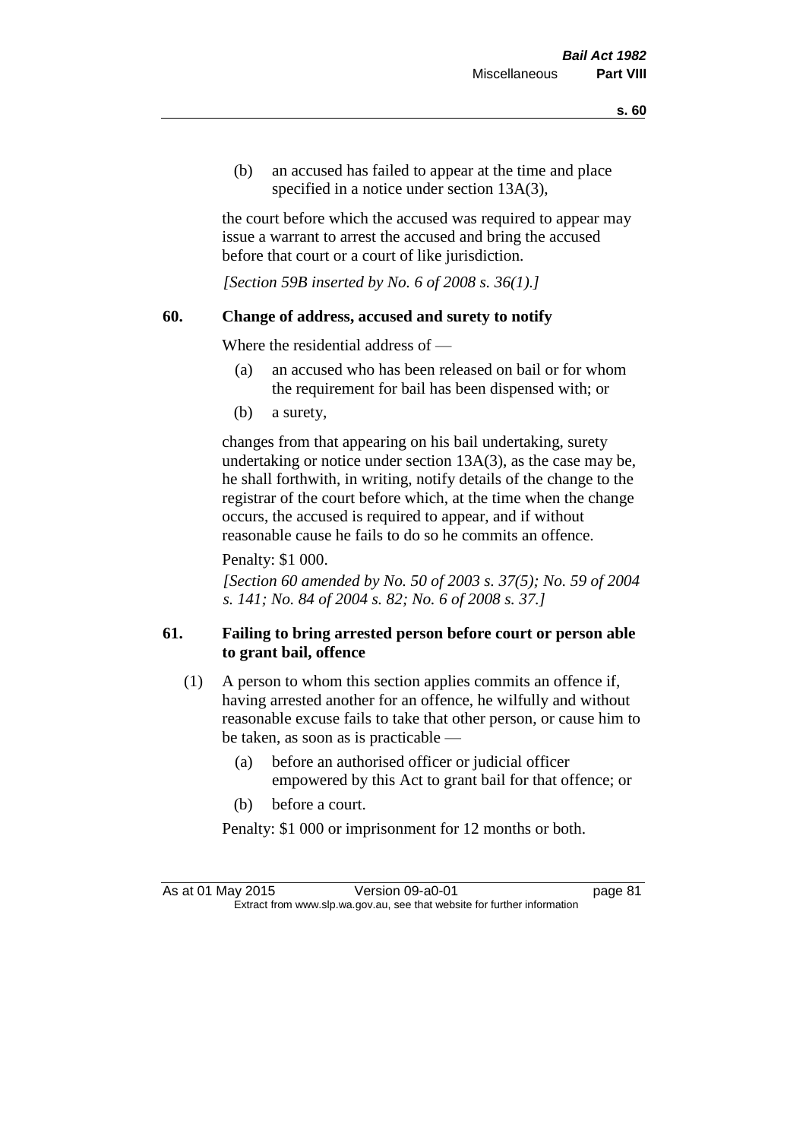(b) an accused has failed to appear at the time and place specified in a notice under section 13A(3),

the court before which the accused was required to appear may issue a warrant to arrest the accused and bring the accused before that court or a court of like jurisdiction.

*[Section 59B inserted by No. 6 of 2008 s. 36(1).]*

### **60. Change of address, accused and surety to notify**

Where the residential address of —

- (a) an accused who has been released on bail or for whom the requirement for bail has been dispensed with; or
- (b) a surety,

changes from that appearing on his bail undertaking, surety undertaking or notice under section 13A(3), as the case may be, he shall forthwith, in writing, notify details of the change to the registrar of the court before which, at the time when the change occurs, the accused is required to appear, and if without reasonable cause he fails to do so he commits an offence.

Penalty: \$1 000.

*[Section 60 amended by No. 50 of 2003 s. 37(5); No. 59 of 2004 s. 141; No. 84 of 2004 s. 82; No. 6 of 2008 s. 37.]*

# **61. Failing to bring arrested person before court or person able to grant bail, offence**

- (1) A person to whom this section applies commits an offence if, having arrested another for an offence, he wilfully and without reasonable excuse fails to take that other person, or cause him to be taken, as soon as is practicable —
	- (a) before an authorised officer or judicial officer empowered by this Act to grant bail for that offence; or
	- (b) before a court.
	- Penalty: \$1 000 or imprisonment for 12 months or both.

As at 01 May 2015 Version 09-a0-01 page 81 Extract from www.slp.wa.gov.au, see that website for further information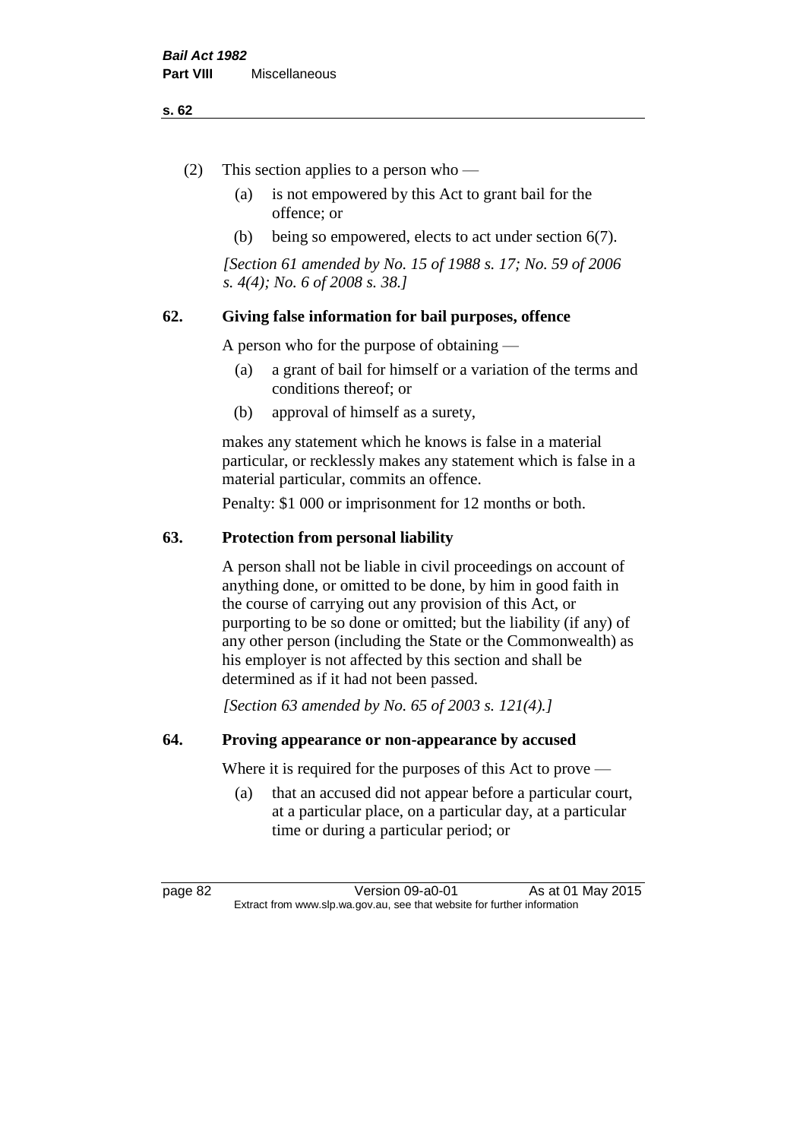#### **s. 62**

- (2) This section applies to a person who
	- (a) is not empowered by this Act to grant bail for the offence; or
	- (b) being so empowered, elects to act under section 6(7).

*[Section 61 amended by No. 15 of 1988 s. 17; No. 59 of 2006 s. 4(4); No. 6 of 2008 s. 38.]* 

# **62. Giving false information for bail purposes, offence**

A person who for the purpose of obtaining —

- (a) a grant of bail for himself or a variation of the terms and conditions thereof; or
- (b) approval of himself as a surety,

makes any statement which he knows is false in a material particular, or recklessly makes any statement which is false in a material particular, commits an offence.

Penalty: \$1 000 or imprisonment for 12 months or both.

#### **63. Protection from personal liability**

A person shall not be liable in civil proceedings on account of anything done, or omitted to be done, by him in good faith in the course of carrying out any provision of this Act, or purporting to be so done or omitted; but the liability (if any) of any other person (including the State or the Commonwealth) as his employer is not affected by this section and shall be determined as if it had not been passed.

*[Section 63 amended by No. 65 of 2003 s. 121(4).]*

### **64. Proving appearance or non-appearance by accused**

Where it is required for the purposes of this Act to prove —

(a) that an accused did not appear before a particular court, at a particular place, on a particular day, at a particular time or during a particular period; or

page 82 Version 09-a0-01 As at 01 May 2015 Extract from www.slp.wa.gov.au, see that website for further information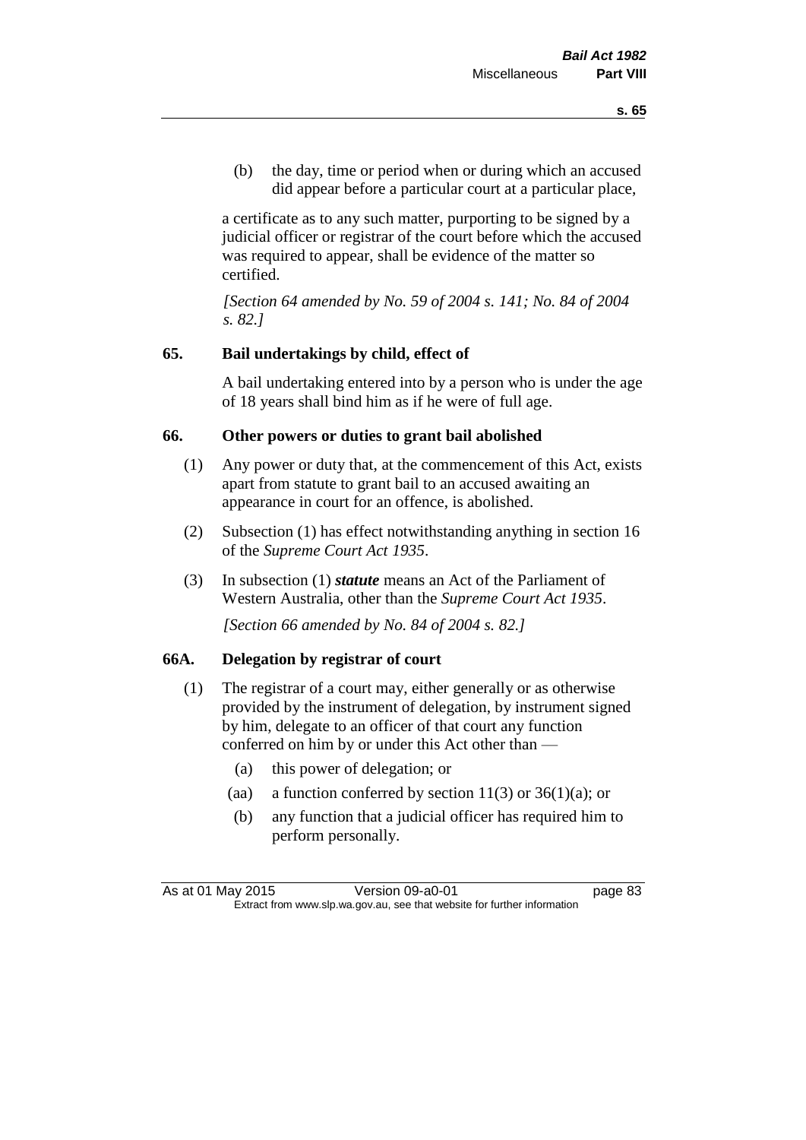(b) the day, time or period when or during which an accused did appear before a particular court at a particular place,

a certificate as to any such matter, purporting to be signed by a judicial officer or registrar of the court before which the accused was required to appear, shall be evidence of the matter so certified.

*[Section 64 amended by No. 59 of 2004 s. 141; No. 84 of 2004 s. 82.]* 

# **65. Bail undertakings by child, effect of**

A bail undertaking entered into by a person who is under the age of 18 years shall bind him as if he were of full age.

# **66. Other powers or duties to grant bail abolished**

- (1) Any power or duty that, at the commencement of this Act, exists apart from statute to grant bail to an accused awaiting an appearance in court for an offence, is abolished.
- (2) Subsection (1) has effect notwithstanding anything in section 16 of the *Supreme Court Act 1935*.
- (3) In subsection (1) *statute* means an Act of the Parliament of Western Australia, other than the *Supreme Court Act 1935*.

*[Section 66 amended by No. 84 of 2004 s. 82.]*

# **66A. Delegation by registrar of court**

- (1) The registrar of a court may, either generally or as otherwise provided by the instrument of delegation, by instrument signed by him, delegate to an officer of that court any function conferred on him by or under this Act other than —
	- (a) this power of delegation; or
	- (aa) a function conferred by section  $11(3)$  or  $36(1)(a)$ ; or
	- (b) any function that a judicial officer has required him to perform personally.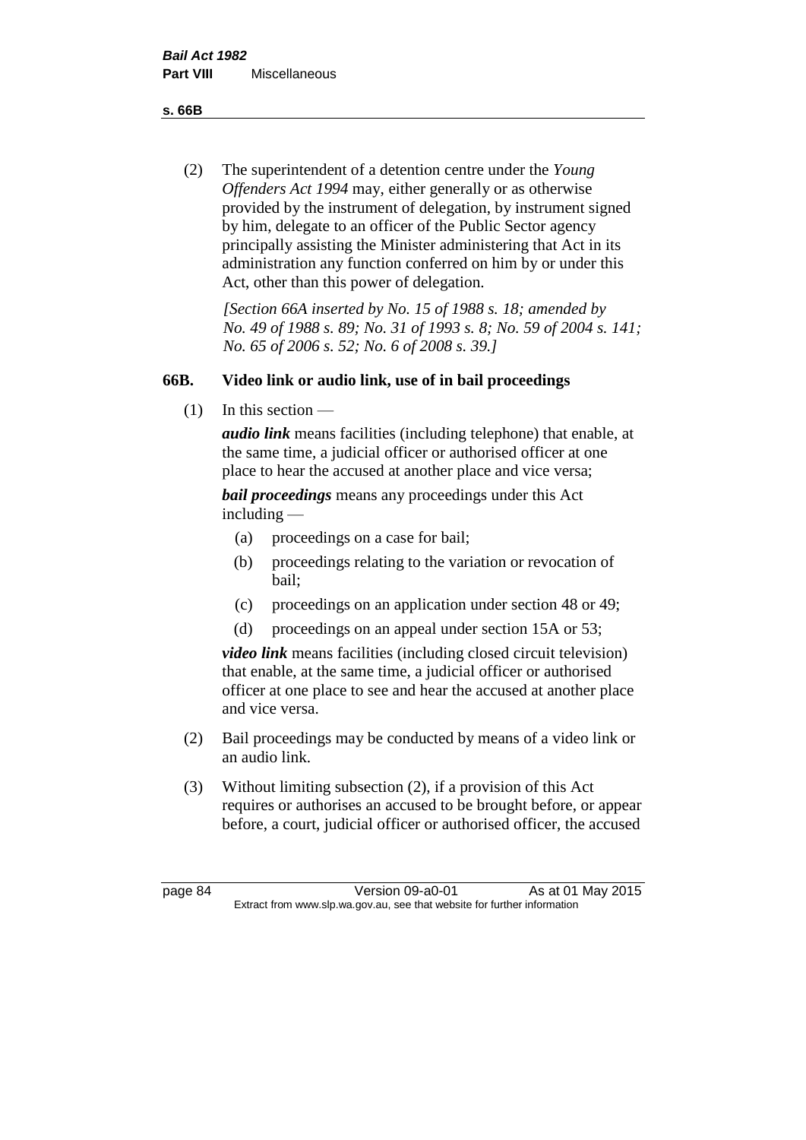**s. 66B**

(2) The superintendent of a detention centre under the *Young Offenders Act 1994* may, either generally or as otherwise provided by the instrument of delegation, by instrument signed by him, delegate to an officer of the Public Sector agency principally assisting the Minister administering that Act in its administration any function conferred on him by or under this Act, other than this power of delegation.

*[Section 66A inserted by No. 15 of 1988 s. 18; amended by No. 49 of 1988 s. 89; No. 31 of 1993 s. 8; No. 59 of 2004 s. 141; No. 65 of 2006 s. 52; No. 6 of 2008 s. 39.]* 

# **66B. Video link or audio link, use of in bail proceedings**

 $(1)$  In this section —

*audio link* means facilities (including telephone) that enable, at the same time, a judicial officer or authorised officer at one place to hear the accused at another place and vice versa;

*bail proceedings* means any proceedings under this Act including —

- (a) proceedings on a case for bail;
- (b) proceedings relating to the variation or revocation of bail;
- (c) proceedings on an application under section 48 or 49;
- (d) proceedings on an appeal under section 15A or 53;

*video link* means facilities (including closed circuit television) that enable, at the same time, a judicial officer or authorised officer at one place to see and hear the accused at another place and vice versa.

- (2) Bail proceedings may be conducted by means of a video link or an audio link.
- (3) Without limiting subsection (2), if a provision of this Act requires or authorises an accused to be brought before, or appear before, a court, judicial officer or authorised officer, the accused

page 84 Version 09-a0-01 As at 01 May 2015 Extract from www.slp.wa.gov.au, see that website for further information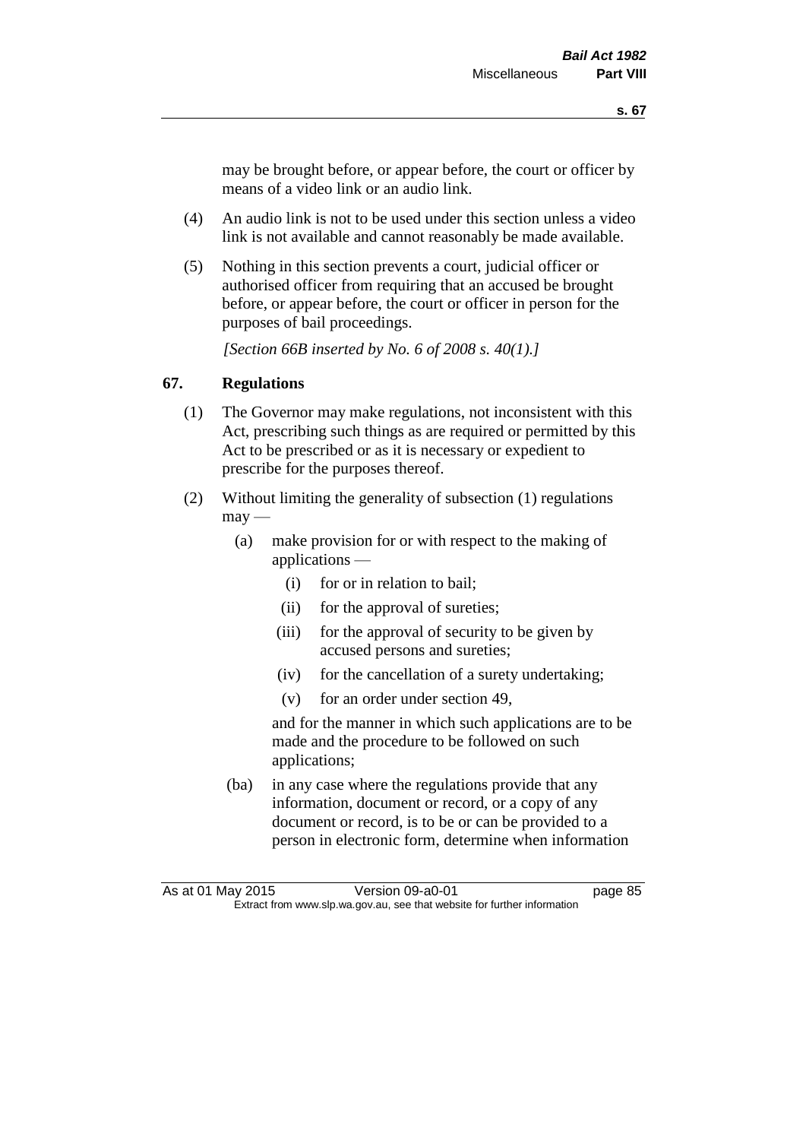may be brought before, or appear before, the court or officer by means of a video link or an audio link.

- (4) An audio link is not to be used under this section unless a video link is not available and cannot reasonably be made available.
- (5) Nothing in this section prevents a court, judicial officer or authorised officer from requiring that an accused be brought before, or appear before, the court or officer in person for the purposes of bail proceedings.

*[Section 66B inserted by No. 6 of 2008 s. 40(1).]*

# **67. Regulations**

- (1) The Governor may make regulations, not inconsistent with this Act, prescribing such things as are required or permitted by this Act to be prescribed or as it is necessary or expedient to prescribe for the purposes thereof.
- (2) Without limiting the generality of subsection (1) regulations  $\text{max}$  —
	- (a) make provision for or with respect to the making of applications —
		- (i) for or in relation to bail;
		- (ii) for the approval of sureties;
		- (iii) for the approval of security to be given by accused persons and sureties;
		- (iv) for the cancellation of a surety undertaking;
		- (v) for an order under section 49,

and for the manner in which such applications are to be made and the procedure to be followed on such applications;

(ba) in any case where the regulations provide that any information, document or record, or a copy of any document or record, is to be or can be provided to a person in electronic form, determine when information

As at 01 May 2015 Version 09-a0-01 Page 85 Extract from www.slp.wa.gov.au, see that website for further information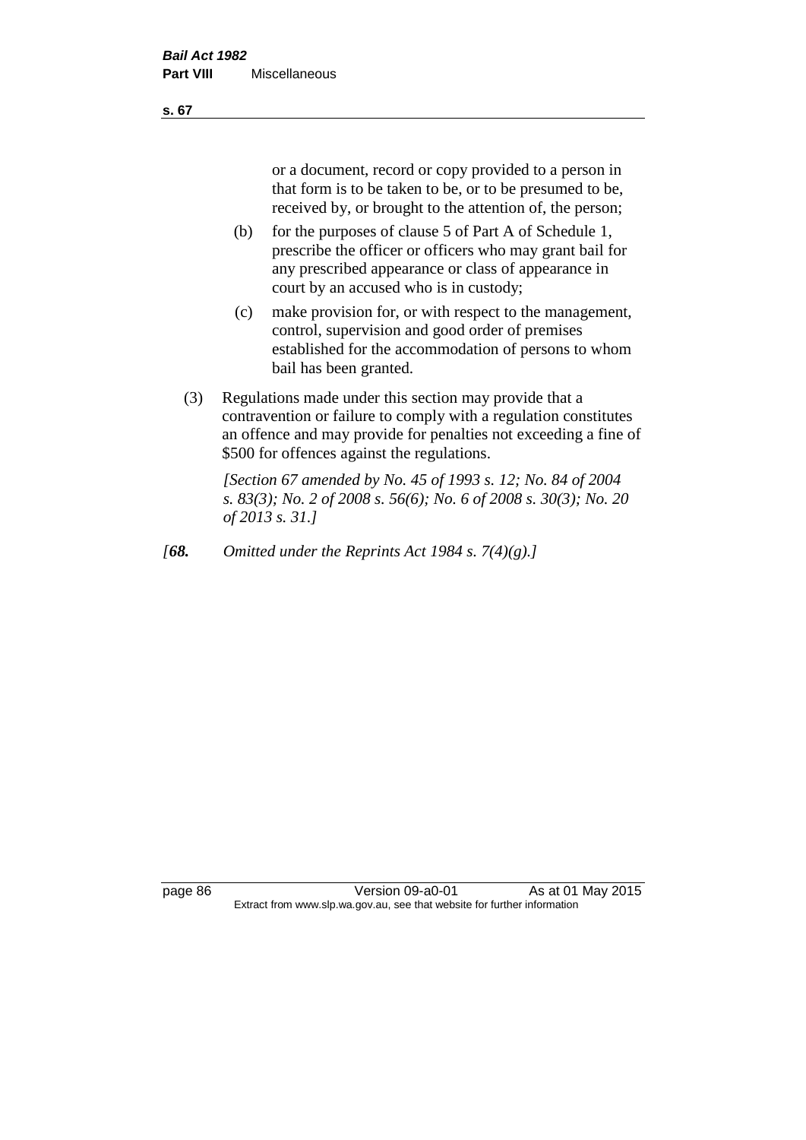or a document, record or copy provided to a person in that form is to be taken to be, or to be presumed to be, received by, or brought to the attention of, the person;

- (b) for the purposes of clause 5 of Part A of Schedule 1, prescribe the officer or officers who may grant bail for any prescribed appearance or class of appearance in court by an accused who is in custody;
- (c) make provision for, or with respect to the management, control, supervision and good order of premises established for the accommodation of persons to whom bail has been granted.
- (3) Regulations made under this section may provide that a contravention or failure to comply with a regulation constitutes an offence and may provide for penalties not exceeding a fine of \$500 for offences against the regulations.

*[Section 67 amended by No. 45 of 1993 s. 12; No. 84 of 2004 s. 83(3); No. 2 of 2008 s. 56(6); No. 6 of 2008 s. 30(3); No. 20 of 2013 s. 31.]* 

*[68. Omitted under the Reprints Act 1984 s. 7(4)(g).]*

page 86 Version 09-a0-01 As at 01 May 2015 Extract from www.slp.wa.gov.au, see that website for further information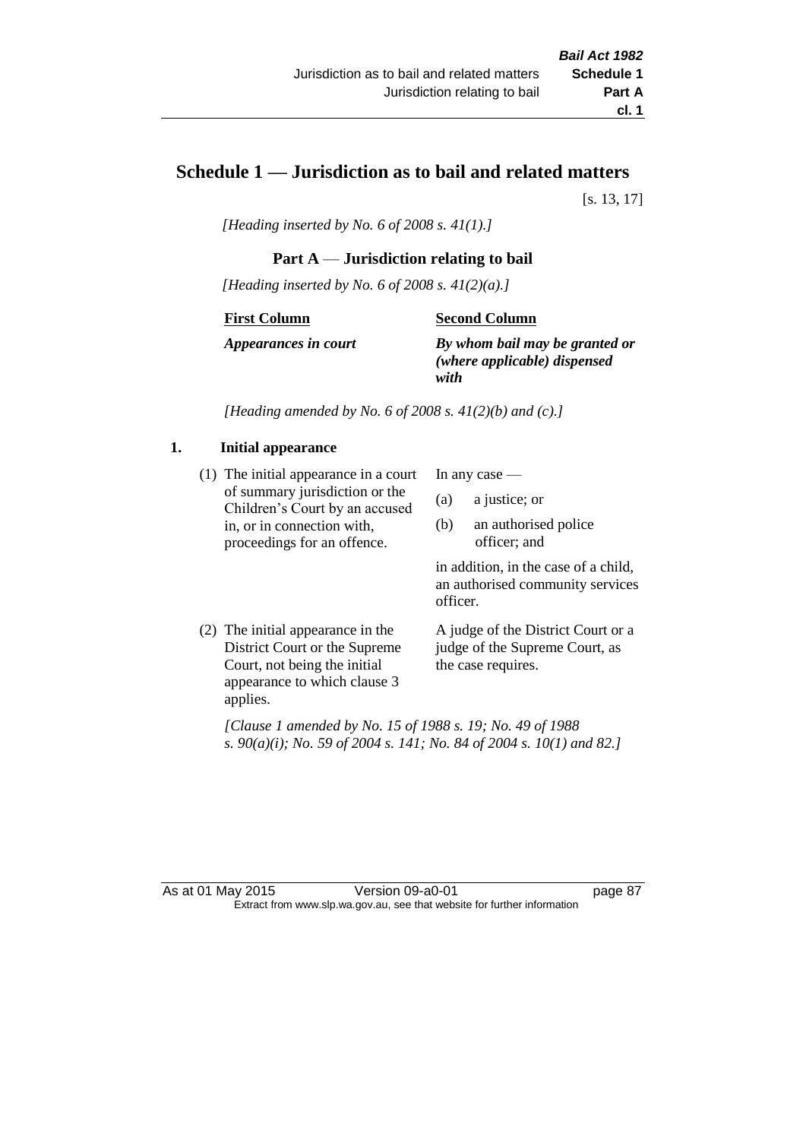# **Schedule 1 — Jurisdiction as to bail and related matters**

[s. 13, 17]

*[Heading inserted by No. 6 of 2008 s. 41(1).]*

# **Part A** — **Jurisdiction relating to bail**

*[Heading inserted by No. 6 of 2008 s. 41(2)(a).]*

### **First Column**

### **Second Column**

*Appearances in court*

*By whom bail may be granted or (where applicable) dispensed with*

*[Heading amended by No. 6 of 2008 s. 41(2)(b) and (c).]*

### **1. Initial appearance**

(1) The initial appearance in a court of summary jurisdiction or the Children's Court by an accused in, or in connection with, proceedings for an offence.

In any case —

- (a) a justice; or
- (b) an authorised police officer; and

in addition, in the case of a child, an authorised community services officer.

(2) The initial appearance in the District Court or the Supreme Court, not being the initial appearance to which clause 3 applies. A judge of the District Court or a judge of the Supreme Court, as the case requires.

*[Clause 1 amended by No. 15 of 1988 s. 19; No. 49 of 1988 s. 90(a)(i); No. 59 of 2004 s. 141; No. 84 of 2004 s. 10(1) and 82.]*

As at 01 May 2015 Version 09-a0-01 page 87 Extract from www.slp.wa.gov.au, see that website for further information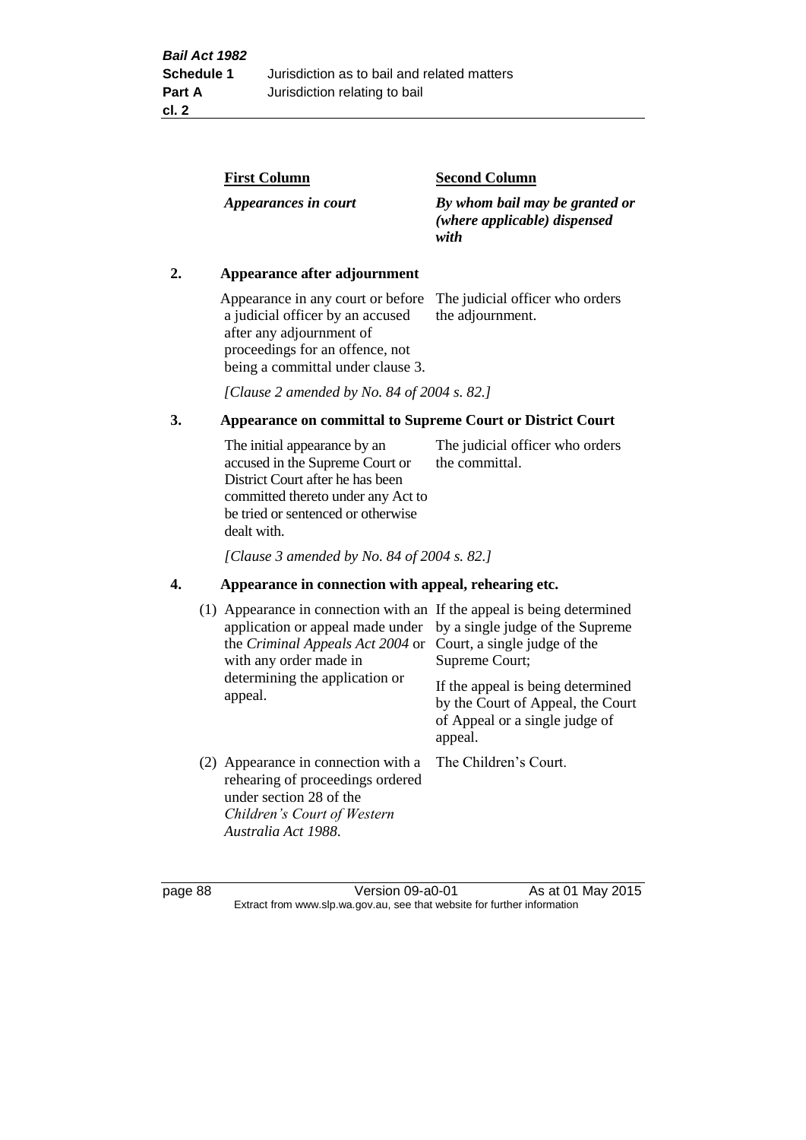| <b>Second Column</b>                                                   |
|------------------------------------------------------------------------|
| By whom bail may be granted or<br>(where applicable) dispensed<br>with |
|                                                                        |

### **2. Appearance after adjournment**

Appearance in any court or before The judicial officer who orders a judicial officer by an accused after any adjournment of proceedings for an offence, not being a committal under clause 3.

the adjournment.

*[Clause 2 amended by No. 84 of 2004 s. 82.]*

# **3. Appearance on committal to Supreme Court or District Court**

The initial appearance by an accused in the Supreme Court or District Court after he has been committed thereto under any Act to be tried or sentenced or otherwise dealt with. The judicial officer who orders the committal.

*[Clause 3 amended by No. 84 of 2004 s. 82.]*

### **4. Appearance in connection with appeal, rehearing etc.**

| (1) Appearance in connection with an If the appeal is being determined<br>application or appeal made under<br>the <i>Criminal Appeals Act 2004</i> or<br>with any order made in<br>determining the application or<br>appeal. | by a single judge of the Supreme<br>Court, a single judge of the<br>Supreme Court;<br>If the appeal is being determined<br>by the Court of Appeal, the Court<br>of Appeal or a single judge of<br>appeal. |
|------------------------------------------------------------------------------------------------------------------------------------------------------------------------------------------------------------------------------|-----------------------------------------------------------------------------------------------------------------------------------------------------------------------------------------------------------|
| (2) Appearance in connection with a<br>rehearing of proceedings ordered<br>under section 28 of the<br>Children's Court of Western<br>Australia Act 1988.                                                                     | The Children's Court.                                                                                                                                                                                     |

page 88 Version 09-a0-01 As at 01 May 2015 Extract from www.slp.wa.gov.au, see that website for further information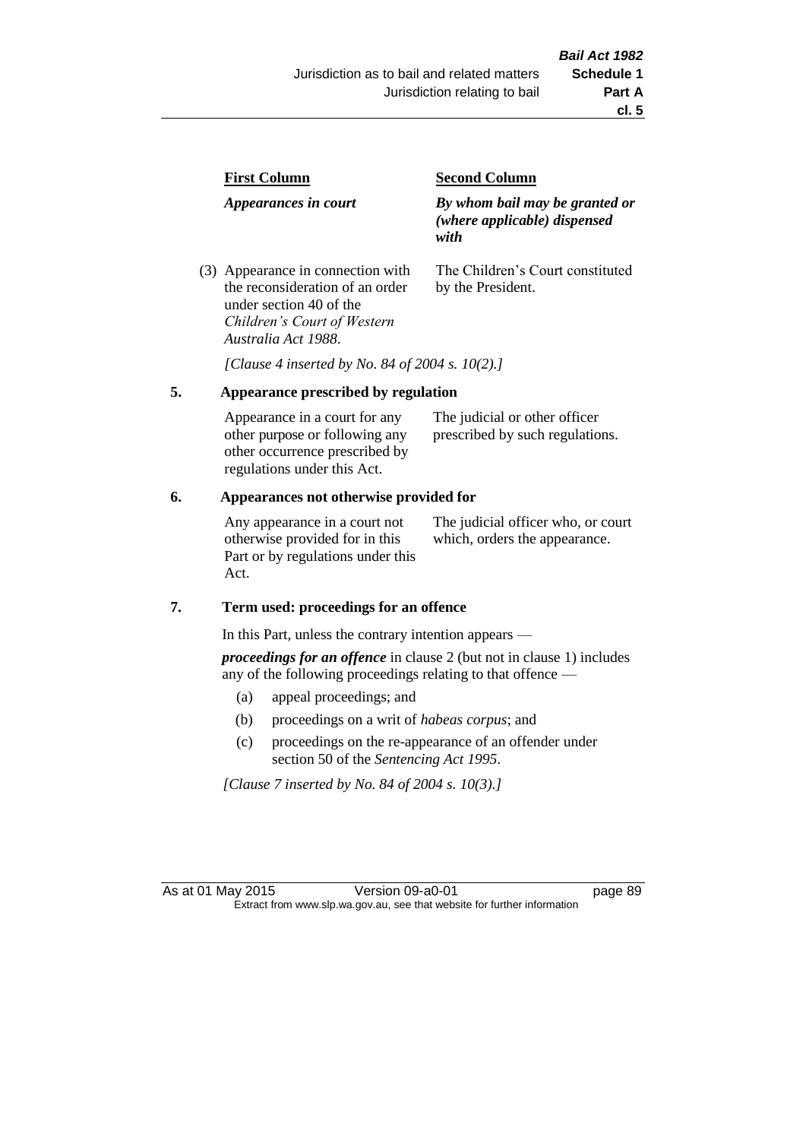| <b>First Column</b>                                                  | <b>Second Column</b>                                                   |  |
|----------------------------------------------------------------------|------------------------------------------------------------------------|--|
| Appearances in court                                                 | By whom bail may be granted or<br>(where applicable) dispensed<br>with |  |
| (3) Appearance in connection with<br>the reconsideration of an order | The Children's Court constituted<br>by the President.                  |  |

*[Clause 4 inserted by No. 84 of 2004 s. 10(2).]*

### **5. Appearance prescribed by regulation**

under section 40 of the *Children's Court of Western* 

*Australia Act 1988*.

| Appearance in a court for any  | The judicial or other officer   |
|--------------------------------|---------------------------------|
| other purpose or following any | prescribed by such regulations. |
| other occurrence prescribed by |                                 |
| regulations under this Act.    |                                 |

### **6. Appearances not otherwise provided for**

Any appearance in a court not otherwise provided for in this Part or by regulations under this Act.

The judicial officer who, or court which, orders the appearance.

### **7. Term used: proceedings for an offence**

In this Part, unless the contrary intention appears —

*proceedings for an offence* in clause 2 (but not in clause 1) includes any of the following proceedings relating to that offence —

- (a) appeal proceedings; and
- (b) proceedings on a writ of *habeas corpus*; and
- (c) proceedings on the re-appearance of an offender under section 50 of the *Sentencing Act 1995*.

*[Clause 7 inserted by No. 84 of 2004 s. 10(3).]*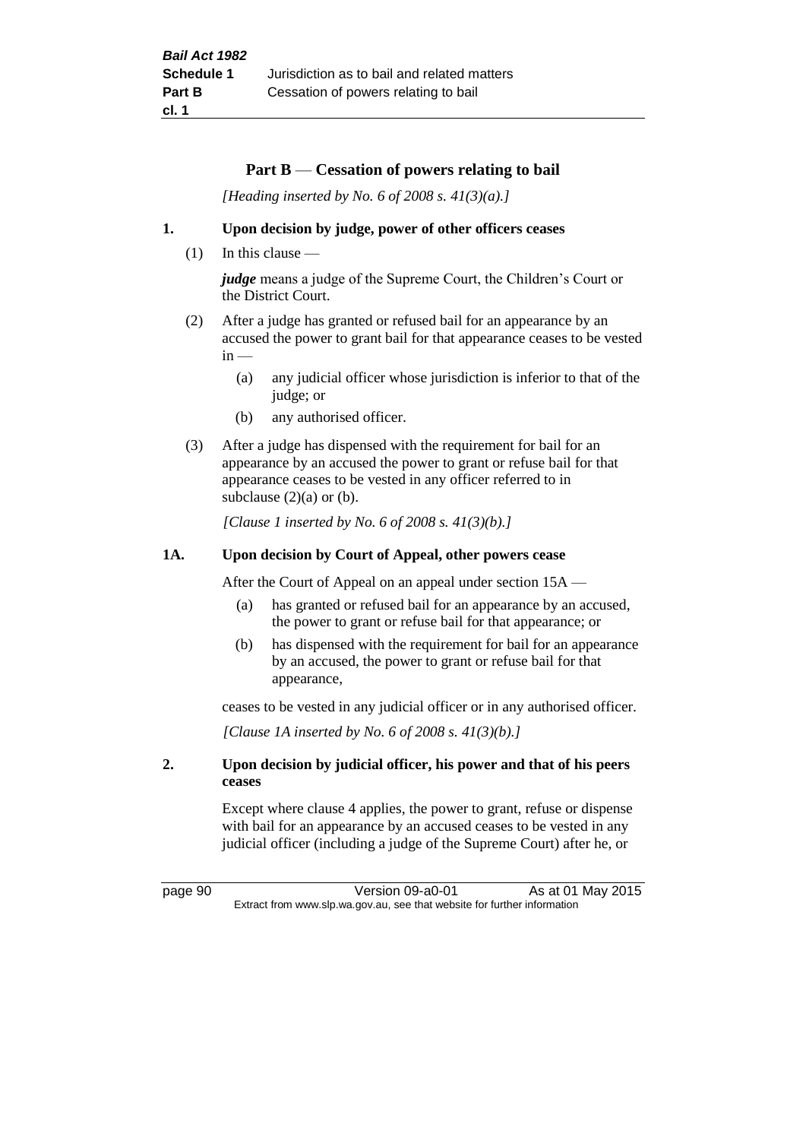### **Part B** — **Cessation of powers relating to bail**

*[Heading inserted by No. 6 of 2008 s. 41(3)(a).]*

### **1. Upon decision by judge, power of other officers ceases**

(1) In this clause —

*judge* means a judge of the Supreme Court, the Children's Court or the District Court.

- (2) After a judge has granted or refused bail for an appearance by an accused the power to grant bail for that appearance ceases to be vested  $in -$ 
	- (a) any judicial officer whose jurisdiction is inferior to that of the judge; or
	- (b) any authorised officer.
- (3) After a judge has dispensed with the requirement for bail for an appearance by an accused the power to grant or refuse bail for that appearance ceases to be vested in any officer referred to in subclause  $(2)(a)$  or  $(b)$ .

*[Clause 1 inserted by No. 6 of 2008 s. 41(3)(b).]*

### **1A. Upon decision by Court of Appeal, other powers cease**

After the Court of Appeal on an appeal under section 15A —

- (a) has granted or refused bail for an appearance by an accused, the power to grant or refuse bail for that appearance; or
- (b) has dispensed with the requirement for bail for an appearance by an accused, the power to grant or refuse bail for that appearance,

ceases to be vested in any judicial officer or in any authorised officer.

*[Clause 1A inserted by No. 6 of 2008 s. 41(3)(b).]*

### **2. Upon decision by judicial officer, his power and that of his peers ceases**

Except where clause 4 applies, the power to grant, refuse or dispense with bail for an appearance by an accused ceases to be vested in any judicial officer (including a judge of the Supreme Court) after he, or

page 90 Version 09-a0-01 As at 01 May 2015 Extract from www.slp.wa.gov.au, see that website for further information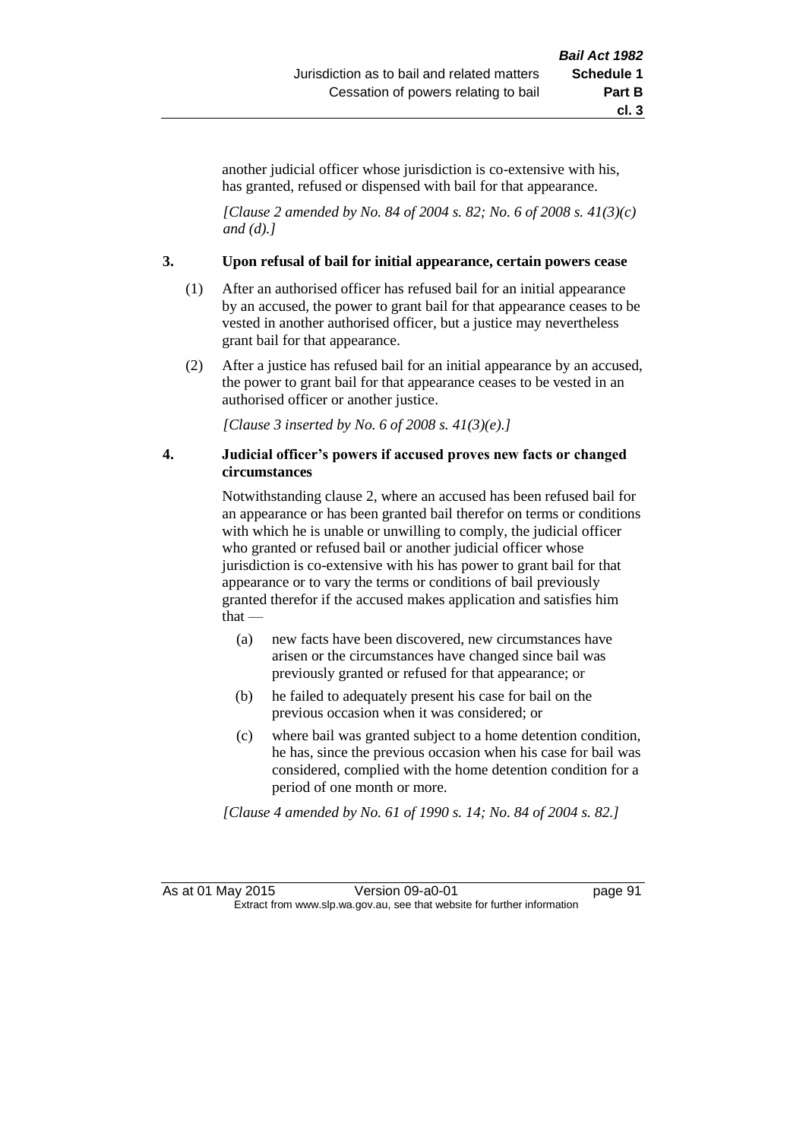another judicial officer whose jurisdiction is co-extensive with his, has granted, refused or dispensed with bail for that appearance.

*[Clause 2 amended by No. 84 of 2004 s. 82; No. 6 of 2008 s. 41(3)(c) and (d).]*

### **3. Upon refusal of bail for initial appearance, certain powers cease**

- (1) After an authorised officer has refused bail for an initial appearance by an accused, the power to grant bail for that appearance ceases to be vested in another authorised officer, but a justice may nevertheless grant bail for that appearance.
- (2) After a justice has refused bail for an initial appearance by an accused, the power to grant bail for that appearance ceases to be vested in an authorised officer or another justice.

*[Clause 3 inserted by No. 6 of 2008 s. 41(3)(e).]*

### **4. Judicial officer's powers if accused proves new facts or changed circumstances**

Notwithstanding clause 2, where an accused has been refused bail for an appearance or has been granted bail therefor on terms or conditions with which he is unable or unwilling to comply, the judicial officer who granted or refused bail or another judicial officer whose jurisdiction is co-extensive with his has power to grant bail for that appearance or to vary the terms or conditions of bail previously granted therefor if the accused makes application and satisfies him that —

- (a) new facts have been discovered, new circumstances have arisen or the circumstances have changed since bail was previously granted or refused for that appearance; or
- (b) he failed to adequately present his case for bail on the previous occasion when it was considered; or
- (c) where bail was granted subject to a home detention condition, he has, since the previous occasion when his case for bail was considered, complied with the home detention condition for a period of one month or more.

*[Clause 4 amended by No. 61 of 1990 s. 14; No. 84 of 2004 s. 82.]*

As at 01 May 2015 Version 09-a0-01 Page 91 Extract from www.slp.wa.gov.au, see that website for further information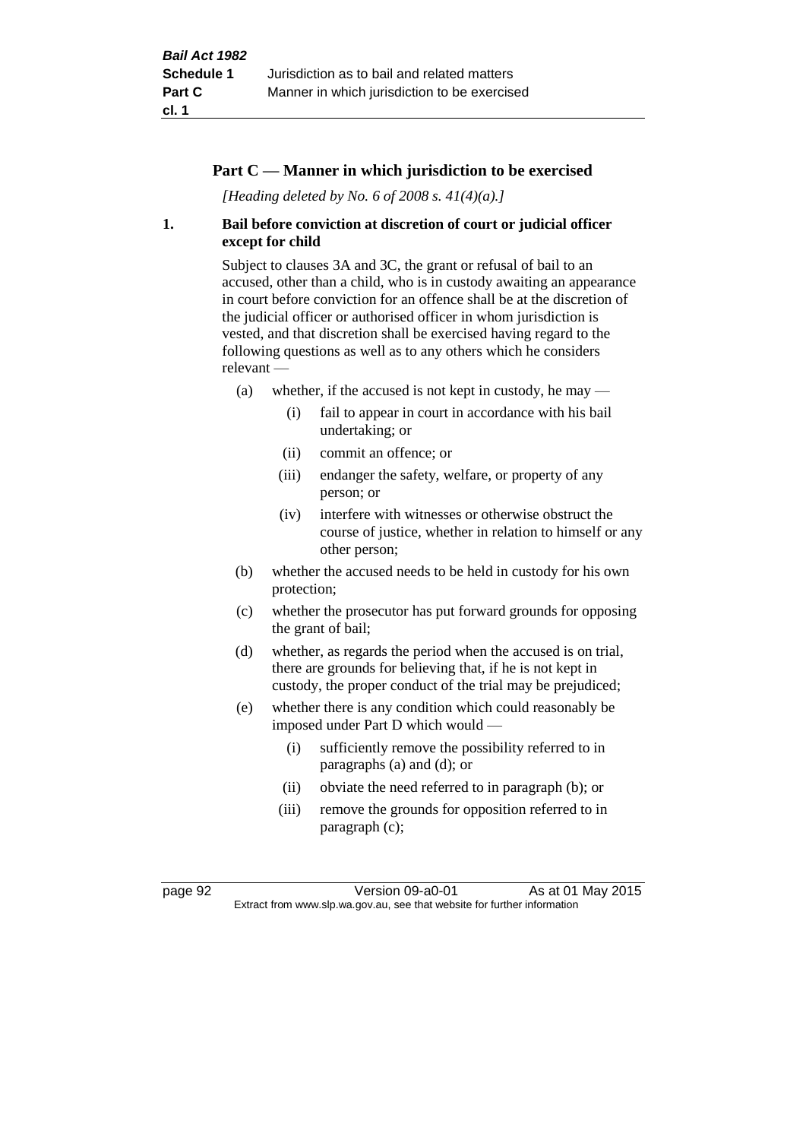### **Part C — Manner in which jurisdiction to be exercised**

*[Heading deleted by No. 6 of 2008 s. 41(4)(a).]*

### **1. Bail before conviction at discretion of court or judicial officer except for child**

Subject to clauses 3A and 3C, the grant or refusal of bail to an accused, other than a child, who is in custody awaiting an appearance in court before conviction for an offence shall be at the discretion of the judicial officer or authorised officer in whom jurisdiction is vested, and that discretion shall be exercised having regard to the following questions as well as to any others which he considers relevant —

- (a) whether, if the accused is not kept in custody, he may  $-$ 
	- (i) fail to appear in court in accordance with his bail undertaking; or
	- (ii) commit an offence; or
	- (iii) endanger the safety, welfare, or property of any person; or
	- (iv) interfere with witnesses or otherwise obstruct the course of justice, whether in relation to himself or any other person;
- (b) whether the accused needs to be held in custody for his own protection;
- (c) whether the prosecutor has put forward grounds for opposing the grant of bail;
- (d) whether, as regards the period when the accused is on trial, there are grounds for believing that, if he is not kept in custody, the proper conduct of the trial may be prejudiced;
- (e) whether there is any condition which could reasonably be imposed under Part D which would —
	- (i) sufficiently remove the possibility referred to in paragraphs (a) and (d); or
	- (ii) obviate the need referred to in paragraph (b); or
	- (iii) remove the grounds for opposition referred to in paragraph (c);

page 92 Version 09-a0-01 As at 01 May 2015 Extract from www.slp.wa.gov.au, see that website for further information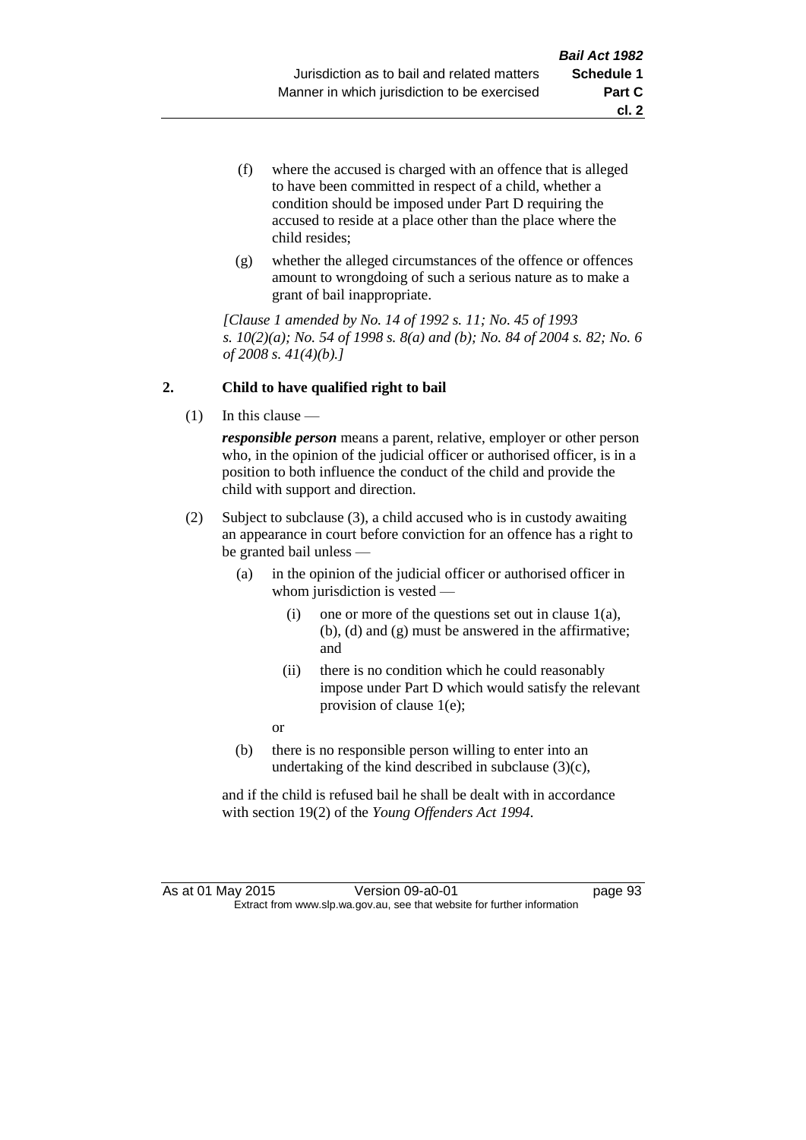- (f) where the accused is charged with an offence that is alleged to have been committed in respect of a child, whether a condition should be imposed under Part D requiring the accused to reside at a place other than the place where the child resides;
- (g) whether the alleged circumstances of the offence or offences amount to wrongdoing of such a serious nature as to make a grant of bail inappropriate.

*[Clause 1 amended by No. 14 of 1992 s. 11; No. 45 of 1993 s. 10(2)(a); No. 54 of 1998 s. 8(a) and (b); No. 84 of 2004 s. 82; No. 6 of 2008 s. 41(4)(b).]*

### **2. Child to have qualified right to bail**

(1) In this clause —

*responsible person* means a parent, relative, employer or other person who, in the opinion of the judicial officer or authorised officer, is in a position to both influence the conduct of the child and provide the child with support and direction.

- (2) Subject to subclause (3), a child accused who is in custody awaiting an appearance in court before conviction for an offence has a right to be granted bail unless —
	- (a) in the opinion of the judicial officer or authorised officer in whom jurisdiction is vested —
		- (i) one or more of the questions set out in clause  $1(a)$ , (b), (d) and (g) must be answered in the affirmative; and
		- (ii) there is no condition which he could reasonably impose under Part D which would satisfy the relevant provision of clause 1(e);

or

(b) there is no responsible person willing to enter into an undertaking of the kind described in subclause (3)(c),

and if the child is refused bail he shall be dealt with in accordance with section 19(2) of the *Young Offenders Act 1994*.

As at 01 May 2015 Version 09-a0-01 page 93 Extract from www.slp.wa.gov.au, see that website for further information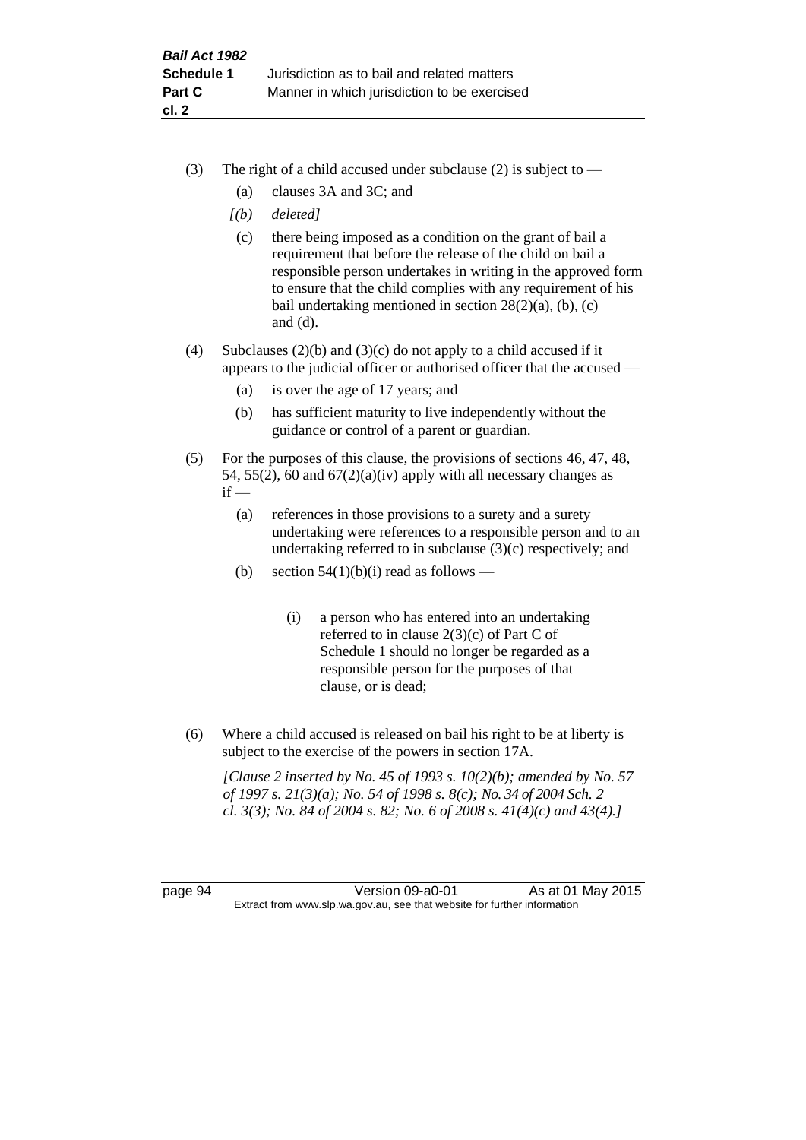- (3) The right of a child accused under subclause (2) is subject to  $-$ 
	- (a) clauses 3A and 3C; and
	- *[(b) deleted]*
	- (c) there being imposed as a condition on the grant of bail a requirement that before the release of the child on bail a responsible person undertakes in writing in the approved form to ensure that the child complies with any requirement of his bail undertaking mentioned in section  $28(2)(a)$ , (b), (c) and (d).
- (4) Subclauses (2)(b) and (3)(c) do not apply to a child accused if it appears to the judicial officer or authorised officer that the accused —
	- (a) is over the age of 17 years; and
	- (b) has sufficient maturity to live independently without the guidance or control of a parent or guardian.
- (5) For the purposes of this clause, the provisions of sections 46, 47, 48, 54, 55(2), 60 and  $67(2)(a)(iv)$  apply with all necessary changes as  $if -$ 
	- (a) references in those provisions to a surety and a surety undertaking were references to a responsible person and to an undertaking referred to in subclause (3)(c) respectively; and
	- (b) section  $54(1)(b)(i)$  read as follows
		- (i) a person who has entered into an undertaking referred to in clause  $2(3)(c)$  of Part C of Schedule 1 should no longer be regarded as a responsible person for the purposes of that clause, or is dead;
- (6) Where a child accused is released on bail his right to be at liberty is subject to the exercise of the powers in section 17A.

*[Clause 2 inserted by No. 45 of 1993 s. 10(2)(b); amended by No. 57 of 1997 s. 21(3)(a); No. 54 of 1998 s. 8(c); No. 34 of 2004 Sch. 2 cl. 3(3); No. 84 of 2004 s. 82; No. 6 of 2008 s. 41(4)(c) and 43(4).]*

page 94 Version 09-a0-01 As at 01 May 2015 Extract from www.slp.wa.gov.au, see that website for further information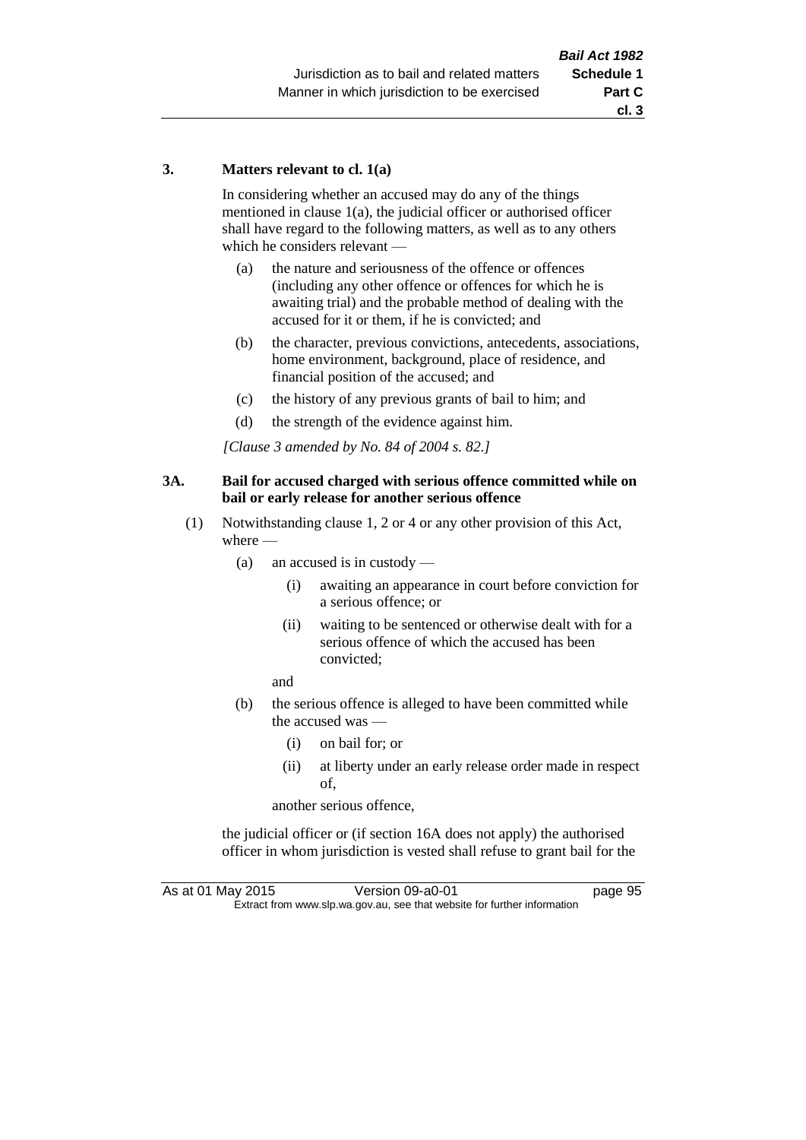### **3. Matters relevant to cl. 1(a)**

In considering whether an accused may do any of the things mentioned in clause 1(a), the judicial officer or authorised officer shall have regard to the following matters, as well as to any others which he considers relevant —

- (a) the nature and seriousness of the offence or offences (including any other offence or offences for which he is awaiting trial) and the probable method of dealing with the accused for it or them, if he is convicted; and
- (b) the character, previous convictions, antecedents, associations, home environment, background, place of residence, and financial position of the accused; and
- (c) the history of any previous grants of bail to him; and
- (d) the strength of the evidence against him.

*[Clause 3 amended by No. 84 of 2004 s. 82.]*

### **3A. Bail for accused charged with serious offence committed while on bail or early release for another serious offence**

- (1) Notwithstanding clause 1, 2 or 4 or any other provision of this Act, where —
	- (a) an accused is in custody
		- (i) awaiting an appearance in court before conviction for a serious offence; or
		- (ii) waiting to be sentenced or otherwise dealt with for a serious offence of which the accused has been convicted;

and

- (b) the serious offence is alleged to have been committed while the accused was —
	- (i) on bail for; or
	- (ii) at liberty under an early release order made in respect of,

another serious offence,

the judicial officer or (if section 16A does not apply) the authorised officer in whom jurisdiction is vested shall refuse to grant bail for the

As at 01 May 2015 Version 09-a0-01 page 95 Extract from www.slp.wa.gov.au, see that website for further information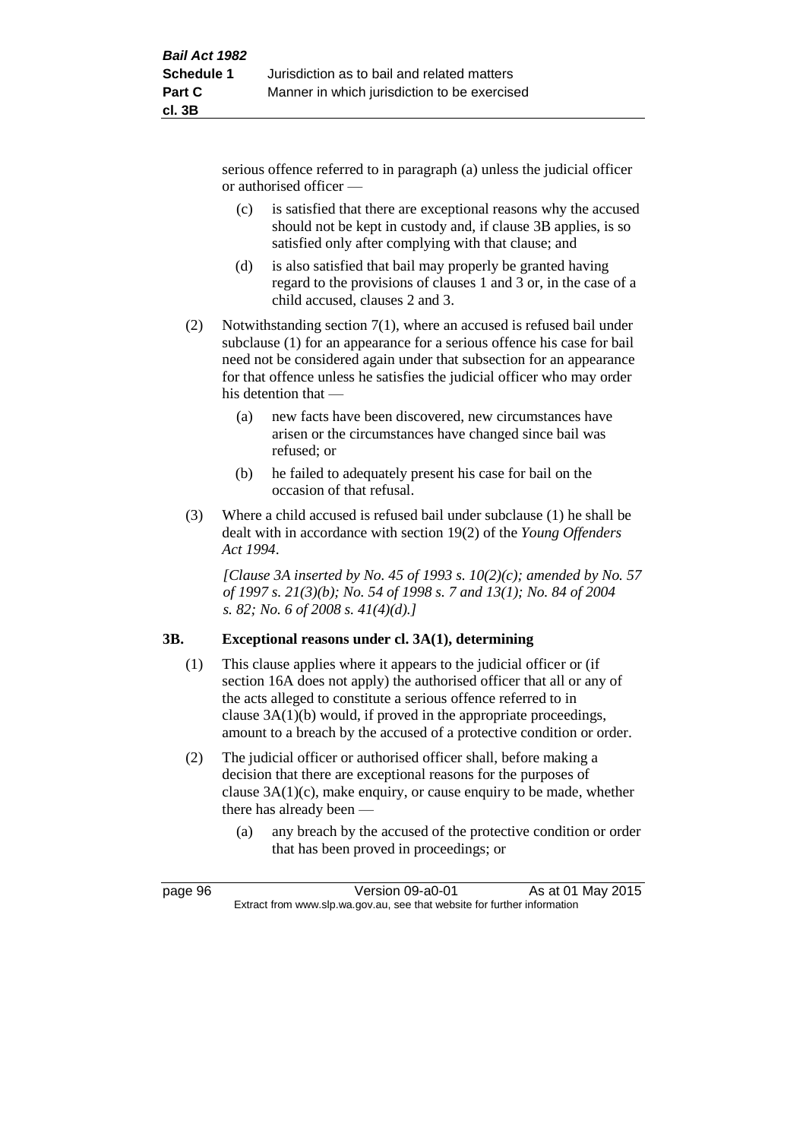serious offence referred to in paragraph (a) unless the judicial officer or authorised officer —

- (c) is satisfied that there are exceptional reasons why the accused should not be kept in custody and, if clause 3B applies, is so satisfied only after complying with that clause; and
- (d) is also satisfied that bail may properly be granted having regard to the provisions of clauses 1 and 3 or, in the case of a child accused, clauses 2 and 3.
- (2) Notwithstanding section 7(1), where an accused is refused bail under subclause (1) for an appearance for a serious offence his case for bail need not be considered again under that subsection for an appearance for that offence unless he satisfies the judicial officer who may order his detention that —
	- (a) new facts have been discovered, new circumstances have arisen or the circumstances have changed since bail was refused; or
	- (b) he failed to adequately present his case for bail on the occasion of that refusal.
- (3) Where a child accused is refused bail under subclause (1) he shall be dealt with in accordance with section 19(2) of the *Young Offenders Act 1994*.

*[Clause 3A inserted by No. 45 of 1993 s. 10(2)(c); amended by No. 57 of 1997 s. 21(3)(b); No. 54 of 1998 s. 7 and 13(1); No. 84 of 2004 s. 82; No. 6 of 2008 s. 41(4)(d).]*

# **3B. Exceptional reasons under cl. 3A(1), determining**

- (1) This clause applies where it appears to the judicial officer or (if section 16A does not apply) the authorised officer that all or any of the acts alleged to constitute a serious offence referred to in clause 3A(1)(b) would, if proved in the appropriate proceedings, amount to a breach by the accused of a protective condition or order.
- (2) The judicial officer or authorised officer shall, before making a decision that there are exceptional reasons for the purposes of clause 3A(1)(c), make enquiry, or cause enquiry to be made, whether there has already been —
	- (a) any breach by the accused of the protective condition or order that has been proved in proceedings; or

page 96 Version 09-a0-01 As at 01 May 2015 Extract from www.slp.wa.gov.au, see that website for further information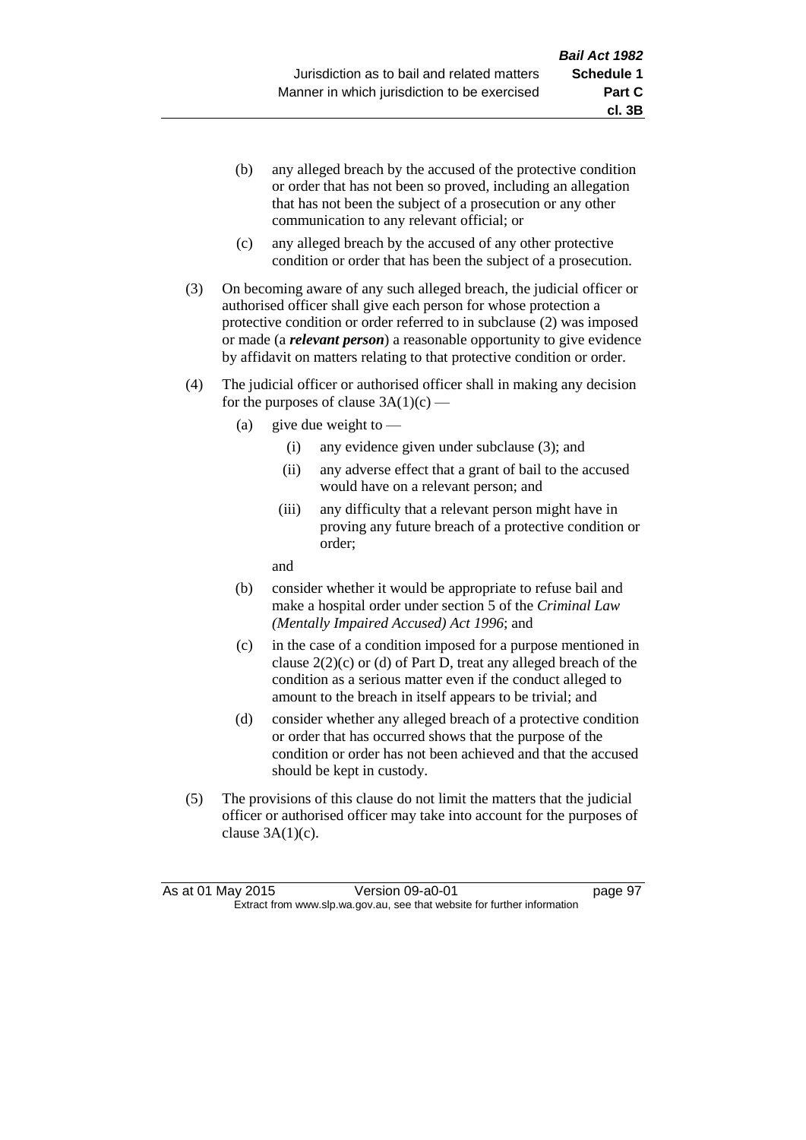**cl. 3B**

- (b) any alleged breach by the accused of the protective condition or order that has not been so proved, including an allegation that has not been the subject of a prosecution or any other communication to any relevant official; or
- (c) any alleged breach by the accused of any other protective condition or order that has been the subject of a prosecution.
- (3) On becoming aware of any such alleged breach, the judicial officer or authorised officer shall give each person for whose protection a protective condition or order referred to in subclause (2) was imposed or made (a *relevant person*) a reasonable opportunity to give evidence by affidavit on matters relating to that protective condition or order.
- (4) The judicial officer or authorised officer shall in making any decision for the purposes of clause  $3A(1)(c)$  —
	- (a) give due weight to  $-$ 
		- (i) any evidence given under subclause (3); and
		- (ii) any adverse effect that a grant of bail to the accused would have on a relevant person; and
		- (iii) any difficulty that a relevant person might have in proving any future breach of a protective condition or order;

and

- (b) consider whether it would be appropriate to refuse bail and make a hospital order under section 5 of the *Criminal Law (Mentally Impaired Accused) Act 1996*; and
- (c) in the case of a condition imposed for a purpose mentioned in clause  $2(2)(c)$  or (d) of Part D, treat any alleged breach of the condition as a serious matter even if the conduct alleged to amount to the breach in itself appears to be trivial; and
- (d) consider whether any alleged breach of a protective condition or order that has occurred shows that the purpose of the condition or order has not been achieved and that the accused should be kept in custody.
- (5) The provisions of this clause do not limit the matters that the judicial officer or authorised officer may take into account for the purposes of clause  $3A(1)(c)$ .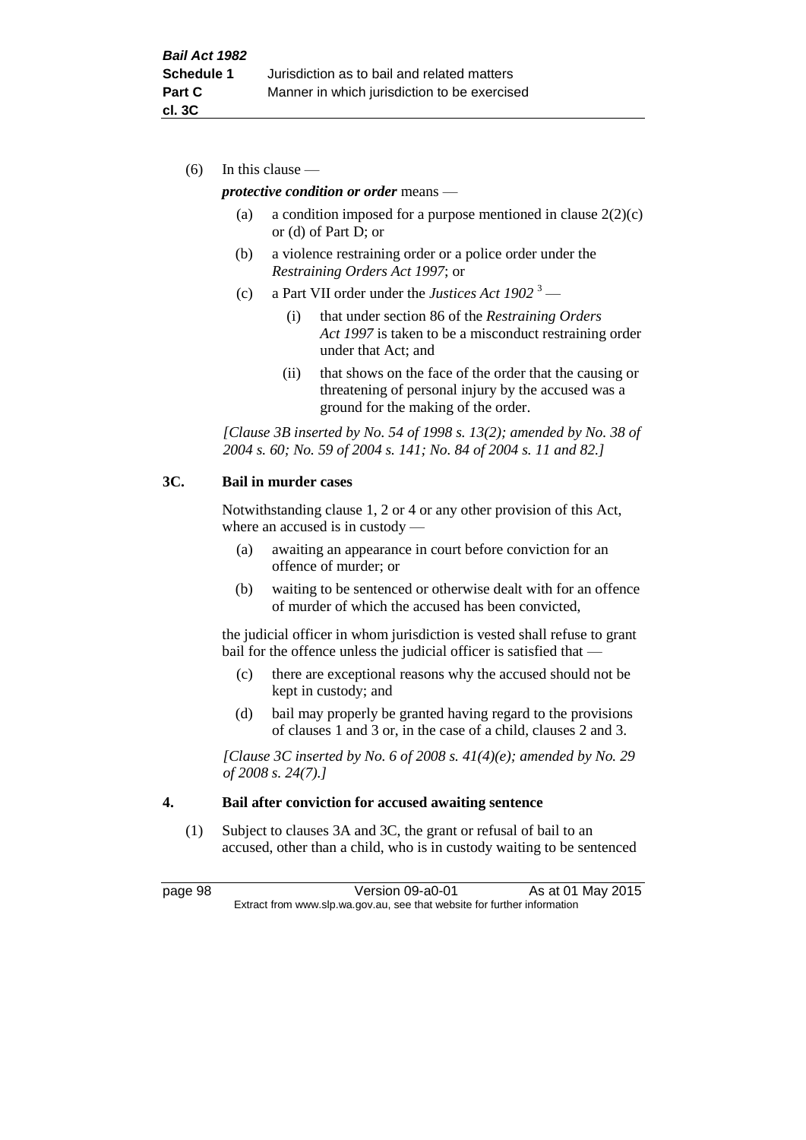(6) In this clause —

### *protective condition or order* means —

- (a) a condition imposed for a purpose mentioned in clause  $2(2)(c)$ or (d) of Part D; or
- (b) a violence restraining order or a police order under the *Restraining Orders Act 1997*; or
- (c) a Part VII order under the *Justices Act 1902* <sup>3</sup>
	- (i) that under section 86 of the *Restraining Orders Act 1997* is taken to be a misconduct restraining order under that Act; and
	- (ii) that shows on the face of the order that the causing or threatening of personal injury by the accused was a ground for the making of the order.

*[Clause 3B inserted by No. 54 of 1998 s. 13(2); amended by No. 38 of 2004 s. 60; No. 59 of 2004 s. 141; No. 84 of 2004 s. 11 and 82.]*

### **3C. Bail in murder cases**

Notwithstanding clause 1, 2 or 4 or any other provision of this Act, where an accused is in custody —

- (a) awaiting an appearance in court before conviction for an offence of murder; or
- (b) waiting to be sentenced or otherwise dealt with for an offence of murder of which the accused has been convicted,

the judicial officer in whom jurisdiction is vested shall refuse to grant bail for the offence unless the judicial officer is satisfied that -

- (c) there are exceptional reasons why the accused should not be kept in custody; and
- (d) bail may properly be granted having regard to the provisions of clauses 1 and 3 or, in the case of a child, clauses 2 and 3.

*[Clause 3C inserted by No. 6 of 2008 s. 41(4)(e); amended by No. 29 of 2008 s. 24(7).]*

### **4. Bail after conviction for accused awaiting sentence**

(1) Subject to clauses 3A and 3C, the grant or refusal of bail to an accused, other than a child, who is in custody waiting to be sentenced

page 98 Version 09-a0-01 As at 01 May 2015 Extract from www.slp.wa.gov.au, see that website for further information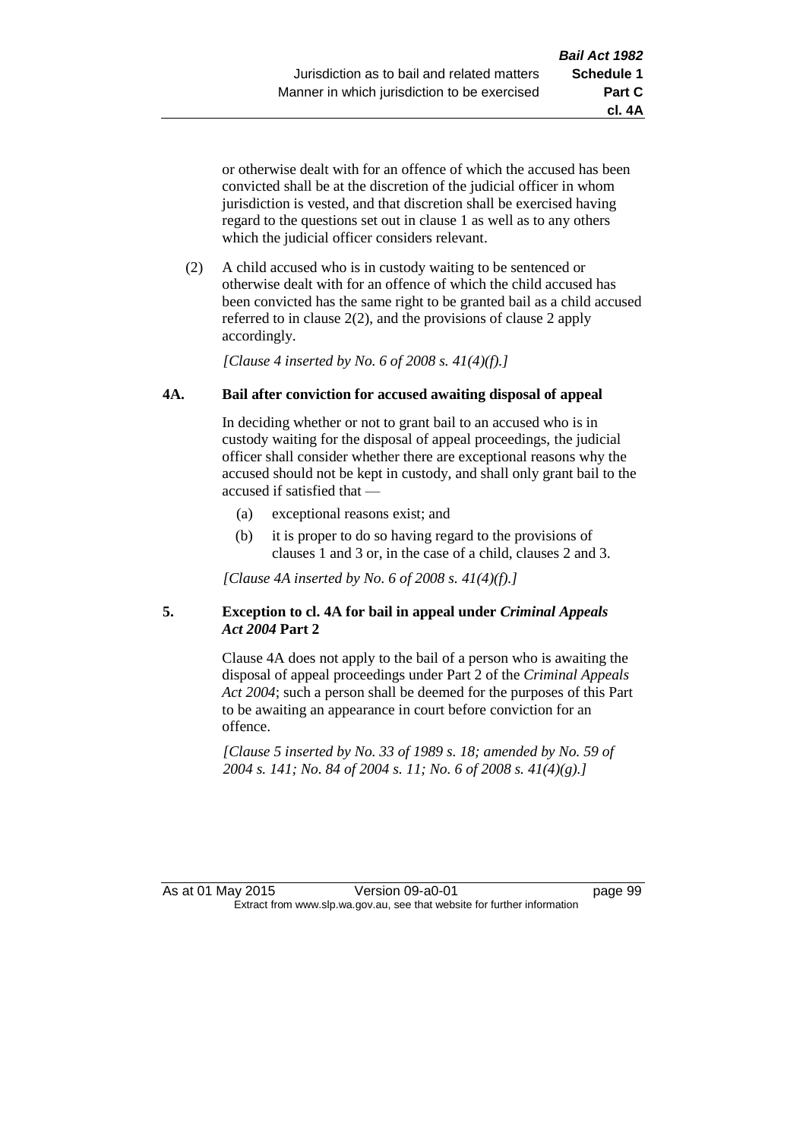**cl. 4A**

or otherwise dealt with for an offence of which the accused has been convicted shall be at the discretion of the judicial officer in whom jurisdiction is vested, and that discretion shall be exercised having regard to the questions set out in clause 1 as well as to any others which the judicial officer considers relevant.

(2) A child accused who is in custody waiting to be sentenced or otherwise dealt with for an offence of which the child accused has been convicted has the same right to be granted bail as a child accused referred to in clause 2(2), and the provisions of clause 2 apply accordingly.

*[Clause 4 inserted by No. 6 of 2008 s. 41(4)(f).]*

## **4A. Bail after conviction for accused awaiting disposal of appeal**

In deciding whether or not to grant bail to an accused who is in custody waiting for the disposal of appeal proceedings, the judicial officer shall consider whether there are exceptional reasons why the accused should not be kept in custody, and shall only grant bail to the accused if satisfied that —

- (a) exceptional reasons exist; and
- (b) it is proper to do so having regard to the provisions of clauses 1 and 3 or, in the case of a child, clauses 2 and 3.

*[Clause 4A inserted by No. 6 of 2008 s. 41(4)(f).]*

## **5. Exception to cl. 4A for bail in appeal under** *Criminal Appeals Act 2004* **Part 2**

Clause 4A does not apply to the bail of a person who is awaiting the disposal of appeal proceedings under Part 2 of the *Criminal Appeals Act 2004*; such a person shall be deemed for the purposes of this Part to be awaiting an appearance in court before conviction for an offence.

*[Clause 5 inserted by No. 33 of 1989 s. 18; amended by No. 59 of 2004 s. 141; No. 84 of 2004 s. 11; No. 6 of 2008 s. 41(4)(g).]*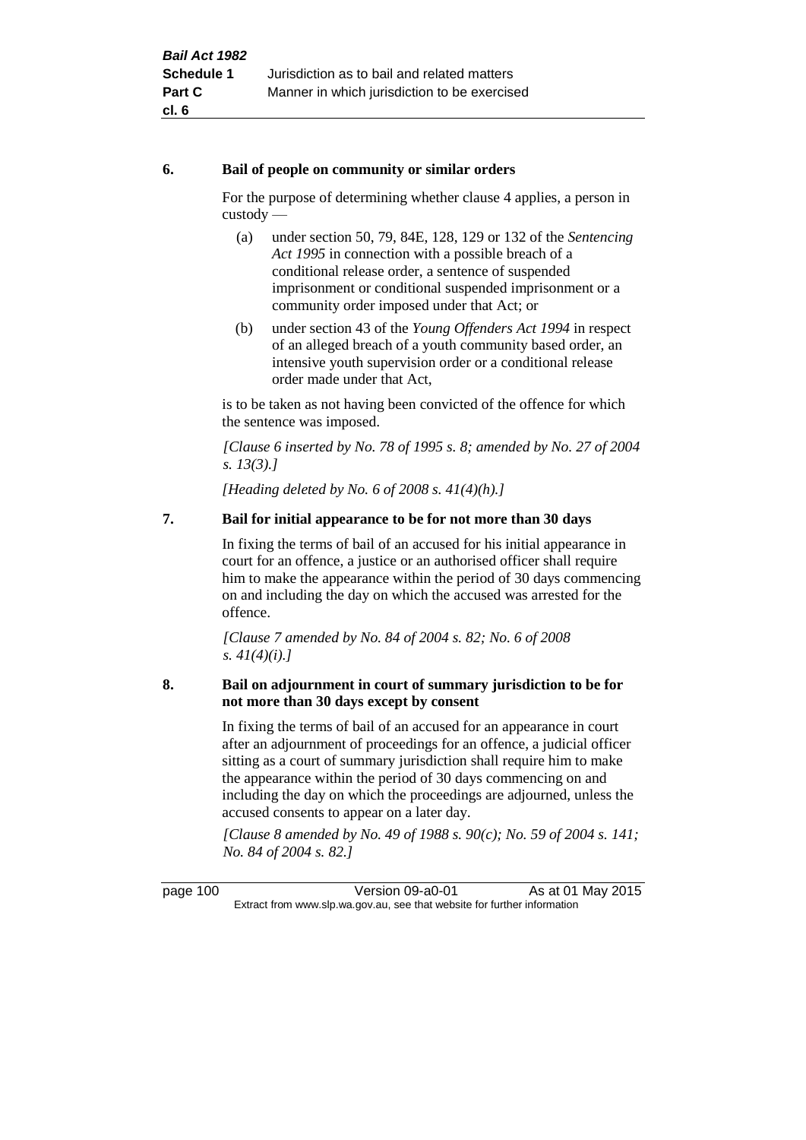### **6. Bail of people on community or similar orders**

For the purpose of determining whether clause 4 applies, a person in custody —

- (a) under section 50, 79, 84E, 128, 129 or 132 of the *Sentencing Act 1995* in connection with a possible breach of a conditional release order, a sentence of suspended imprisonment or conditional suspended imprisonment or a community order imposed under that Act; or
- (b) under section 43 of the *Young Offenders Act 1994* in respect of an alleged breach of a youth community based order, an intensive youth supervision order or a conditional release order made under that Act,

is to be taken as not having been convicted of the offence for which the sentence was imposed.

*[Clause 6 inserted by No. 78 of 1995 s. 8; amended by No. 27 of 2004 s. 13(3).]*

*[Heading deleted by No. 6 of 2008 s. 41(4)(h).]*

# **7. Bail for initial appearance to be for not more than 30 days**

In fixing the terms of bail of an accused for his initial appearance in court for an offence, a justice or an authorised officer shall require him to make the appearance within the period of 30 days commencing on and including the day on which the accused was arrested for the offence.

*[Clause 7 amended by No. 84 of 2004 s. 82; No. 6 of 2008 s. 41(4)(i).]*

## **8. Bail on adjournment in court of summary jurisdiction to be for not more than 30 days except by consent**

In fixing the terms of bail of an accused for an appearance in court after an adjournment of proceedings for an offence, a judicial officer sitting as a court of summary jurisdiction shall require him to make the appearance within the period of 30 days commencing on and including the day on which the proceedings are adjourned, unless the accused consents to appear on a later day.

*[Clause 8 amended by No. 49 of 1988 s. 90(c); No. 59 of 2004 s. 141; No. 84 of 2004 s. 82.]*

page 100 Version 09-a0-01 As at 01 May 2015 Extract from www.slp.wa.gov.au, see that website for further information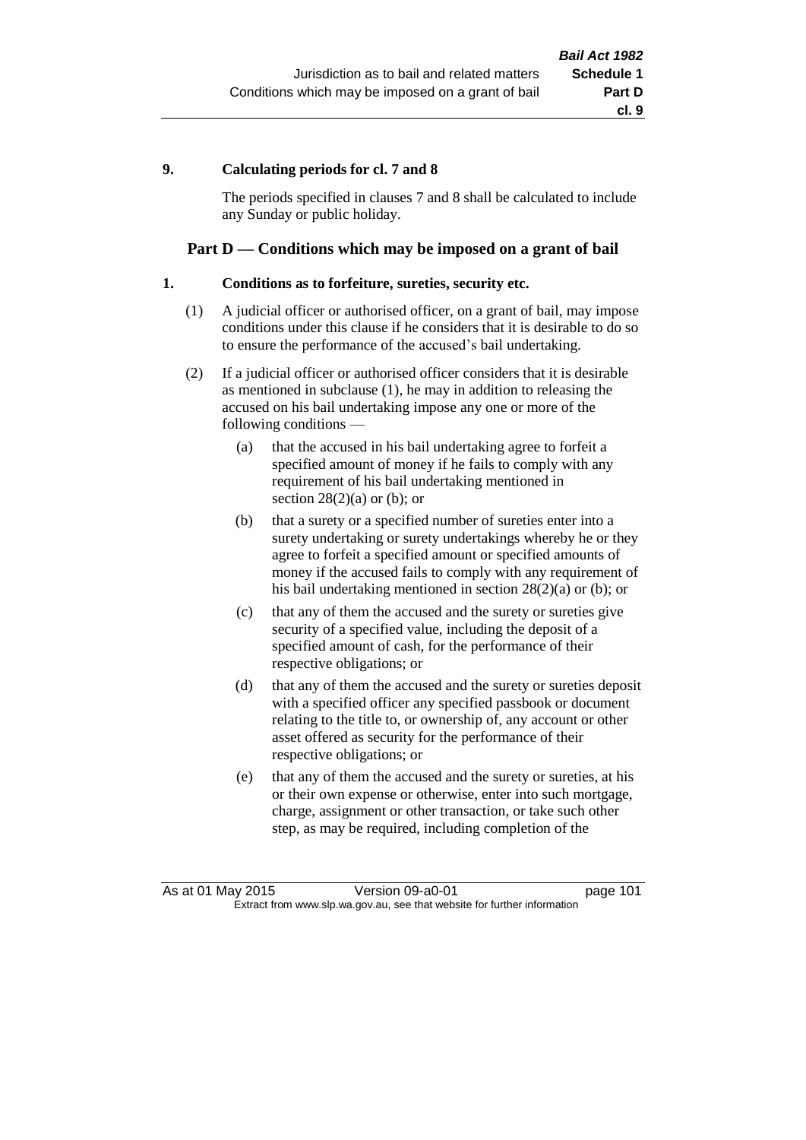## **9. Calculating periods for cl. 7 and 8**

The periods specified in clauses 7 and 8 shall be calculated to include any Sunday or public holiday.

## **Part D — Conditions which may be imposed on a grant of bail**

### **1. Conditions as to forfeiture, sureties, security etc.**

- (1) A judicial officer or authorised officer, on a grant of bail, may impose conditions under this clause if he considers that it is desirable to do so to ensure the performance of the accused's bail undertaking.
- (2) If a judicial officer or authorised officer considers that it is desirable as mentioned in subclause (1), he may in addition to releasing the accused on his bail undertaking impose any one or more of the following conditions —
	- (a) that the accused in his bail undertaking agree to forfeit a specified amount of money if he fails to comply with any requirement of his bail undertaking mentioned in section  $28(2)(a)$  or (b); or
	- (b) that a surety or a specified number of sureties enter into a surety undertaking or surety undertakings whereby he or they agree to forfeit a specified amount or specified amounts of money if the accused fails to comply with any requirement of his bail undertaking mentioned in section 28(2)(a) or (b); or
	- (c) that any of them the accused and the surety or sureties give security of a specified value, including the deposit of a specified amount of cash, for the performance of their respective obligations; or
	- (d) that any of them the accused and the surety or sureties deposit with a specified officer any specified passbook or document relating to the title to, or ownership of, any account or other asset offered as security for the performance of their respective obligations; or
	- (e) that any of them the accused and the surety or sureties, at his or their own expense or otherwise, enter into such mortgage, charge, assignment or other transaction, or take such other step, as may be required, including completion of the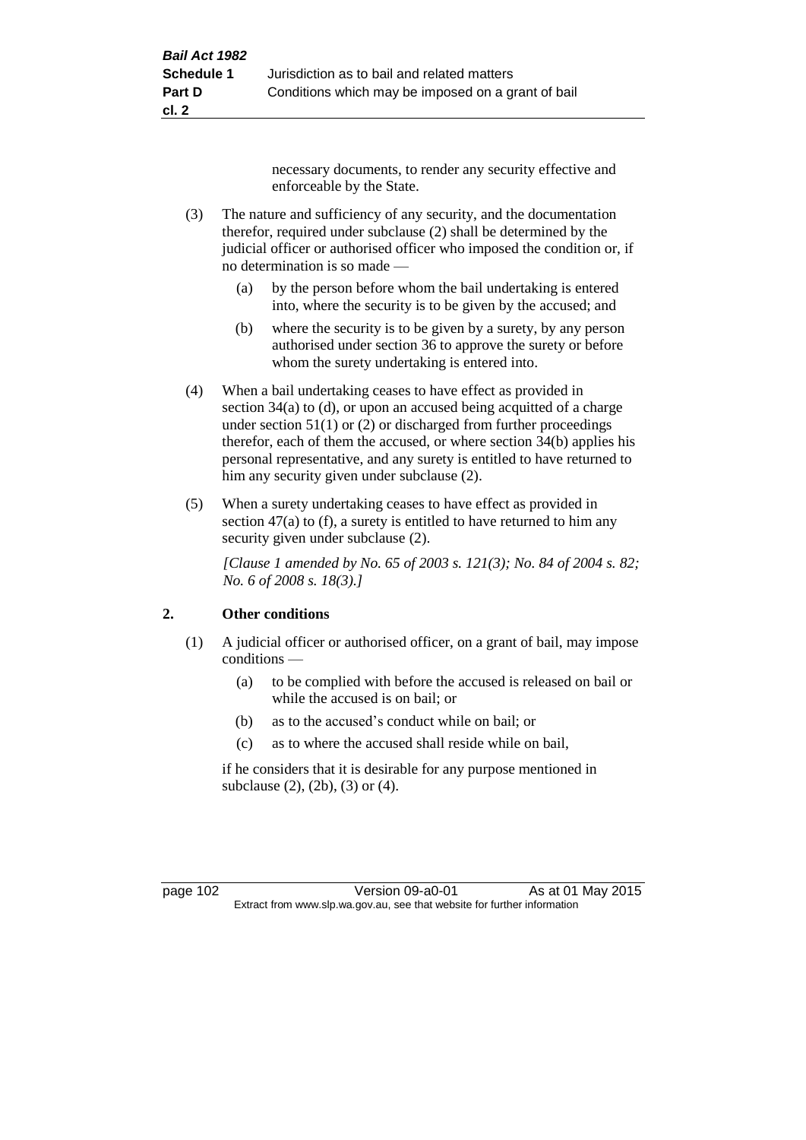necessary documents, to render any security effective and enforceable by the State.

- (3) The nature and sufficiency of any security, and the documentation therefor, required under subclause (2) shall be determined by the judicial officer or authorised officer who imposed the condition or, if no determination is so made —
	- (a) by the person before whom the bail undertaking is entered into, where the security is to be given by the accused; and
	- (b) where the security is to be given by a surety, by any person authorised under section 36 to approve the surety or before whom the surety undertaking is entered into.
- (4) When a bail undertaking ceases to have effect as provided in section 34(a) to (d), or upon an accused being acquitted of a charge under section  $51(1)$  or (2) or discharged from further proceedings therefor, each of them the accused, or where section 34(b) applies his personal representative, and any surety is entitled to have returned to him any security given under subclause (2).
- (5) When a surety undertaking ceases to have effect as provided in section 47(a) to (f), a surety is entitled to have returned to him any security given under subclause  $(2)$ .

*[Clause 1 amended by No. 65 of 2003 s. 121(3); No. 84 of 2004 s. 82; No. 6 of 2008 s. 18(3).]*

# **2. Other conditions**

- (1) A judicial officer or authorised officer, on a grant of bail, may impose conditions —
	- (a) to be complied with before the accused is released on bail or while the accused is on bail; or
	- (b) as to the accused's conduct while on bail; or
	- (c) as to where the accused shall reside while on bail,

if he considers that it is desirable for any purpose mentioned in subclause (2), (2b), (3) or (4).

page 102 Version 09-a0-01 As at 01 May 2015 Extract from www.slp.wa.gov.au, see that website for further information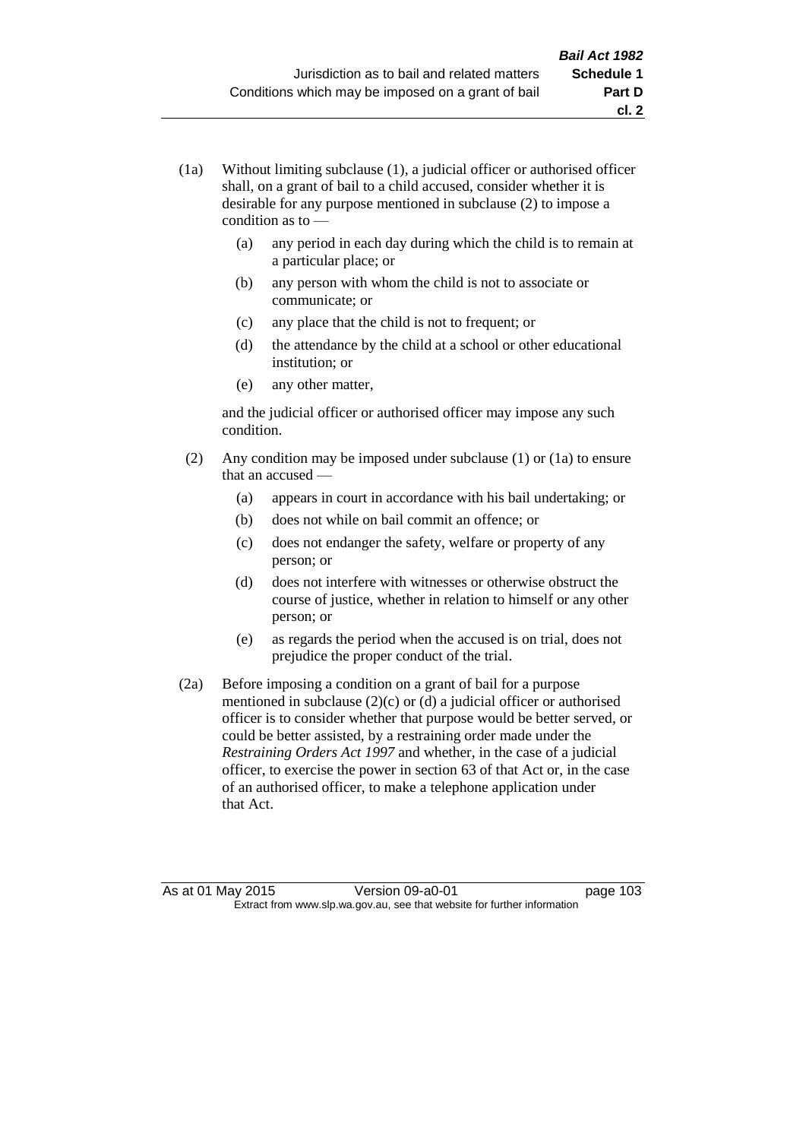- (1a) Without limiting subclause (1), a judicial officer or authorised officer shall, on a grant of bail to a child accused, consider whether it is desirable for any purpose mentioned in subclause (2) to impose a condition as to —
	- (a) any period in each day during which the child is to remain at a particular place; or
	- (b) any person with whom the child is not to associate or communicate; or
	- (c) any place that the child is not to frequent; or
	- (d) the attendance by the child at a school or other educational institution; or
	- (e) any other matter,

and the judicial officer or authorised officer may impose any such condition.

- (2) Any condition may be imposed under subclause (1) or (1a) to ensure that an accused —
	- (a) appears in court in accordance with his bail undertaking; or
	- (b) does not while on bail commit an offence; or
	- (c) does not endanger the safety, welfare or property of any person; or
	- (d) does not interfere with witnesses or otherwise obstruct the course of justice, whether in relation to himself or any other person; or
	- (e) as regards the period when the accused is on trial, does not prejudice the proper conduct of the trial.
- (2a) Before imposing a condition on a grant of bail for a purpose mentioned in subclause (2)(c) or (d) a judicial officer or authorised officer is to consider whether that purpose would be better served, or could be better assisted, by a restraining order made under the *Restraining Orders Act 1997* and whether, in the case of a judicial officer, to exercise the power in section 63 of that Act or, in the case of an authorised officer, to make a telephone application under that Act.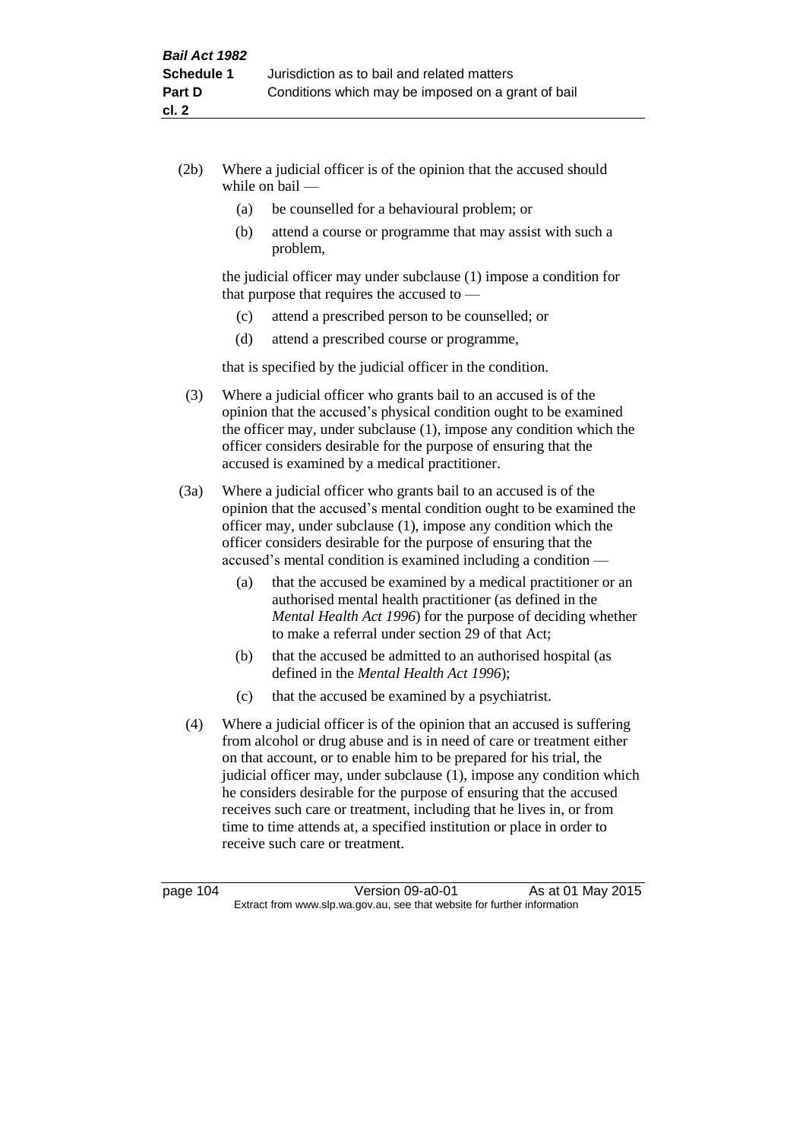- (2b) Where a judicial officer is of the opinion that the accused should while on bail —
	- (a) be counselled for a behavioural problem; or
	- (b) attend a course or programme that may assist with such a problem,

the judicial officer may under subclause (1) impose a condition for that purpose that requires the accused to —

- (c) attend a prescribed person to be counselled; or
- (d) attend a prescribed course or programme,

that is specified by the judicial officer in the condition.

- (3) Where a judicial officer who grants bail to an accused is of the opinion that the accused's physical condition ought to be examined the officer may, under subclause (1), impose any condition which the officer considers desirable for the purpose of ensuring that the accused is examined by a medical practitioner.
- (3a) Where a judicial officer who grants bail to an accused is of the opinion that the accused's mental condition ought to be examined the officer may, under subclause (1), impose any condition which the officer considers desirable for the purpose of ensuring that the accused's mental condition is examined including a condition —
	- (a) that the accused be examined by a medical practitioner or an authorised mental health practitioner (as defined in the *Mental Health Act 1996*) for the purpose of deciding whether to make a referral under section 29 of that Act;
	- (b) that the accused be admitted to an authorised hospital (as defined in the *Mental Health Act 1996*);
	- (c) that the accused be examined by a psychiatrist.
- (4) Where a judicial officer is of the opinion that an accused is suffering from alcohol or drug abuse and is in need of care or treatment either on that account, or to enable him to be prepared for his trial, the judicial officer may, under subclause (1), impose any condition which he considers desirable for the purpose of ensuring that the accused receives such care or treatment, including that he lives in, or from time to time attends at, a specified institution or place in order to receive such care or treatment.

page 104 Version 09-a0-01 As at 01 May 2015 Extract from www.slp.wa.gov.au, see that website for further information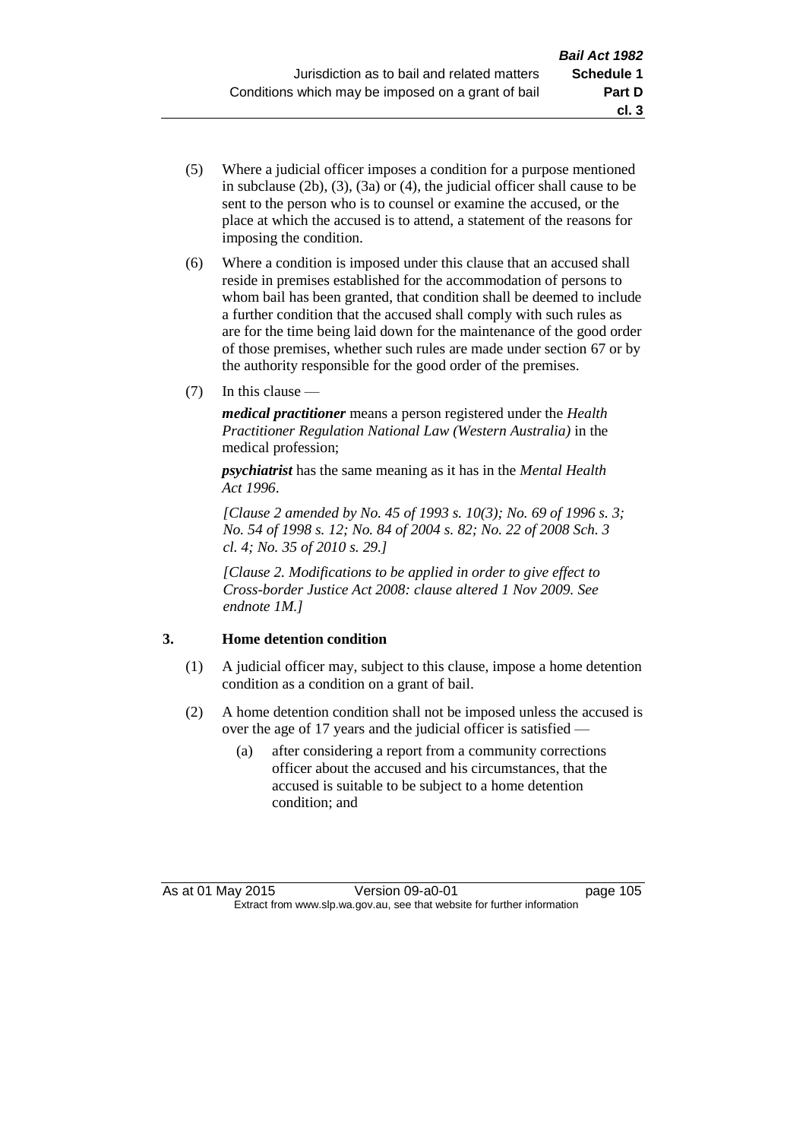**cl. 3**

- (5) Where a judicial officer imposes a condition for a purpose mentioned in subclause (2b), (3), (3a) or (4), the judicial officer shall cause to be sent to the person who is to counsel or examine the accused, or the place at which the accused is to attend, a statement of the reasons for imposing the condition.
- (6) Where a condition is imposed under this clause that an accused shall reside in premises established for the accommodation of persons to whom bail has been granted, that condition shall be deemed to include a further condition that the accused shall comply with such rules as are for the time being laid down for the maintenance of the good order of those premises, whether such rules are made under section 67 or by the authority responsible for the good order of the premises.
- (7) In this clause —

*medical practitioner* means a person registered under the *Health Practitioner Regulation National Law (Western Australia)* in the medical profession;

*psychiatrist* has the same meaning as it has in the *Mental Health Act 1996*.

*[Clause 2 amended by No. 45 of 1993 s. 10(3); No. 69 of 1996 s. 3; No. 54 of 1998 s. 12; No. 84 of 2004 s. 82; No. 22 of 2008 Sch. 3 cl. 4; No. 35 of 2010 s. 29.]*

*[Clause 2. Modifications to be applied in order to give effect to Cross-border Justice Act 2008: clause altered 1 Nov 2009. See endnote 1M.]*

# **3. Home detention condition**

- (1) A judicial officer may, subject to this clause, impose a home detention condition as a condition on a grant of bail.
- (2) A home detention condition shall not be imposed unless the accused is over the age of 17 years and the judicial officer is satisfied —
	- (a) after considering a report from a community corrections officer about the accused and his circumstances, that the accused is suitable to be subject to a home detention condition; and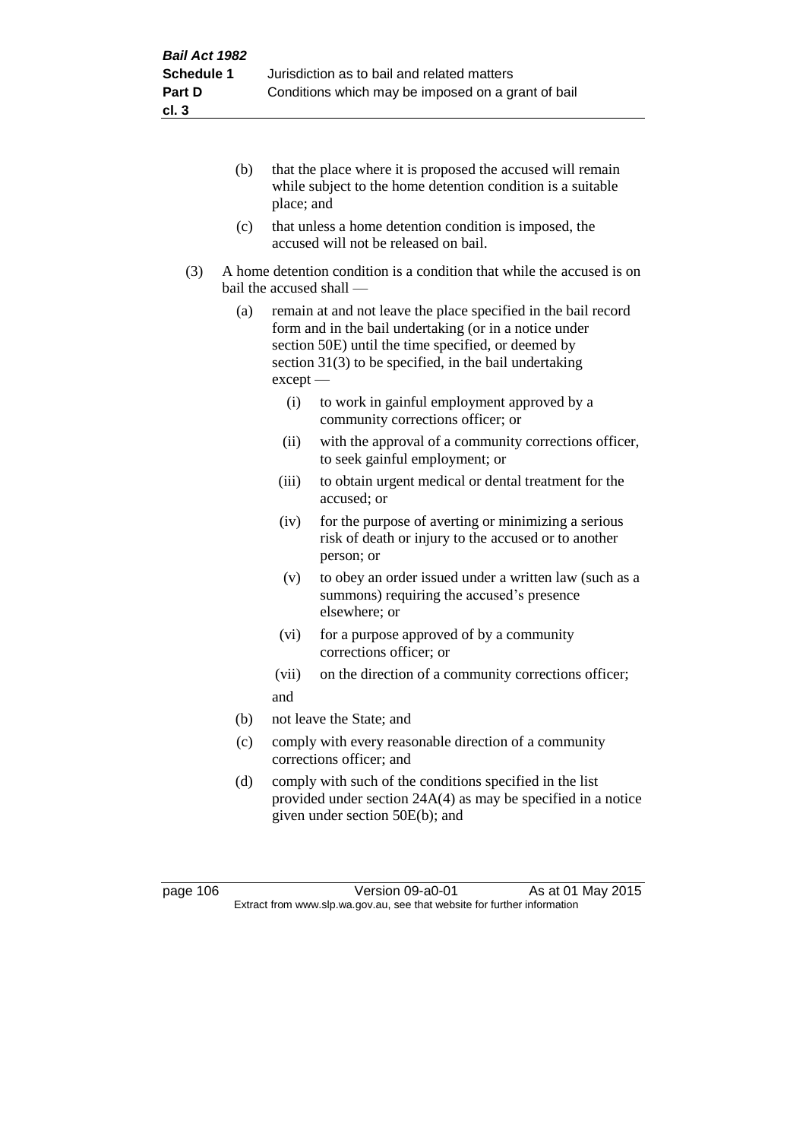- (b) that the place where it is proposed the accused will remain while subject to the home detention condition is a suitable place; and
- (c) that unless a home detention condition is imposed, the accused will not be released on bail.
- (3) A home detention condition is a condition that while the accused is on bail the accused shall —
	- (a) remain at and not leave the place specified in the bail record form and in the bail undertaking (or in a notice under section 50E) until the time specified, or deemed by section 31(3) to be specified, in the bail undertaking except —
		- (i) to work in gainful employment approved by a community corrections officer; or
		- (ii) with the approval of a community corrections officer, to seek gainful employment; or
		- (iii) to obtain urgent medical or dental treatment for the accused; or
		- (iv) for the purpose of averting or minimizing a serious risk of death or injury to the accused or to another person; or
		- (v) to obey an order issued under a written law (such as a summons) requiring the accused's presence elsewhere; or
		- (vi) for a purpose approved of by a community corrections officer; or
		- (vii) on the direction of a community corrections officer; and
	- (b) not leave the State; and
	- (c) comply with every reasonable direction of a community corrections officer; and
	- (d) comply with such of the conditions specified in the list provided under section 24A(4) as may be specified in a notice given under section 50E(b); and

page 106 Version 09-a0-01 As at 01 May 2015 Extract from www.slp.wa.gov.au, see that website for further information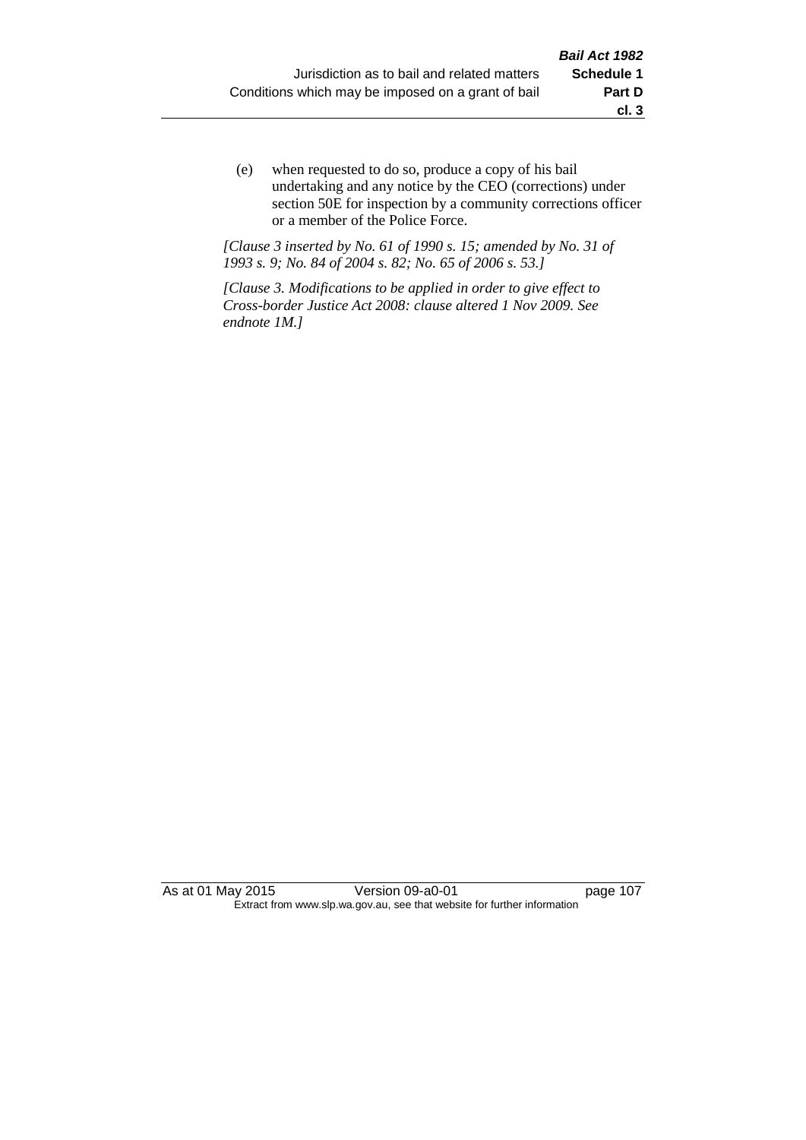(e) when requested to do so, produce a copy of his bail undertaking and any notice by the CEO (corrections) under section 50E for inspection by a community corrections officer or a member of the Police Force.

*[Clause 3 inserted by No. 61 of 1990 s. 15; amended by No. 31 of 1993 s. 9; No. 84 of 2004 s. 82; No. 65 of 2006 s. 53.]*

*[Clause 3. Modifications to be applied in order to give effect to Cross-border Justice Act 2008: clause altered 1 Nov 2009. See endnote 1M.]*

As at 01 May 2015 Version 09-a0-01 page 107 Extract from www.slp.wa.gov.au, see that website for further information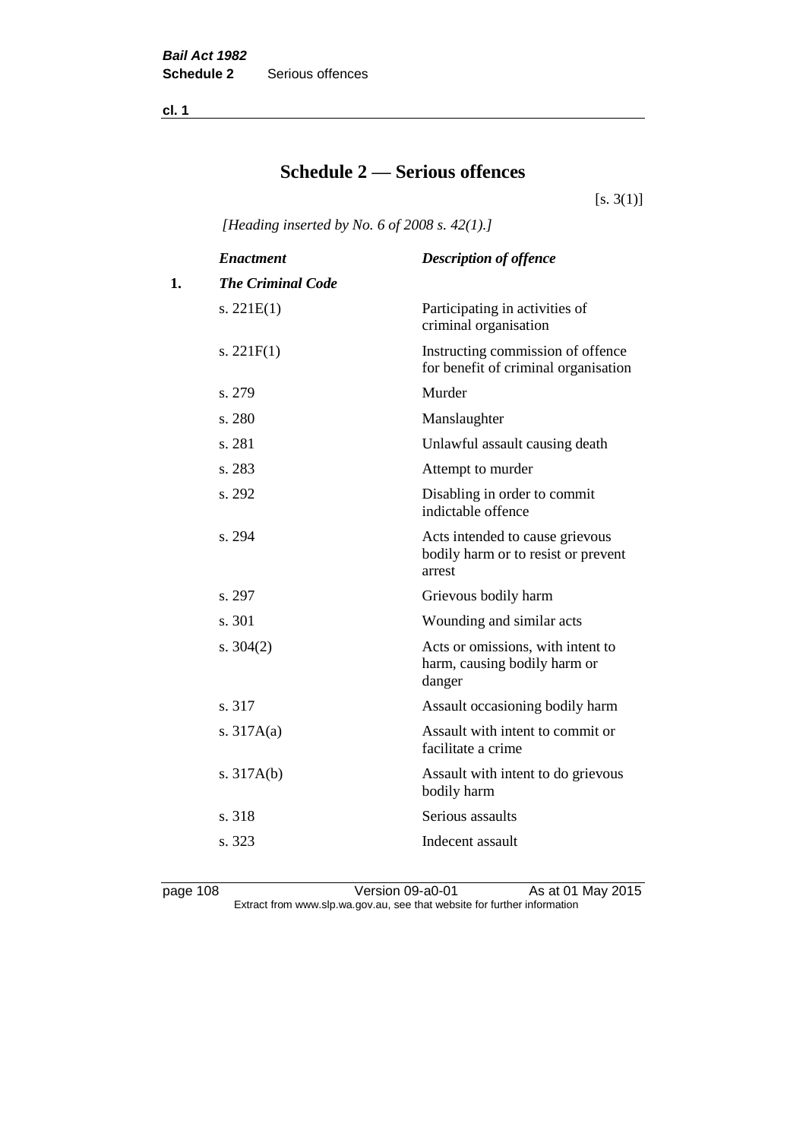**cl. 1**

# **Schedule 2 — Serious offences**

 $[s. 3(1)]$ 

*[Heading inserted by No. 6 of 2008 s. 42(1).]*

|    | <b>Enactment</b>         | <b>Description of offence</b>                                                    |
|----|--------------------------|----------------------------------------------------------------------------------|
| 1. | <b>The Criminal Code</b> |                                                                                  |
|    | s. $221E(1)$             | Participating in activities of<br>criminal organisation                          |
|    | s. $221F(1)$             | Instructing commission of offence<br>for benefit of criminal organisation        |
|    | s. 279                   | Murder                                                                           |
|    | s. 280                   | Manslaughter                                                                     |
|    | s. 281                   | Unlawful assault causing death                                                   |
|    | s. 283                   | Attempt to murder                                                                |
|    | s. 292                   | Disabling in order to commit<br>indictable offence                               |
|    | s. 294                   | Acts intended to cause grievous<br>bodily harm or to resist or prevent<br>arrest |
|    | s. 297                   | Grievous bodily harm                                                             |
|    | s. 301                   | Wounding and similar acts                                                        |
|    | s. $304(2)$              | Acts or omissions, with intent to<br>harm, causing bodily harm or<br>danger      |
|    | s. 317                   | Assault occasioning bodily harm                                                  |
|    | s. $317A(a)$             | Assault with intent to commit or<br>facilitate a crime                           |
|    | s. $317A(b)$             | Assault with intent to do grievous<br>bodily harm                                |
|    | s. 318                   | Serious assaults                                                                 |
|    | s. 323                   | Indecent assault                                                                 |
|    |                          |                                                                                  |

page 108 Version 09-a0-01 As at 01 May 2015 Extract from www.slp.wa.gov.au, see that website for further information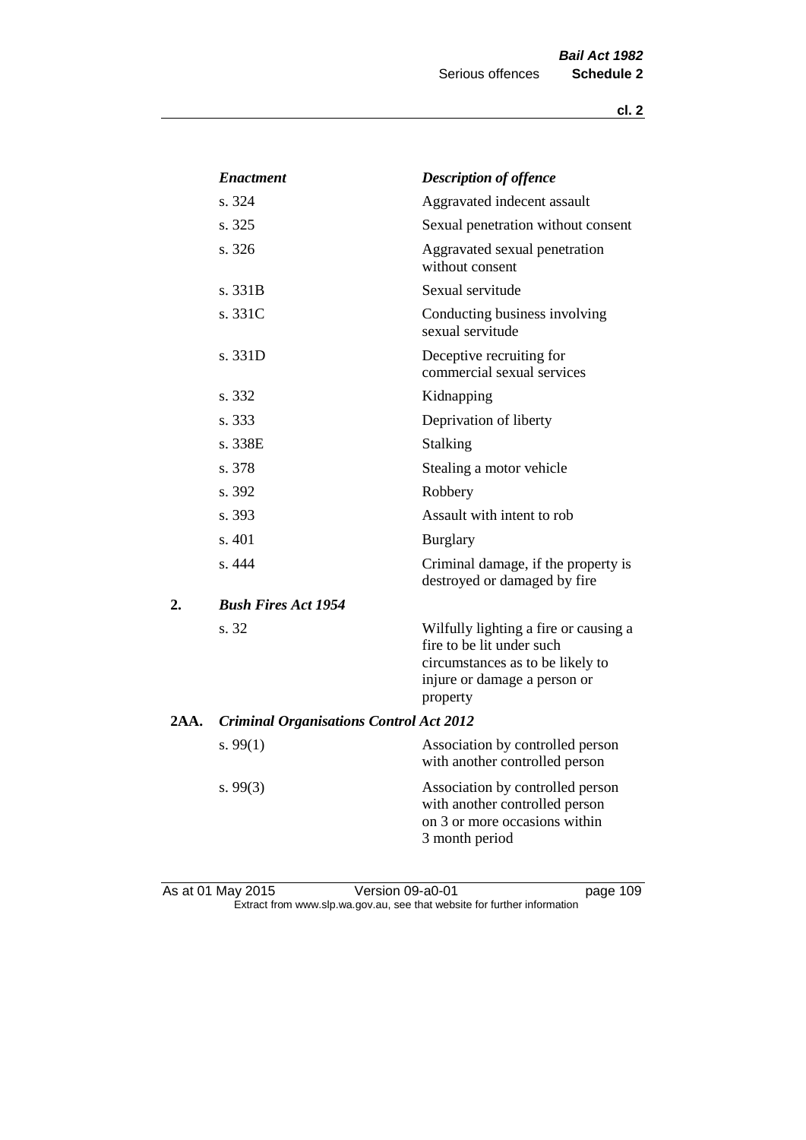|      | <b>Enactment</b>                               | <b>Description of offence</b>                                                                                                                      |
|------|------------------------------------------------|----------------------------------------------------------------------------------------------------------------------------------------------------|
|      | s. 324                                         | Aggravated indecent assault                                                                                                                        |
|      | s. 325                                         | Sexual penetration without consent                                                                                                                 |
|      | s. 326                                         | Aggravated sexual penetration<br>without consent                                                                                                   |
|      | s. 331B                                        | Sexual servitude                                                                                                                                   |
|      | s. 331C                                        | Conducting business involving<br>sexual servitude                                                                                                  |
|      | s. 331D                                        | Deceptive recruiting for<br>commercial sexual services                                                                                             |
|      | s. 332                                         | Kidnapping                                                                                                                                         |
|      | s. 333                                         | Deprivation of liberty                                                                                                                             |
|      | s. 338E                                        | Stalking                                                                                                                                           |
|      | s. 378                                         | Stealing a motor vehicle                                                                                                                           |
|      | s. 392                                         | Robbery                                                                                                                                            |
|      | s. 393                                         | Assault with intent to rob                                                                                                                         |
|      | s. 401                                         | <b>Burglary</b>                                                                                                                                    |
|      | s. 444                                         | Criminal damage, if the property is<br>destroyed or damaged by fire                                                                                |
| 2.   | <b>Bush Fires Act 1954</b>                     |                                                                                                                                                    |
|      | s. 32                                          | Wilfully lighting a fire or causing a<br>fire to be lit under such<br>circumstances as to be likely to<br>injure or damage a person or<br>property |
| 2AA. | <b>Criminal Organisations Control Act 2012</b> |                                                                                                                                                    |
|      | s. $99(1)$                                     | Association by controlled person<br>with another controlled person                                                                                 |
|      | s.99(3)                                        | Association by controlled person<br>with another controlled person<br>on 3 or more occasions within<br>3 month period                              |
|      |                                                |                                                                                                                                                    |

As at 01 May 2015 **Version 09-a0-01 Page 109 page 109** Extract from www.slp.wa.gov.au, see that website for further information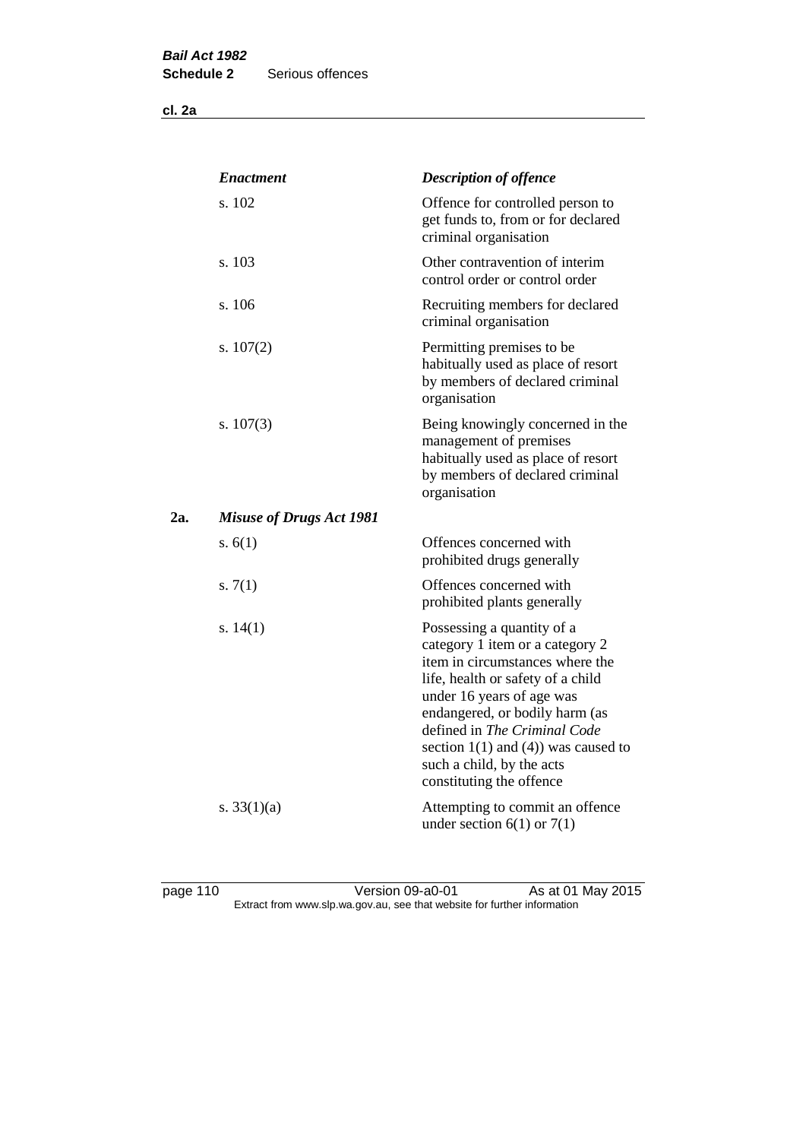**cl. 2a**

|     | <b>Enactment</b>                | <b>Description of offence</b>                                                                                                                                                                                                                                                                                                             |
|-----|---------------------------------|-------------------------------------------------------------------------------------------------------------------------------------------------------------------------------------------------------------------------------------------------------------------------------------------------------------------------------------------|
|     | s. 102                          | Offence for controlled person to<br>get funds to, from or for declared<br>criminal organisation                                                                                                                                                                                                                                           |
|     | s. 103                          | Other contravention of interim<br>control order or control order                                                                                                                                                                                                                                                                          |
|     | s. 106                          | Recruiting members for declared<br>criminal organisation                                                                                                                                                                                                                                                                                  |
|     | s. $107(2)$                     | Permitting premises to be<br>habitually used as place of resort<br>by members of declared criminal<br>organisation                                                                                                                                                                                                                        |
|     | s. 107(3)                       | Being knowingly concerned in the<br>management of premises<br>habitually used as place of resort<br>by members of declared criminal<br>organisation                                                                                                                                                                                       |
| 2a. | <b>Misuse of Drugs Act 1981</b> |                                                                                                                                                                                                                                                                                                                                           |
|     | s. $6(1)$                       | Offences concerned with<br>prohibited drugs generally                                                                                                                                                                                                                                                                                     |
|     | s. $7(1)$                       | Offences concerned with<br>prohibited plants generally                                                                                                                                                                                                                                                                                    |
|     | s. $14(1)$                      | Possessing a quantity of a<br>category 1 item or a category 2<br>item in circumstances where the<br>life, health or safety of a child<br>under 16 years of age was<br>endangered, or bodily harm (as<br>defined in The Criminal Code<br>section $1(1)$ and $(4)$ ) was caused to<br>such a child, by the acts<br>constituting the offence |
|     | s. $33(1)(a)$                   | Attempting to commit an offence<br>under section $6(1)$ or $7(1)$                                                                                                                                                                                                                                                                         |

page 110 **Decime 110** Version 09-a0-01 As at 01 May 2015 Extract from www.slp.wa.gov.au, see that website for further information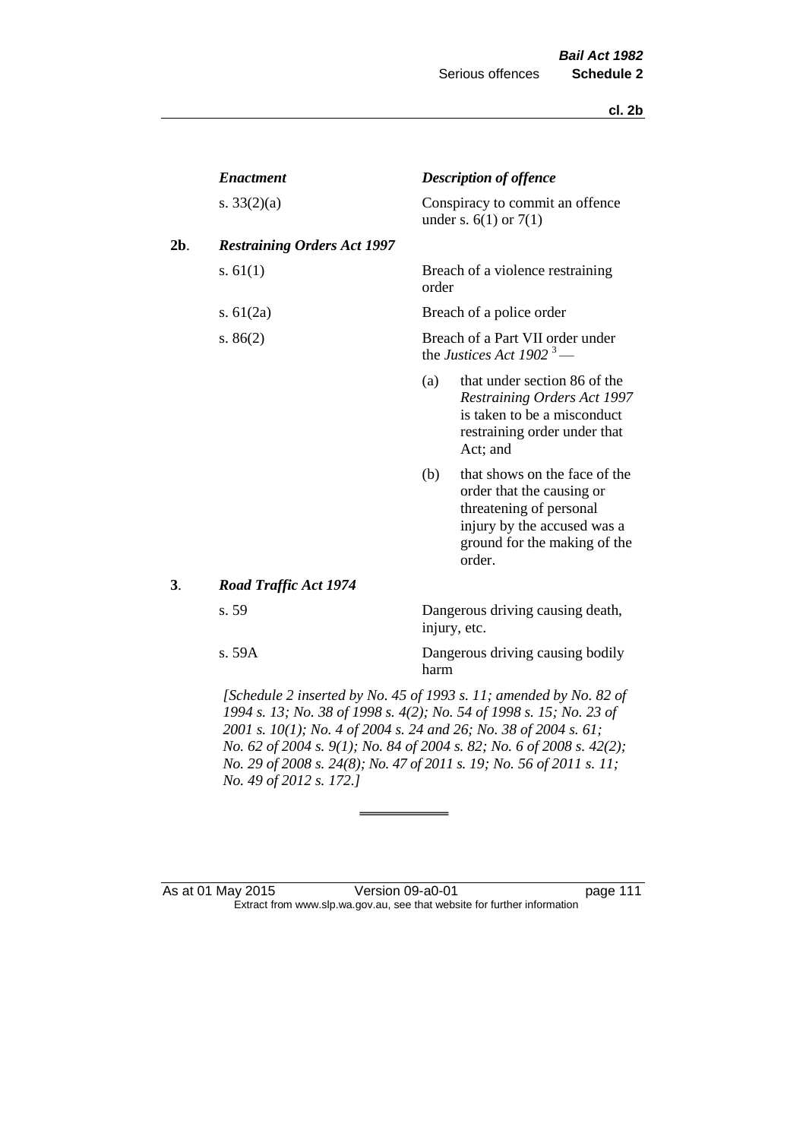|     | <b>Enactment</b>                   |       | <b>Description of offence</b>                                                                                                                                  |
|-----|------------------------------------|-------|----------------------------------------------------------------------------------------------------------------------------------------------------------------|
|     | s. $33(2)(a)$                      |       | Conspiracy to commit an offence<br>under s. $6(1)$ or $7(1)$                                                                                                   |
| 2b. | <b>Restraining Orders Act 1997</b> |       |                                                                                                                                                                |
|     | s. $61(1)$                         | order | Breach of a violence restraining                                                                                                                               |
|     | s. $61(2a)$                        |       | Breach of a police order                                                                                                                                       |
|     | s. $86(2)$                         |       | Breach of a Part VII order under<br>the Justices Act 1902 <sup>3</sup> —                                                                                       |
|     |                                    | (a)   | that under section 86 of the<br>Restraining Orders Act 1997<br>is taken to be a misconduct<br>restraining order under that<br>Act; and                         |
|     |                                    | (b)   | that shows on the face of the<br>order that the causing or<br>threatening of personal<br>injury by the accused was a<br>ground for the making of the<br>order. |
| 3.  | <b>Road Traffic Act 1974</b>       |       |                                                                                                                                                                |
|     | s. 59                              |       | Dangerous driving causing death,<br>injury, etc.                                                                                                               |
|     | s. 59A                             | harm  | Dangerous driving causing bodily                                                                                                                               |
|     |                                    |       | [Schedule 2 inserted by No. 45 of 1993 s. 11; amended by No. 82 of<br>$1004 - 13.$ No. 38 of $1008 - 4(2)$ , No. 54 of $1008 - 15.$ No. 23 of                  |

*1994 s. 13; No. 38 of 1998 s. 4(2); No. 54 of 1998 s. 15; No. 23 of 2001 s. 10(1); No. 4 of 2004 s. 24 and 26; No. 38 of 2004 s. 61; No. 62 of 2004 s. 9(1); No. 84 of 2004 s. 82; No. 6 of 2008 s. 42(2); No. 29 of 2008 s. 24(8); No. 47 of 2011 s. 19; No. 56 of 2011 s. 11; No. 49 of 2012 s. 172.]* 

As at 01 May 2015 Version 09-a0-01 page 111 Extract from www.slp.wa.gov.au, see that website for further information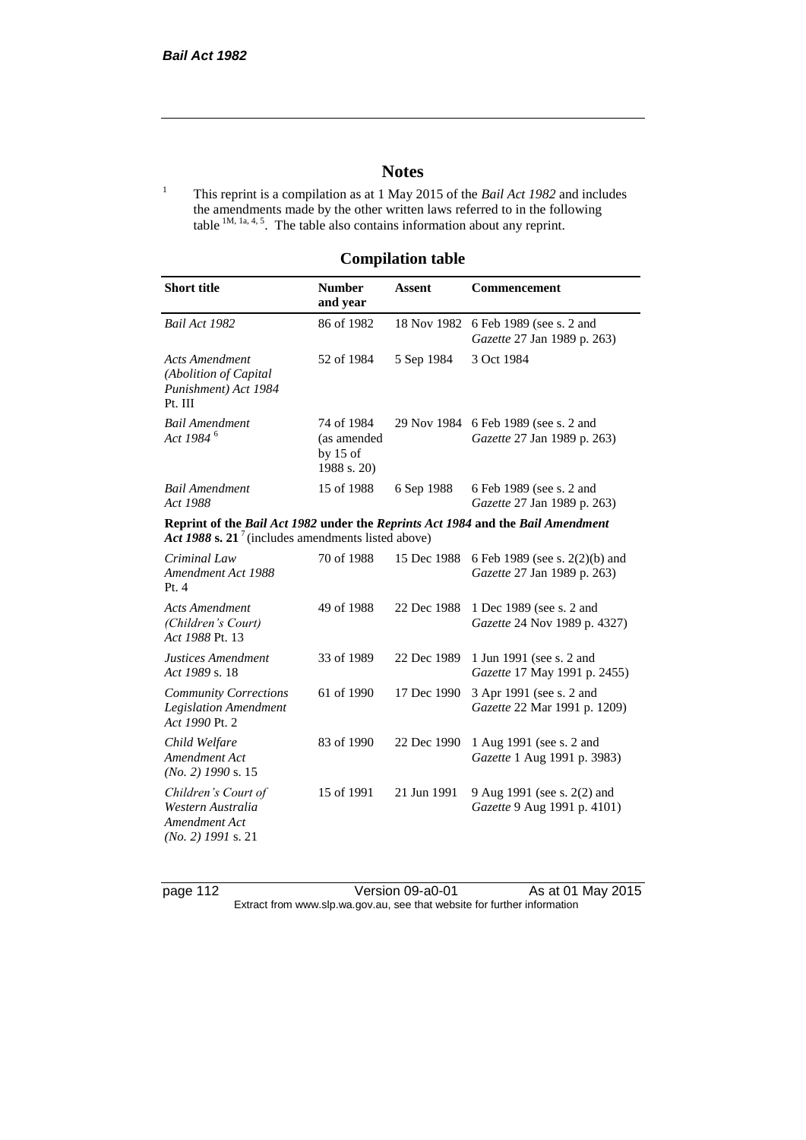# **Notes**

<sup>1</sup> This reprint is a compilation as at 1 May 2015 of the *Bail Act 1982* and includes the amendments made by the other written laws referred to in the following table  $^{1M, 1a, 4, 5}$ . The table also contains information about any reprint.

## **Compilation table**

| <b>Short title</b>                                                                                                                                | <b>Number</b><br>and year                              | <b>Assent</b> | <b>Commencement</b>                                                 |
|---------------------------------------------------------------------------------------------------------------------------------------------------|--------------------------------------------------------|---------------|---------------------------------------------------------------------|
| Bail Act 1982                                                                                                                                     | 86 of 1982                                             | 18 Nov 1982   | 6 Feb 1989 (see s. 2 and<br>Gazette 27 Jan 1989 p. 263)             |
| <b>Acts Amendment</b><br>(Abolition of Capital<br>Punishment) Act 1984<br>Pt. III                                                                 | 52 of 1984                                             | 5 Sep 1984    | 3 Oct 1984                                                          |
| <b>Bail Amendment</b><br>Act 1984 <sup>6</sup>                                                                                                    | 74 of 1984<br>(as amended<br>by $15$ of<br>1988 s. 20) |               | 29 Nov 1984 6 Feb 1989 (see s. 2 and<br>Gazette 27 Jan 1989 p. 263) |
| <b>Bail Amendment</b><br>Act 1988                                                                                                                 | 15 of 1988                                             | 6 Sep 1988    | 6 Feb 1989 (see s. 2 and<br>Gazette 27 Jan 1989 p. 263)             |
| Reprint of the Bail Act 1982 under the Reprints Act 1984 and the Bail Amendment<br>Act 1988 s. 21 <sup>7</sup> (includes amendments listed above) |                                                        |               |                                                                     |
| Criminal Law<br>Amendment Act 1988<br>Pt.4                                                                                                        | 70 of 1988                                             | 15 Dec 1988   | 6 Feb 1989 (see s. 2(2)(b) and<br>Gazette 27 Jan 1989 p. 263)       |
| <b>Acts Amendment</b><br>(Children's Court)<br>Act 1988 Pt. 13                                                                                    | 49 of 1988                                             | 22 Dec 1988   | 1 Dec 1989 (see s. 2 and<br>Gazette 24 Nov 1989 p. 4327)            |
| Justices Amendment<br>Act 1989 s. 18                                                                                                              | 33 of 1989                                             | 22 Dec 1989   | 1 Jun 1991 (see s. 2 and<br>Gazette 17 May 1991 p. 2455)            |
| <b>Community Corrections</b><br><b>Legislation Amendment</b><br>Act 1990 Pt. 2                                                                    | 61 of 1990                                             | 17 Dec 1990   | 3 Apr 1991 (see s. 2 and<br>Gazette 22 Mar 1991 p. 1209)            |
| Child Welfare<br>Amendment Act<br>$(No. 2)$ 1990 s. 15                                                                                            | 83 of 1990                                             | 22 Dec 1990   | 1 Aug 1991 (see s. 2 and<br>Gazette 1 Aug 1991 p. 3983)             |
| Children's Court of<br>Western Australia<br>Amendment Act<br>$(No. 2)$ 1991 s. 21                                                                 | 15 of 1991                                             | 21 Jun 1991   | 9 Aug 1991 (see s. 2(2) and<br>Gazette 9 Aug 1991 p. 4101)          |

page 112 Version 09-a0-01 As at 01 May 2015 Extract from www.slp.wa.gov.au, see that website for further information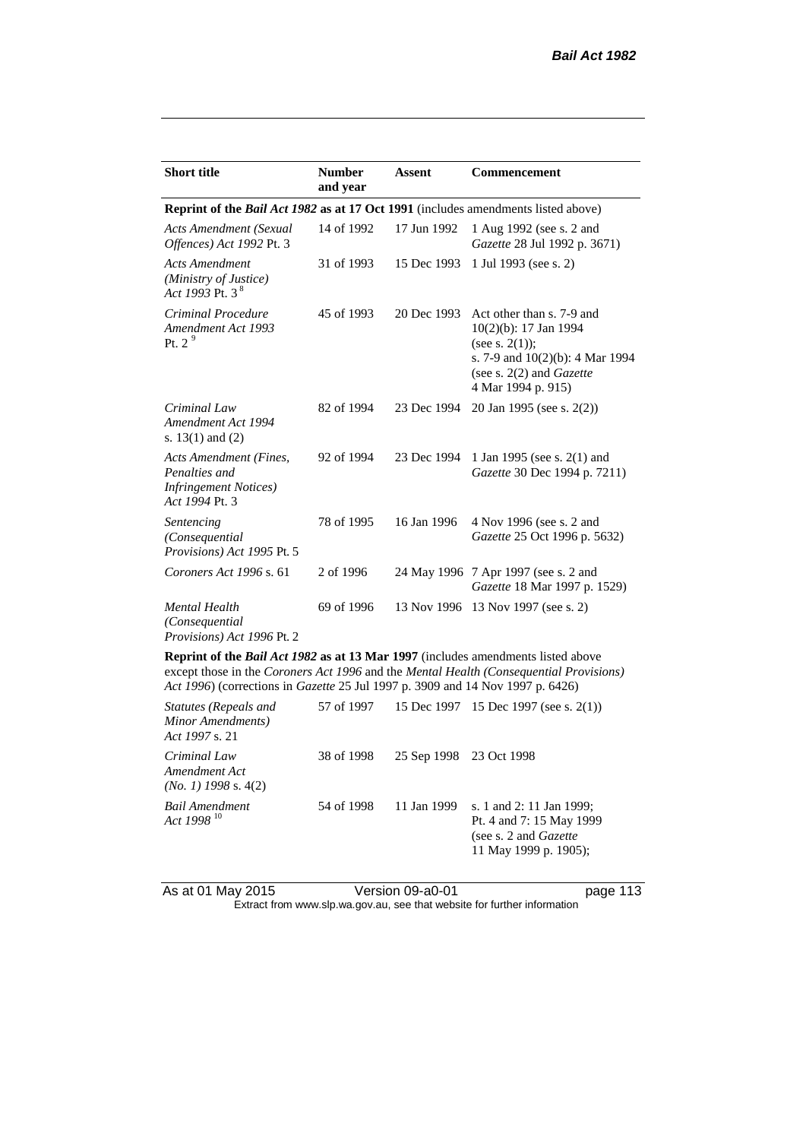| <b>Short title</b>                                                                         | <b>Number</b><br>and year | <b>Assent</b> | <b>Commencement</b>                                                                                                                                                   |
|--------------------------------------------------------------------------------------------|---------------------------|---------------|-----------------------------------------------------------------------------------------------------------------------------------------------------------------------|
| Reprint of the <i>Bail Act 1982</i> as at 17 Oct 1991 (includes amendments listed above)   |                           |               |                                                                                                                                                                       |
| <b>Acts Amendment (Sexual</b><br>Offences) Act 1992 Pt. 3                                  | 14 of 1992                | 17 Jun 1992   | 1 Aug 1992 (see s. 2 and<br>Gazette 28 Jul 1992 p. 3671)                                                                                                              |
| <b>Acts Amendment</b><br>(Ministry of Justice)<br>Act 1993 Pt. 3 $8^{\circ}$               | 31 of 1993                | 15 Dec 1993   | 1 Jul 1993 (see s. 2)                                                                                                                                                 |
| Criminal Procedure<br>Amendment Act 1993<br>Pt. $29$                                       | 45 of 1993                | 20 Dec 1993   | Act other than s. 7-9 and<br>10(2)(b): 17 Jan 1994<br>(see s. $2(1)$ );<br>s. 7-9 and 10(2)(b): 4 Mar 1994<br>(see s. $2(2)$ and <i>Gazette</i><br>4 Mar 1994 p. 915) |
| Criminal Law<br>Amendment Act 1994<br>s. $13(1)$ and $(2)$                                 | 82 of 1994                | 23 Dec 1994   | 20 Jan 1995 (see s. 2(2))                                                                                                                                             |
| Acts Amendment (Fines,<br>Penalties and<br><b>Infringement Notices</b> )<br>Act 1994 Pt. 3 | 92 of 1994                | 23 Dec 1994   | 1 Jan 1995 (see s. 2(1) and<br>Gazette 30 Dec 1994 p. 7211)                                                                                                           |
| Sentencing<br>(Consequential<br>Provisions) Act 1995 Pt. 5                                 | 78 of 1995                | 16 Jan 1996   | 4 Nov 1996 (see s. 2 and<br>Gazette 25 Oct 1996 p. 5632)                                                                                                              |
| Coroners Act 1996 s. 61                                                                    | 2 of 1996                 |               | 24 May 1996 7 Apr 1997 (see s. 2 and<br>Gazette 18 Mar 1997 p. 1529)                                                                                                  |
| <b>Mental Health</b><br>(Consequential<br>Provisions) Act 1996 Pt. 2                       | 69 of 1996                |               | 13 Nov 1996 13 Nov 1997 (see s. 2)                                                                                                                                    |
| <b>Doprint of the Rail Act 1082 as at 13 Mar 1007</b> (includes amondments listed above    |                           |               |                                                                                                                                                                       |

**Reprint of the** *Bail Act 1982* **as at 13 Mar 1997** (includes amendments listed above except those in the *Coroners Act 1996* and the *Mental Health (Consequential Provisions) Act 1996*) (corrections in *Gazette* 25 Jul 1997 p. 3909 and 14 Nov 1997 p. 6426)

| Statutes (Repeals and<br>Minor Amendments)<br>Act 1997 s. 21 | 57 of 1997 |                         | 15 Dec 1997 15 Dec 1997 (see s. $2(1)$ )                                                                        |
|--------------------------------------------------------------|------------|-------------------------|-----------------------------------------------------------------------------------------------------------------|
| Criminal Law<br>Amendment Act<br>$(No. 1)$ 1998 s. 4(2)      | 38 of 1998 | 25 Sep 1998 23 Oct 1998 |                                                                                                                 |
| <b>Bail Amendment</b><br>Act 1998 <sup>10</sup>              | 54 of 1998 | 11 Jan 1999             | s. 1 and 2: 11 Jan 1999;<br>Pt. 4 and 7: 15 May 1999<br>(see s. 2 and <i>Gazette</i> )<br>11 May 1999 p. 1905); |

As at 01 May 2015 Version 09-a0-01 page 113

Extract from www.slp.wa.gov.au, see that website for further information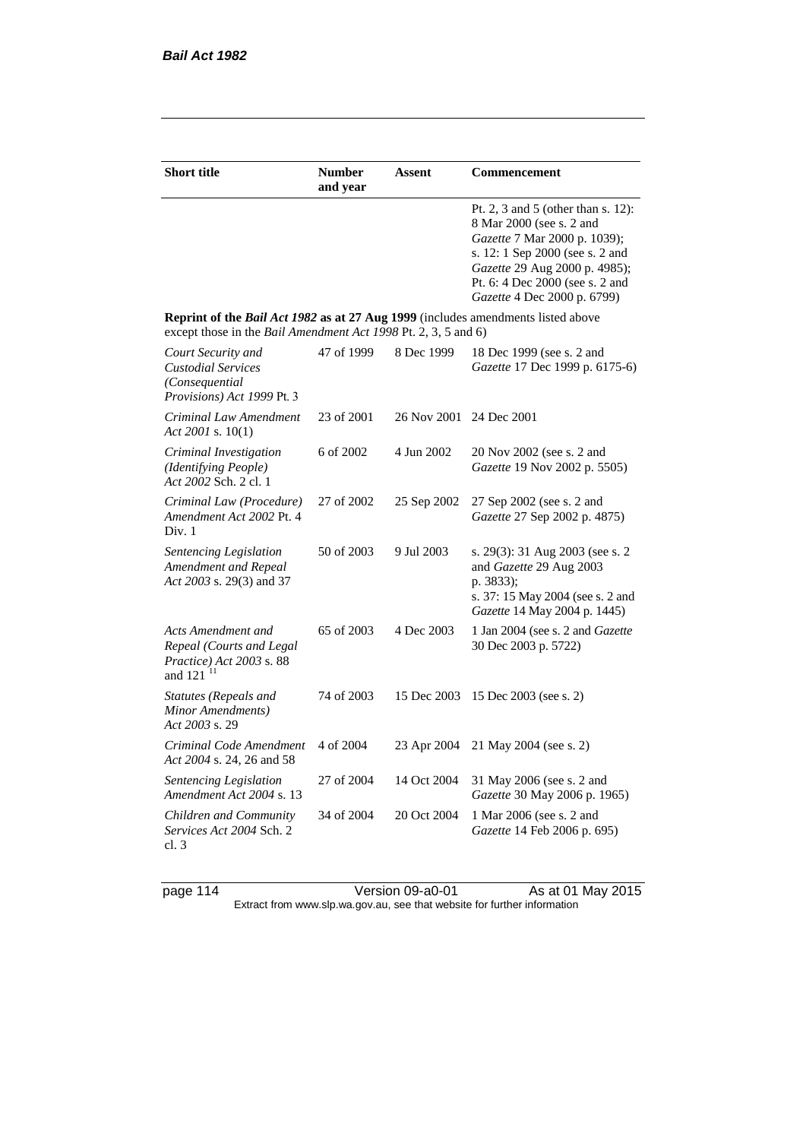| <b>Short title</b>                                                                                                                                 | <b>Number</b><br>and year | Assent                  | Commencement                                                                                                                                                                                                                         |
|----------------------------------------------------------------------------------------------------------------------------------------------------|---------------------------|-------------------------|--------------------------------------------------------------------------------------------------------------------------------------------------------------------------------------------------------------------------------------|
|                                                                                                                                                    |                           |                         | Pt. 2, 3 and 5 (other than s. 12):<br>8 Mar 2000 (see s. 2 and<br>Gazette 7 Mar 2000 p. 1039);<br>s. 12: 1 Sep 2000 (see s. 2 and<br>Gazette 29 Aug 2000 p. 4985);<br>Pt. 6: 4 Dec 2000 (see s. 2 and<br>Gazette 4 Dec 2000 p. 6799) |
| Reprint of the Bail Act 1982 as at 27 Aug 1999 (includes amendments listed above<br>except those in the Bail Amendment Act 1998 Pt. 2, 3, 5 and 6) |                           |                         |                                                                                                                                                                                                                                      |
| Court Security and<br><b>Custodial Services</b><br>(Consequential<br>Provisions) Act 1999 Pt. 3                                                    | 47 of 1999                | 8 Dec 1999              | 18 Dec 1999 (see s. 2 and<br>Gazette 17 Dec 1999 p. 6175-6)                                                                                                                                                                          |
| Criminal Law Amendment<br>Act 2001 s. $10(1)$                                                                                                      | 23 of 2001                | 26 Nov 2001 24 Dec 2001 |                                                                                                                                                                                                                                      |
| Criminal Investigation<br>(Identifying People)<br>Act 2002 Sch. 2 cl. 1                                                                            | 6 of 2002                 | 4 Jun 2002              | 20 Nov 2002 (see s. 2 and<br>Gazette 19 Nov 2002 p. 5505)                                                                                                                                                                            |
| Criminal Law (Procedure)<br>Amendment Act 2002 Pt. 4<br>Div. 1                                                                                     | 27 of 2002                | 25 Sep 2002             | 27 Sep 2002 (see s. 2 and<br>Gazette 27 Sep 2002 p. 4875)                                                                                                                                                                            |
| Sentencing Legislation<br>Amendment and Repeal<br>Act 2003 s. 29(3) and 37                                                                         | 50 of 2003                | 9 Jul 2003              | s. 29(3): 31 Aug 2003 (see s. 2)<br>and Gazette 29 Aug 2003<br>p. 3833);<br>s. 37: 15 May 2004 (see s. 2 and<br>Gazette 14 May 2004 p. 1445)                                                                                         |
| Acts Amendment and<br>Repeal (Courts and Legal<br>Practice) Act 2003 s. 88<br>and $121$ <sup>11</sup>                                              | 65 of 2003                | 4 Dec 2003              | 1 Jan 2004 (see s. 2 and <i>Gazette</i><br>30 Dec 2003 p. 5722)                                                                                                                                                                      |
| Statutes (Repeals and<br>Minor Amendments)<br>Act 2003 s. 29                                                                                       | 74 of 2003                | 15 Dec 2003             | 15 Dec 2003 (see s. 2)                                                                                                                                                                                                               |
| Criminal Code Amendment<br>Act 2004 s. 24, 26 and 58                                                                                               | 4 of 2004                 | 23 Apr 2004             | 21 May 2004 (see s. 2)                                                                                                                                                                                                               |
| Sentencing Legislation<br>Amendment Act 2004 s. 13                                                                                                 | 27 of 2004                | 14 Oct 2004             | 31 May 2006 (see s. 2 and<br>Gazette 30 May 2006 p. 1965)                                                                                                                                                                            |
| Children and Community<br>Services Act 2004 Sch. 2<br>cl.3                                                                                         | 34 of 2004                | 20 Oct 2004             | 1 Mar 2006 (see s. 2 and<br>Gazette 14 Feb 2006 p. 695)                                                                                                                                                                              |

page 114 Version 09-a0-01 As at 01 May 2015 Extract from www.slp.wa.gov.au, see that website for further information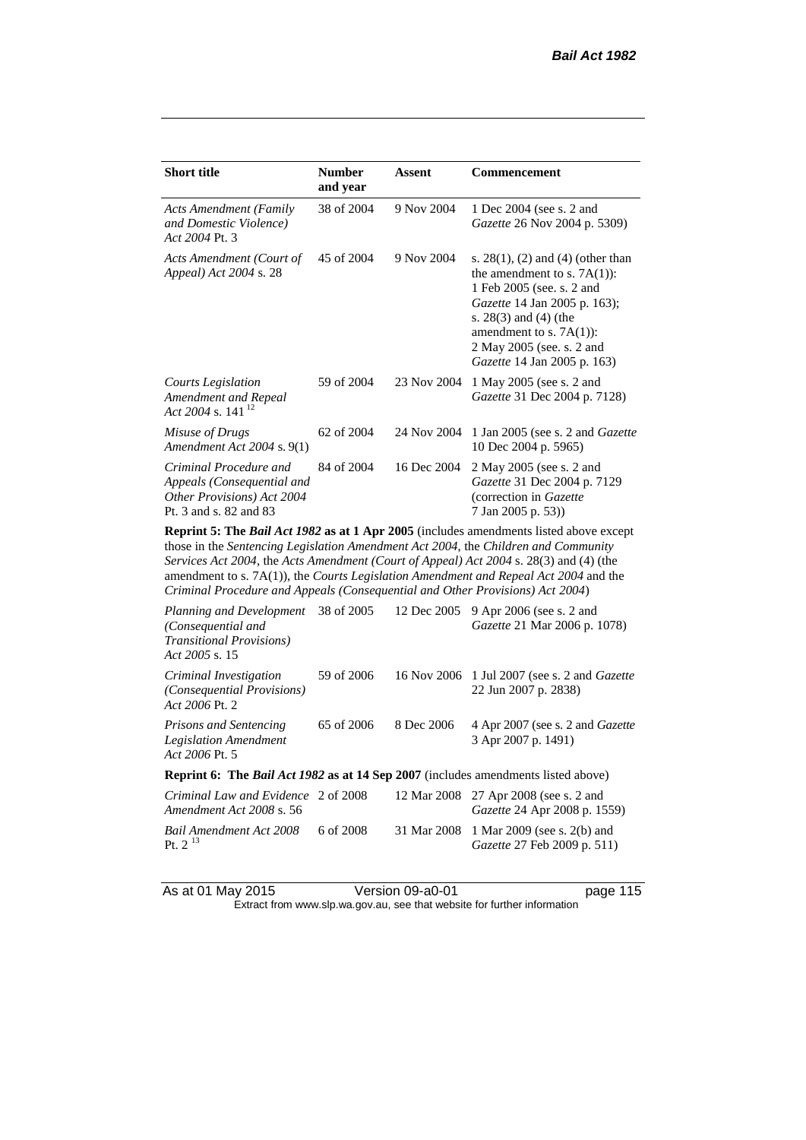| <b>Short title</b>                                                                                           | <b>Number</b><br>and year | Assent      | Commencement                                                                                                                                                                                                                                                           |
|--------------------------------------------------------------------------------------------------------------|---------------------------|-------------|------------------------------------------------------------------------------------------------------------------------------------------------------------------------------------------------------------------------------------------------------------------------|
| <b>Acts Amendment (Family</b><br>and Domestic Violence)<br>Act 2004 Pt. 3                                    | 38 of 2004                | 9 Nov 2004  | 1 Dec 2004 (see s. 2 and<br><i>Gazette</i> 26 Nov 2004 p. 5309)                                                                                                                                                                                                        |
| Acts Amendment (Court of<br>Appeal) Act 2004 s. 28                                                           | 45 of 2004                | 9 Nov 2004  | s. $28(1)$ , (2) and (4) (other than<br>the amendment to s. $7A(1)$ :<br>1 Feb 2005 (see. s. 2 and<br><i>Gazette</i> 14 Jan 2005 p. 163);<br>s. $28(3)$ and $(4)$ (the<br>amendment to s. $7A(1)$ :<br>2 May 2005 (see. s. 2 and<br><i>Gazette</i> 14 Jan 2005 p. 163) |
| Courts Legislation<br>Amendment and Repeal<br>Act 2004 s. 141 <sup>12</sup>                                  | 59 of 2004                | 23 Nov 2004 | 1 May 2005 (see s. 2 and<br><i>Gazette</i> 31 Dec 2004 p. 7128)                                                                                                                                                                                                        |
| Misuse of Drugs<br>Amendment Act 2004 s. 9(1)                                                                | 62 of 2004                | 24 Nov 2004 | 1 Jan 2005 (see s. 2 and <i>Gazette</i><br>10 Dec 2004 p. 5965)                                                                                                                                                                                                        |
| Criminal Procedure and<br>Appeals (Consequential and<br>Other Provisions) Act 2004<br>Pt. 3 and s. 82 and 83 | 84 of 2004                | 16 Dec 2004 | 2 May 2005 (see s. 2 and<br>Gazette 31 Dec 2004 p. 7129<br>(correction in Gazette)<br>7 Jan 2005 p. 53))                                                                                                                                                               |

**Reprint 5: The** *Bail Act 1982* **as at 1 Apr 2005** (includes amendments listed above except those in the *Sentencing Legislation Amendment Act 2004*, the *Children and Community Services Act 2004*, the *Acts Amendment (Court of Appeal) Act 2004* s. 28(3) and (4) (the amendment to s. 7A(1)), the *Courts Legislation Amendment and Repeal Act 2004* and the *Criminal Procedure and Appeals (Consequential and Other Provisions) Act 2004*)

| Planning and Development<br>(Consequential and<br><b>Transitional Provisions</b> )<br>Act 2005 s. 15 | 38 of 2005 | 12 Dec 2005 | 9 Apr 2006 (see s. 2 and<br>Gazette 21 Mar 2006 p. 1078)                      |
|------------------------------------------------------------------------------------------------------|------------|-------------|-------------------------------------------------------------------------------|
| Criminal Investigation<br>(Consequential Provisions)<br>Act 2006 Pt. 2                               | 59 of 2006 |             | 16 Nov 2006 1 Jul 2007 (see s. 2 and <i>Gazette</i><br>22 Jun 2007 p. 2838)   |
| <b>Prisons and Sentencing</b><br><b>Legislation Amendment</b><br>Act 2006 Pt. 5                      | 65 of 2006 | 8 Dec 2006  | 4 Apr 2007 (see s. 2 and <i>Gazette</i><br>3 Apr 2007 p. 1491)                |
| <b>Reprint 6: The Bail Act 1982 as at 14 Sep 2007</b> (includes amendments listed above)             |            |             |                                                                               |
| Criminal Law and Evidence 2 of 2008<br>Amendment Act 2008 s. 56                                      |            |             | 12 Mar 2008 27 Apr 2008 (see s. 2 and<br>Gazette 24 Apr 2008 p. 1559)         |
| Bail Amendment Act 2008<br>Pt. $2^{13}$                                                              | 6 of 2008  |             | 31 Mar 2008 1 Mar 2009 (see s. 2(b) and<br><i>Gazette</i> 27 Feb 2009 p. 511) |
|                                                                                                      |            |             |                                                                               |

As at 01 May 2015 Version 09-a0-01 page 115

Extract from www.slp.wa.gov.au, see that website for further information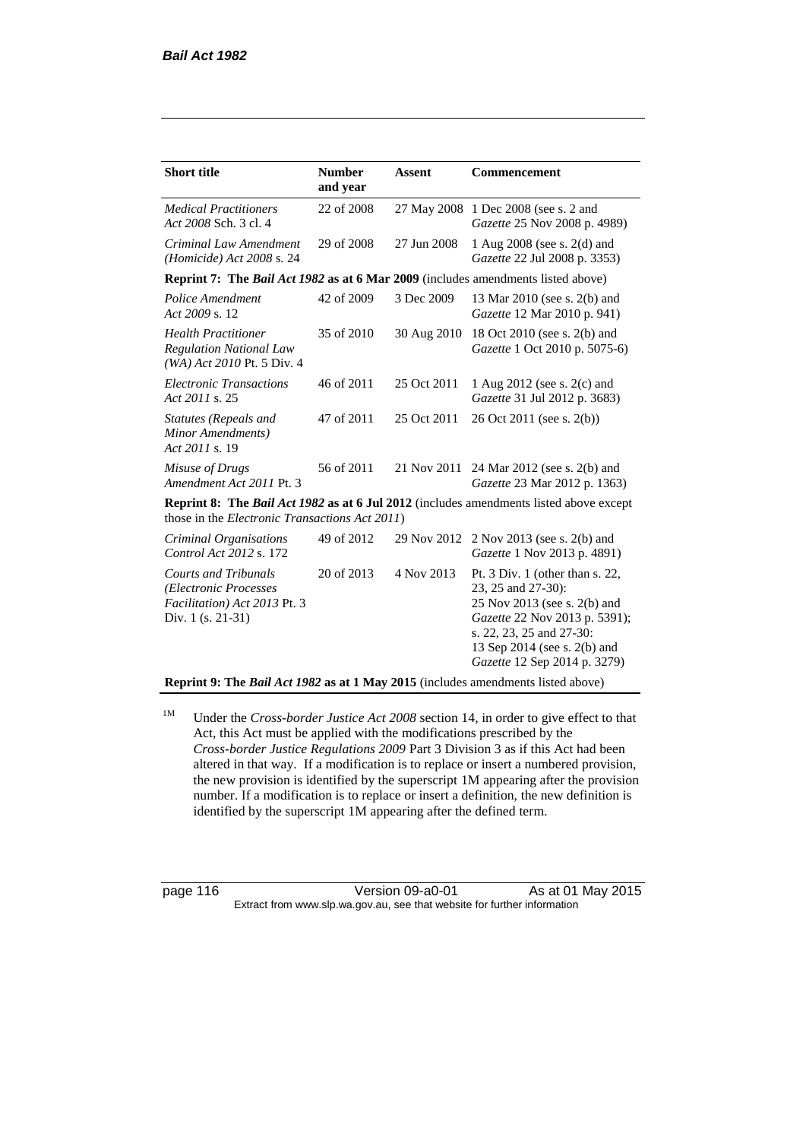| <b>Short title</b>                                                                                        | <b>Number</b><br>and year | Assent      | Commencement                                                                                                                                                                                                       |
|-----------------------------------------------------------------------------------------------------------|---------------------------|-------------|--------------------------------------------------------------------------------------------------------------------------------------------------------------------------------------------------------------------|
| <b>Medical Practitioners</b><br>Act 2008 Sch. 3 cl. 4                                                     | 22 of 2008                |             | 27 May 2008 1 Dec 2008 (see s. 2 and<br>Gazette 25 Nov 2008 p. 4989)                                                                                                                                               |
| Criminal Law Amendment<br>(Homicide) Act 2008 s. 24                                                       | 29 of 2008                | 27 Jun 2008 | 1 Aug 2008 (see s. 2(d) and<br>Gazette 22 Jul 2008 p. 3353)                                                                                                                                                        |
| <b>Reprint 7: The Bail Act 1982 as at 6 Mar 2009</b> (includes amendments listed above)                   |                           |             |                                                                                                                                                                                                                    |
| Police Amendment<br>Act 2009 s. 12                                                                        | 42 of 2009                | 3 Dec 2009  | 13 Mar 2010 (see s. 2(b) and<br>Gazette 12 Mar 2010 p. 941)                                                                                                                                                        |
| <b>Health Practitioner</b><br><b>Regulation National Law</b><br>(WA) Act 2010 Pt. 5 Div. 4                | 35 of 2010                | 30 Aug 2010 | 18 Oct 2010 (see s. 2(b) and<br>Gazette 1 Oct 2010 p. 5075-6)                                                                                                                                                      |
| <b>Electronic Transactions</b><br>Act 2011 s. 25                                                          | 46 of 2011                | 25 Oct 2011 | 1 Aug 2012 (see s. 2(c) and<br>Gazette 31 Jul 2012 p. 3683)                                                                                                                                                        |
| Statutes (Repeals and<br>Minor Amendments)<br>Act 2011 s. 19                                              | 47 of 2011                | 25 Oct 2011 | 26 Oct 2011 (see s. 2(b))                                                                                                                                                                                          |
| Misuse of Drugs<br>Amendment Act 2011 Pt. 3                                                               | 56 of 2011                |             | 21 Nov 2011 24 Mar 2012 (see s. 2(b) and<br>Gazette 23 Mar 2012 p. 1363)                                                                                                                                           |
| those in the <i>Electronic Transactions Act 2011</i> )                                                    |                           |             | <b>Reprint 8:</b> The <i>Bail Act 1982</i> as at 6 Jul 2012 (includes amendments listed above except                                                                                                               |
| Criminal Organisations<br>Control Act 2012 s. 172                                                         | 49 of 2012                | 29 Nov 2012 | $2$ Nov 2013 (see s. 2(b) and<br>Gazette 1 Nov 2013 p. 4891)                                                                                                                                                       |
| <b>Courts and Tribunals</b><br>(Electronic Processes<br>Facilitation) Act 2013 Pt. 3<br>Div. 1 (s. 21-31) | 20 of 2013                | 4 Nov 2013  | Pt. 3 Div. 1 (other than s. 22,<br>23, 25 and 27-30):<br>25 Nov 2013 (see s. 2(b) and<br>Gazette 22 Nov 2013 p. 5391);<br>s. 22, 23, 25 and 27-30:<br>13 Sep 2014 (see s. 2(b) and<br>Gazette 12 Sep 2014 p. 3279) |
| Reprint 9: The Bail Act 1982 as at 1 May 2015 (includes amendments listed above)                          |                           |             |                                                                                                                                                                                                                    |

<sup>1M</sup> Under the *Cross-border Justice Act 2008* section 14, in order to give effect to that Act, this Act must be applied with the modifications prescribed by the *Cross-border Justice Regulations 2009* Part 3 Division 3 as if this Act had been altered in that way. If a modification is to replace or insert a numbered provision, the new provision is identified by the superscript 1M appearing after the provision number. If a modification is to replace or insert a definition, the new definition is identified by the superscript 1M appearing after the defined term.

page 116 Version 09-a0-01 As at 01 May 2015 Extract from www.slp.wa.gov.au, see that website for further information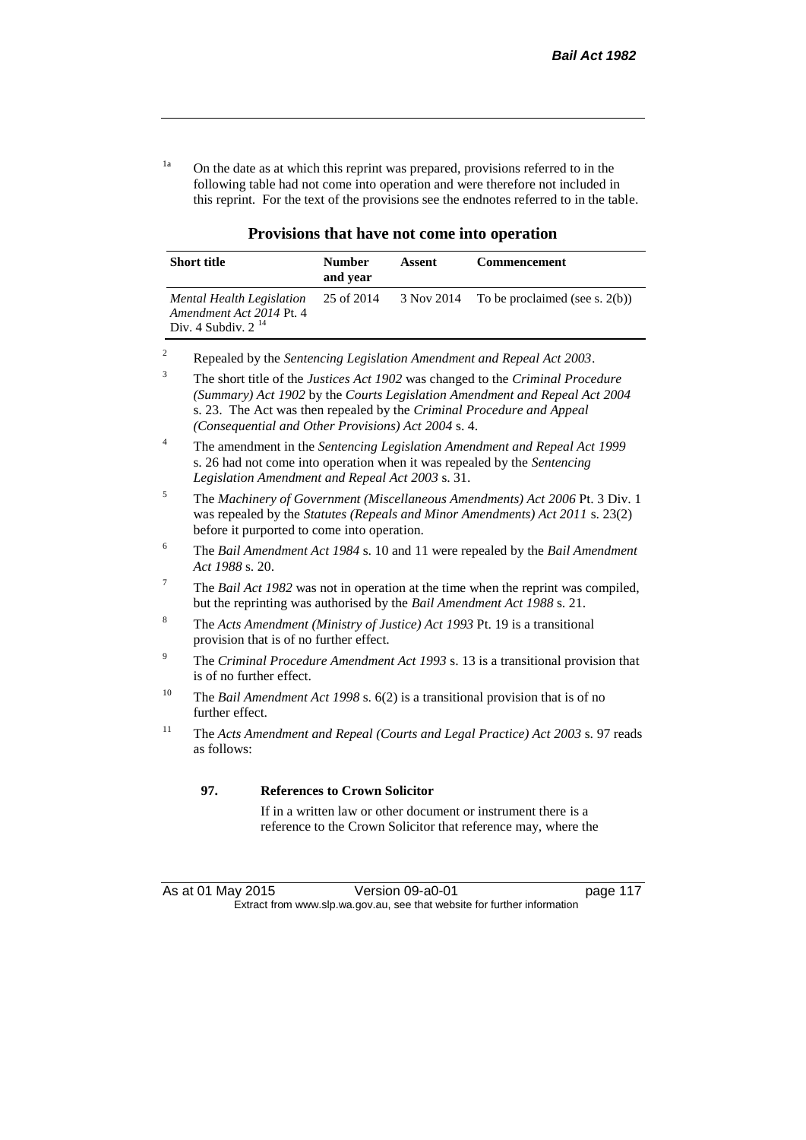<sup>1a</sup> On the date as at which this reprint was prepared, provisions referred to in the following table had not come into operation and were therefore not included in this reprint. For the text of the provisions see the endnotes referred to in the table.

| <b>Short title</b>                                                               | <b>Number</b><br>and year | Assent     | <b>Commencement</b>               |
|----------------------------------------------------------------------------------|---------------------------|------------|-----------------------------------|
| Mental Health Legislation<br>Amendment Act 2014 Pt. 4<br>Div. 4 Subdiv. $2^{14}$ | 25 of 2014                | 3 Nov 2014 | To be proclaimed (see s. $2(b)$ ) |

| Provisions that have not come into operation |  |  |
|----------------------------------------------|--|--|
|----------------------------------------------|--|--|

|  |  |  | Repealed by the Sentencing Legislation Amendment and Repeal Act 2003. |
|--|--|--|-----------------------------------------------------------------------|
|--|--|--|-----------------------------------------------------------------------|

<sup>3</sup> The short title of the *Justices Act 1902* was changed to the *Criminal Procedure (Summary) Act 1902* by the *Courts Legislation Amendment and Repeal Act 2004*  s. 23. The Act was then repealed by the *Criminal Procedure and Appeal (Consequential and Other Provisions) Act 2004* s. 4.

<sup>6</sup> The *Bail Amendment Act 1984* s. 10 and 11 were repealed by the *Bail Amendment Act 1988* s. 20.

- <sup>8</sup> The *Acts Amendment (Ministry of Justice) Act 1993* Pt. 19 is a transitional provision that is of no further effect.
- <sup>9</sup> The *Criminal Procedure Amendment Act 1993* s. 13 is a transitional provision that is of no further effect.
- <sup>10</sup> The *Bail Amendment Act 1998* s. 6(2) is a transitional provision that is of no further effect.
- <sup>11</sup> The *Acts Amendment and Repeal (Courts and Legal Practice) Act 2003* s. 97 reads as follows:

#### **97. References to Crown Solicitor**

If in a written law or other document or instrument there is a reference to the Crown Solicitor that reference may, where the

<sup>4</sup> The amendment in the *Sentencing Legislation Amendment and Repeal Act 1999* s. 26 had not come into operation when it was repealed by the *Sentencing Legislation Amendment and Repeal Act 2003* s. 31.

<sup>5</sup> The *Machinery of Government (Miscellaneous Amendments) Act 2006* Pt. 3 Div. 1 was repealed by the *Statutes (Repeals and Minor Amendments) Act 2011* s. 23(2) before it purported to come into operation.

<sup>7</sup> The *Bail Act 1982* was not in operation at the time when the reprint was compiled, but the reprinting was authorised by the *Bail Amendment Act 1988* s. 21.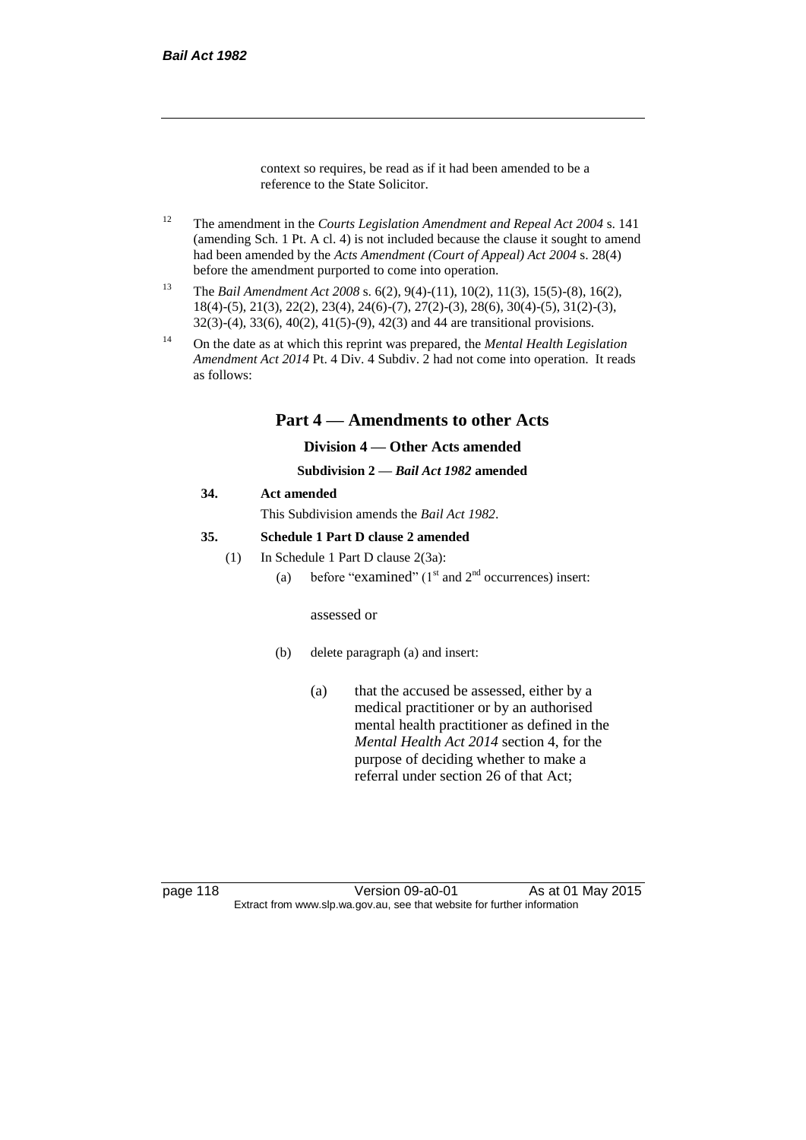context so requires, be read as if it had been amended to be a reference to the State Solicitor.

- <sup>12</sup> The amendment in the *Courts Legislation Amendment and Repeal Act 2004* s. 141 (amending Sch. 1 Pt. A cl. 4) is not included because the clause it sought to amend had been amended by the *Acts Amendment (Court of Appeal) Act 2004* s. 28(4) before the amendment purported to come into operation.
- <sup>13</sup> The *Bail Amendment Act 2008* s. 6(2), 9(4)-(11), 10(2), 11(3), 15(5)-(8), 16(2), 18(4)-(5), 21(3), 22(2), 23(4), 24(6)-(7), 27(2)-(3), 28(6), 30(4)-(5), 31(2)-(3), 32(3)-(4), 33(6), 40(2), 41(5)-(9), 42(3) and 44 are transitional provisions.
- <sup>14</sup> On the date as at which this reprint was prepared, the *Mental Health Legislation Amendment Act 2014* Pt. 4 Div. 4 Subdiv. 2 had not come into operation. It reads as follows:

# **Part 4 — Amendments to other Acts**

#### **Division 4 — Other Acts amended**

#### **Subdivision 2 —** *Bail Act 1982* **amended**

#### **34. Act amended**

This Subdivision amends the *Bail Act 1982*.

#### **35. Schedule 1 Part D clause 2 amended**

- (1) In Schedule 1 Part D clause 2(3a):
	- (a) before "examined" ( $1<sup>st</sup>$  and  $2<sup>nd</sup>$  occurrences) insert:

#### assessed or

- (b) delete paragraph (a) and insert:
	- (a) that the accused be assessed, either by a medical practitioner or by an authorised mental health practitioner as defined in the *Mental Health Act 2014* section 4, for the purpose of deciding whether to make a referral under section 26 of that Act;

page 118 Version 09-a0-01 As at 01 May 2015 Extract from www.slp.wa.gov.au, see that website for further information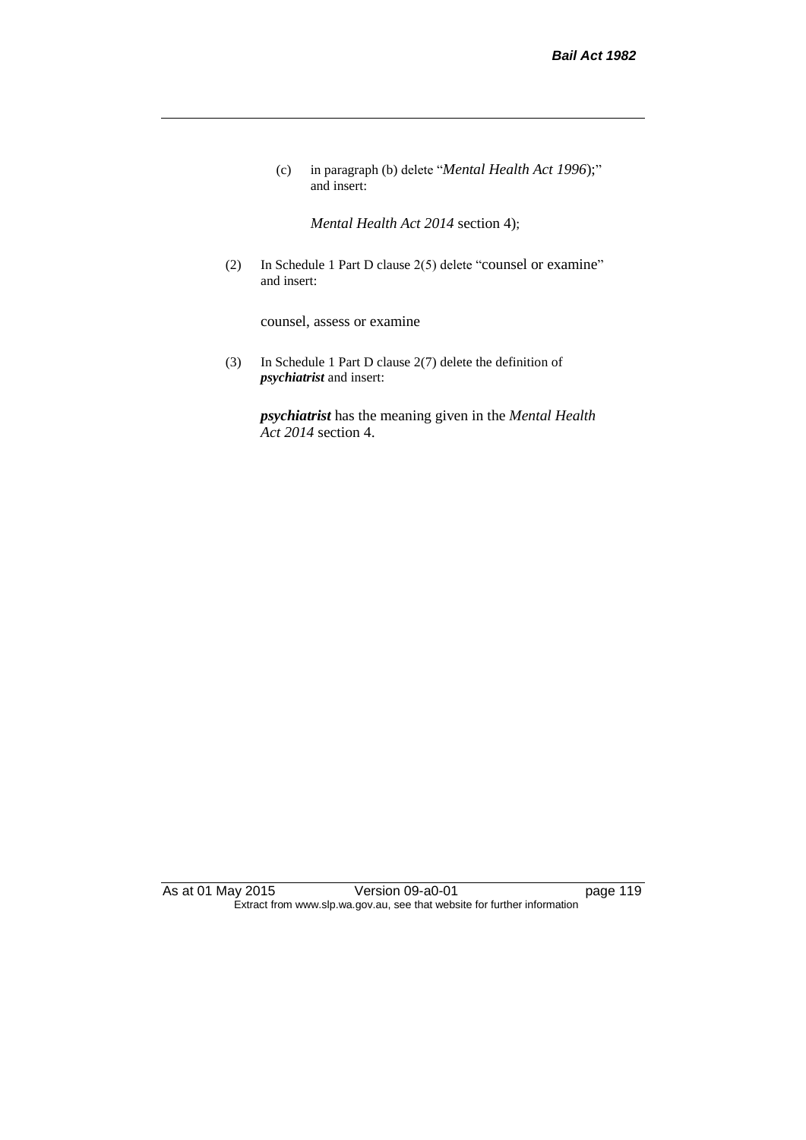(c) in paragraph (b) delete "*Mental Health Act 1996*);" and insert:

*Mental Health Act 2014* section 4);

(2) In Schedule 1 Part D clause 2(5) delete "counsel or examine" and insert:

counsel, assess or examine

(3) In Schedule 1 Part D clause 2(7) delete the definition of *psychiatrist* and insert:

*psychiatrist* has the meaning given in the *Mental Health Act 2014* section 4.

As at 01 May 2015 Version 09-a0-01 page 119 Extract from www.slp.wa.gov.au, see that website for further information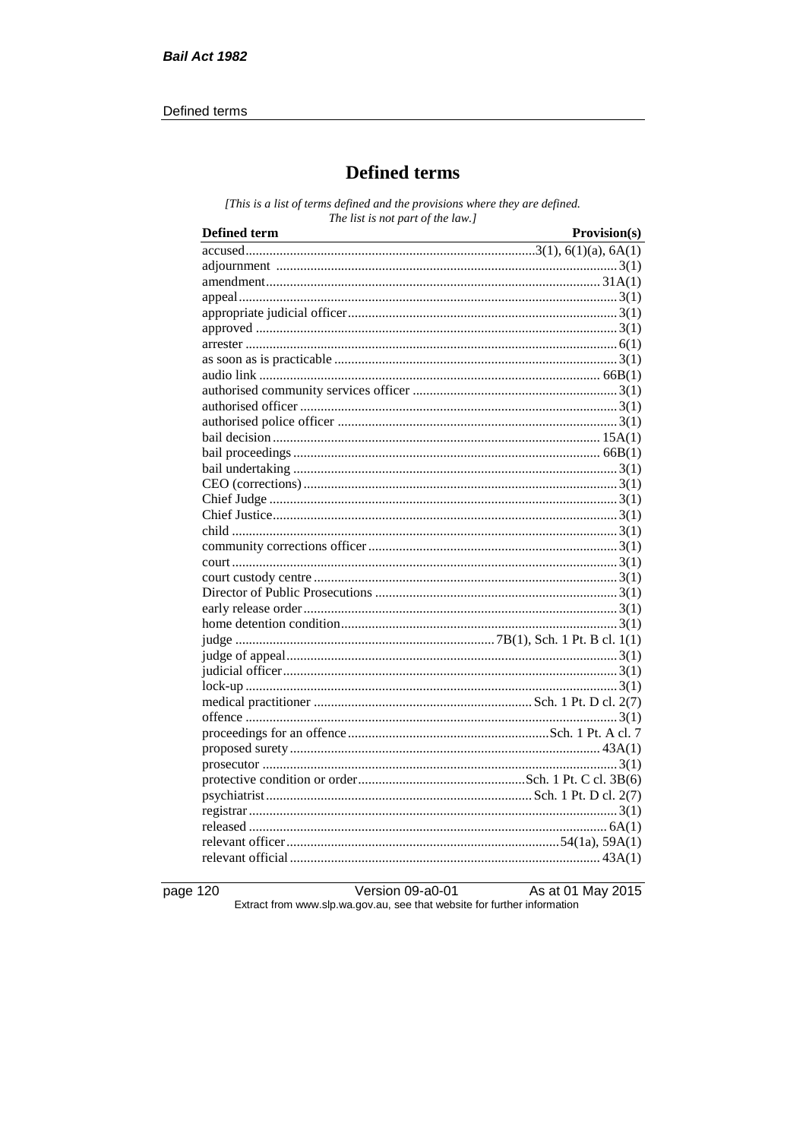#### Defined terms

# **Defined terms**

[This is a list of terms defined and the provisions where they are defined. The list is not part of the law.]

| <b>Defined term</b> | Provision(s) |
|---------------------|--------------|
|                     |              |
|                     |              |
|                     |              |
|                     |              |
|                     |              |
|                     |              |
|                     |              |
|                     |              |
|                     |              |
|                     |              |
|                     |              |
|                     |              |
|                     |              |
|                     |              |
|                     |              |
|                     |              |
|                     |              |
|                     |              |
|                     |              |
|                     |              |
|                     |              |
|                     |              |
|                     |              |
|                     |              |
|                     |              |
|                     |              |
|                     |              |
|                     |              |
|                     |              |
|                     |              |
|                     |              |
|                     |              |
|                     |              |
|                     |              |
|                     |              |
|                     |              |
|                     |              |
|                     |              |
|                     |              |
|                     |              |

page 120

Version 09-a0-01 As at 01 May 2015 Extract from www.slp.wa.gov.au, see that website for further information